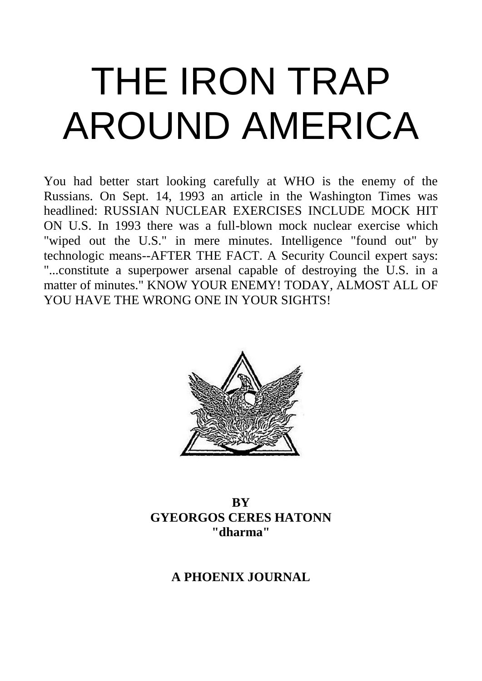# THE IRON TRAP AROUND AMERICA

You had better start looking carefully at WHO is the enemy of the Russians. On Sept. 14, 1993 an article in the Washington Times was headlined: RUSSIAN NUCLEAR EXERCISES INCLUDE MOCK HIT ON U.S. In 1993 there was a full-blown mock nuclear exercise which "wiped out the U.S." in mere minutes. Intelligence "found out" by technologic means--AFTER THE FACT. A Security Council expert says: "...constitute a superpower arsenal capable of destroying the U.S. in a matter of minutes." KNOW YOUR ENEMY! TODAY, ALMOST ALL OF YOU HAVE THE WRONG ONE IN YOUR SIGHTS!



# **BY GYEORGOS CERES HATONN "dharma"**

# **A PHOENIX JOURNAL**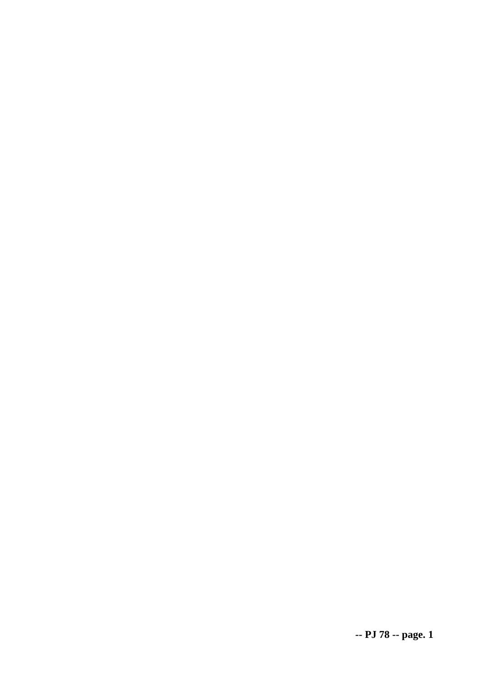**-- PJ 78 -- page. 1**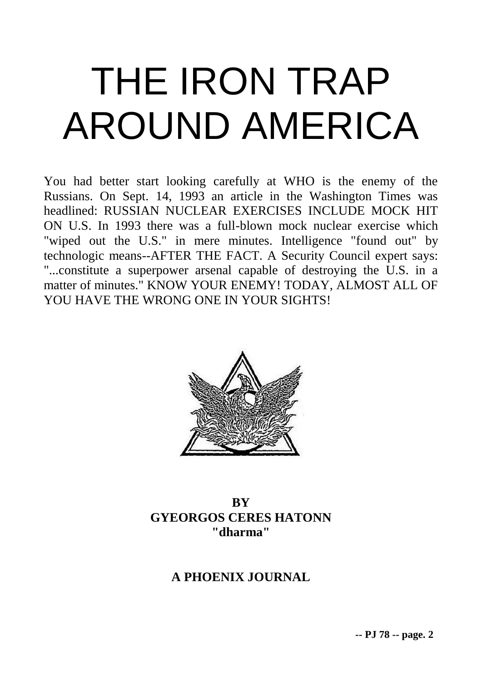# THE IRON TRAP AROUND AMERICA

You had better start looking carefully at WHO is the enemy of the Russians. On Sept. 14, 1993 an article in the Washington Times was headlined: RUSSIAN NUCLEAR EXERCISES INCLUDE MOCK HIT ON U.S. In 1993 there was a full-blown mock nuclear exercise which "wiped out the U.S." in mere minutes. Intelligence "found out" by technologic means--AFTER THE FACT. A Security Council expert says: "...constitute a superpower arsenal capable of destroying the U.S. in a matter of minutes." KNOW YOUR ENEMY! TODAY, ALMOST ALL OF YOU HAVE THE WRONG ONE IN YOUR SIGHTS!



# **BY GYEORGOS CERES HATONN "dharma"**

# **A PHOENIX JOURNAL**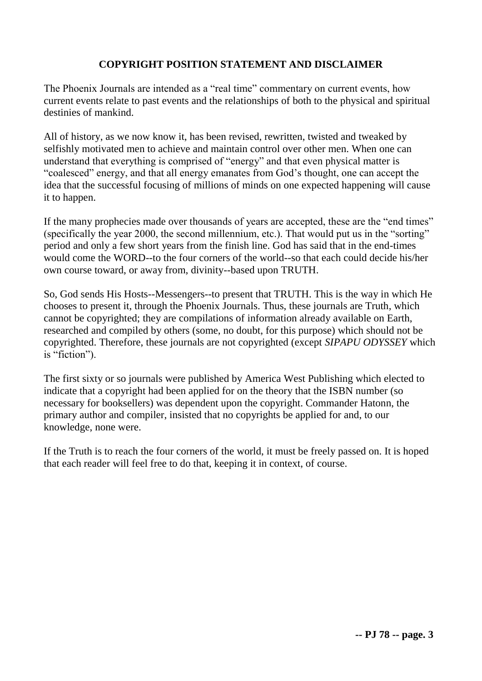# **COPYRIGHT POSITION STATEMENT AND DISCLAIMER**

The Phoenix Journals are intended as a "real time" commentary on current events, how current events relate to past events and the relationships of both to the physical and spiritual destinies of mankind.

All of history, as we now know it, has been revised, rewritten, twisted and tweaked by selfishly motivated men to achieve and maintain control over other men. When one can understand that everything is comprised of "energy" and that even physical matter is "coalesced" energy, and that all energy emanates from God's thought, one can accept the idea that the successful focusing of millions of minds on one expected happening will cause it to happen.

If the many prophecies made over thousands of years are accepted, these are the "end times" (specifically the year 2000, the second millennium, etc.). That would put us in the "sorting" period and only a few short years from the finish line. God has said that in the end-times would come the WORD--to the four corners of the world--so that each could decide his/her own course toward, or away from, divinity--based upon TRUTH.

So, God sends His Hosts--Messengers--to present that TRUTH. This is the way in which He chooses to present it, through the Phoenix Journals. Thus, these journals are Truth, which cannot be copyrighted; they are compilations of information already available on Earth, researched and compiled by others (some, no doubt, for this purpose) which should not be copyrighted. Therefore, these journals are not copyrighted (except *SIPAPU ODYSSEY* which is "fiction").

The first sixty or so journals were published by America West Publishing which elected to indicate that a copyright had been applied for on the theory that the ISBN number (so necessary for booksellers) was dependent upon the copyright. Commander Hatonn, the primary author and compiler, insisted that no copyrights be applied for and, to our knowledge, none were.

If the Truth is to reach the four corners of the world, it must be freely passed on. It is hoped that each reader will feel free to do that, keeping it in context, of course.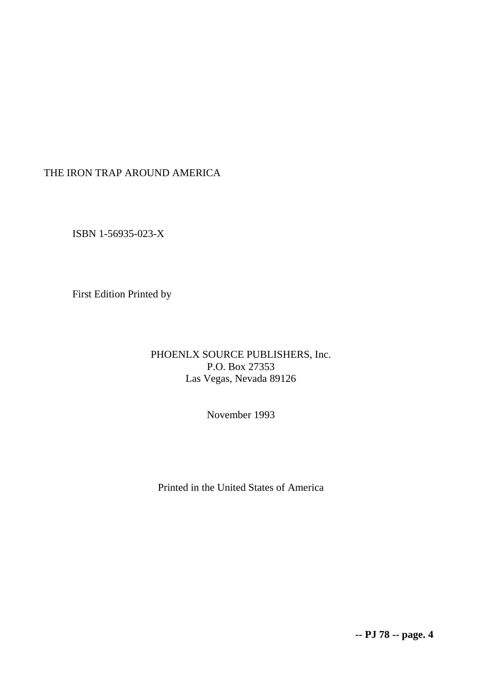#### THE IRON TRAP AROUND AMERICA

ISBN 1-56935-023-X

First Edition Printed by

# PHOENLX SOURCE PUBLISHERS, Inc. P.O. Box 27353 Las Vegas, Nevada 89126

November 1993

Printed in the United States of America

**-- PJ 78 -- page. 4**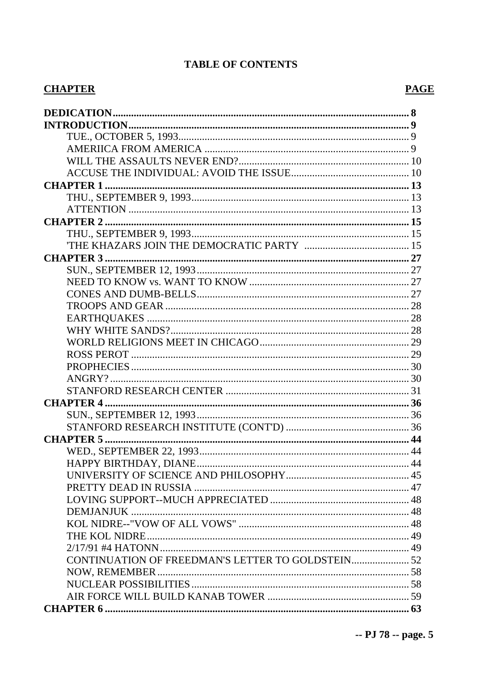# **TABLE OF CONTENTS**

# **CHAPTER**

| <b>CHAPTER 2</b> |  |
|------------------|--|
|                  |  |
|                  |  |
|                  |  |
|                  |  |
|                  |  |
|                  |  |
|                  |  |
|                  |  |
|                  |  |
|                  |  |
|                  |  |
|                  |  |
|                  |  |
|                  |  |
|                  |  |
|                  |  |
|                  |  |
|                  |  |
|                  |  |
|                  |  |
|                  |  |
|                  |  |
|                  |  |
|                  |  |
|                  |  |
|                  |  |
|                  |  |
|                  |  |
|                  |  |
|                  |  |
|                  |  |
|                  |  |
|                  |  |

-- PJ 78 -- page. 5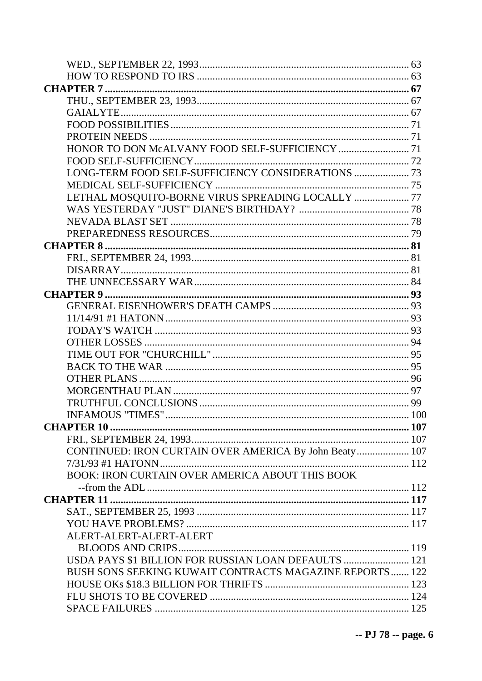| LONG-TERM FOOD SELF-SUFFICIENCY CONSIDERATIONS  73      |  |
|---------------------------------------------------------|--|
|                                                         |  |
| LETHAL MOSQUITO-BORNE VIRUS SPREADING LOCALLY  77       |  |
|                                                         |  |
|                                                         |  |
|                                                         |  |
|                                                         |  |
|                                                         |  |
|                                                         |  |
|                                                         |  |
|                                                         |  |
|                                                         |  |
|                                                         |  |
|                                                         |  |
|                                                         |  |
|                                                         |  |
|                                                         |  |
|                                                         |  |
|                                                         |  |
|                                                         |  |
|                                                         |  |
|                                                         |  |
|                                                         |  |
| CONTINUED: IRON CURTAIN OVER AMERICA By John Beaty 107  |  |
|                                                         |  |
| BOOK: IRON CURTAIN OVER AMERICA ABOUT THIS BOOK         |  |
|                                                         |  |
|                                                         |  |
|                                                         |  |
|                                                         |  |
| ALERT-ALERT-ALERT-ALERT                                 |  |
|                                                         |  |
| USDA PAYS \$1 BILLION FOR RUSSIAN LOAN DEFAULTS  121    |  |
| BUSH SONS SEEKING KUWAIT CONTRACTS MAGAZINE REPORTS 122 |  |
|                                                         |  |
|                                                         |  |
|                                                         |  |
|                                                         |  |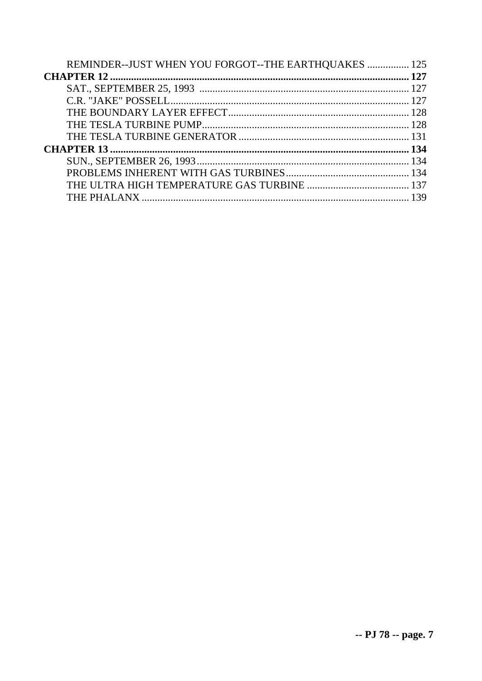| REMINDER--JUST WHEN YOU FORGOT--THE EARTHQUAKES  125 |  |
|------------------------------------------------------|--|
|                                                      |  |
|                                                      |  |
|                                                      |  |
|                                                      |  |
|                                                      |  |
|                                                      |  |
|                                                      |  |
|                                                      |  |
|                                                      |  |
|                                                      |  |
|                                                      |  |
|                                                      |  |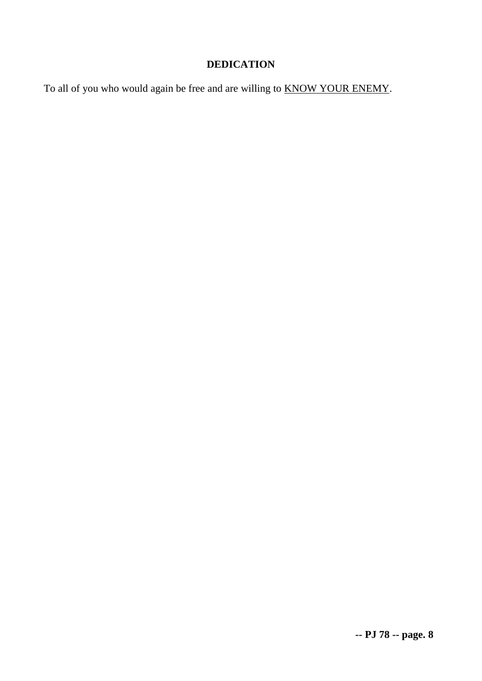# **DEDICATION**

To all of you who would again be free and are willing to **KNOW YOUR ENEMY**.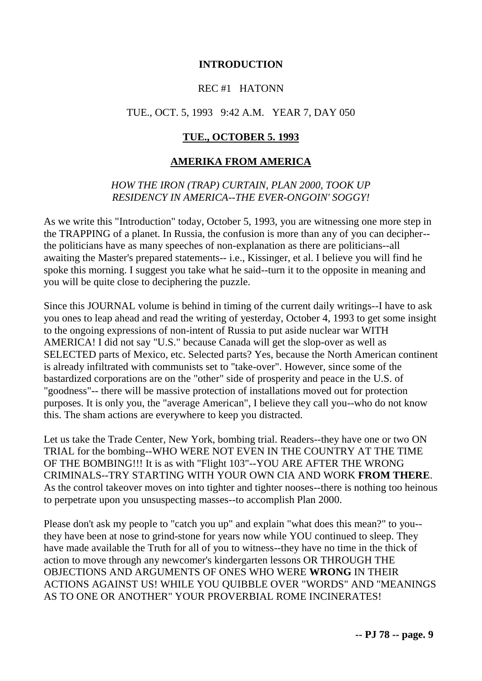#### **INTRODUCTION**

#### REC #1 HATONN

#### TUE., OCT. 5, 1993 9:42 A.M. YEAR 7, DAY 050

#### **TUE., OCTOBER 5. 1993**

#### **AMERIKA FROM AMERICA**

#### *HOW THE IRON (TRAP) CURTAIN, PLAN 2000, TOOK UP RESIDENCY IN AMERICA--THE EVER-ONGOIN' SOGGY!*

As we write this "Introduction" today, October 5, 1993, you are witnessing one more step in the TRAPPING of a planet. In Russia, the confusion is more than any of you can decipher- the politicians have as many speeches of non-explanation as there are politicians--all awaiting the Master's prepared statements-- i.e., Kissinger, et al. I believe you will find he spoke this morning. I suggest you take what he said--turn it to the opposite in meaning and you will be quite close to deciphering the puzzle.

Since this JOURNAL volume is behind in timing of the current daily writings--I have to ask you ones to leap ahead and read the writing of yesterday, October 4, 1993 to get some insight to the ongoing expressions of non-intent of Russia to put aside nuclear war WITH AMERICA! I did not say "U.S." because Canada will get the slop-over as well as SELECTED parts of Mexico, etc. Selected parts? Yes, because the North American continent is already infiltrated with communists set to "take-over". However, since some of the bastardized corporations are on the "other" side of prosperity and peace in the U.S. of "goodness"-- there will be massive protection of installations moved out for protection purposes. It is only you, the "average American", I believe they call you--who do not know this. The sham actions are everywhere to keep you distracted.

Let us take the Trade Center, New York, bombing trial. Readers--they have one or two ON TRIAL for the bombing--WHO WERE NOT EVEN IN THE COUNTRY AT THE TIME OF THE BOMBING!!! It is as with "Flight 103"--YOU ARE AFTER THE WRONG CRIMINALS--TRY STARTING WITH YOUR OWN CIA AND WORK **FROM THERE**. As the control takeover moves on into tighter and tighter nooses--there is nothing too heinous to perpetrate upon you unsuspecting masses--to accomplish Plan 2000.

Please don't ask my people to "catch you up" and explain "what does this mean?" to you- they have been at nose to grind-stone for years now while YOU continued to sleep. They have made available the Truth for all of you to witness--they have no time in the thick of action to move through any newcomer's kindergarten lessons OR THROUGH THE OBJECTIONS AND ARGUMENTS OF ONES WHO WERE **WRONG** IN THEIR ACTIONS AGAINST US! WHILE YOU QUIBBLE OVER "WORDS" AND "MEANINGS AS TO ONE OR ANOTHER" YOUR PROVERBIAL ROME INCINERATES!

**-- PJ 78 -- page. 9**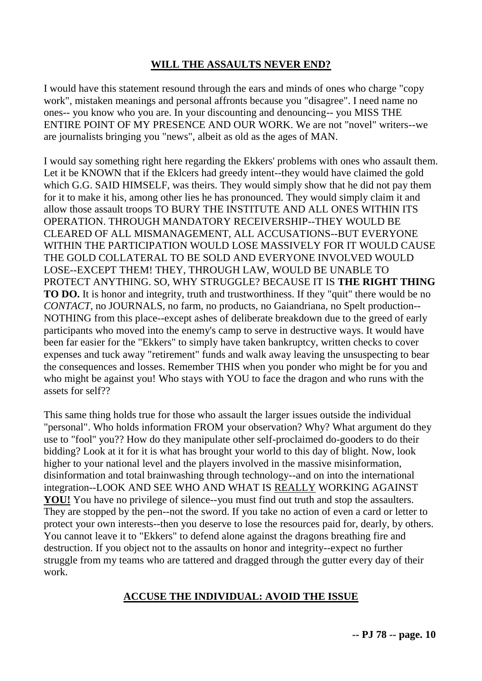# **WILL THE ASSAULTS NEVER END?**

I would have this statement resound through the ears and minds of ones who charge "copy work", mistaken meanings and personal affronts because you "disagree". I need name no ones-- you know who you are. In your discounting and denouncing-- you MISS THE ENTIRE POINT OF MY PRESENCE AND OUR WORK. We are not "novel" writers--we are journalists bringing you "news", albeit as old as the ages of MAN.

I would say something right here regarding the Ekkers' problems with ones who assault them. Let it be KNOWN that if the Eklcers had greedy intent--they would have claimed the gold which G.G. SAID HIMSELF, was theirs. They would simply show that he did not pay them for it to make it his, among other lies he has pronounced. They would simply claim it and allow those assault troops TO BURY THE INSTITUTE AND ALL ONES WITHIN ITS OPERATION. THROUGH MANDATORY RECEIVERSHIP--THEY WOULD BE CLEARED OF ALL MISMANAGEMENT, ALL ACCUSATIONS--BUT EVERYONE WITHIN THE PARTICIPATION WOULD LOSE MASSIVELY FOR IT WOULD CAUSE THE GOLD COLLATERAL TO BE SOLD AND EVERYONE INVOLVED WOULD LOSE--EXCEPT THEM! THEY, THROUGH LAW, WOULD BE UNABLE TO PROTECT ANYTHING. SO, WHY STRUGGLE? BECAUSE IT IS **THE RIGHT THING TO DO.** It is honor and integrity, truth and trustworthiness. If they "quit" there would be no *CONTACT*, no JOURNALS, no farm, no products, no Gaiandriana, no Spelt production-- NOTHING from this place--except ashes of deliberate breakdown due to the greed of early participants who moved into the enemy's camp to serve in destructive ways. It would have been far easier for the "Ekkers" to simply have taken bankruptcy, written checks to cover expenses and tuck away "retirement" funds and walk away leaving the unsuspecting to bear the consequences and losses. Remember THIS when you ponder who might be for you and who might be against you! Who stays with YOU to face the dragon and who runs with the assets for self??

This same thing holds true for those who assault the larger issues outside the individual "personal". Who holds information FROM your observation? Why? What argument do they use to "fool'' you?? How do they manipulate other self-proclaimed do-gooders to do their bidding? Look at it for it is what has brought your world to this day of blight. Now, look higher to your national level and the players involved in the massive misinformation, disinformation and total brainwashing through technology--and on into the international integration--LOOK AND SEE WHO AND WHAT IS REALLY WORKING AGAINST **YOU!** You have no privilege of silence--you must find out truth and stop the assaulters. They are stopped by the pen--not the sword. If you take no action of even a card or letter to protect your own interests--then you deserve to lose the resources paid for, dearly, by others. You cannot leave it to "Ekkers" to defend alone against the dragons breathing fire and destruction. If you object not to the assaults on honor and integrity--expect no further struggle from my teams who are tattered and dragged through the gutter every day of their work.

#### **ACCUSE THE INDIVIDUAL: AVOID THE ISSUE**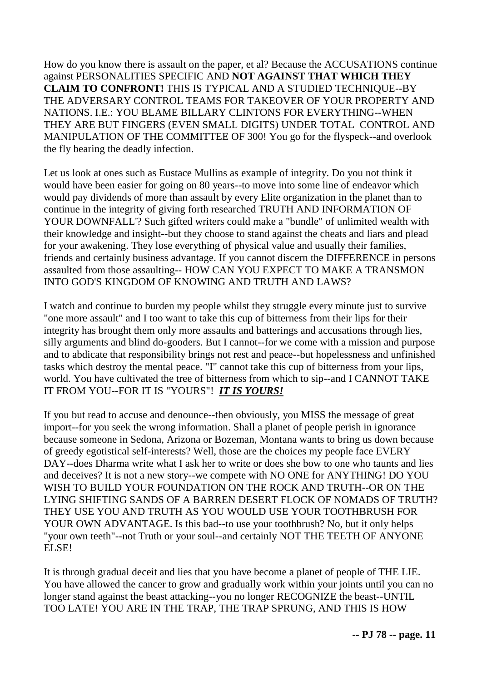How do you know there is assault on the paper, et al? Because the ACCUSATIONS continue against PERSONALITIES SPECIFIC AND **NOT AGAINST THAT WHICH THEY CLAIM TO CONFRONT!** THIS IS TYPICAL AND A STUDIED TECHNIQUE--BY THE ADVERSARY CONTROL TEAMS FOR TAKEOVER OF YOUR PROPERTY AND NATIONS. I.E.: YOU BLAME BILLARY CLINTONS FOR EVERYTHING--WHEN THEY ARE BUT FINGERS (EVEN SMALL DIGITS) UNDER TOTAL CONTROL AND MANIPULATION OF THE COMMITTEE OF 300! You go for the flyspeck--and overlook the fly bearing the deadly infection.

Let us look at ones such as Eustace Mullins as example of integrity. Do you not think it would have been easier for going on 80 years--to move into some line of endeavor which would pay dividends of more than assault by every Elite organization in the planet than to continue in the integrity of giving forth researched TRUTH AND INFORMATION OF YOUR DOWNFALL'? Such gifted writers could make a "bundle" of unlimited wealth with their knowledge and insight--but they choose to stand against the cheats and liars and plead for your awakening. They lose everything of physical value and usually their families, friends and certainly business advantage. If you cannot discern the DIFFERENCE in persons assaulted from those assaulting-- HOW CAN YOU EXPECT TO MAKE A TRANSMON INTO GOD'S KINGDOM OF KNOWING AND TRUTH AND LAWS?

I watch and continue to burden my people whilst they struggle every minute just to survive "one more assault" and I too want to take this cup of bitterness from their lips for their integrity has brought them only more assaults and batterings and accusations through lies, silly arguments and blind do-gooders. But I cannot--for we come with a mission and purpose and to abdicate that responsibility brings not rest and peace--but hopelessness and unfinished tasks which destroy the mental peace. "I" cannot take this cup of bitterness from your lips, world. You have cultivated the tree of bitterness from which to sip--and I CANNOT TAKE IT FROM YOU--FOR IT IS "YOURS"! *IT IS YOURS!*

If you but read to accuse and denounce--then obviously, you MISS the message of great import--for you seek the wrong information. Shall a planet of people perish in ignorance because someone in Sedona, Arizona or Bozeman, Montana wants to bring us down because of greedy egotistical self-interests? Well, those are the choices my people face EVERY DAY--does Dharma write what I ask her to write or does she bow to one who taunts and lies and deceives? It is not a new story--we compete with NO ONE for ANYTHING! DO YOU WISH TO BUILD YOUR FOUNDATION ON THE ROCK AND TRUTH--OR ON THE LYING SHIFTING SANDS OF A BARREN DESERT FLOCK OF NOMADS OF TRUTH? THEY USE YOU AND TRUTH AS YOU WOULD USE YOUR TOOTHBRUSH FOR YOUR OWN ADVANTAGE. Is this bad--to use your toothbrush? No, but it only helps "your own teeth"--not Truth or your soul--and certainly NOT THE TEETH OF ANYONE ELSE!

It is through gradual deceit and lies that you have become a planet of people of THE LIE. You have allowed the cancer to grow and gradually work within your joints until you can no longer stand against the beast attacking--you no longer RECOGNIZE the beast--UNTIL TOO LATE! YOU ARE IN THE TRAP, THE TRAP SPRUNG, AND THIS IS HOW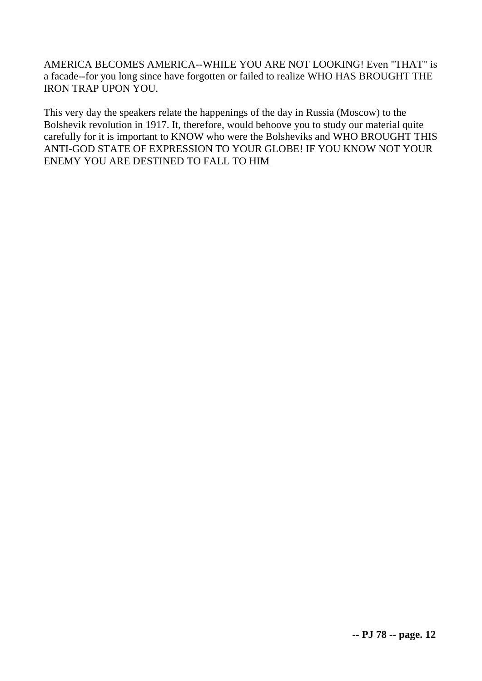AMERICA BECOMES AMERICA--WHILE YOU ARE NOT LOOKING! Even "THAT" is a facade--for you long since have forgotten or failed to realize WHO HAS BROUGHT THE IRON TRAP UPON YOU.

This very day the speakers relate the happenings of the day in Russia (Moscow) to the Bolshevik revolution in 1917. It, therefore, would behoove you to study our material quite carefully for it is important to KNOW who were the Bolsheviks and WHO BROUGHT THIS ANTI-GOD STATE OF EXPRESSION TO YOUR GLOBE! IF YOU KNOW NOT YOUR ENEMY YOU ARE DESTINED TO FALL TO HIM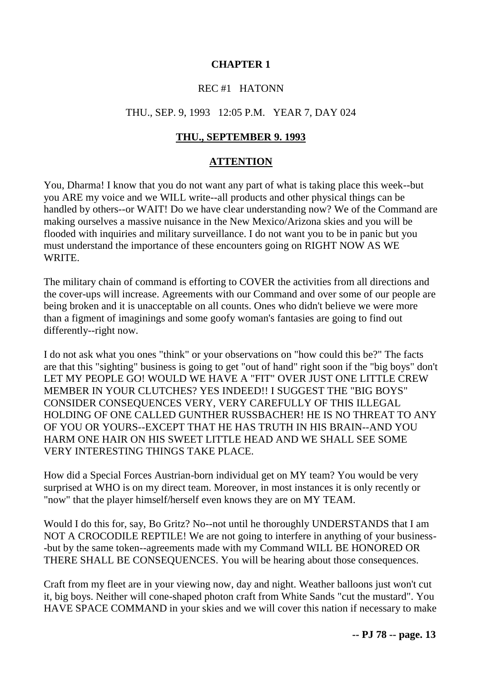## **CHAPTER 1**

#### REC #1 HATONN

#### THU., SEP. 9, 1993 12:05 P.M. YEAR 7, DAY 024

#### **THU., SEPTEMBER 9. 1993**

#### **ATTENTION**

You, Dharma! I know that you do not want any part of what is taking place this week--but you ARE my voice and we WILL write--all products and other physical things can be handled by others--or WAIT! Do we have clear understanding now? We of the Command are making ourselves a massive nuisance in the New Mexico/Arizona skies and you will be flooded with inquiries and military surveillance. I do not want you to be in panic but you must understand the importance of these encounters going on RIGHT NOW AS WE WRITE.

The military chain of command is efforting to COVER the activities from all directions and the cover-ups will increase. Agreements with our Command and over some of our people are being broken and it is unacceptable on all counts. Ones who didn't believe we were more than a figment of imaginings and some goofy woman's fantasies are going to find out differently--right now.

I do not ask what you ones "think" or your observations on "how could this be?" The facts are that this "sighting" business is going to get "out of hand" right soon if the "big boys" don't LET MY PEOPLE GO! WOULD WE HAVE A "FIT" OVER JUST ONE LITTLE CREW MEMBER IN YOUR CLUTCHES? YES INDEED!! I SUGGEST THE "BIG BOYS" CONSIDER CONSEQUENCES VERY, VERY CAREFULLY OF THIS ILLEGAL HOLDING OF ONE CALLED GUNTHER RUSSBACHER! HE IS NO THREAT TO ANY OF YOU OR YOURS--EXCEPT THAT HE HAS TRUTH IN HIS BRAIN--AND YOU HARM ONE HAIR ON HIS SWEET LITTLE HEAD AND WE SHALL SEE SOME VERY INTERESTING THINGS TAKE PLACE.

How did a Special Forces Austrian-born individual get on MY team? You would be very surprised at WHO is on my direct team. Moreover, in most instances it is only recently or "now" that the player himself/herself even knows they are on MY TEAM.

Would I do this for, say, Bo Gritz? No--not until he thoroughly UNDERSTANDS that I am NOT A CROCODILE REPTILE! We are not going to interfere in anything of your business- -but by the same token--agreements made with my Command WILL BE HONORED OR THERE SHALL BE CONSEQUENCES. You will be hearing about those consequences.

Craft from my fleet are in your viewing now, day and night. Weather balloons just won't cut it, big boys. Neither will cone-shaped photon craft from White Sands "cut the mustard". You HAVE SPACE COMMAND in your skies and we will cover this nation if necessary to make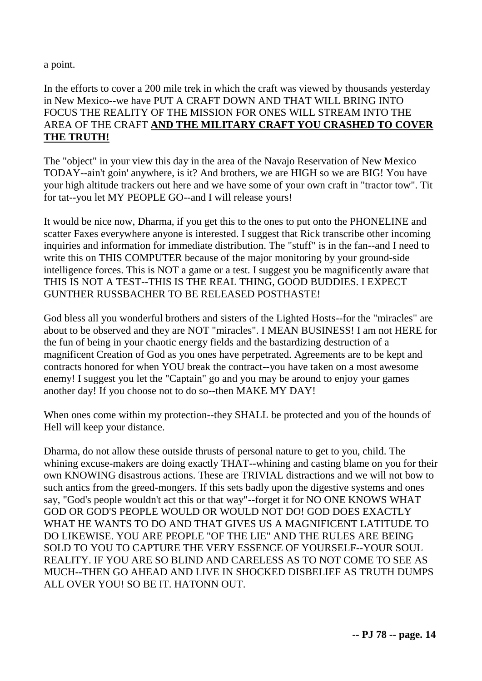a point.

## In the efforts to cover a 200 mile trek in which the craft was viewed by thousands yesterday in New Mexico--we have PUT A CRAFT DOWN AND THAT WILL BRING INTO FOCUS THE REALITY OF THE MISSION FOR ONES WILL STREAM INTO THE AREA OF THE CRAFT **AND THE MILITARY CRAFT YOU CRASHED TO COVER THE TRUTH!**

The "object" in your view this day in the area of the Navajo Reservation of New Mexico TODAY--ain't goin' anywhere, is it? And brothers, we are HIGH so we are BIG! You have your high altitude trackers out here and we have some of your own craft in "tractor tow". Tit for tat--you let MY PEOPLE GO--and I will release yours!

It would be nice now, Dharma, if you get this to the ones to put onto the PHONELINE and scatter Faxes everywhere anyone is interested. I suggest that Rick transcribe other incoming inquiries and information for immediate distribution. The "stuff" is in the fan--and I need to write this on THIS COMPUTER because of the major monitoring by your ground-side intelligence forces. This is NOT a game or a test. I suggest you be magnificently aware that THIS IS NOT A TEST--THIS IS THE REAL THING, GOOD BUDDIES. I EXPECT GUNTHER RUSSBACHER TO BE RELEASED POSTHASTE!

God bless all you wonderful brothers and sisters of the Lighted Hosts--for the "miracles" are about to be observed and they are NOT "miracles". I MEAN BUSINESS! I am not HERE for the fun of being in your chaotic energy fields and the bastardizing destruction of a magnificent Creation of God as you ones have perpetrated. Agreements are to be kept and contracts honored for when YOU break the contract--you have taken on a most awesome enemy! I suggest you let the "Captain" go and you may be around to enjoy your games another day! If you choose not to do so--then MAKE MY DAY!

When ones come within my protection--they SHALL be protected and you of the hounds of Hell will keep your distance.

Dharma, do not allow these outside thrusts of personal nature to get to you, child. The whining excuse-makers are doing exactly THAT--whining and casting blame on you for their own KNOWING disastrous actions. These are TRIVIAL distractions and we will not bow to such antics from the greed-mongers. If this sets badly upon the digestive systems and ones say, "God's people wouldn't act this or that way"--forget it for NO ONE KNOWS WHAT GOD OR GOD'S PEOPLE WOULD OR WOULD NOT DO! GOD DOES EXACTLY WHAT HE WANTS TO DO AND THAT GIVES US A MAGNIFICENT LATITUDE TO DO LIKEWISE. YOU ARE PEOPLE "OF THE LIE" AND THE RULES ARE BEING SOLD TO YOU TO CAPTURE THE VERY ESSENCE OF YOURSELF--YOUR SOUL REALITY. IF YOU ARE SO BLIND AND CARELESS AS TO NOT COME TO SEE AS MUCH--THEN GO AHEAD AND LIVE IN SHOCKED DISBELIEF AS TRUTH DUMPS ALL OVER YOU! SO BE IT. HATONN OUT.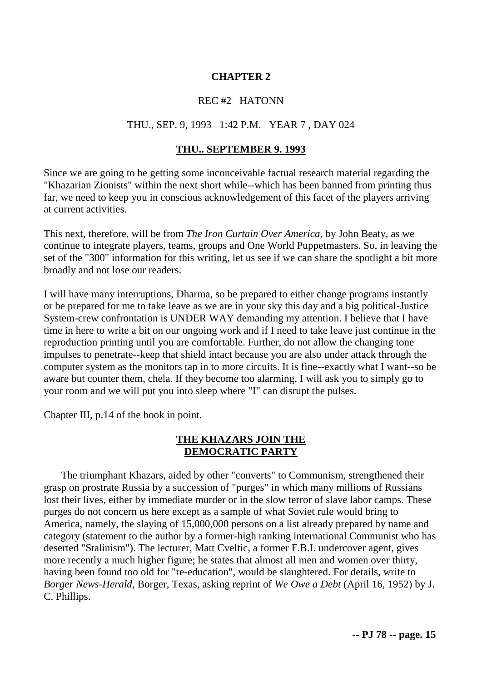#### **CHAPTER 2**

#### REC #2 HATONN

#### THU., SEP. 9, 1993 1:42 P.M. YEAR 7 , DAY 024

#### **THU.. SEPTEMBER 9. 1993**

Since we are going to be getting some inconceivable factual research material regarding the "Khazarian Zionists" within the next short while--which has been banned from printing thus far, we need to keep you in conscious acknowledgement of this facet of the players arriving at current activities.

This next, therefore, will be from *The Iron Curtain Over America,* by John Beaty, as we continue to integrate players, teams, groups and One World Puppetmasters. So, in leaving the set of the "300" information for this writing, let us see if we can share the spotlight a bit more broadly and not lose our readers.

I will have many interruptions, Dharma, so be prepared to either change programs instantly or be prepared for me to take leave as we are in your sky this day and a big political-Justice System-crew confrontation is UNDER WAY demanding my attention. I believe that I have time in here to write a bit on our ongoing work and if I need to take leave just continue in the reproduction printing until you are comfortable. Further, do not allow the changing tone impulses to penetrate--keep that shield intact because you are also under attack through the computer system as the monitors tap in to more circuits. It is fine--exactly what I want--so be aware but counter them, chela. If they become too alarming, I will ask you to simply go to your room and we will put you into sleep where "I" can disrupt the pulses.

Chapter III, p.14 of the book in point.

# **THE KHAZARS JOIN THE DEMOCRATIC PARTY**

The triumphant Khazars, aided by other "converts" to Communism, strengthened their grasp on prostrate Russia by a succession of "purges" in which many millions of Russians lost their lives, either by immediate murder or in the slow terror of slave labor camps. These purges do not concern us here except as a sample of what Soviet rule would bring to America, namely, the slaying of 15,000,000 persons on a list already prepared by name and category (statement to the author by a former-high ranking international Communist who has deserted "Stalinism"). The lecturer, Matt Cveltic, a former F.B.I. undercover agent, gives more recently a much higher figure; he states that almost all men and women over thirty, having been found too old for "re-education", would be slaughtered. For details, write to *Borger News-Herald*, Borger, Texas, asking reprint of *We Owe a Debt* (April 16, 1952) by J. C. Phillips.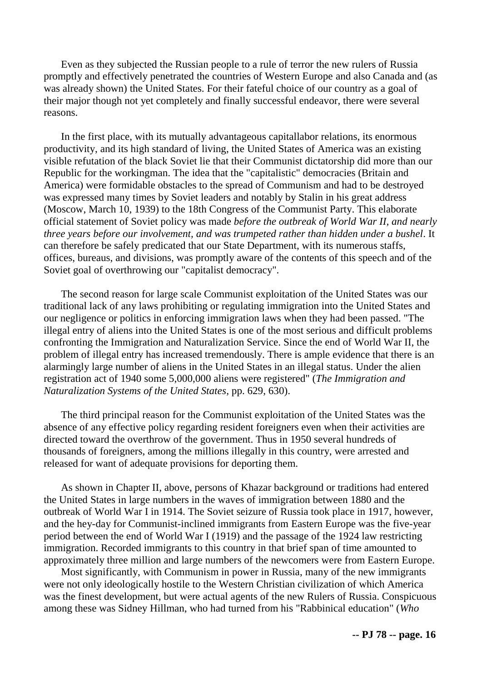Even as they subjected the Russian people to a rule of terror the new rulers of Russia promptly and effectively penetrated the countries of Western Europe and also Canada and (as was already shown) the United States. For their fateful choice of our country as a goal of their major though not yet completely and finally successful endeavor, there were several reasons.

In the first place, with its mutually advantageous capitallabor relations, its enormous productivity, and its high standard of living, the United States of America was an existing visible refutation of the black Soviet lie that their Communist dictatorship did more than our Republic for the workingman. The idea that the "capitalistic" democracies (Britain and America) were formidable obstacles to the spread of Communism and had to be destroyed was expressed many times by Soviet leaders and notably by Stalin in his great address (Moscow, March 10, 1939) to the 18th Congress of the Communist Party. This elaborate official statement of Soviet policy was made *before the outbreak of World War II, and nearly three years before our involvement, and was trumpeted rather than hidden under a bushel*. It can therefore be safely predicated that our State Department, with its numerous staffs, offices, bureaus, and divisions, was promptly aware of the contents of this speech and of the Soviet goal of overthrowing our "capitalist democracy".

The second reason for large scale Communist exploitation of the United States was our traditional lack of any laws prohibiting or regulating immigration into the United States and our negligence or politics in enforcing immigration laws when they had been passed. "The illegal entry of aliens into the United States is one of the most serious and difficult problems confronting the Immigration and Naturalization Service. Since the end of World War II, the problem of illegal entry has increased tremendously. There is ample evidence that there is an alarmingly large number of aliens in the United States in an illegal status. Under the alien registration act of 1940 some 5,000,000 aliens were registered" (*The Immigration and Naturalization Systems of the United States*, pp. 629, 630).

The third principal reason for the Communist exploitation of the United States was the absence of any effective policy regarding resident foreigners even when their activities are directed toward the overthrow of the government. Thus in 1950 several hundreds of thousands of foreigners, among the millions illegally in this country, were arrested and released for want of adequate provisions for deporting them.

As shown in Chapter II, above, persons of Khazar background or traditions had entered the United States in large numbers in the waves of immigration between 1880 and the outbreak of World War I in 1914. The Soviet seizure of Russia took place in 1917, however, and the hey-day for Communist-inclined immigrants from Eastern Europe was the five-year period between the end of World War I (1919) and the passage of the 1924 law restricting immigration. Recorded immigrants to this country in that brief span of time amounted to approximately three million and large numbers of the newcomers were from Eastern Europe.

Most significantly, with Communism in power in Russia, many of the new immigrants were not only ideologically hostile to the Western Christian civilization of which America was the finest development, but were actual agents of the new Rulers of Russia. Conspicuous among these was Sidney Hillman, who had turned from his "Rabbinical education" (*Who*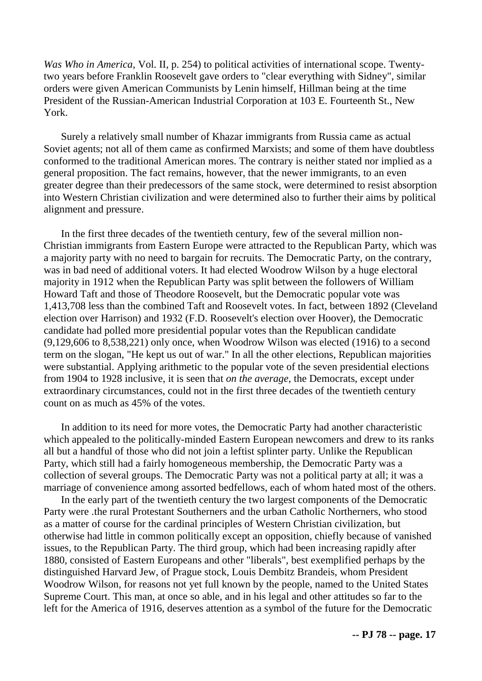*Was Who in America*, Vol. II, p. 254) to political activities of international scope. Twentytwo years before Franklin Roosevelt gave orders to "clear everything with Sidney", similar orders were given American Communists by Lenin himself, Hillman being at the time President of the Russian-American Industrial Corporation at 103 E. Fourteenth St., New York.

Surely a relatively small number of Khazar immigrants from Russia came as actual Soviet agents; not all of them came as confirmed Marxists; and some of them have doubtless conformed to the traditional American mores. The contrary is neither stated nor implied as a general proposition. The fact remains, however, that the newer immigrants, to an even greater degree than their predecessors of the same stock, were determined to resist absorption into Western Christian civilization and were determined also to further their aims by political alignment and pressure.

In the first three decades of the twentieth century, few of the several million non-Christian immigrants from Eastern Europe were attracted to the Republican Party, which was a majority party with no need to bargain for recruits. The Democratic Party, on the contrary, was in bad need of additional voters. It had elected Woodrow Wilson by a huge electoral majority in 1912 when the Republican Party was split between the followers of William Howard Taft and those of Theodore Roosevelt, but the Democratic popular vote was 1,413,708 less than the combined Taft and Roosevelt votes. In fact, between 1892 (Cleveland election over Harrison) and 1932 (F.D. Roosevelt's election over Hoover), the Democratic candidate had polled more presidential popular votes than the Republican candidate (9,129,606 to 8,538,221) only once, when Woodrow Wilson was elected (1916) to a second term on the slogan, "He kept us out of war." In all the other elections, Republican majorities were substantial. Applying arithmetic to the popular vote of the seven presidential elections from 1904 to 1928 inclusive, it is seen that *on the average*, the Democrats, except under extraordinary circumstances, could not in the first three decades of the twentieth century count on as much as 45% of the votes.

In addition to its need for more votes, the Democratic Party had another characteristic which appealed to the politically-minded Eastern European newcomers and drew to its ranks all but a handful of those who did not join a leftist splinter party. Unlike the Republican Party, which still had a fairly homogeneous membership, the Democratic Party was a collection of several groups. The Democratic Party was not a political party at all; it was a marriage of convenience among assorted bedfellows, each of whom hated most of the others.

In the early part of the twentieth century the two largest components of the Democratic Party were .the rural Protestant Southerners and the urban Catholic Northerners, who stood as a matter of course for the cardinal principles of Western Christian civilization, but otherwise had little in common politically except an opposition, chiefly because of vanished issues, to the Republican Party. The third group, which had been increasing rapidly after 1880, consisted of Eastern Europeans and other "liberals", best exemplified perhaps by the distinguished Harvard Jew, of Prague stock, Louis Dembitz Brandeis, whom President Woodrow Wilson, for reasons not yet full known by the people, named to the United States Supreme Court. This man, at once so able, and in his legal and other attitudes so far to the left for the America of 1916, deserves attention as a symbol of the future for the Democratic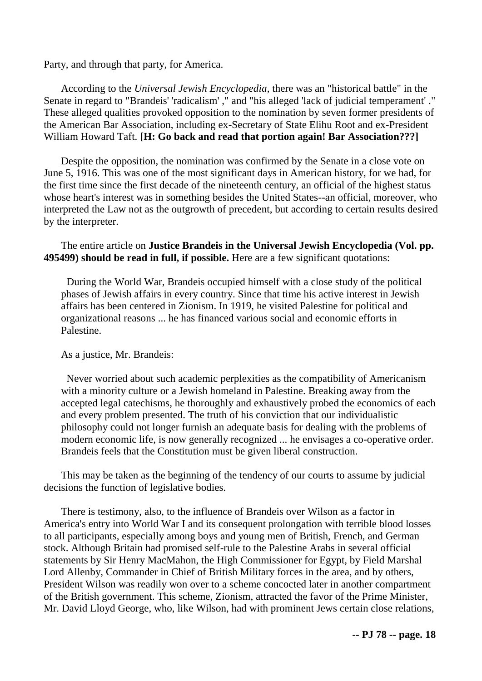Party, and through that party, for America.

According to the *Universal Jewish Encyclopedia*, there was an "historical battle" in the Senate in regard to "Brandeis' 'radicalism' ," and "his alleged 'lack of judicial temperament' ." These alleged qualities provoked opposition to the nomination by seven former presidents of the American Bar Association, including ex-Secretary of State Elihu Root and ex-President William Howard Taft. **[H: Go back and read that portion again! Bar Association???]** 

Despite the opposition, the nomination was confirmed by the Senate in a close vote on June 5, 1916. This was one of the most significant days in American history, for we had, for the first time since the first decade of the nineteenth century, an official of the highest status whose heart's interest was in something besides the United States--an official, moreover, who interpreted the Law not as the outgrowth of precedent, but according to certain results desired by the interpreter.

The entire article on **Justice Brandeis in the Universal Jewish Encyclopedia (Vol. pp. 495499) should be read in full, if possible.** Here are a few significant quotations:

During the World War, Brandeis occupied himself with a close study of the political phases of Jewish affairs in every country. Since that time his active interest in Jewish affairs has been centered in Zionism. In 1919, he visited Palestine for political and organizational reasons ... he has financed various social and economic efforts in Palestine.

#### As a justice, Mr. Brandeis:

Never worried about such academic perplexities as the compatibility of Americanism with a minority culture or a Jewish homeland in Palestine. Breaking away from the accepted legal catechisms, he thoroughly and exhaustively probed the economics of each and every problem presented. The truth of his conviction that our individualistic philosophy could not longer furnish an adequate basis for dealing with the problems of modern economic life, is now generally recognized ... he envisages a co-operative order. Brandeis feels that the Constitution must be given liberal construction.

This may be taken as the beginning of the tendency of our courts to assume by judicial decisions the function of legislative bodies.

There is testimony, also, to the influence of Brandeis over Wilson as a factor in America's entry into World War I and its consequent prolongation with terrible blood losses to all participants, especially among boys and young men of British, French, and German stock. Although Britain had promised self-rule to the Palestine Arabs in several official statements by Sir Henry MacMahon, the High Commissioner for Egypt, by Field Marshal Lord Allenby, Commander in Chief of British Military forces in the area, and by others, President Wilson was readily won over to a scheme concocted later in another compartment of the British government. This scheme, Zionism, attracted the favor of the Prime Minister, Mr. David Lloyd George, who, like Wilson, had with prominent Jews certain close relations,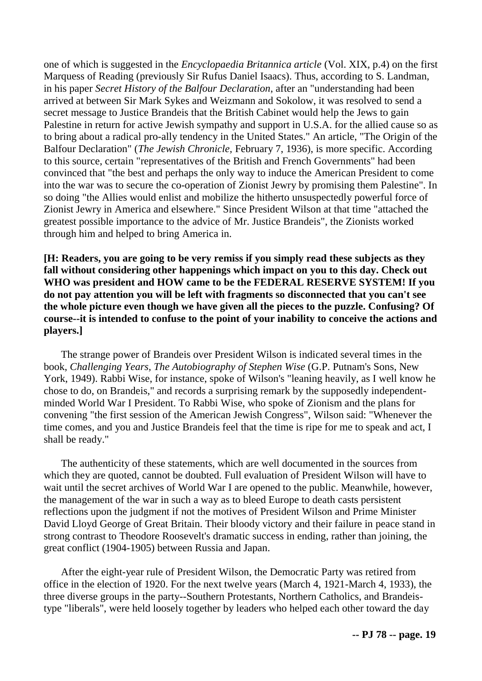one of which is suggested in the *Encyclopaedia Britannica article* (Vol. XIX, p.4) on the first Marquess of Reading (previously Sir Rufus Daniel Isaacs). Thus, according to S. Landman, in his paper *Secret History of the Balfour Declaration*, after an "understanding had been arrived at between Sir Mark Sykes and Weizmann and Sokolow, it was resolved to send a secret message to Justice Brandeis that the British Cabinet would help the Jews to gain Palestine in return for active Jewish sympathy and support in U.S.A. for the allied cause so as to bring about a radical pro-ally tendency in the United States." An article, "The Origin of the Balfour Declaration" (*The Jewish Chronicle,* February 7, 1936), is more specific. According to this source, certain "representatives of the British and French Governments" had been convinced that "the best and perhaps the only way to induce the American President to come into the war was to secure the co-operation of Zionist Jewry by promising them Palestine". In so doing "the Allies would enlist and mobilize the hitherto unsuspectedly powerful force of Zionist Jewry in America and elsewhere." Since President Wilson at that time "attached the greatest possible importance to the advice of Mr. Justice Brandeis", the Zionists worked through him and helped to bring America in.

**[H: Readers, you are going to be very remiss if you simply read these subjects as they fall without considering other happenings which impact on you to this day. Check out WHO was president and HOW came to be the FEDERAL RESERVE SYSTEM! If you do not pay attention you will be left with fragments so disconnected that you can't see the whole picture even though we have given all the pieces to the puzzle. Confusing? Of course--it is intended to confuse to the point of your inability to conceive the actions and players.]**

The strange power of Brandeis over President Wilson is indicated several times in the book, *Challenging Years, The Autobiography of Stephen Wise* (G.P. Putnam's Sons, New York, 1949). Rabbi Wise, for instance, spoke of Wilson's "leaning heavily, as I well know he chose to do, on Brandeis," and records a surprising remark by the supposedly independentminded World War I President. To Rabbi Wise, who spoke of Zionism and the plans for convening "the first session of the American Jewish Congress", Wilson said: "Whenever the time comes, and you and Justice Brandeis feel that the time is ripe for me to speak and act, I shall be ready."

The authenticity of these statements, which are well documented in the sources from which they are quoted, cannot be doubted. Full evaluation of President Wilson will have to wait until the secret archives of World War I are opened to the public. Meanwhile, however, the management of the war in such a way as to bleed Europe to death casts persistent reflections upon the judgment if not the motives of President Wilson and Prime Minister David Lloyd George of Great Britain. Their bloody victory and their failure in peace stand in strong contrast to Theodore Roosevelt's dramatic success in ending, rather than joining, the great conflict (1904-1905) between Russia and Japan.

After the eight-year rule of President Wilson, the Democratic Party was retired from office in the election of 1920. For the next twelve years (March 4, 1921-March 4, 1933), the three diverse groups in the party--Southern Protestants, Northern Catholics, and Brandeistype "liberals", were held loosely together by leaders who helped each other toward the day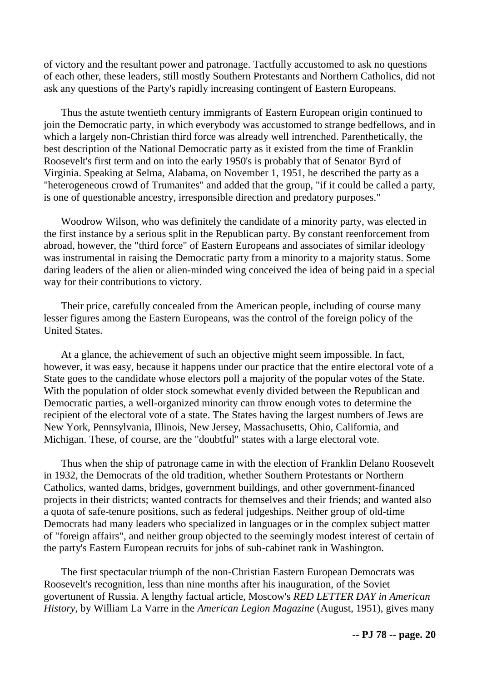of victory and the resultant power and patronage. Tactfully accustomed to ask no questions of each other, these leaders, still mostly Southern Protestants and Northern Catholics, did not ask any questions of the Party's rapidly increasing contingent of Eastern Europeans.

Thus the astute twentieth century immigrants of Eastern European origin continued to join the Democratic party, in which everybody was accustomed to strange bedfellows, and in which a largely non-Christian third force was already well intrenched. Parenthetically, the best description of the National Democratic party as it existed from the time of Franklin Roosevelt's first term and on into the early 1950's is probably that of Senator Byrd of Virginia. Speaking at Selma, Alabama, on November 1, 1951, he described the party as a "heterogeneous crowd of Trumanites" and added that the group, "if it could be called a party, is one of questionable ancestry, irresponsible direction and predatory purposes."

Woodrow Wilson, who was definitely the candidate of a minority party, was elected in the first instance by a serious split in the Republican party. By constant reenforcement from abroad, however, the "third force" of Eastern Europeans and associates of similar ideology was instrumental in raising the Democratic party from a minority to a majority status. Some daring leaders of the alien or alien-minded wing conceived the idea of being paid in a special way for their contributions to victory.

Their price, carefully concealed from the American people, including of course many lesser figures among the Eastern Europeans, was the control of the foreign policy of the United States.

At a glance, the achievement of such an objective might seem impossible. In fact, however, it was easy, because it happens under our practice that the entire electoral vote of a State goes to the candidate whose electors poll a majority of the popular votes of the State. With the population of older stock somewhat evenly divided between the Republican and Democratic parties, a well-organized minority can throw enough votes to determine the recipient of the electoral vote of a state. The States having the largest numbers of Jews are New York, Pennsylvania, Illinois, New Jersey, Massachusetts, Ohio, California, and Michigan. These, of course, are the "doubtful" states with a large electoral vote.

Thus when the ship of patronage came in with the election of Franklin Delano Roosevelt in 1932, the Democrats of the old tradition, whether Southern Protestants or Northern Catholics, wanted dams, bridges, government buildings, and other government-financed projects in their districts; wanted contracts for themselves and their friends; and wanted also a quota of safe-tenure positions, such as federal judgeships. Neither group of old-time Democrats had many leaders who specialized in languages or in the complex subject matter of "foreign affairs", and neither group objected to the seemingly modest interest of certain of the party's Eastern European recruits for jobs of sub-cabinet rank in Washington.

The first spectacular triumph of the non-Christian Eastern European Democrats was Roosevelt's recognition, less than nine months after his inauguration, of the Soviet govertunent of Russia. A lengthy factual article, Moscow's *RED LETTER DAY in American History*, by William La Varre in the *American Legion Magazine* (August, 1951), gives many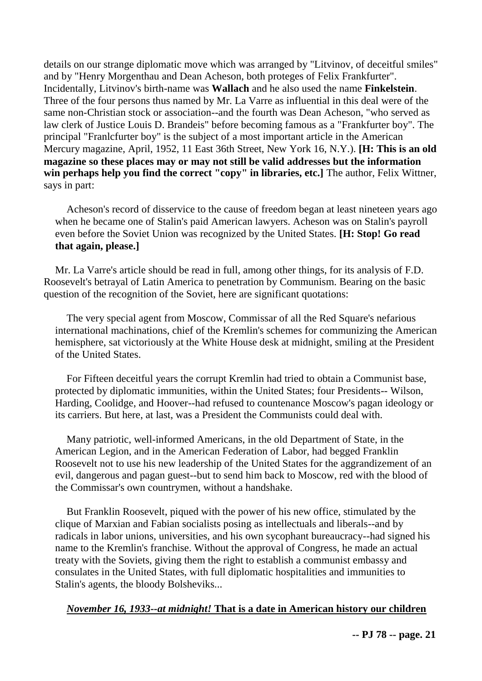details on our strange diplomatic move which was arranged by "Litvinov, of deceitful smiles" and by "Henry Morgenthau and Dean Acheson, both proteges of Felix Frankfurter". Incidentally, Litvinov's birth-name was **Wallach** and he also used the name **Finkelstein**. Three of the four persons thus named by Mr. La Varre as influential in this deal were of the same non-Christian stock or association--and the fourth was Dean Acheson, "who served as law clerk of Justice Louis D. Brandeis" before becoming famous as a "Frankfurter boy". The principal "Franlcfurter boy" is the subject of a most important article in the American Mercury magazine, April, 1952, 11 East 36th Street, New York 16, N.Y.). **[H: This is an old magazine so these places may or may not still be valid addresses but the information win perhaps help you find the correct "copy" in libraries, etc.]** The author, Felix Wittner, says in part:

Acheson's record of disservice to the cause of freedom began at least nineteen years ago when he became one of Stalin's paid American lawyers. Acheson was on Stalin's payroll even before the Soviet Union was recognized by the United States. **[H: Stop! Go read that again, please.]** 

Mr. La Varre's article should be read in full, among other things, for its analysis of F.D. Roosevelt's betrayal of Latin America to penetration by Communism. Bearing on the basic question of the recognition of the Soviet, here are significant quotations:

The very special agent from Moscow, Commissar of all the Red Square's nefarious international machinations, chief of the Kremlin's schemes for communizing the American hemisphere, sat victoriously at the White House desk at midnight, smiling at the President of the United States.

For Fifteen deceitful years the corrupt Kremlin had tried to obtain a Communist base, protected by diplomatic immunities, within the United States; four Presidents-- Wilson, Harding, Coolidge, and Hoover--had refused to countenance Moscow's pagan ideology or its carriers. But here, at last, was a President the Communists could deal with.

Many patriotic, well-informed Americans, in the old Department of State, in the American Legion, and in the American Federation of Labor, had begged Franklin Roosevelt not to use his new leadership of the United States for the aggrandizement of an evil, dangerous and pagan guest--but to send him back to Moscow, red with the blood of the Commissar's own countrymen, without a handshake.

But Franklin Roosevelt, piqued with the power of his new office, stimulated by the clique of Marxian and Fabian socialists posing as intellectuals and liberals--and by radicals in labor unions, universities, and his own sycophant bureaucracy--had signed his name to the Kremlin's franchise. Without the approval of Congress, he made an actual treaty with the Soviets, giving them the right to establish a communist embassy and consulates in the United States, with full diplomatic hospitalities and immunities to Stalin's agents, the bloody Bolsheviks...

## *November 16, 1933--at midnight!* **That is a date in American history our children**

**-- PJ 78 -- page. 21**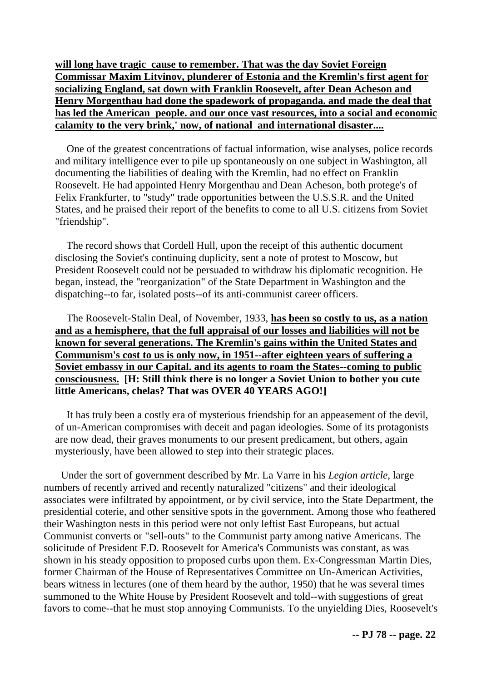**will long have tragic cause to remember. That was the day Soviet Foreign Commissar Maxim Litvinov, plunderer of Estonia and the Kremlin's first agent for socializing England, sat down with Franklin Roosevelt, after Dean Acheson and Henry Morgenthau had done the spadework of propaganda. and made the deal that has led the American people. and our once vast resources, into a social and economic calamity to the very brink,' now, of national and international disaster....** 

One of the greatest concentrations of factual information, wise analyses, police records and military intelligence ever to pile up spontaneously on one subject in Washington, all documenting the liabilities of dealing with the Kremlin, had no effect on Franklin Roosevelt. He had appointed Henry Morgenthau and Dean Acheson, both protege's of Felix Frankfurter, to "study" trade opportunities between the U.S.S.R. and the United States, and he praised their report of the benefits to come to all U.S. citizens from Soviet "friendship".

The record shows that Cordell Hull, upon the receipt of this authentic document disclosing the Soviet's continuing duplicity, sent a note of protest to Moscow, but President Roosevelt could not be persuaded to withdraw his diplomatic recognition. He began, instead, the "reorganization" of the State Department in Washington and the dispatching--to far, isolated posts--of its anti-communist career officers.

The Roosevelt-Stalin Deal, of November, 1933, **has been so costly to us, as a nation and as a hemisphere, that the full appraisal of our losses and liabilities will not be known for several generations. The Kremlin's gains within the United States and Communism's cost to us is only now, in 1951--after eighteen years of suffering a Soviet embassy in our Capital. and its agents to roam the States--coming to public consciousness. [H: Still think there is no longer a Soviet Union to bother you cute little Americans, chelas? That was OVER 40 YEARS AGO!]**

It has truly been a costly era of mysterious friendship for an appeasement of the devil, of un-American compromises with deceit and pagan ideologies. Some of its protagonists are now dead, their graves monuments to our present predicament, but others, again mysteriously, have been allowed to step into their strategic places.

Under the sort of government described by Mr. La Varre in his *Legion article*, large numbers of recently arrived and recently naturalized "citizens" and their ideological associates were infiltrated by appointment, or by civil service, into the State Department, the presidential coterie, and other sensitive spots in the government. Among those who feathered their Washington nests in this period were not only leftist East Europeans, but actual Communist converts or "sell-outs" to the Communist party among native Americans. The solicitude of President F.D. Roosevelt for America's Communists was constant, as was shown in his steady opposition to proposed curbs upon them. Ex-Congressman Martin Dies, former Chairman of the House of Representatives Committee on Un-American Activities, bears witness in lectures (one of them heard by the author, 1950) that he was several times summoned to the White House by President Roosevelt and told--with suggestions of great favors to come--that he must stop annoying Communists. To the unyielding Dies, Roosevelt's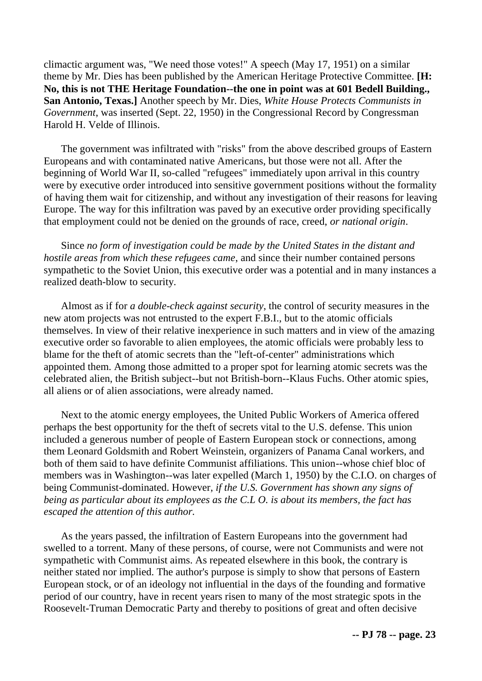climactic argument was, "We need those votes!" A speech (May 17, 1951) on a similar theme by Mr. Dies has been published by the American Heritage Protective Committee. **[H: No, this is not THE Heritage Foundation--the one in point was at 601 Bedell Building., San Antonio, Texas.]** Another speech by Mr. Dies, *White House Protects Communists in Government*, was inserted (Sept. 22, 1950) in the Congressional Record by Congressman Harold H. Velde of Illinois.

The government was infiltrated with "risks" from the above described groups of Eastern Europeans and with contaminated native Americans, but those were not all. After the beginning of World War II, so-called "refugees" immediately upon arrival in this country were by executive order introduced into sensitive government positions without the formality of having them wait for citizenship, and without any investigation of their reasons for leaving Europe. The way for this infiltration was paved by an executive order providing specifically that employment could not be denied on the grounds of race, creed, *or national origin*.

Since *no form of investigation could be made by the United States in the distant and hostile areas from which these refugees came*, and since their number contained persons sympathetic to the Soviet Union, this executive order was a potential and in many instances a realized death-blow to security.

Almost as if for *a double-check against security*, the control of security measures in the new atom projects was not entrusted to the expert F.B.I., but to the atomic officials themselves. In view of their relative inexperience in such matters and in view of the amazing executive order so favorable to alien employees, the atomic officials were probably less to blame for the theft of atomic secrets than the "left-of-center" administrations which appointed them. Among those admitted to a proper spot for learning atomic secrets was the celebrated alien, the British subject--but not British-born--Klaus Fuchs. Other atomic spies, all aliens or of alien associations, were already named.

Next to the atomic energy employees, the United Public Workers of America offered perhaps the best opportunity for the theft of secrets vital to the U.S. defense. This union included a generous number of people of Eastern European stock or connections, among them Leonard Goldsmith and Robert Weinstein, organizers of Panama Canal workers, and both of them said to have definite Communist affiliations. This union--whose chief bloc of members was in Washington--was later expelled (March 1, 1950) by the C.I.O. on charges of being Communist-dominated. However, *if the U.S. Government has shown any signs of being as particular about its employees as the C.L O. is about its members, the fact has escaped the attention of this author.*

As the years passed, the infiltration of Eastern Europeans into the government had swelled to a torrent. Many of these persons, of course, were not Communists and were not sympathetic with Communist aims. As repeated elsewhere in this book, the contrary is neither stated nor implied. The author's purpose is simply to show that persons of Eastern European stock, or of an ideology not influential in the days of the founding and formative period of our country, have in recent years risen to many of the most strategic spots in the Roosevelt-Truman Democratic Party and thereby to positions of great and often decisive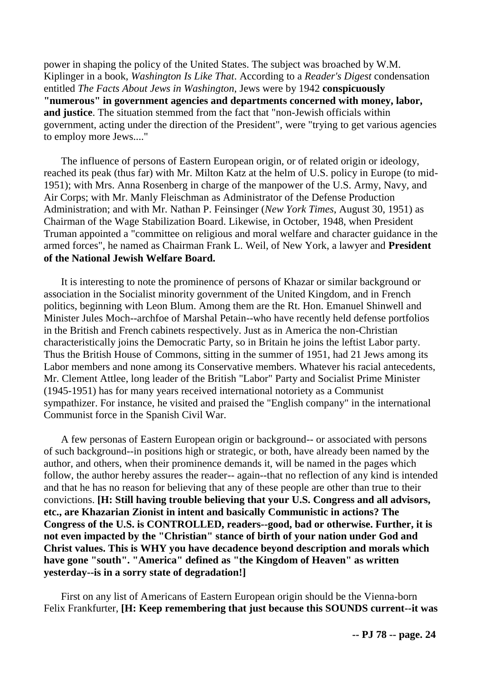power in shaping the policy of the United States. The subject was broached by W.M. Kiplinger in a book, *Washington Is Like That*. According to a *Reader's Digest* condensation entitled *The Facts About Jews in Washington*, Jews were by 1942 **conspicuously "numerous" in government agencies and departments concerned with money, labor, and justice**. The situation stemmed from the fact that "non-Jewish officials within government, acting under the direction of the President", were "trying to get various agencies to employ more Jews...."

The influence of persons of Eastern European origin, or of related origin or ideology, reached its peak (thus far) with Mr. Milton Katz at the helm of U.S. policy in Europe (to mid-1951); with Mrs. Anna Rosenberg in charge of the manpower of the U.S. Army, Navy, and Air Corps; with Mr. Manly Fleischman as Administrator of the Defense Production Administration; and with Mr. Nathan P. Feinsinger (*New York Times*, August 30, 1951) as Chairman of the Wage Stabilization Board. Likewise, in October, 1948, when President Truman appointed a "committee on religious and moral welfare and character guidance in the armed forces", he named as Chairman Frank L. Weil, of New York, a lawyer and **President of the National Jewish Welfare Board.**

It is interesting to note the prominence of persons of Khazar or similar background or association in the Socialist minority government of the United Kingdom, and in French politics, beginning with Leon Blum. Among them are the Rt. Hon. Emanuel Shinwell and Minister Jules Moch--archfoe of Marshal Petain--who have recently held defense portfolios in the British and French cabinets respectively. Just as in America the non-Christian characteristically joins the Democratic Party, so in Britain he joins the leftist Labor party. Thus the British House of Commons, sitting in the summer of 1951, had 21 Jews among its Labor members and none among its Conservative members. Whatever his racial antecedents, Mr. Clement Attlee, long leader of the British "Labor" Party and Socialist Prime Minister (1945-1951) has for many years received international notoriety as a Communist sympathizer. For instance, he visited and praised the "English company" in the international Communist force in the Spanish Civil War.

A few personas of Eastern European origin or background-- or associated with persons of such background--in positions high or strategic, or both, have already been named by the author, and others, when their prominence demands it, will be named in the pages which follow, the author hereby assures the reader-- again--that no reflection of any kind is intended and that he has no reason for believing that any of these people are other than true to their convictions. **[H: Still having trouble believing that your U.S. Congress and all advisors, etc., are Khazarian Zionist in intent and basically Communistic in actions? The Congress of the U.S. is CONTROLLED, readers--good, bad or otherwise. Further, it is not even impacted by the "Christian" stance of birth of your nation under God and Christ values. This is WHY you have decadence beyond description and morals which have gone "south". "America" defined as "the Kingdom of Heaven" as written yesterday--is in a sorry state of degradation!]**

First on any list of Americans of Eastern European origin should be the Vienna-born Felix Frankfurter, **[H: Keep remembering that just because this SOUNDS current--it was**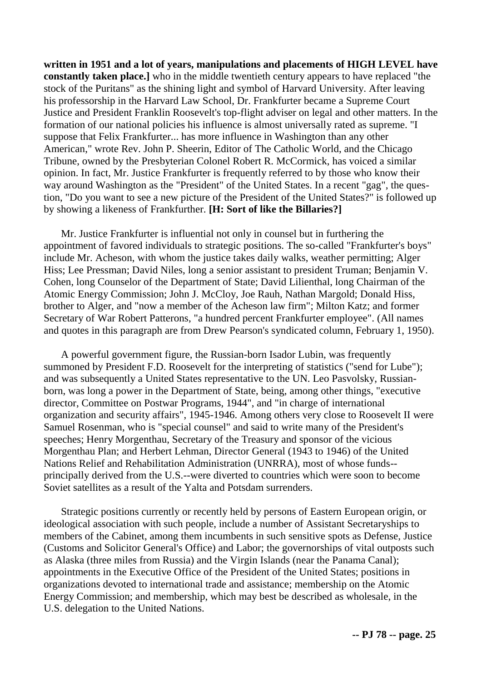**written in 1951 and a lot of years, manipulations and placements of HIGH LEVEL have constantly taken place.]** who in the middle twentieth century appears to have replaced "the stock of the Puritans" as the shining light and symbol of Harvard University. After leaving his professorship in the Harvard Law School, Dr. Frankfurter became a Supreme Court Justice and President Franklin Roosevelt's top-flight adviser on legal and other matters. In the formation of our national policies his influence is almost universally rated as supreme. "I suppose that Felix Frankfurter... has more influence in Washington than any other American," wrote Rev. John P. Sheerin, Editor of The Catholic World, and the Chicago Tribune, owned by the Presbyterian Colonel Robert R. McCormick, has voiced a similar opinion. In fact, Mr. Justice Frankfurter is frequently referred to by those who know their way around Washington as the "President" of the United States. In a recent "gag", the question, "Do you want to see a new picture of the President of the United States?" is followed up by showing a likeness of Frankfurther. **[H: Sort of like the Billaries?]** 

Mr. Justice Frankfurter is influential not only in counsel but in furthering the appointment of favored individuals to strategic positions. The so-called "Frankfurter's boys" include Mr. Acheson, with whom the justice takes daily walks, weather permitting; Alger Hiss; Lee Pressman; David Niles, long a senior assistant to president Truman; Benjamin V. Cohen, long Counselor of the Department of State; David Lilienthal, long Chairman of the Atomic Energy Commission; John J. McCloy, Joe Rauh, Nathan Margold; Donald Hiss, brother to Alger, and "now a member of the Acheson law firm"; Milton Katz; and former Secretary of War Robert Patterons, "a hundred percent Frankfurter employee". (All names and quotes in this paragraph are from Drew Pearson's syndicated column, February 1, 1950).

A powerful government figure, the Russian-born Isador Lubin, was frequently summoned by President F.D. Roosevelt for the interpreting of statistics ("send for Lube"); and was subsequently a United States representative to the UN. Leo Pasvolsky, Russianborn, was long a power in the Department of State, being, among other things, "executive director, Committee on Postwar Programs, 1944", and "in charge of international organization and security affairs", 1945-1946. Among others very close to Roosevelt II were Samuel Rosenman, who is "special counsel" and said to write many of the President's speeches; Henry Morgenthau, Secretary of the Treasury and sponsor of the vicious Morgenthau Plan; and Herbert Lehman, Director General (1943 to 1946) of the United Nations Relief and Rehabilitation Administration (UNRRA), most of whose funds- principally derived from the U.S.--were diverted to countries which were soon to become Soviet satellites as a result of the Yalta and Potsdam surrenders.

Strategic positions currently or recently held by persons of Eastern European origin, or ideological association with such people, include a number of Assistant Secretaryships to members of the Cabinet, among them incumbents in such sensitive spots as Defense, Justice (Customs and Solicitor General's Office) and Labor; the governorships of vital outposts such as Alaska (three miles from Russia) and the Virgin Islands (near the Panama Canal); appointments in the Executive Office of the President of the United States; positions in organizations devoted to international trade and assistance; membership on the Atomic Energy Commission; and membership, which may best be described as wholesale, in the U.S. delegation to the United Nations.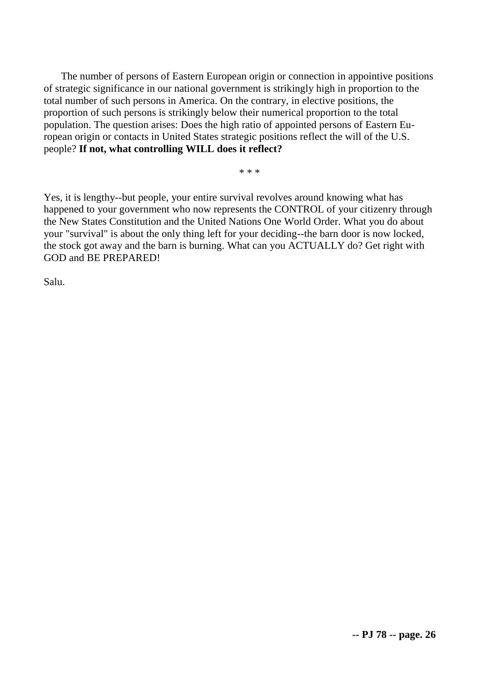The number of persons of Eastern European origin or connection in appointive positions of strategic significance in our national government is strikingly high in proportion to the total number of such persons in America. On the contrary, in elective positions, the proportion of such persons is strikingly below their numerical proportion to the total population. The question arises: Does the high ratio of appointed persons of Eastern European origin or contacts in United States strategic positions reflect the will of the U.S. people? **If not, what controlling WILL does it reflect?**

\* \* \*

Yes, it is lengthy--but people, your entire survival revolves around knowing what has happened to your government who now represents the CONTROL of your citizenry through the New States Constitution and the United Nations One World Order. What you do about your "survival" is about the only thing left for your deciding--the barn door is now locked, the stock got away and the barn is burning. What can you ACTUALLY do? Get right with GOD and BE PREPARED!

Salu.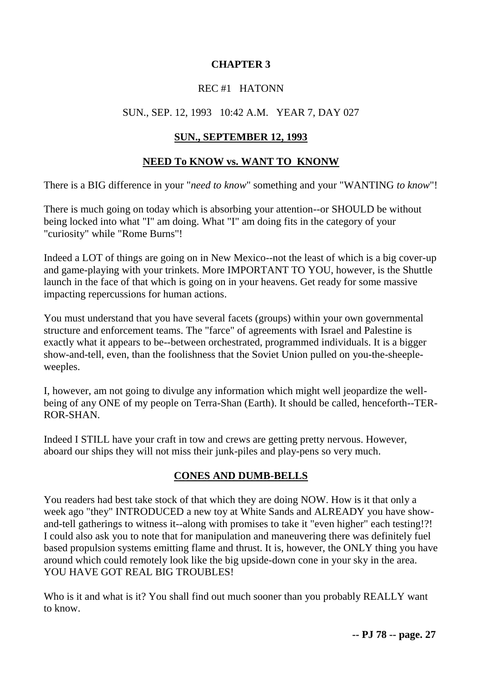# **CHAPTER 3**

#### REC #1 HATONN

# SUN., SEP. 12, 1993 10:42 A.M. YEAR 7, DAY 027

#### **SUN., SEPTEMBER 12, 1993**

#### **NEED To KNOW vs. WANT TO KNONW**

There is a BIG difference in your "*need to know*" something and your "WANTING *to know*"!

There is much going on today which is absorbing your attention--or SHOULD be without being locked into what "I" am doing. What "I" am doing fits in the category of your "curiosity" while "Rome Burns"!

Indeed a LOT of things are going on in New Mexico--not the least of which is a big cover-up and game-playing with your trinkets. More IMPORTANT TO YOU, however, is the Shuttle launch in the face of that which is going on in your heavens. Get ready for some massive impacting repercussions for human actions.

You must understand that you have several facets (groups) within your own governmental structure and enforcement teams. The "farce" of agreements with Israel and Palestine is exactly what it appears to be--between orchestrated, programmed individuals. It is a bigger show-and-tell, even, than the foolishness that the Soviet Union pulled on you-the-sheepleweeples.

I, however, am not going to divulge any information which might well jeopardize the wellbeing of any ONE of my people on Terra-Shan (Earth). It should be called, henceforth--TER-ROR-SHAN.

Indeed I STILL have your craft in tow and crews are getting pretty nervous. However, aboard our ships they will not miss their junk-piles and play-pens so very much.

## **CONES AND DUMB-BELLS**

You readers had best take stock of that which they are doing NOW. How is it that only a week ago "they" INTRODUCED a new toy at White Sands and ALREADY you have showand-tell gatherings to witness it--along with promises to take it "even higher" each testing!?! I could also ask you to note that for manipulation and maneuvering there was definitely fuel based propulsion systems emitting flame and thrust. It is, however, the ONLY thing you have around which could remotely look like the big upside-down cone in your sky in the area. YOU HAVE GOT REAL BIG TROUBLES!

Who is it and what is it? You shall find out much sooner than you probably REALLY want to know.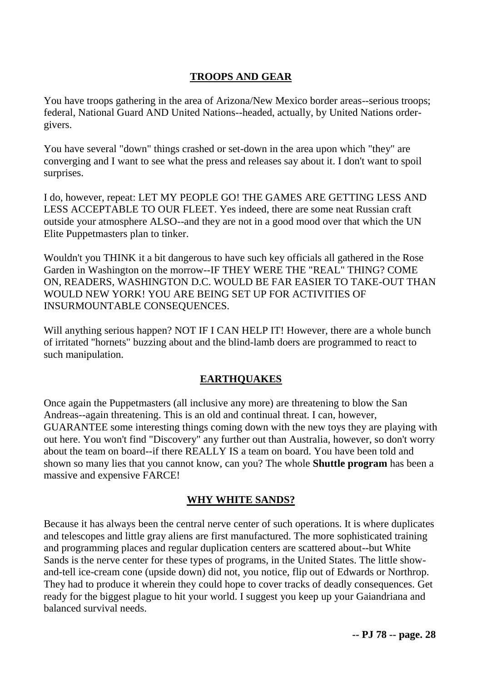# **TROOPS AND GEAR**

You have troops gathering in the area of Arizona/New Mexico border areas--serious troops; federal, National Guard AND United Nations--headed, actually, by United Nations ordergivers.

You have several "down" things crashed or set-down in the area upon which "they" are converging and I want to see what the press and releases say about it. I don't want to spoil surprises.

I do, however, repeat: LET MY PEOPLE GO! THE GAMES ARE GETTING LESS AND LESS ACCEPTABLE TO OUR FLEET. Yes indeed, there are some neat Russian craft outside your atmosphere ALSO--and they are not in a good mood over that which the UN Elite Puppetmasters plan to tinker.

Wouldn't you THINK it a bit dangerous to have such key officials all gathered in the Rose Garden in Washington on the morrow--IF THEY WERE THE "REAL" THING? COME ON, READERS, WASHINGTON D.C. WOULD BE FAR EASIER TO TAKE-OUT THAN WOULD NEW YORK! YOU ARE BEING SET UP FOR ACTIVITIES OF INSURMOUNTABLE CONSEQUENCES.

Will anything serious happen? NOT IF I CAN HELP IT! However, there are a whole bunch of irritated "hornets" buzzing about and the blind-lamb doers are programmed to react to such manipulation.

## **EARTHQUAKES**

Once again the Puppetmasters (all inclusive any more) are threatening to blow the San Andreas--again threatening. This is an old and continual threat. I can, however, GUARANTEE some interesting things coming down with the new toys they are playing with out here. You won't find "Discovery" any further out than Australia, however, so don't worry about the team on board--if there REALLY IS a team on board. You have been told and shown so many lies that you cannot know, can you? The whole **Shuttle program** has been a massive and expensive FARCE!

## **WHY WHITE SANDS?**

Because it has always been the central nerve center of such operations. It is where duplicates and telescopes and little gray aliens are first manufactured. The more sophisticated training and programming places and regular duplication centers are scattered about--but White Sands is the nerve center for these types of programs, in the United States. The little showand-tell ice-cream cone (upside down) did not, you notice, flip out of Edwards or Northrop. They had to produce it wherein they could hope to cover tracks of deadly consequences. Get ready for the biggest plague to hit your world. I suggest you keep up your Gaiandriana and balanced survival needs.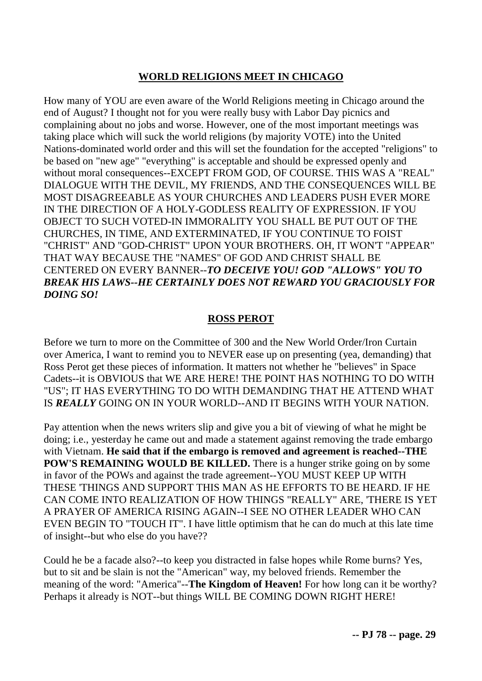# **WORLD RELIGIONS MEET IN CHICAGO**

How many of YOU are even aware of the World Religions meeting in Chicago around the end of August? I thought not for you were really busy with Labor Day picnics and complaining about no jobs and worse. However, one of the most important meetings was taking place which will suck the world religions (by majority VOTE) into the United Nations-dominated world order and this will set the foundation for the accepted "religions" to be based on "new age" "everything" is acceptable and should be expressed openly and without moral consequences--EXCEPT FROM GOD, OF COURSE. THIS WAS A "REAL" DIALOGUE WITH THE DEVIL, MY FRIENDS, AND THE CONSEQUENCES WILL BE MOST DISAGREEABLE AS YOUR CHURCHES AND LEADERS PUSH EVER MORE IN THE DIRECTION OF A HOLY-GODLESS REALITY OF EXPRESSION. IF YOU OBJECT TO SUCH VOTED-IN IMMORALITY YOU SHALL BE PUT OUT OF THE CHURCHES, IN TIME, AND EXTERMINATED, IF YOU CONTINUE TO FOIST "CHRIST" AND "GOD-CHRIST" UPON YOUR BROTHERS. OH, IT WON'T "APPEAR" THAT WAY BECAUSE THE "NAMES" OF GOD AND CHRIST SHALL BE CENTERED ON EVERY BANNER--*TO DECEIVE YOU! GOD "ALLOWS" YOU TO BREAK HIS LAWS--HE CERTAINLY DOES NOT REWARD YOU GRACIOUSLY FOR DOING SO!* 

## **ROSS PEROT**

Before we turn to more on the Committee of 300 and the New World Order/Iron Curtain over America, I want to remind you to NEVER ease up on presenting (yea, demanding) that Ross Perot get these pieces of information. It matters not whether he "believes" in Space Cadets--it is OBVIOUS that WE ARE HERE! THE POINT HAS NOTHING TO DO WITH "US"; IT HAS EVERYTHING TO DO WITH DEMANDING THAT HE ATTEND WHAT IS *REALLY* GOING ON IN YOUR WORLD--AND IT BEGINS WITH YOUR NATION.

Pay attention when the news writers slip and give you a bit of viewing of what he might be doing; i.e., yesterday he came out and made a statement against removing the trade embargo with Vietnam. **He said that if the embargo is removed and agreement is reached--THE POW'S REMAINING WOULD BE KILLED.** There is a hunger strike going on by some in favor of the POWs and against the trade agreement--YOU MUST KEEP UP WITH THESE 'THINGS AND SUPPORT THIS MAN AS HE EFFORTS TO BE HEARD. IF HE CAN COME INTO REALIZATION OF HOW THINGS "REALLY" ARE, 'THERE IS YET A PRAYER OF AMERICA RISING AGAIN--I SEE NO OTHER LEADER WHO CAN EVEN BEGIN TO "TOUCH IT". I have little optimism that he can do much at this late time of insight--but who else do you have??

Could he be a facade also?--to keep you distracted in false hopes while Rome burns? Yes, but to sit and be slain is not the "American" way, my beloved friends. Remember the meaning of the word: "America"--**The Kingdom of Heaven!** For how long can it be worthy? Perhaps it already is NOT--but things WILL BE COMING DOWN RIGHT HERE!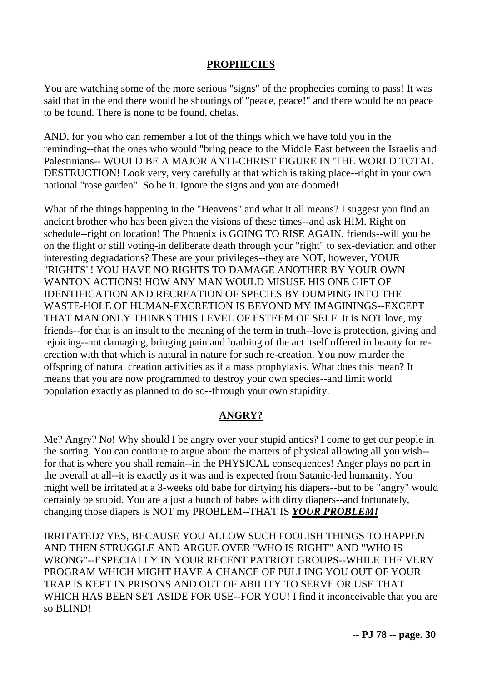## **PROPHECIES**

You are watching some of the more serious "signs" of the prophecies coming to pass! It was said that in the end there would be shoutings of "peace, peace!" and there would be no peace to be found. There is none to be found, chelas.

AND, for you who can remember a lot of the things which we have told you in the reminding--that the ones who would "bring peace to the Middle East between the Israelis and Palestinians-- WOULD BE A MAJOR ANTI-CHRIST FIGURE IN 'THE WORLD TOTAL DESTRUCTION! Look very, very carefully at that which is taking place--right in your own national "rose garden". So be it. Ignore the signs and you are doomed!

What of the things happening in the "Heavens" and what it all means? I suggest you find an ancient brother who has been given the visions of these times--and ask HIM. Right on schedule--right on location! The Phoenix is GOING TO RISE AGAIN, friends--will you be on the flight or still voting-in deliberate death through your "right" to sex-deviation and other interesting degradations? These are your privileges--they are NOT, however, YOUR "RIGHTS"! YOU HAVE NO RIGHTS TO DAMAGE ANOTHER BY YOUR OWN WANTON ACTIONS! HOW ANY MAN WOULD MISUSE HIS ONE GIFT OF IDENTIFICATION AND RECREATION OF SPECIES BY DUMPING INTO THE WASTE-HOLE OF HUMAN-EXCRETION IS BEYOND MY IMAGININGS--EXCEPT THAT MAN ONLY THINKS THIS LEVEL OF ESTEEM OF SELF. It is NOT love, my friends--for that is an insult to the meaning of the term in truth--love is protection, giving and rejoicing--not damaging, bringing pain and loathing of the act itself offered in beauty for recreation with that which is natural in nature for such re-creation. You now murder the offspring of natural creation activities as if a mass prophylaxis. What does this mean? It means that you are now programmed to destroy your own species--and limit world population exactly as planned to do so--through your own stupidity.

## **ANGRY?**

Me? Angry? No! Why should I be angry over your stupid antics? I come to get our people in the sorting. You can continue to argue about the matters of physical allowing all you wish- for that is where you shall remain--in the PHYSICAL consequences! Anger plays no part in the overall at all--it is exactly as it was and is expected from Satanic-led humanity. You might well be irritated at a 3-weeks old babe for dirtying his diapers--but to be "angry" would certainly be stupid. You are a just a bunch of babes with dirty diapers--and fortunately, changing those diapers is NOT my PROBLEM--THAT IS *YOUR PROBLEM!*

IRRITATED? YES, BECAUSE YOU ALLOW SUCH FOOLISH THINGS TO HAPPEN AND THEN STRUGGLE AND ARGUE OVER "WHO IS RIGHT" AND "WHO IS WRONG"--ESPECIALLY IN YOUR RECENT PATRIOT GROUPS--WHILE THE VERY PROGRAM WHICH MIGHT HAVE A CHANCE OF PULLING YOU OUT OF YOUR TRAP IS KEPT IN PRISONS AND OUT OF ABILITY TO SERVE OR USE THAT WHICH HAS BEEN SET ASIDE FOR USE--FOR YOU! I find it inconceivable that you are so BLIND!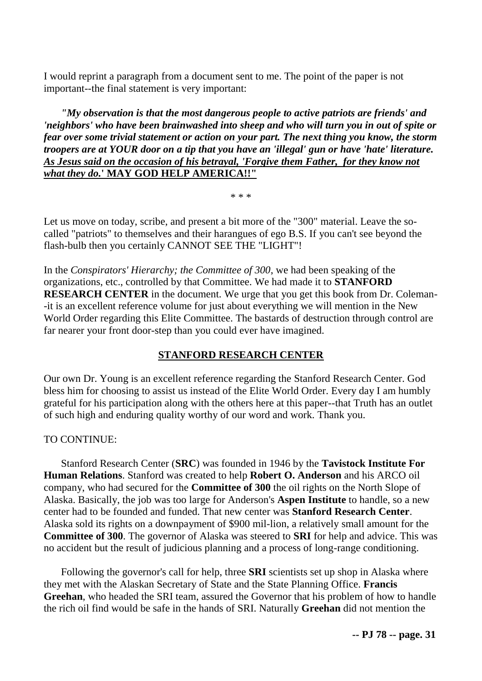I would reprint a paragraph from a document sent to me. The point of the paper is not important--the final statement is very important:

*"My observation is that the most dangerous people to active patriots are friends' and 'neighbors' who have been brainwashed into sheep and who will turn you in out of spite or fear over some trivial statement or action on your part. The next thing you know, the storm troopers are at YOUR door on a tip that you have an 'illegal' gun or have 'hate' literature. As Jesus said on the occasion of his betrayal, 'Forgive them Father, for they know not what they do.***' MAY GOD HELP AMERICA!!"**

\* \* \*

Let us move on today, scribe, and present a bit more of the "300" material. Leave the socalled "patriots" to themselves and their harangues of ego B.S. If you can't see beyond the flash-bulb then you certainly CANNOT SEE THE "LIGHT"!

In the *Conspirators' Hierarchy; the Committee of 300*, we had been speaking of the organizations, etc., controlled by that Committee. We had made it to **STANFORD RESEARCH CENTER** in the document. We urge that you get this book from Dr. Coleman- -it is an excellent reference volume for just about everything we will mention in the New World Order regarding this Elite Committee. The bastards of destruction through control are far nearer your front door-step than you could ever have imagined.

#### **STANFORD RESEARCH CENTER**

Our own Dr. Young is an excellent reference regarding the Stanford Research Center. God bless him for choosing to assist us instead of the Elite World Order. Every day I am humbly grateful for his participation along with the others here at this paper--that Truth has an outlet of such high and enduring quality worthy of our word and work. Thank you.

#### TO CONTINUE:

Stanford Research Center (**SRC**) was founded in 1946 by the **Tavistock Institute For Human Relations**. Stanford was created to help **Robert O. Anderson** and his ARCO oil company, who had secured for the **Committee of 300** the oil rights on the North Slope of Alaska. Basically, the job was too large for Anderson's **Aspen Institute** to handle, so a new center had to be founded and funded. That new center was **Stanford Research Center**. Alaska sold its rights on a downpayment of \$900 mil-lion, a relatively small amount for the **Committee of 300**. The governor of Alaska was steered to **SRI** for help and advice. This was no accident but the result of judicious planning and a process of long-range conditioning.

Following the governor's call for help, three **SRI** scientists set up shop in Alaska where they met with the Alaskan Secretary of State and the State Planning Office. **Francis Greehan**, who headed the SRI team, assured the Governor that his problem of how to handle the rich oil find would be safe in the hands of SRI. Naturally **Greehan** did not mention the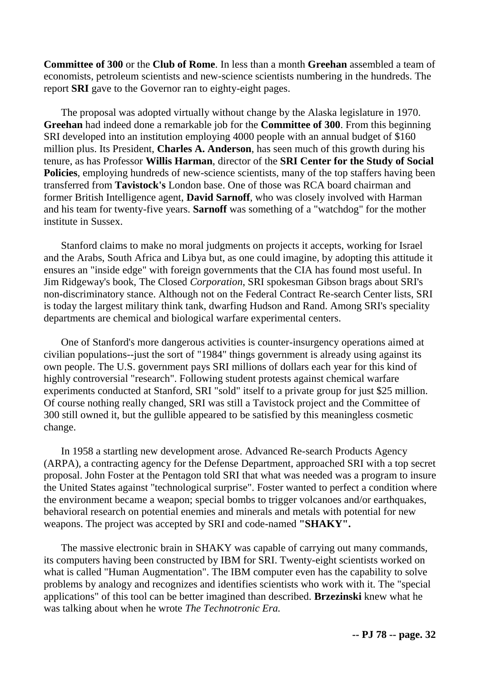**Committee of 300** or the **Club of Rome**. In less than a month **Greehan** assembled a team of economists, petroleum scientists and new-science scientists numbering in the hundreds. The report **SRI** gave to the Governor ran to eighty-eight pages.

The proposal was adopted virtually without change by the Alaska legislature in 1970. **Greehan** had indeed done a remarkable job for the **Committee of 300**. From this beginning SRI developed into an institution employing 4000 people with an annual budget of \$160 million plus. Its President, **Charles A. Anderson**, has seen much of this growth during his tenure, as has Professor **Willis Harman**, director of the **SRI Center for the Study of Social Policies**, employing hundreds of new-science scientists, many of the top staffers having been transferred from **Tavistock's** London base. One of those was RCA board chairman and former British Intelligence agent, **David Sarnoff**, who was closely involved with Harman and his team for twenty-five years. **Sarnoff** was something of a "watchdog" for the mother institute in Sussex.

Stanford claims to make no moral judgments on projects it accepts, working for Israel and the Arabs, South Africa and Libya but, as one could imagine, by adopting this attitude it ensures an "inside edge" with foreign governments that the CIA has found most useful. In Jim Ridgeway's book, The Closed *Corporation*, SRI spokesman Gibson brags about SRI's non-discriminatory stance. Although not on the Federal Contract Re-search Center lists, SRI is today the largest military think tank, dwarfing Hudson and Rand. Among SRI's speciality departments are chemical and biological warfare experimental centers.

One of Stanford's more dangerous activities is counter-insurgency operations aimed at civilian populations--just the sort of "1984" things government is already using against its own people. The U.S. government pays SRI millions of dollars each year for this kind of highly controversial "research". Following student protests against chemical warfare experiments conducted at Stanford, SRI "sold" itself to a private group for just \$25 million. Of course nothing really changed, SRI was still a Tavistock project and the Committee of 300 still owned it, but the gullible appeared to be satisfied by this meaningless cosmetic change.

In 1958 a startling new development arose. Advanced Re-search Products Agency (ARPA), a contracting agency for the Defense Department, approached SRI with a top secret proposal. John Foster at the Pentagon told SRI that what was needed was a program to insure the United States against "technological surprise". Foster wanted to perfect a condition where the environment became a weapon; special bombs to trigger volcanoes and/or earthquakes, behavioral research on potential enemies and minerals and metals with potential for new weapons. The project was accepted by SRI and code-named **"SHAKY".** 

The massive electronic brain in SHAKY was capable of carrying out many commands, its computers having been constructed by IBM for SRI. Twenty-eight scientists worked on what is called "Human Augmentation". The IBM computer even has the capability to solve problems by analogy and recognizes and identifies scientists who work with it. The "special applications" of this tool can be better imagined than described. **Brzezinski** knew what he was talking about when he wrote *The Technotronic Era.*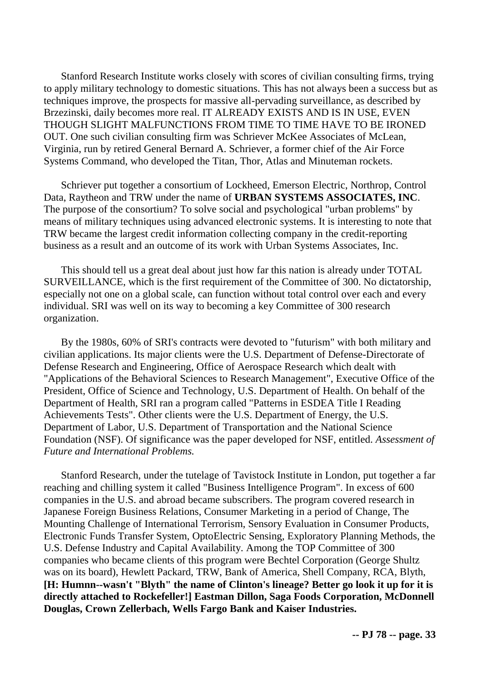Stanford Research Institute works closely with scores of civilian consulting firms, trying to apply military technology to domestic situations. This has not always been a success but as techniques improve, the prospects for massive all-pervading surveillance, as described by Brzezinski, daily becomes more real. IT ALREADY EXISTS AND IS IN USE, EVEN THOUGH SLIGHT MALFUNCTIONS FROM TIME TO TIME HAVE TO BE IRONED OUT. One such civilian consulting firm was Schriever McKee Associates of McLean, Virginia, run by retired General Bernard A. Schriever, a former chief of the Air Force Systems Command, who developed the Titan, Thor, Atlas and Minuteman rockets.

Schriever put together a consortium of Lockheed, Emerson Electric, Northrop, Control Data, Raytheon and TRW under the name of **URBAN SYSTEMS ASSOCIATES, INC**. The purpose of the consortium? To solve social and psychological "urban problems" by means of military techniques using advanced electronic systems. It is interesting to note that TRW became the largest credit information collecting company in the credit-reporting business as a result and an outcome of its work with Urban Systems Associates, Inc.

This should tell us a great deal about just how far this nation is already under TOTAL SURVEILLANCE, which is the first requirement of the Committee of 300. No dictatorship, especially not one on a global scale, can function without total control over each and every individual. SRI was well on its way to becoming a key Committee of 300 research organization.

By the 1980s, 60% of SRI's contracts were devoted to "futurism" with both military and civilian applications. Its major clients were the U.S. Department of Defense-Directorate of Defense Research and Engineering, Office of Aerospace Research which dealt with "Applications of the Behavioral Sciences to Research Management", Executive Office of the President, Office of Science and Technology, U.S. Department of Health. On behalf of the Department of Health, SRI ran a program called "Patterns in ESDEA Title I Reading Achievements Tests". Other clients were the U.S. Department of Energy, the U.S. Department of Labor, U.S. Department of Transportation and the National Science Foundation (NSF). Of significance was the paper developed for NSF, entitled. *Assessment of Future and International Problems.*

Stanford Research, under the tutelage of Tavistock Institute in London, put together a far reaching and chilling system it called "Business Intelligence Program". In excess of 600 companies in the U.S. and abroad became subscribers. The program covered research in Japanese Foreign Business Relations, Consumer Marketing in a period of Change, The Mounting Challenge of International Terrorism, Sensory Evaluation in Consumer Products, Electronic Funds Transfer System, OptoElectric Sensing, Exploratory Planning Methods, the U.S. Defense Industry and Capital Availability. Among the TOP Committee of 300 companies who became clients of this program were Bechtel Corporation (George Shultz was on its board), Hewlett Packard, TRW, Bank of America, Shell Company, RCA, Blyth, **[H: Humnn--wasn't "Blyth" the name of Clinton's lineage? Better go look it up for it is directly attached to Rockefeller!] Eastman Dillon, Saga Foods Corporation, McDonnell Douglas, Crown Zellerbach, Wells Fargo Bank and Kaiser Industries.**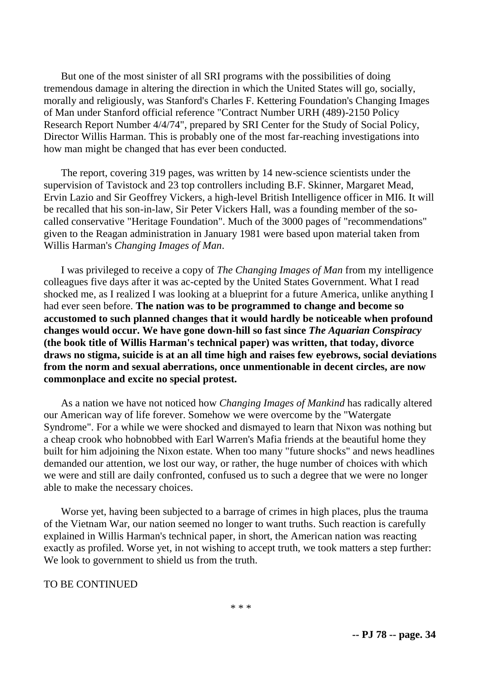But one of the most sinister of all SRI programs with the possibilities of doing tremendous damage in altering the direction in which the United States will go, socially, morally and religiously, was Stanford's Charles F. Kettering Foundation's Changing Images of Man under Stanford official reference "Contract Number URH (489)-2150 Policy Research Report Number 4/4/74", prepared by SRI Center for the Study of Social Policy, Director Willis Harman. This is probably one of the most far-reaching investigations into how man might be changed that has ever been conducted.

The report, covering 319 pages, was written by 14 new-science scientists under the supervision of Tavistock and 23 top controllers including B.F. Skinner, Margaret Mead, Ervin Lazio and Sir Geoffrey Vickers, a high-level British Intelligence officer in MI6. It will be recalled that his son-in-law, Sir Peter Vickers Hall, was a founding member of the socalled conservative "Heritage Foundation". Much of the 3000 pages of "recommendations" given to the Reagan administration in January 1981 were based upon material taken from Willis Harman's *Changing Images of Man*.

I was privileged to receive a copy of *The Changing Images of Man* from my intelligence colleagues five days after it was ac-cepted by the United States Government. What I read shocked me, as I realized I was looking at a blueprint for a future America, unlike anything I had ever seen before. **The nation was to be programmed to change and become so accustomed to such planned changes that it would hardly be noticeable when profound changes would occur. We have gone down-hill so fast since** *The Aquarian Conspiracy* **(the book title of Willis Harman's technical paper) was written, that today, divorce draws no stigma, suicide is at an all time high and raises few eyebrows, social deviations from the norm and sexual aberrations, once unmentionable in decent circles, are now commonplace and excite no special protest.** 

As a nation we have not noticed how *Changing Images of Mankind* has radically altered our American way of life forever. Somehow we were overcome by the "Watergate Syndrome". For a while we were shocked and dismayed to learn that Nixon was nothing but a cheap crook who hobnobbed with Earl Warren's Mafia friends at the beautiful home they built for him adjoining the Nixon estate. When too many "future shocks" and news headlines demanded our attention, we lost our way, or rather, the huge number of choices with which we were and still are daily confronted, confused us to such a degree that we were no longer able to make the necessary choices.

Worse yet, having been subjected to a barrage of crimes in high places, plus the trauma of the Vietnam War, our nation seemed no longer to want truths. Such reaction is carefully explained in Willis Harman's technical paper, in short, the American nation was reacting exactly as profiled. Worse yet, in not wishing to accept truth, we took matters a step further: We look to government to shield us from the truth.

#### TO BE CONTINUED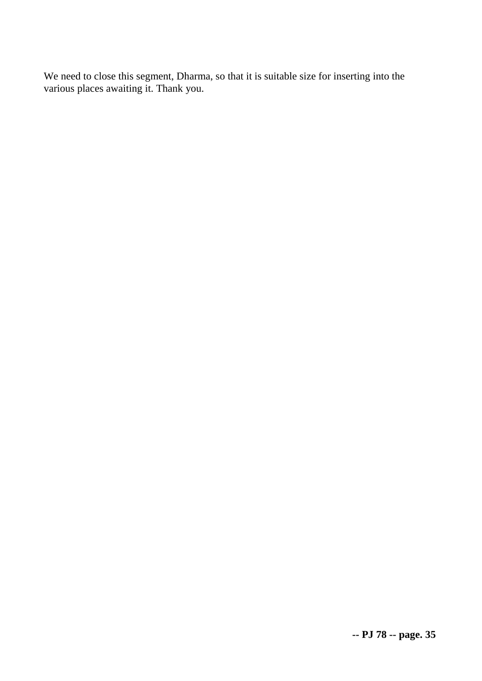We need to close this segment, Dharma, so that it is suitable size for inserting into the various places awaiting it. Thank you.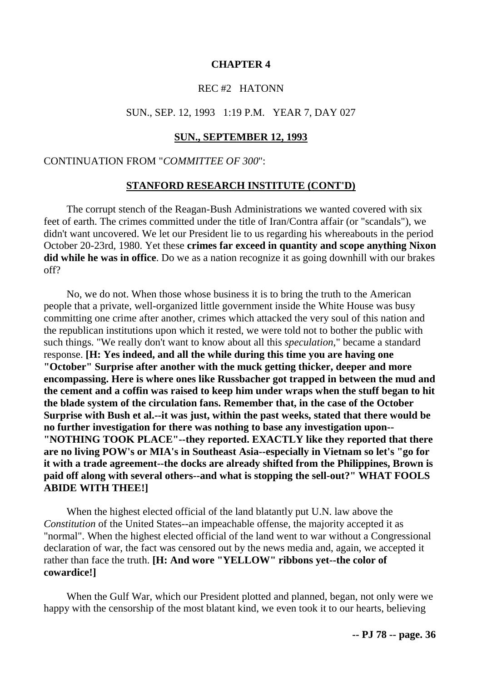#### **CHAPTER 4**

#### REC #2 HATONN

#### SUN., SEP. 12, 1993 1:19 P.M. YEAR 7, DAY 027

#### **SUN., SEPTEMBER 12, 1993**

#### CONTINUATION FROM "*COMMITTEE OF 300*":

#### **STANFORD RESEARCH INSTITUTE (CONT'D)**

The corrupt stench of the Reagan-Bush Administrations we wanted covered with six feet of earth. The crimes committed under the title of Iran/Contra affair (or "scandals"), we didn't want uncovered. We let our President lie to us regarding his whereabouts in the period October 20-23rd, 1980. Yet these **crimes far exceed in quantity and scope anything Nixon did while he was in office**. Do we as a nation recognize it as going downhill with our brakes off?

No, we do not. When those whose business it is to bring the truth to the American people that a private, well-organized little government inside the White House was busy committing one crime after another, crimes which attacked the very soul of this nation and the republican institutions upon which it rested, we were told not to bother the public with such things. "We really don't want to know about all this *speculation*," became a standard response. **[H: Yes indeed, and all the while during this time you are having one "October" Surprise after another with the muck getting thicker, deeper and more encompassing. Here is where ones like Russbacher got trapped in between the mud and the cement and a coffin was raised to keep him under wraps when the stuff began to hit the blade system of the circulation fans. Remember that, in the case of the October Surprise with Bush et al.--it was just, within the past weeks, stated that there would be no further investigation for there was nothing to base any investigation upon-- "NOTHING TOOK PLACE"--they reported. EXACTLY like they reported that there are no living POW's or MIA's in Southeast Asia--especially in Vietnam so let's "go for it with a trade agreement--the docks are already shifted from the Philippines, Brown is paid off along with several others--and what is stopping the sell-out?" WHAT FOOLS ABIDE WITH THEE!]** 

When the highest elected official of the land blatantly put U.N. law above the *Constitution* of the United States--an impeachable offense, the majority accepted it as "normal". When the highest elected official of the land went to war without a Congressional declaration of war, the fact was censored out by the news media and, again, we accepted it rather than face the truth. **[H: And wore "YELLOW" ribbons yet--the color of cowardice!]** 

When the Gulf War, which our President plotted and planned, began, not only were we happy with the censorship of the most blatant kind, we even took it to our hearts, believing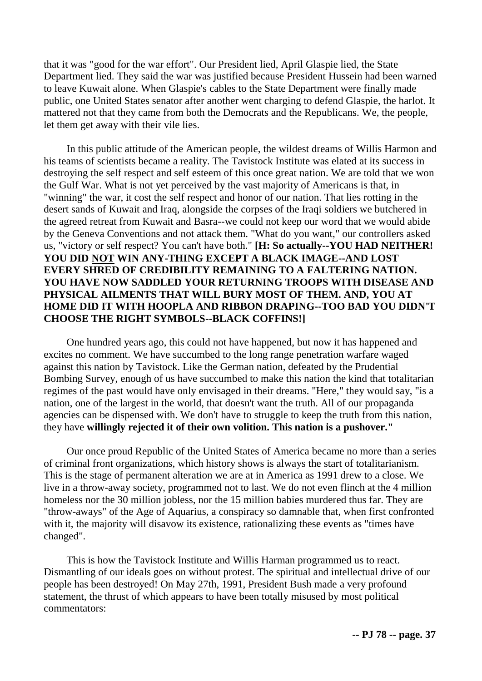that it was "good for the war effort". Our President lied, April Glaspie lied, the State Department lied. They said the war was justified because President Hussein had been warned to leave Kuwait alone. When Glaspie's cables to the State Department were finally made public, one United States senator after another went charging to defend Glaspie, the harlot. It mattered not that they came from both the Democrats and the Republicans. We, the people, let them get away with their vile lies.

In this public attitude of the American people, the wildest dreams of Willis Harmon and his teams of scientists became a reality. The Tavistock Institute was elated at its success in destroying the self respect and self esteem of this once great nation. We are told that we won the Gulf War. What is not yet perceived by the vast majority of Americans is that, in "winning" the war, it cost the self respect and honor of our nation. That lies rotting in the desert sands of Kuwait and Iraq, alongside the corpses of the Iraqi soldiers we butchered in the agreed retreat from Kuwait and Basra--we could not keep our word that we would abide by the Geneva Conventions and not attack them. "What do you want," our controllers asked us, "victory or self respect? You can't have both." **[H: So actually--YOU HAD NEITHER! YOU DID NOT WIN ANY-THING EXCEPT A BLACK IMAGE--AND LOST EVERY SHRED OF CREDIBILITY REMAINING TO A FALTERING NATION. YOU HAVE NOW SADDLED YOUR RETURNING TROOPS WITH DISEASE AND PHYSICAL AILMENTS THAT WILL BURY MOST OF THEM. AND, YOU AT HOME DID IT WITH HOOPLA AND RIBBON DRAPING--TOO BAD YOU DIDN'T CHOOSE THE RIGHT SYMBOLS--BLACK COFFINS!]** 

One hundred years ago, this could not have happened, but now it has happened and excites no comment. We have succumbed to the long range penetration warfare waged against this nation by Tavistock. Like the German nation, defeated by the Prudential Bombing Survey, enough of us have succumbed to make this nation the kind that totalitarian regimes of the past would have only envisaged in their dreams. "Here," they would say, "is a nation, one of the largest in the world, that doesn't want the truth. All of our propaganda agencies can be dispensed with. We don't have to struggle to keep the truth from this nation, they have **willingly rejected it of their own volition. This nation is a pushover."**

Our once proud Republic of the United States of America became no more than a series of criminal front organizations, which history shows is always the start of totalitarianism. This is the stage of permanent alteration we are at in America as 1991 drew to a close. We live in a throw-away society, programmed not to last. We do not even flinch at the 4 million homeless nor the 30 million jobless, nor the 15 million babies murdered thus far. They are "throw-aways" of the Age of Aquarius, a conspiracy so damnable that, when first confronted with it, the majority will disavow its existence, rationalizing these events as "times have changed".

This is how the Tavistock Institute and Willis Harman programmed us to react. Dismantling of our ideals goes on without protest. The spiritual and intellectual drive of our people has been destroyed! On May 27th, 1991, President Bush made a very profound statement, the thrust of which appears to have been totally misused by most political commentators: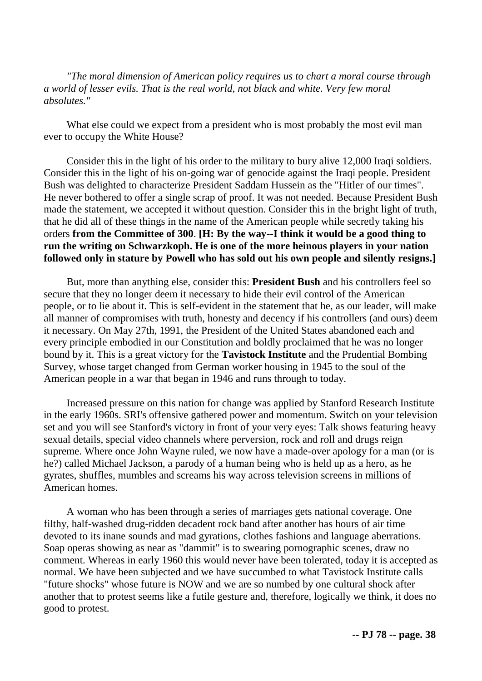*"The moral dimension of American policy requires us to chart a moral course through a world of lesser evils. That is the real world, not black and white. Very few moral absolutes."*

What else could we expect from a president who is most probably the most evil man ever to occupy the White House?

Consider this in the light of his order to the military to bury alive 12,000 Iraqi soldiers. Consider this in the light of his on-going war of genocide against the Iraqi people. President Bush was delighted to characterize President Saddam Hussein as the "Hitler of our times". He never bothered to offer a single scrap of proof. It was not needed. Because President Bush made the statement, we accepted it without question. Consider this in the bright light of truth, that he did all of these things in the name of the American people while secretly taking his orders **from the Committee of 300**. **[H: By the way--I think it would be a good thing to run the writing on Schwarzkoph. He is one of the more heinous players in your nation followed only in stature by Powell who has sold out his own people and silently resigns.]** 

But, more than anything else, consider this: **President Bush** and his controllers feel so secure that they no longer deem it necessary to hide their evil control of the American people, or to lie about it. This is self-evident in the statement that he, as our leader, will make all manner of compromises with truth, honesty and decency if his controllers (and ours) deem it necessary. On May 27th, 1991, the President of the United States abandoned each and every principle embodied in our Constitution and boldly proclaimed that he was no longer bound by it. This is a great victory for the **Tavistock Institute** and the Prudential Bombing Survey, whose target changed from German worker housing in 1945 to the soul of the American people in a war that began in 1946 and runs through to today.

Increased pressure on this nation for change was applied by Stanford Research Institute in the early 1960s. SRI's offensive gathered power and momentum. Switch on your television set and you will see Stanford's victory in front of your very eyes: Talk shows featuring heavy sexual details, special video channels where perversion, rock and roll and drugs reign supreme. Where once John Wayne ruled, we now have a made-over apology for a man (or is he?) called Michael Jackson, a parody of a human being who is held up as a hero, as he gyrates, shuffles, mumbles and screams his way across television screens in millions of American homes.

A woman who has been through a series of marriages gets national coverage. One filthy, half-washed drug-ridden decadent rock band after another has hours of air time devoted to its inane sounds and mad gyrations, clothes fashions and language aberrations. Soap operas showing as near as "dammit" is to swearing pornographic scenes, draw no comment. Whereas in early 1960 this would never have been tolerated, today it is accepted as normal. We have been subjected and we have succumbed to what Tavistock Institute calls "future shocks" whose future is NOW and we are so numbed by one cultural shock after another that to protest seems like a futile gesture and, therefore, logically we think, it does no good to protest.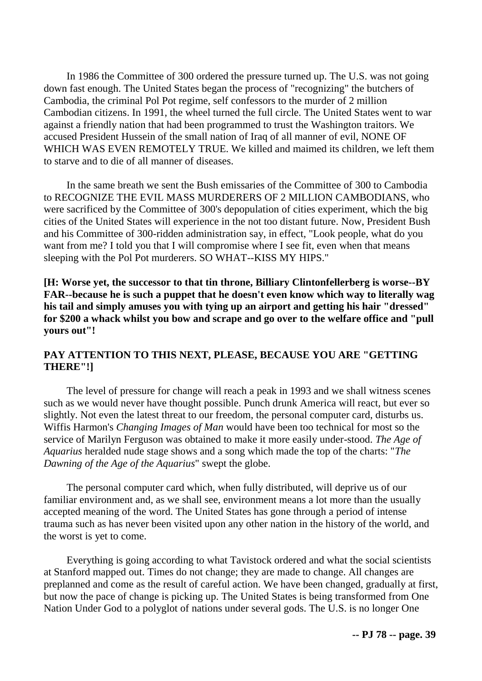In 1986 the Committee of 300 ordered the pressure turned up. The U.S. was not going down fast enough. The United States began the process of "recognizing" the butchers of Cambodia, the criminal Pol Pot regime, self confessors to the murder of 2 million Cambodian citizens. In 1991, the wheel turned the full circle. The United States went to war against a friendly nation that had been programmed to trust the Washington traitors. We accused President Hussein of the small nation of Iraq of all manner of evil, NONE OF WHICH WAS EVEN REMOTELY TRUE. We killed and maimed its children, we left them to starve and to die of all manner of diseases.

In the same breath we sent the Bush emissaries of the Committee of 300 to Cambodia to RECOGNIZE THE EVIL MASS MURDERERS OF 2 MILLION CAMBODIANS, who were sacrificed by the Committee of 300's depopulation of cities experiment, which the big cities of the United States will experience in the not too distant future. Now, President Bush and his Committee of 300-ridden administration say, in effect, "Look people, what do you want from me? I told you that I will compromise where I see fit, even when that means sleeping with the Pol Pot murderers. SO WHAT--KISS MY HIPS."

**[H: Worse yet, the successor to that tin throne, Billiary Clintonfellerberg is worse--BY FAR--because he is such a puppet that he doesn't even know which way to literally wag his tail and simply amuses you with tying up an airport and getting his hair "dressed" for \$200 a whack whilst you bow and scrape and go over to the welfare office and "pull yours out"!** 

## **PAY ATTENTION TO THIS NEXT, PLEASE, BECAUSE YOU ARE "GETTING THERE"!]**

The level of pressure for change will reach a peak in 1993 and we shall witness scenes such as we would never have thought possible. Punch drunk America will react, but ever so slightly. Not even the latest threat to our freedom, the personal computer card, disturbs us. Wiffis Harmon's *Changing Images of Man* would have been too technical for most so the service of Marilyn Ferguson was obtained to make it more easily under-stood. *The Age of Aquarius* heralded nude stage shows and a song which made the top of the charts: "*The Dawning of the Age of the Aquarius*" swept the globe.

The personal computer card which, when fully distributed, will deprive us of our familiar environment and, as we shall see, environment means a lot more than the usually accepted meaning of the word. The United States has gone through a period of intense trauma such as has never been visited upon any other nation in the history of the world, and the worst is yet to come.

Everything is going according to what Tavistock ordered and what the social scientists at Stanford mapped out. Times do not change; they are made to change. All changes are preplanned and come as the result of careful action. We have been changed, gradually at first, but now the pace of change is picking up. The United States is being transformed from One Nation Under God to a polyglot of nations under several gods. The U.S. is no longer One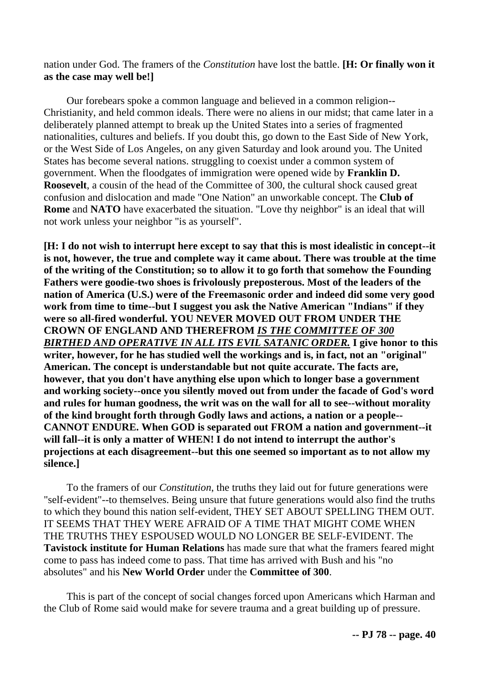## nation under God. The framers of the *Constitution* have lost the battle. **[H: Or finally won it as the case may well be!]**

Our forebears spoke a common language and believed in a common religion-- Christianity, and held common ideals. There were no aliens in our midst; that came later in a deliberately planned attempt to break up the United States into a series of fragmented nationalities, cultures and beliefs. If you doubt this, go down to the East Side of New York, or the West Side of Los Angeles, on any given Saturday and look around you. The United States has become several nations. struggling to coexist under a common system of government. When the floodgates of immigration were opened wide by **Franklin D. Roosevelt**, a cousin of the head of the Committee of 300, the cultural shock caused great confusion and dislocation and made "One Nation" an unworkable concept. The **Club of Rome** and **NATO** have exacerbated the situation. "Love thy neighbor" is an ideal that will not work unless your neighbor "is as yourself".

**[H: I do not wish to interrupt here except to say that this is most idealistic in concept--it is not, however, the true and complete way it came about. There was trouble at the time of the writing of the Constitution; so to allow it to go forth that somehow the Founding Fathers were goodie-two shoes is frivolously preposterous. Most of the leaders of the nation of America (U.S.) were of the Freemasonic order and indeed did some very good work from time to time--but I suggest you ask the Native American "Indians" if they were so all-fired wonderful. YOU NEVER MOVED OUT FROM UNDER THE CROWN OF ENGLAND AND THEREFROM** *IS THE COMMITTEE OF 300 BIRTHED AND OPERATIVE IN ALL ITS EVIL SATANIC ORDER.* **I give honor to this writer, however, for he has studied well the workings and is, in fact, not an "original" American. The concept is understandable but not quite accurate. The facts are, however, that you don't have anything else upon which to longer base a government and working society--once you silently moved out from under the facade of God's word and rules for human goodness, the writ was on the wall for all to see--without morality of the kind brought forth through Godly laws and actions, a nation or a people-- CANNOT ENDURE. When GOD is separated out FROM a nation and government--it will fall--it is only a matter of WHEN! I do not intend to interrupt the author's projections at each disagreement--but this one seemed so important as to not allow my silence.]**

To the framers of our *Constitution*, the truths they laid out for future generations were "self-evident"--to themselves. Being unsure that future generations would also find the truths to which they bound this nation self-evident, THEY SET ABOUT SPELLING THEM OUT. IT SEEMS THAT THEY WERE AFRAID OF A TIME THAT MIGHT COME WHEN THE TRUTHS THEY ESPOUSED WOULD NO LONGER BE SELF-EVIDENT. The **Tavistock institute for Human Relations** has made sure that what the framers feared might come to pass has indeed come to pass. That time has arrived with Bush and his "no absolutes" and his **New World Order** under the **Committee of 300**.

This is part of the concept of social changes forced upon Americans which Harman and the Club of Rome said would make for severe trauma and a great building up of pressure.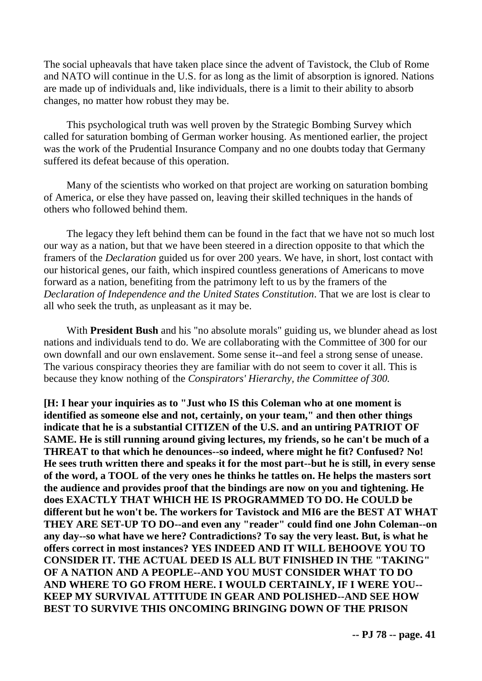The social upheavals that have taken place since the advent of Tavistock, the Club of Rome and NATO will continue in the U.S. for as long as the limit of absorption is ignored. Nations are made up of individuals and, like individuals, there is a limit to their ability to absorb changes, no matter how robust they may be.

This psychological truth was well proven by the Strategic Bombing Survey which called for saturation bombing of German worker housing. As mentioned earlier, the project was the work of the Prudential Insurance Company and no one doubts today that Germany suffered its defeat because of this operation.

Many of the scientists who worked on that project are working on saturation bombing of America, or else they have passed on, leaving their skilled techniques in the hands of others who followed behind them.

The legacy they left behind them can be found in the fact that we have not so much lost our way as a nation, but that we have been steered in a direction opposite to that which the framers of the *Declaration* guided us for over 200 years. We have, in short, lost contact with our historical genes, our faith, which inspired countless generations of Americans to move forward as a nation, benefiting from the patrimony left to us by the framers of the *Declaration of Independence and the United States Constitution*. That we are lost is clear to all who seek the truth, as unpleasant as it may be.

With **President Bush** and his "no absolute morals" guiding us, we blunder ahead as lost nations and individuals tend to do. We are collaborating with the Committee of 300 for our own downfall and our own enslavement. Some sense it--and feel a strong sense of unease. The various conspiracy theories they are familiar with do not seem to cover it all. This is because they know nothing of the *Conspirators' Hierarchy, the Committee of 300.*

**[H: I hear your inquiries as to "Just who IS this Coleman who at one moment is identified as someone else and not, certainly, on your team," and then other things indicate that he is a substantial CITIZEN of the U.S. and an untiring PATRIOT OF SAME. He is still running around giving lectures, my friends, so he can't be much of a THREAT to that which he denounces--so indeed, where might he fit? Confused? No! He sees truth written there and speaks it for the most part--but he is still, in every sense of the word, a TOOL of the very ones he thinks he tattles on. He helps the masters sort the audience and provides proof that the bindings are now on you and tightening. He does EXACTLY THAT WHICH HE IS PROGRAMMED TO DO. He COULD be different but he won't be. The workers for Tavistock and MI6 are the BEST AT WHAT THEY ARE SET-UP TO DO--and even any "reader" could find one John Coleman--on any day--so what have we here? Contradictions? To say the very least. But, is what he offers correct in most instances? YES INDEED AND IT WILL BEHOOVE YOU TO CONSIDER IT. THE ACTUAL DEED IS ALL BUT FINISHED IN THE "TAKING" OF A NATION AND A PEOPLE--AND YOU MUST CONSIDER WHAT TO DO AND WHERE TO GO FROM HERE. I WOULD CERTAINLY, IF I WERE YOU-- KEEP MY SURVIVAL ATTITUDE IN GEAR AND POLISHED--AND SEE HOW BEST TO SURVIVE THIS ONCOMING BRINGING DOWN OF THE PRISON**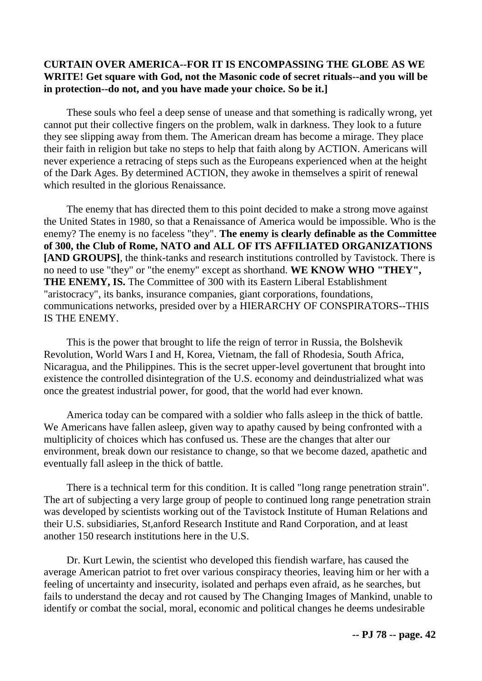## **CURTAIN OVER AMERICA--FOR IT IS ENCOMPASSING THE GLOBE AS WE WRITE! Get square with God, not the Masonic code of secret rituals--and you will be in protection--do not, and you have made your choice. So be it.]**

These souls who feel a deep sense of unease and that something is radically wrong, yet cannot put their collective fingers on the problem, walk in darkness. They look to a future they see slipping away from them. The American dream has become a mirage. They place their faith in religion but take no steps to help that faith along by ACTION. Americans will never experience a retracing of steps such as the Europeans experienced when at the height of the Dark Ages. By determined ACTION, they awoke in themselves a spirit of renewal which resulted in the glorious Renaissance.

The enemy that has directed them to this point decided to make a strong move against the United States in 1980, so that a Renaissance of America would be impossible. Who is the enemy? The enemy is no faceless "they". **The enemy is clearly definable as the Committee of 300, the Club of Rome, NATO and ALL OF ITS AFFILIATED ORGANIZATIONS [AND GROUPS]**, the think-tanks and research institutions controlled by Tavistock. There is no need to use "they" or "the enemy" except as shorthand. **WE KNOW WHO "THEY", THE ENEMY, IS.** The Committee of 300 with its Eastern Liberal Establishment "aristocracy", its banks, insurance companies, giant corporations, foundations, communications networks, presided over by a HIERARCHY OF CONSPIRATORS--THIS IS THE ENEMY.

This is the power that brought to life the reign of terror in Russia, the Bolshevik Revolution, World Wars I and H, Korea, Vietnam, the fall of Rhodesia, South Africa, Nicaragua, and the Philippines. This is the secret upper-level govertunent that brought into existence the controlled disintegration of the U.S. economy and deindustrialized what was once the greatest industrial power, for good, that the world had ever known.

America today can be compared with a soldier who falls asleep in the thick of battle. We Americans have fallen asleep, given way to apathy caused by being confronted with a multiplicity of choices which has confused us. These are the changes that alter our environment, break down our resistance to change, so that we become dazed, apathetic and eventually fall asleep in the thick of battle.

There is a technical term for this condition. It is called "long range penetration strain". The art of subjecting a very large group of people to continued long range penetration strain was developed by scientists working out of the Tavistock Institute of Human Relations and their U.S. subsidiaries, St,anford Research Institute and Rand Corporation, and at least another 150 research institutions here in the U.S.

Dr. Kurt Lewin, the scientist who developed this fiendish warfare, has caused the average American patriot to fret over various conspiracy theories, leaving him or her with a feeling of uncertainty and insecurity, isolated and perhaps even afraid, as he searches, but fails to understand the decay and rot caused by The Changing Images of Mankind, unable to identify or combat the social, moral, economic and political changes he deems undesirable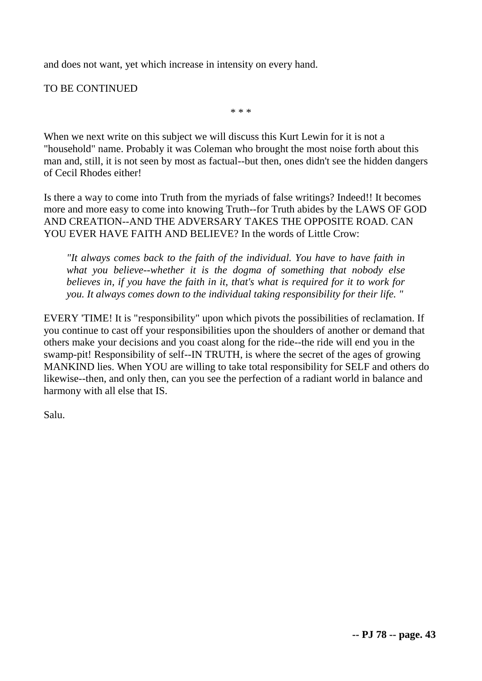and does not want, yet which increase in intensity on every hand.

TO BE CONTINUED

\* \* \*

When we next write on this subject we will discuss this Kurt Lewin for it is not a "household" name. Probably it was Coleman who brought the most noise forth about this man and, still, it is not seen by most as factual--but then, ones didn't see the hidden dangers of Cecil Rhodes either!

Is there a way to come into Truth from the myriads of false writings? Indeed!! It becomes more and more easy to come into knowing Truth--for Truth abides by the LAWS OF GOD AND CREATION--AND THE ADVERSARY TAKES THE OPPOSITE ROAD. CAN YOU EVER HAVE FAITH AND BELIEVE? In the words of Little Crow:

*"It always comes back to the faith of the individual. You have to have faith in what you believe--whether it is the dogma of something that nobody else believes in, if you have the faith in it, that's what is required for it to work for you. It always comes down to the individual taking responsibility for their life. "* 

EVERY 'TIME! It is "responsibility" upon which pivots the possibilities of reclamation. If you continue to cast off your responsibilities upon the shoulders of another or demand that others make your decisions and you coast along for the ride--the ride will end you in the swamp-pit! Responsibility of self--IN TRUTH, is where the secret of the ages of growing MANKIND lies. When YOU are willing to take total responsibility for SELF and others do likewise--then, and only then, can you see the perfection of a radiant world in balance and harmony with all else that IS.

Salu.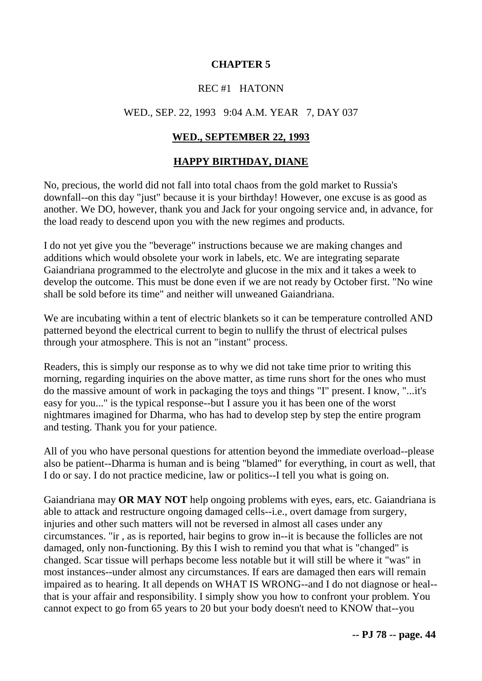## **CHAPTER 5**

### REC #1 HATONN

### WED., SEP. 22, 1993 9:04 A.M. YEAR 7, DAY 037

#### **WED., SEPTEMBER 22, 1993**

#### **HAPPY BIRTHDAY, DIANE**

No, precious, the world did not fall into total chaos from the gold market to Russia's downfall--on this day "just" because it is your birthday! However, one excuse is as good as another. We DO, however, thank you and Jack for your ongoing service and, in advance, for the load ready to descend upon you with the new regimes and products.

I do not yet give you the "beverage" instructions because we are making changes and additions which would obsolete your work in labels, etc. We are integrating separate Gaiandriana programmed to the electrolyte and glucose in the mix and it takes a week to develop the outcome. This must be done even if we are not ready by October first. "No wine shall be sold before its time" and neither will unweaned Gaiandriana.

We are incubating within a tent of electric blankets so it can be temperature controlled AND patterned beyond the electrical current to begin to nullify the thrust of electrical pulses through your atmosphere. This is not an "instant" process.

Readers, this is simply our response as to why we did not take time prior to writing this morning, regarding inquiries on the above matter, as time runs short for the ones who must do the massive amount of work in packaging the toys and things "I" present. I know, "...it's easy for you..." is the typical response--but I assure you it has been one of the worst nightmares imagined for Dharma, who has had to develop step by step the entire program and testing. Thank you for your patience.

All of you who have personal questions for attention beyond the immediate overload--please also be patient--Dharma is human and is being "blamed" for everything, in court as well, that I do or say. I do not practice medicine, law or politics--I tell you what is going on.

Gaiandriana may **OR MAY NOT** help ongoing problems with eyes, ears, etc. Gaiandriana is able to attack and restructure ongoing damaged cells--i.e., overt damage from surgery, injuries and other such matters will not be reversed in almost all cases under any circumstances. "ir , as is reported, hair begins to grow in--it is because the follicles are not damaged, only non-functioning. By this I wish to remind you that what is "changed" is changed. Scar tissue will perhaps become less notable but it will still be where it "was" in most instances--under almost any circumstances. If ears are damaged then ears will remain impaired as to hearing. It all depends on WHAT IS WRONG--and I do not diagnose or heal- that is your affair and responsibility. I simply show you how to confront your problem. You cannot expect to go from 65 years to 20 but your body doesn't need to KNOW that--you

**-- PJ 78 -- page. 44**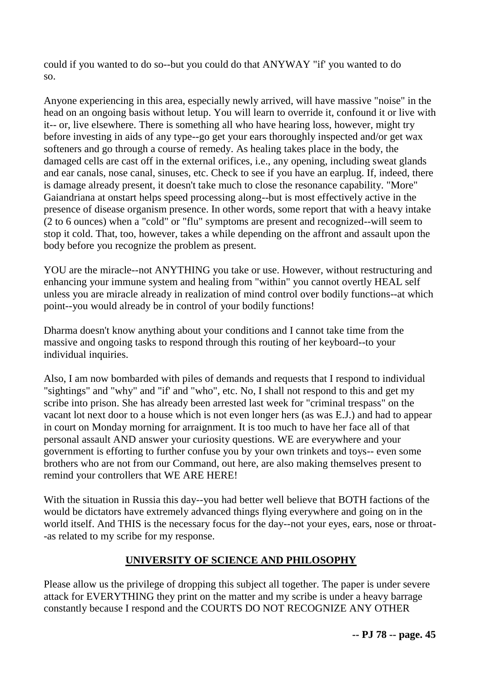could if you wanted to do so--but you could do that ANYWAY "if' you wanted to do so.

Anyone experiencing in this area, especially newly arrived, will have massive "noise" in the head on an ongoing basis without letup. You will learn to override it, confound it or live with it-- or, live elsewhere. There is something all who have hearing loss, however, might try before investing in aids of any type--go get your ears thoroughly inspected and/or get wax softeners and go through a course of remedy. As healing takes place in the body, the damaged cells are cast off in the external orifices, i.e., any opening, including sweat glands and ear canals, nose canal, sinuses, etc. Check to see if you have an earplug. If, indeed, there is damage already present, it doesn't take much to close the resonance capability. "More" Gaiandriana at onstart helps speed processing along--but is most effectively active in the presence of disease organism presence. In other words, some report that with a heavy intake (2 to 6 ounces) when a "cold" or "flu" symptoms are present and recognized--will seem to stop it cold. That, too, however, takes a while depending on the affront and assault upon the body before you recognize the problem as present.

YOU are the miracle--not ANYTHING you take or use. However, without restructuring and enhancing your immune system and healing from "within" you cannot overtly HEAL self unless you are miracle already in realization of mind control over bodily functions--at which point--you would already be in control of your bodily functions!

Dharma doesn't know anything about your conditions and I cannot take time from the massive and ongoing tasks to respond through this routing of her keyboard--to your individual inquiries.

Also, I am now bombarded with piles of demands and requests that I respond to individual "sightings" and "why" and "if' and "who", etc. No, I shall not respond to this and get my scribe into prison. She has already been arrested last week for "criminal trespass" on the vacant lot next door to a house which is not even longer hers (as was E.J.) and had to appear in court on Monday morning for arraignment. It is too much to have her face all of that personal assault AND answer your curiosity questions. WE are everywhere and your government is efforting to further confuse you by your own trinkets and toys-- even some brothers who are not from our Command, out here, are also making themselves present to remind your controllers that WE ARE HERE!

With the situation in Russia this day--you had better well believe that BOTH factions of the would be dictators have extremely advanced things flying everywhere and going on in the world itself. And THIS is the necessary focus for the day--not your eyes, ears, nose or throat- -as related to my scribe for my response.

# **UNIVERSITY OF SCIENCE AND PHILOSOPHY**

Please allow us the privilege of dropping this subject all together. The paper is under severe attack for EVERYTHING they print on the matter and my scribe is under a heavy barrage constantly because I respond and the COURTS DO NOT RECOGNIZE ANY OTHER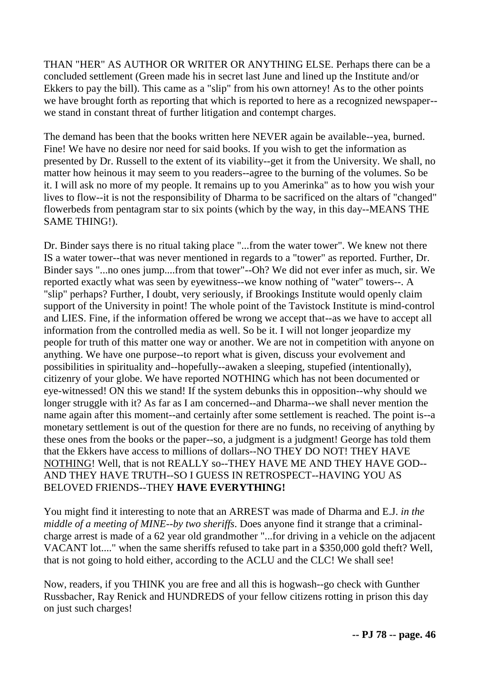THAN "HER" AS AUTHOR OR WRITER OR ANYTHING ELSE. Perhaps there can be a concluded settlement (Green made his in secret last June and lined up the Institute and/or Ekkers to pay the bill). This came as a "slip" from his own attorney! As to the other points we have brought forth as reporting that which is reported to here as a recognized newspaper- we stand in constant threat of further litigation and contempt charges.

The demand has been that the books written here NEVER again be available--yea, burned. Fine! We have no desire nor need for said books. If you wish to get the information as presented by Dr. Russell to the extent of its viability--get it from the University. We shall, no matter how heinous it may seem to you readers--agree to the burning of the volumes. So be it. I will ask no more of my people. It remains up to you Amerinka" as to how you wish your lives to flow--it is not the responsibility of Dharma to be sacrificed on the altars of "changed" flowerbeds from pentagram star to six points (which by the way, in this day--MEANS THE SAME THING!).

Dr. Binder says there is no ritual taking place "...from the water tower". We knew not there IS a water tower--that was never mentioned in regards to a "tower" as reported. Further, Dr. Binder says "...no ones jump....from that tower"--Oh? We did not ever infer as much, sir. We reported exactly what was seen by eyewitness--we know nothing of "water" towers--. A "slip" perhaps? Further, I doubt, very seriously, if Brookings Institute would openly claim support of the University in point! The whole point of the Tavistock Institute is mind-control and LIES. Fine, if the information offered be wrong we accept that--as we have to accept all information from the controlled media as well. So be it. I will not longer jeopardize my people for truth of this matter one way or another. We are not in competition with anyone on anything. We have one purpose--to report what is given, discuss your evolvement and possibilities in spirituality and--hopefully--awaken a sleeping, stupefied (intentionally), citizenry of your globe. We have reported NOTHING which has not been documented or eye-witnessed! ON this we stand! If the system debunks this in opposition--why should we longer struggle with it? As far as I am concerned--and Dharma--we shall never mention the name again after this moment--and certainly after some settlement is reached. The point is--a monetary settlement is out of the question for there are no funds, no receiving of anything by these ones from the books or the paper--so, a judgment is a judgment! George has told them that the Ekkers have access to millions of dollars--NO THEY DO NOT! THEY HAVE NOTHING! Well, that is not REALLY so--THEY HAVE ME AND THEY HAVE GOD-- AND THEY HAVE TRUTH--SO I GUESS IN RETROSPECT--HAVING YOU AS BELOVED FRIENDS--THEY **HAVE EVERYTHING!** 

You might find it interesting to note that an ARREST was made of Dharma and E.J. *in the middle of a meeting of MINE--by two sheriffs*. Does anyone find it strange that a criminalcharge arrest is made of a 62 year old grandmother "...for driving in a vehicle on the adjacent VACANT lot...." when the same sheriffs refused to take part in a \$350,000 gold theft? Well, that is not going to hold either, according to the ACLU and the CLC! We shall see!

Now, readers, if you THINK you are free and all this is hogwash--go check with Gunther Russbacher, Ray Renick and HUNDREDS of your fellow citizens rotting in prison this day on just such charges!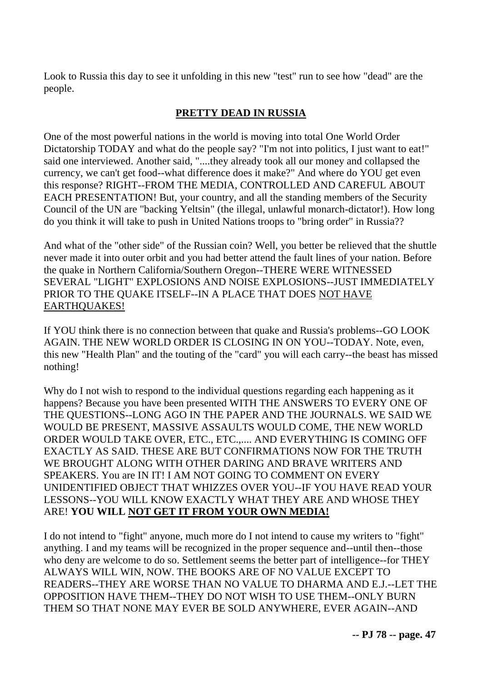Look to Russia this day to see it unfolding in this new "test" run to see how "dead" are the people.

# **PRETTY DEAD IN RUSSIA**

One of the most powerful nations in the world is moving into total One World Order Dictatorship TODAY and what do the people say? "I'm not into politics, I just want to eat!" said one interviewed. Another said, "....they already took all our money and collapsed the currency, we can't get food--what difference does it make?" And where do YOU get even this response? RIGHT--FROM THE MEDIA, CONTROLLED AND CAREFUL ABOUT EACH PRESENTATION! But, your country, and all the standing members of the Security Council of the UN are "backing Yeltsin" (the illegal, unlawful monarch-dictator!). How long do you think it will take to push in United Nations troops to "bring order" in Russia??

And what of the "other side" of the Russian coin? Well, you better be relieved that the shuttle never made it into outer orbit and you had better attend the fault lines of your nation. Before the quake in Northern California/Southern Oregon--THERE WERE WITNESSED SEVERAL "LIGHT" EXPLOSIONS AND NOISE EXPLOSIONS--JUST IMMEDIATELY PRIOR TO THE QUAKE ITSELF--IN A PLACE THAT DOES NOT HAVE EARTHQUAKES!

If YOU think there is no connection between that quake and Russia's problems--GO LOOK AGAIN. THE NEW WORLD ORDER IS CLOSING IN ON YOU--TODAY. Note, even, this new "Health Plan" and the touting of the "card" you will each carry--the beast has missed nothing!

Why do I not wish to respond to the individual questions regarding each happening as it happens? Because you have been presented WITH THE ANSWERS TO EVERY ONE OF THE QUESTIONS--LONG AGO IN THE PAPER AND THE JOURNALS. WE SAID WE WOULD BE PRESENT, MASSIVE ASSAULTS WOULD COME, THE NEW WORLD ORDER WOULD TAKE OVER, ETC., ETC.,.... AND EVERYTHING IS COMING OFF EXACTLY AS SAID. THESE ARE BUT CONFIRMATIONS NOW FOR THE TRUTH WE BROUGHT ALONG WITH OTHER DARING AND BRAVE WRITERS AND SPEAKERS. You are IN IT! I AM NOT GOING TO COMMENT ON EVERY UNIDENTIFIED OBJECT THAT WHIZZES OVER YOU--IF YOU HAVE READ YOUR LESSONS--YOU WILL KNOW EXACTLY WHAT THEY ARE AND WHOSE THEY ARE! **YOU WILL NOT GET IT FROM YOUR OWN MEDIA!**

I do not intend to "fight" anyone, much more do I not intend to cause my writers to "fight" anything. I and my teams will be recognized in the proper sequence and--until then--those who deny are welcome to do so. Settlement seems the better part of intelligence--for THEY ALWAYS WILL WIN, NOW. THE BOOKS ARE OF NO VALUE EXCEPT TO READERS--THEY ARE WORSE THAN NO VALUE TO DHARMA AND E.J.--LET THE OPPOSITION HAVE THEM--THEY DO NOT WISH TO USE THEM--ONLY BURN THEM SO THAT NONE MAY EVER BE SOLD ANYWHERE, EVER AGAIN--AND

**-- PJ 78 -- page. 47**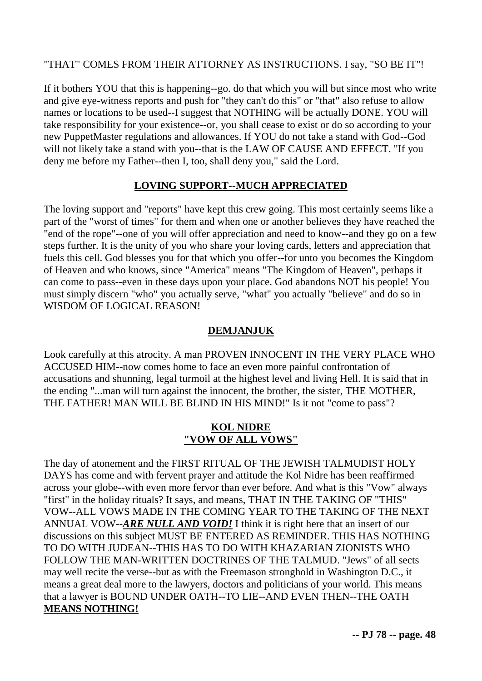# "THAT" COMES FROM THEIR ATTORNEY AS INSTRUCTIONS. I say, "SO BE IT"!

If it bothers YOU that this is happening--go. do that which you will but since most who write and give eye-witness reports and push for "they can't do this" or "that" also refuse to allow names or locations to be used--I suggest that NOTHING will be actually DONE. YOU will take responsibility for your existence--or, you shall cease to exist or do so according to your new PuppetMaster regulations and allowances. If YOU do not take a stand with God--God will not likely take a stand with you--that is the LAW OF CAUSE AND EFFECT. "If you deny me before my Father--then I, too, shall deny you," said the Lord.

# **LOVING SUPPORT--MUCH APPRECIATED**

The loving support and "reports" have kept this crew going. This most certainly seems like a part of the "worst of times" for them and when one or another believes they have reached the "end of the rope"--one of you will offer appreciation and need to know--and they go on a few steps further. It is the unity of you who share your loving cards, letters and appreciation that fuels this cell. God blesses you for that which you offer--for unto you becomes the Kingdom of Heaven and who knows, since "America" means "The Kingdom of Heaven", perhaps it can come to pass--even in these days upon your place. God abandons NOT his people! You must simply discern "who" you actually serve, "what" you actually "believe" and do so in WISDOM OF LOGICAL REASON!

# **DEMJANJUK**

Look carefully at this atrocity. A man PROVEN INNOCENT IN THE VERY PLACE WHO ACCUSED HIM--now comes home to face an even more painful confrontation of accusations and shunning, legal turmoil at the highest level and living Hell. It is said that in the ending "...man will turn against the innocent, the brother, the sister, THE MOTHER, THE FATHER! MAN WILL BE BLIND IN HIS MIND!" Is it not "come to pass"?

## **KOL NIDRE "VOW OF ALL VOWS"**

The day of atonement and the FIRST RITUAL OF THE JEWISH TALMUDIST HOLY DAYS has come and with fervent prayer and attitude the Kol Nidre has been reaffirmed across your globe--with even more fervor than ever before. And what is this "Vow" always "first" in the holiday rituals? It says, and means, THAT IN THE TAKING OF "THIS" VOW--ALL VOWS MADE IN THE COMING YEAR TO THE TAKING OF THE NEXT ANNUAL VOW--*ARE NULL AND VOID!* I think it is right here that an insert of our discussions on this subject MUST BE ENTERED AS REMINDER. THIS HAS NOTHING TO DO WITH JUDEAN--THIS HAS TO DO WITH KHAZARIAN ZIONISTS WHO FOLLOW THE MAN-WRITTEN DOCTRINES OF THE TALMUD. "Jews" of all sects may well recite the verse--but as with the Freemason stronghold in Washington D.C., it means a great deal more to the lawyers, doctors and politicians of your world. This means that a lawyer is BOUND UNDER OATH--TO LIE--AND EVEN THEN--THE OATH **MEANS NOTHING!**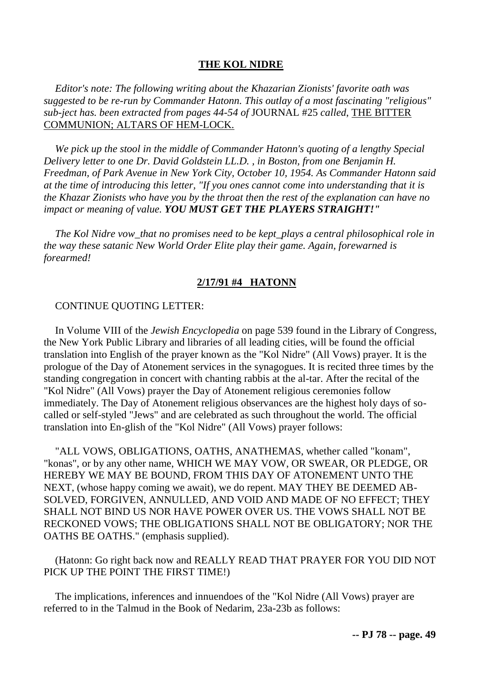#### **THE KOL NIDRE**

*Editor's note: The following writing about the Khazarian Zionists' favorite oath was suggested to be re-run by Commander Hatonn. This outlay of a most fascinating "religious" sub-ject has. been extracted from pages 44-54 of* JOURNAL #25 *called*, THE BITTER COMMUNION; ALTARS OF HEM-LOCK.

*We pick up the stool in the middle of Commander Hatonn's quoting of a lengthy Special Delivery letter to one Dr. David Goldstein LL.D. , in Boston, from one Benjamin H. Freedman, of Park Avenue in New York City, October 10, 1954. As Commander Hatonn said at the time of introducing this letter, "If you ones cannot come into understanding that it is the Khazar Zionists who have you by the throat then the rest of the explanation can have no impact or meaning of value. YOU MUST GET THE PLAYERS STRAIGHT!"*

*The Kol Nidre vow\_that no promises need to be kept\_plays a central philosophical role in the way these satanic New World Order Elite play their game. Again, forewarned is forearmed!*

#### **2/17/91 #4 HATONN**

#### CONTINUE QUOTING LETTER:

In Volume VIII of the *Jewish Encyclopedia* on page 539 found in the Library of Congress, the New York Public Library and libraries of all leading cities, will be found the official translation into English of the prayer known as the "Kol Nidre" (All Vows) prayer. It is the prologue of the Day of Atonement services in the synagogues. It is recited three times by the standing congregation in concert with chanting rabbis at the al-tar. After the recital of the "Kol Nidre" (All Vows) prayer the Day of Atonement religious ceremonies follow immediately. The Day of Atonement religious observances are the highest holy days of socalled or self-styled "Jews" and are celebrated as such throughout the world. The official translation into En-glish of the "Kol Nidre" (All Vows) prayer follows:

"ALL VOWS, OBLIGATIONS, OATHS, ANATHEMAS, whether called "konam", "konas", or by any other name, WHICH WE MAY VOW, OR SWEAR, OR PLEDGE, OR HEREBY WE MAY BE BOUND, FROM THIS DAY OF ATONEMENT UNTO THE NEXT, (whose happy coming we await), we do repent. MAY THEY BE DEEMED AB-SOLVED, FORGIVEN, ANNULLED, AND VOID AND MADE OF NO EFFECT; THEY SHALL NOT BIND US NOR HAVE POWER OVER US. THE VOWS SHALL NOT BE RECKONED VOWS; THE OBLIGATIONS SHALL NOT BE OBLIGATORY; NOR THE OATHS BE OATHS." (emphasis supplied).

(Hatonn: Go right back now and REALLY READ THAT PRAYER FOR YOU DID NOT PICK UP THE POINT THE FIRST TIME!)

The implications, inferences and innuendoes of the "Kol Nidre (All Vows) prayer are referred to in the Talmud in the Book of Nedarim, 23a-23b as follows: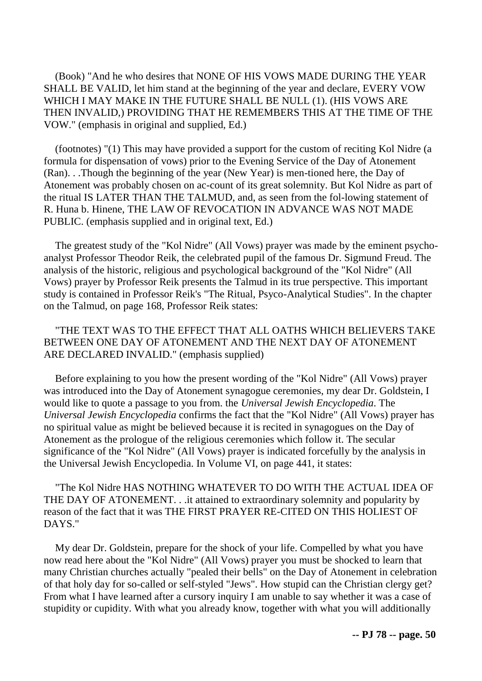(Book) "And he who desires that NONE OF HIS VOWS MADE DURING THE YEAR SHALL BE VALID, let him stand at the beginning of the year and declare, EVERY VOW WHICH I MAY MAKE IN THE FUTURE SHALL BE NULL (1). (HIS VOWS ARE THEN INVALID,) PROVIDING THAT HE REMEMBERS THIS AT THE TIME OF THE VOW." (emphasis in original and supplied, Ed.)

(footnotes) "(1) This may have provided a support for the custom of reciting Kol Nidre (a formula for dispensation of vows) prior to the Evening Service of the Day of Atonement (Ran). . .Though the beginning of the year (New Year) is men-tioned here, the Day of Atonement was probably chosen on ac-count of its great solemnity. But Kol Nidre as part of the ritual IS LATER THAN THE TALMUD, and, as seen from the fol-lowing statement of R. Huna b. Hinene, THE LAW OF REVOCATION IN ADVANCE WAS NOT MADE PUBLIC. (emphasis supplied and in original text, Ed.)

The greatest study of the "Kol Nidre" (All Vows) prayer was made by the eminent psychoanalyst Professor Theodor Reik, the celebrated pupil of the famous Dr. Sigmund Freud. The analysis of the historic, religious and psychological background of the "Kol Nidre" (All Vows) prayer by Professor Reik presents the Talmud in its true perspective. This important study is contained in Professor Reik's "The Ritual, Psyco-Analytical Studies". In the chapter on the Talmud, on page 168, Professor Reik states:

"THE TEXT WAS TO THE EFFECT THAT ALL OATHS WHICH BELIEVERS TAKE BETWEEN ONE DAY OF ATONEMENT AND THE NEXT DAY OF ATONEMENT ARE DECLARED INVALID." (emphasis supplied)

Before explaining to you how the present wording of the "Kol Nidre" (All Vows) prayer was introduced into the Day of Atonement synagogue ceremonies, my dear Dr. Goldstein, I would like to quote a passage to you from. the *Universal Jewish Encyclopedia*. The *Universal Jewish Encyclopedia* confirms the fact that the "Kol Nidre" (All Vows) prayer has no spiritual value as might be believed because it is recited in synagogues on the Day of Atonement as the prologue of the religious ceremonies which follow it. The secular significance of the "Kol Nidre" (All Vows) prayer is indicated forcefully by the analysis in the Universal Jewish Encyclopedia. In Volume VI, on page 441, it states:

"The Kol Nidre HAS NOTHING WHATEVER TO DO WITH THE ACTUAL IDEA OF THE DAY OF ATONEMENT. . .it attained to extraordinary solemnity and popularity by reason of the fact that it was THE FIRST PRAYER RE-CITED ON THIS HOLIEST OF DAYS."

My dear Dr. Goldstein, prepare for the shock of your life. Compelled by what you have now read here about the "Kol Nidre" (All Vows) prayer you must be shocked to learn that many Christian churches actually "pealed their bells" on the Day of Atonement in celebration of that holy day for so-called or self-styled "Jews". How stupid can the Christian clergy get? From what I have learned after a cursory inquiry I am unable to say whether it was a case of stupidity or cupidity. With what you already know, together with what you will additionally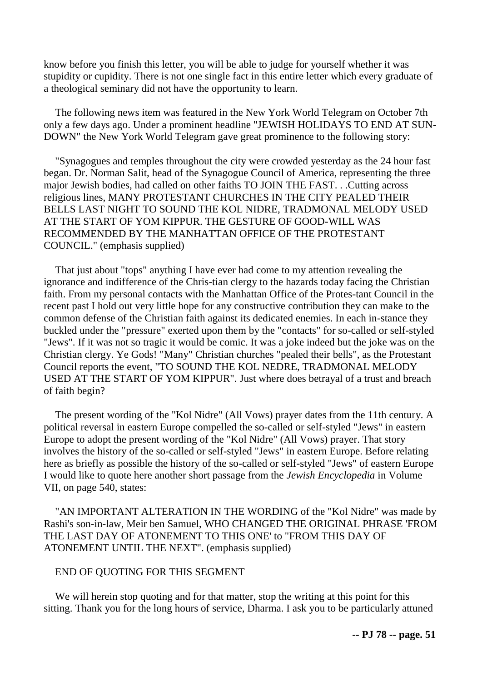know before you finish this letter, you will be able to judge for yourself whether it was stupidity or cupidity. There is not one single fact in this entire letter which every graduate of a theological seminary did not have the opportunity to learn.

The following news item was featured in the New York World Telegram on October 7th only a few days ago. Under a prominent headline "JEWISH HOLIDAYS TO END AT SUN-DOWN" the New York World Telegram gave great prominence to the following story:

"Synagogues and temples throughout the city were crowded yesterday as the 24 hour fast began. Dr. Norman Salit, head of the Synagogue Council of America, representing the three major Jewish bodies, had called on other faiths TO JOIN THE FAST. . .Cutting across religious lines, MANY PROTESTANT CHURCHES IN THE CITY PEALED THEIR BELLS LAST NIGHT TO SOUND THE KOL NIDRE, TRADMONAL MELODY USED AT THE START OF YOM KIPPUR. THE GESTURE OF GOOD-WILL WAS RECOMMENDED BY THE MANHATTAN OFFICE OF THE PROTESTANT COUNCIL." (emphasis supplied)

That just about "tops" anything I have ever had come to my attention revealing the ignorance and indifference of the Chris-tian clergy to the hazards today facing the Christian faith. From my personal contacts with the Manhattan Office of the Protes-tant Council in the recent past I hold out very little hope for any constructive contribution they can make to the common defense of the Christian faith against its dedicated enemies. In each in-stance they buckled under the "pressure" exerted upon them by the "contacts" for so-called or self-styled "Jews". If it was not so tragic it would be comic. It was a joke indeed but the joke was on the Christian clergy. Ye Gods! "Many" Christian churches "pealed their bells", as the Protestant Council reports the event, "TO SOUND THE KOL NEDRE, TRADMONAL MELODY USED AT THE START OF YOM KIPPUR". Just where does betrayal of a trust and breach of faith begin?

The present wording of the "Kol Nidre" (All Vows) prayer dates from the 11th century. A political reversal in eastern Europe compelled the so-called or self-styled "Jews" in eastern Europe to adopt the present wording of the "Kol Nidre" (All Vows) prayer. That story involves the history of the so-called or self-styled "Jews" in eastern Europe. Before relating here as briefly as possible the history of the so-called or self-styled "Jews" of eastern Europe I would like to quote here another short passage from the *Jewish Encyclopedia* in Volume VII, on page 540, states:

"AN IMPORTANT ALTERATION IN THE WORDING of the "Kol Nidre" was made by Rashi's son-in-law, Meir ben Samuel, WHO CHANGED THE ORIGINAL PHRASE 'FROM THE LAST DAY OF ATONEMENT TO THIS ONE' to "FROM THIS DAY OF ATONEMENT UNTIL THE NEXT". (emphasis supplied)

#### END OF QUOTING FOR THIS SEGMENT

We will herein stop quoting and for that matter, stop the writing at this point for this sitting. Thank you for the long hours of service, Dharma. I ask you to be particularly attuned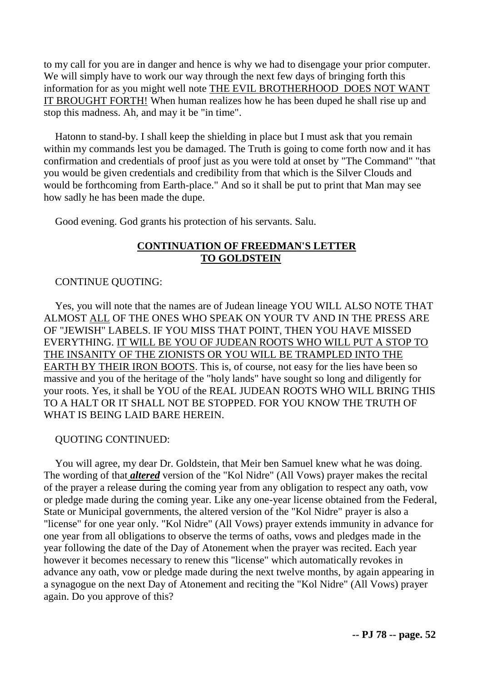to my call for you are in danger and hence is why we had to disengage your prior computer. We will simply have to work our way through the next few days of bringing forth this information for as you might well note THE EVIL BROTHERHOOD DOES NOT WANT IT BROUGHT FORTH! When human realizes how he has been duped he shall rise up and stop this madness. Ah, and may it be "in time".

Hatonn to stand-by. I shall keep the shielding in place but I must ask that you remain within my commands lest you be damaged. The Truth is going to come forth now and it has confirmation and credentials of proof just as you were told at onset by "The Command" "that you would be given credentials and credibility from that which is the Silver Clouds and would be forthcoming from Earth-place." And so it shall be put to print that Man may see how sadly he has been made the dupe.

Good evening. God grants his protection of his servants. Salu.

## **CONTINUATION OF FREEDMAN'S LETTER TO GOLDSTEIN**

#### CONTINUE QUOTING:

Yes, you will note that the names are of Judean lineage YOU WILL ALSO NOTE THAT ALMOST ALL OF THE ONES WHO SPEAK ON YOUR TV AND IN THE PRESS ARE OF "JEWISH" LABELS. IF YOU MISS THAT POINT, THEN YOU HAVE MISSED EVERYTHING. IT WILL BE YOU OF JUDEAN ROOTS WHO WILL PUT A STOP TO THE INSANITY OF THE ZIONISTS OR YOU WILL BE TRAMPLED INTO THE EARTH BY THEIR IRON BOOTS. This is, of course, not easy for the lies have been so massive and you of the heritage of the "holy lands" have sought so long and diligently for your roots. Yes, it shall be YOU of the REAL JUDEAN ROOTS WHO WILL BRING THIS TO A HALT OR IT SHALL NOT BE STOPPED. FOR YOU KNOW THE TRUTH OF WHAT IS BEING LAID BARE HEREIN.

#### QUOTING CONTINUED:

You will agree, my dear Dr. Goldstein, that Meir ben Samuel knew what he was doing. The wording of that *altered* version of the "Kol Nidre" (All Vows) prayer makes the recital of the prayer a release during the coming year from any obligation to respect any oath, vow or pledge made during the coming year. Like any one-year license obtained from the Federal, State or Municipal governments, the altered version of the "Kol Nidre" prayer is also a "license" for one year only. "Kol Nidre" (All Vows) prayer extends immunity in advance for one year from all obligations to observe the terms of oaths, vows and pledges made in the year following the date of the Day of Atonement when the prayer was recited. Each year however it becomes necessary to renew this "license" which automatically revokes in advance any oath, vow or pledge made during the next twelve months, by again appearing in a synagogue on the next Day of Atonement and reciting the "Kol Nidre" (All Vows) prayer again. Do you approve of this?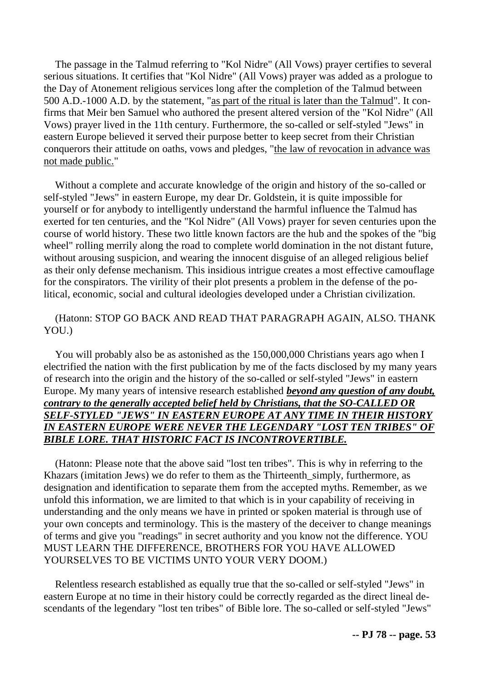The passage in the Talmud referring to "Kol Nidre" (All Vows) prayer certifies to several serious situations. It certifies that "Kol Nidre" (All Vows) prayer was added as a prologue to the Day of Atonement religious services long after the completion of the Talmud between 500 A.D.-1000 A.D. by the statement, "as part of the ritual is later than the Talmud". It confirms that Meir ben Samuel who authored the present altered version of the "Kol Nidre" (All Vows) prayer lived in the 11th century. Furthermore, the so-called or self-styled "Jews" in eastern Europe believed it served their purpose better to keep secret from their Christian conquerors their attitude on oaths, vows and pledges, "the law of revocation in advance was not made public."

Without a complete and accurate knowledge of the origin and history of the so-called or self-styled "Jews" in eastern Europe, my dear Dr. Goldstein, it is quite impossible for yourself or for anybody to intelligently understand the harmful influence the Talmud has exerted for ten centuries, and the "Kol Nidre" (All Vows) prayer for seven centuries upon the course of world history. These two little known factors are the hub and the spokes of the "big wheel" rolling merrily along the road to complete world domination in the not distant future, without arousing suspicion, and wearing the innocent disguise of an alleged religious belief as their only defense mechanism. This insidious intrigue creates a most effective camouflage for the conspirators. The virility of their plot presents a problem in the defense of the political, economic, social and cultural ideologies developed under a Christian civilization.

## (Hatonn: STOP GO BACK AND READ THAT PARAGRAPH AGAIN, ALSO. THANK YOU.)

You will probably also be as astonished as the 150,000,000 Christians years ago when I electrified the nation with the first publication by me of the facts disclosed by my many years of research into the origin and the history of the so-called or self-styled "Jews" in eastern Europe. My many years of intensive research established *beyond any question of any doubt, contrary to the generally accepted belief held by Christians, that the SO-CALLED OR SELF-STYLED "JEWS" IN EASTERN EUROPE AT ANY TIME IN THEIR HISTORY IN EASTERN EUROPE WERE NEVER THE LEGENDARY "LOST TEN TRIBES" OF BIBLE LORE. THAT HISTORIC FACT IS INCONTROVERTIBLE.*

(Hatonn: Please note that the above said "lost ten tribes". This is why in referring to the Khazars (imitation Jews) we do refer to them as the Thirteenth simply, furthermore, as designation and identification to separate them from the accepted myths. Remember, as we unfold this information, we are limited to that which is in your capability of receiving in understanding and the only means we have in printed or spoken material is through use of your own concepts and terminology. This is the mastery of the deceiver to change meanings of terms and give you "readings" in secret authority and you know not the difference. YOU MUST LEARN THE DIFFERENCE, BROTHERS FOR YOU HAVE ALLOWED YOURSELVES TO BE VICTIMS UNTO YOUR VERY DOOM.)

Relentless research established as equally true that the so-called or self-styled "Jews" in eastern Europe at no time in their history could be correctly regarded as the direct lineal descendants of the legendary "lost ten tribes" of Bible lore. The so-called or self-styled "Jews"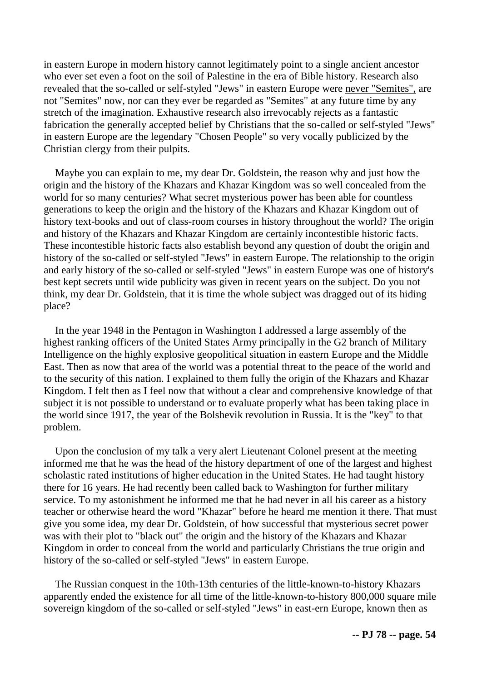in eastern Europe in modern history cannot legitimately point to a single ancient ancestor who ever set even a foot on the soil of Palestine in the era of Bible history. Research also revealed that the so-called or self-styled "Jews" in eastern Europe were never "Semites", are not "Semites" now, nor can they ever be regarded as "Semites" at any future time by any stretch of the imagination. Exhaustive research also irrevocably rejects as a fantastic fabrication the generally accepted belief by Christians that the so-called or self-styled "Jews" in eastern Europe are the legendary "Chosen People" so very vocally publicized by the Christian clergy from their pulpits.

Maybe you can explain to me, my dear Dr. Goldstein, the reason why and just how the origin and the history of the Khazars and Khazar Kingdom was so well concealed from the world for so many centuries? What secret mysterious power has been able for countless generations to keep the origin and the history of the Khazars and Khazar Kingdom out of history text-books and out of class-room courses in history throughout the world? The origin and history of the Khazars and Khazar Kingdom are certainly incontestible historic facts. These incontestible historic facts also establish beyond any question of doubt the origin and history of the so-called or self-styled "Jews" in eastern Europe. The relationship to the origin and early history of the so-called or self-styled "Jews" in eastern Europe was one of history's best kept secrets until wide publicity was given in recent years on the subject. Do you not think, my dear Dr. Goldstein, that it is time the whole subject was dragged out of its hiding place?

In the year 1948 in the Pentagon in Washington I addressed a large assembly of the highest ranking officers of the United States Army principally in the G2 branch of Military Intelligence on the highly explosive geopolitical situation in eastern Europe and the Middle East. Then as now that area of the world was a potential threat to the peace of the world and to the security of this nation. I explained to them fully the origin of the Khazars and Khazar Kingdom. I felt then as I feel now that without a clear and comprehensive knowledge of that subject it is not possible to understand or to evaluate properly what has been taking place in the world since 1917, the year of the Bolshevik revolution in Russia. It is the "key" to that problem.

Upon the conclusion of my talk a very alert Lieutenant Colonel present at the meeting informed me that he was the head of the history department of one of the largest and highest scholastic rated institutions of higher education in the United States. He had taught history there for 16 years. He had recently been called back to Washington for further military service. To my astonishment he informed me that he had never in all his career as a history teacher or otherwise heard the word "Khazar" before he heard me mention it there. That must give you some idea, my dear Dr. Goldstein, of how successful that mysterious secret power was with their plot to "black out" the origin and the history of the Khazars and Khazar Kingdom in order to conceal from the world and particularly Christians the true origin and history of the so-called or self-styled "Jews" in eastern Europe.

The Russian conquest in the 10th-13th centuries of the little-known-to-history Khazars apparently ended the existence for all time of the little-known-to-history 800,000 square mile sovereign kingdom of the so-called or self-styled "Jews" in east-ern Europe, known then as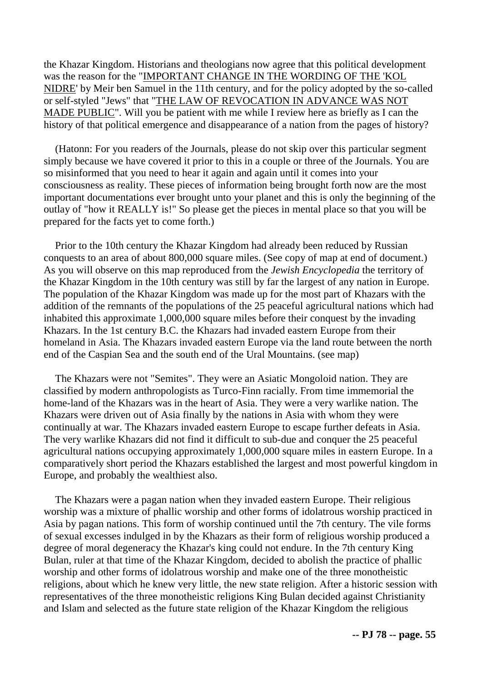the Khazar Kingdom. Historians and theologians now agree that this political development was the reason for the "IMPORTANT CHANGE IN THE WORDING OF THE 'KOL NIDRE' by Meir ben Samuel in the 11th century, and for the policy adopted by the so-called or self-styled "Jews" that "THE LAW OF REVOCATION IN ADVANCE WAS NOT MADE PUBLIC". Will you be patient with me while I review here as briefly as I can the history of that political emergence and disappearance of a nation from the pages of history?

(Hatonn: For you readers of the Journals, please do not skip over this particular segment simply because we have covered it prior to this in a couple or three of the Journals. You are so misinformed that you need to hear it again and again until it comes into your consciousness as reality. These pieces of information being brought forth now are the most important documentations ever brought unto your planet and this is only the beginning of the outlay of "how it REALLY is!" So please get the pieces in mental place so that you will be prepared for the facts yet to come forth.)

Prior to the 10th century the Khazar Kingdom had already been reduced by Russian conquests to an area of about 800,000 square miles. (See copy of map at end of document.) As you will observe on this map reproduced from the *Jewish Encyclopedia* the territory of the Khazar Kingdom in the 10th century was still by far the largest of any nation in Europe. The population of the Khazar Kingdom was made up for the most part of Khazars with the addition of the remnants of the populations of the 25 peaceful agricultural nations which had inhabited this approximate 1,000,000 square miles before their conquest by the invading Khazars. In the 1st century B.C. the Khazars had invaded eastern Europe from their homeland in Asia. The Khazars invaded eastern Europe via the land route between the north end of the Caspian Sea and the south end of the Ural Mountains. (see map)

The Khazars were not "Semites". They were an Asiatic Mongoloid nation. They are classified by modern anthropologists as Turco-Finn racially. From time immemorial the home-land of the Khazars was in the heart of Asia. They were a very warlike nation. The Khazars were driven out of Asia finally by the nations in Asia with whom they were continually at war. The Khazars invaded eastern Europe to escape further defeats in Asia. The very warlike Khazars did not find it difficult to sub-due and conquer the 25 peaceful agricultural nations occupying approximately 1,000,000 square miles in eastern Europe. In a comparatively short period the Khazars established the largest and most powerful kingdom in Europe, and probably the wealthiest also.

The Khazars were a pagan nation when they invaded eastern Europe. Their religious worship was a mixture of phallic worship and other forms of idolatrous worship practiced in Asia by pagan nations. This form of worship continued until the 7th century. The vile forms of sexual excesses indulged in by the Khazars as their form of religious worship produced a degree of moral degeneracy the Khazar's king could not endure. In the 7th century King Bulan, ruler at that time of the Khazar Kingdom, decided to abolish the practice of phallic worship and other forms of idolatrous worship and make one of the three monotheistic religions, about which he knew very little, the new state religion. After a historic session with representatives of the three monotheistic religions King Bulan decided against Christianity and Islam and selected as the future state religion of the Khazar Kingdom the religious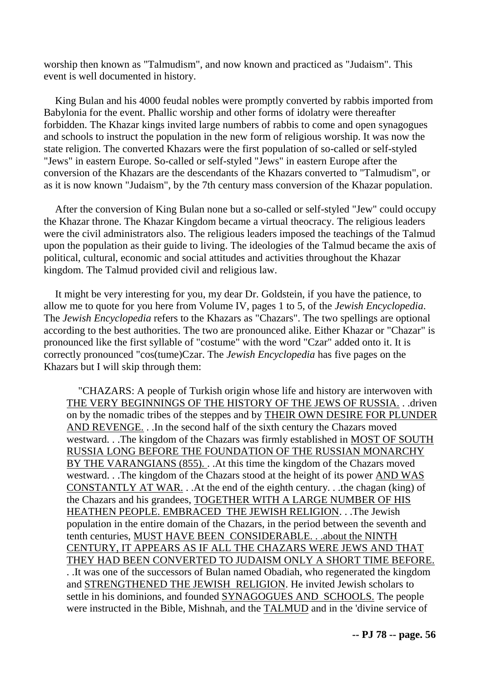worship then known as "Talmudism", and now known and practiced as "Judaism". This event is well documented in history.

King Bulan and his 4000 feudal nobles were promptly converted by rabbis imported from Babylonia for the event. Phallic worship and other forms of idolatry were thereafter forbidden. The Khazar kings invited large numbers of rabbis to come and open synagogues and schools to instruct the population in the new form of religious worship. It was now the state religion. The converted Khazars were the first population of so-called or self-styled "Jews" in eastern Europe. So-called or self-styled "Jews" in eastern Europe after the conversion of the Khazars are the descendants of the Khazars converted to "Talmudism", or as it is now known "Judaism", by the 7th century mass conversion of the Khazar population.

After the conversion of King Bulan none but a so-called or self-styled "Jew" could occupy the Khazar throne. The Khazar Kingdom became a virtual theocracy. The religious leaders were the civil administrators also. The religious leaders imposed the teachings of the Talmud upon the population as their guide to living. The ideologies of the Talmud became the axis of political, cultural, economic and social attitudes and activities throughout the Khazar kingdom. The Talmud provided civil and religious law.

It might be very interesting for you, my dear Dr. Goldstein, if you have the patience, to allow me to quote for you here from Volume IV, pages 1 to 5, of the *Jewish Encyclopedia*. The *Jewish Encyclopedia* refers to the Khazars as "Chazars". The two spellings are optional according to the best authorities. The two are pronounced alike. Either Khazar or "Chazar" is pronounced like the first syllable of "costume" with the word "Czar" added onto it. It is correctly pronounced "cos(tume)Czar. The *Jewish Encyclopedia* has five pages on the Khazars but I will skip through them:

"CHAZARS: A people of Turkish origin whose life and history are interwoven with THE VERY BEGINNINGS OF THE HISTORY OF THE JEWS OF RUSSIA. . .driven on by the nomadic tribes of the steppes and by THEIR OWN DESIRE FOR PLUNDER AND REVENGE. . .In the second half of the sixth century the Chazars moved westward. . .The kingdom of the Chazars was firmly established in MOST OF SOUTH RUSSIA LONG BEFORE THE FOUNDATION OF THE RUSSIAN MONARCHY BY THE VARANGIANS (855)... . At this time the kingdom of the Chazars moved westward. . .The kingdom of the Chazars stood at the height of its power AND WAS CONSTANTLY AT WAR. . .At the end of the eighth century. . .the chagan (king) of the Chazars and his grandees, TOGETHER WITH A LARGE NUMBER OF HIS HEATHEN PEOPLE. EMBRACED THE JEWISH RELIGION. . .The Jewish population in the entire domain of the Chazars, in the period between the seventh and tenth centuries, MUST HAVE BEEN CONSIDERABLE. . .about the NINTH CENTURY, IT APPEARS AS IF ALL THE CHAZARS WERE JEWS AND THAT THEY HAD BEEN CONVERTED TO JUDAISM ONLY A SHORT TIME BEFORE. . .It was one of the successors of Bulan named Obadiah, who regenerated the kingdom and STRENGTHENED THE JEWISH RELIGION. He invited Jewish scholars to settle in his dominions, and founded SYNAGOGUES AND SCHOOLS. The people were instructed in the Bible, Mishnah, and the TALMUD and in the 'divine service of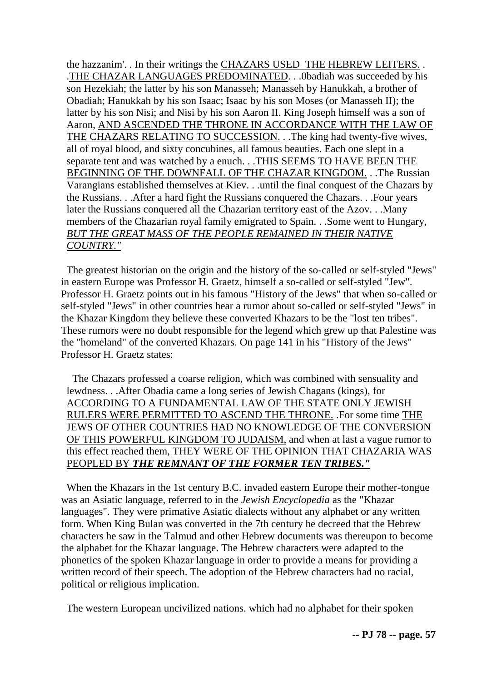the hazzanim'. . In their writings the CHAZARS USED THE HEBREW LEITERS. . .THE CHAZAR LANGUAGES PREDOMINATED. . .0badiah was succeeded by his son Hezekiah; the latter by his son Manasseh; Manasseh by Hanukkah, a brother of Obadiah; Hanukkah by his son Isaac; Isaac by his son Moses (or Manasseh II); the latter by his son Nisi; and Nisi by his son Aaron II. King Joseph himself was a son of Aaron, AND ASCENDED THE THRONE IN ACCORDANCE WITH THE LAW OF THE CHAZARS RELATING TO SUCCESSION. . .The king had twenty-five wives, all of royal blood, and sixty concubines, all famous beauties. Each one slept in a separate tent and was watched by a enuch. . .THIS SEEMS TO HAVE BEEN THE BEGINNING OF THE DOWNFALL OF THE CHAZAR KINGDOM. . .The Russian Varangians established themselves at Kiev. . .until the final conquest of the Chazars by the Russians. . .After a hard fight the Russians conquered the Chazars. . .Four years later the Russians conquered all the Chazarian territory east of the Azov. . .Many members of the Chazarian royal family emigrated to Spain. . .Some went to Hungary, *BUT THE GREAT MASS OF THE PEOPLE REMAINED IN THEIR NATIVE COUNTRY."*

The greatest historian on the origin and the history of the so-called or self-styled "Jews" in eastern Europe was Professor H. Graetz, himself a so-called or self-styled "Jew". Professor H. Graetz points out in his famous "History of the Jews" that when so-called or self-styled "Jews" in other countries hear a rumor about so-called or self-styled "Jews" in the Khazar Kingdom they believe these converted Khazars to be the "lost ten tribes". These rumors were no doubt responsible for the legend which grew up that Palestine was the "homeland" of the converted Khazars. On page 141 in his "History of the Jews" Professor H. Graetz states:

The Chazars professed a coarse religion, which was combined with sensuality and lewdness. . .After Obadia came a long series of Jewish Chagans (kings), for ACCORDING TO A FUNDAMENTAL LAW OF THE STATE ONLY JEWISH RULERS WERE PERMITTED TO ASCEND THE THRONE. .For some time THE JEWS OF OTHER COUNTRIES HAD NO KNOWLEDGE OF THE CONVERSION OF THIS POWERFUL KINGDOM TO JUDAISM, and when at last a vague rumor to this effect reached them, THEY WERE OF THE OPINION THAT CHAZARIA WAS PEOPLED BY *THE REMNANT OF THE FORMER TEN TRIBES."*

When the Khazars in the 1st century B.C. invaded eastern Europe their mother-tongue was an Asiatic language, referred to in the *Jewish Encyclopedia* as the "Khazar languages". They were primative Asiatic dialects without any alphabet or any written form. When King Bulan was converted in the 7th century he decreed that the Hebrew characters he saw in the Talmud and other Hebrew documents was thereupon to become the alphabet for the Khazar language. The Hebrew characters were adapted to the phonetics of the spoken Khazar language in order to provide a means for providing a written record of their speech. The adoption of the Hebrew characters had no racial, political or religious implication.

The western European uncivilized nations. which had no alphabet for their spoken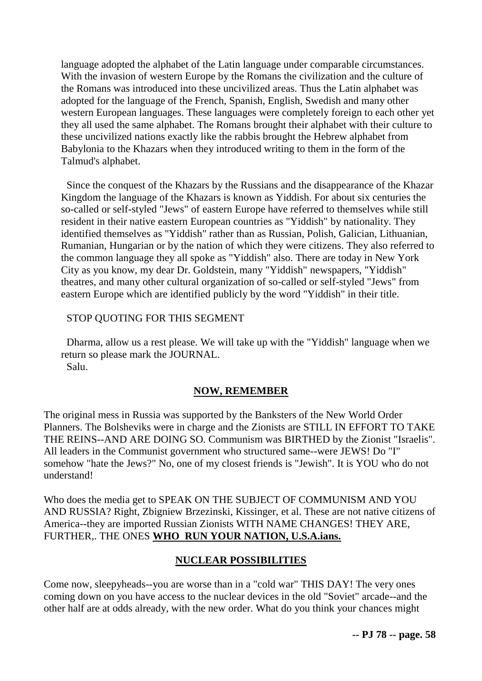language adopted the alphabet of the Latin language under comparable circumstances. With the invasion of western Europe by the Romans the civilization and the culture of the Romans was introduced into these uncivilized areas. Thus the Latin alphabet was adopted for the language of the French, Spanish, English, Swedish and many other western European languages. These languages were completely foreign to each other yet they all used the same alphabet. The Romans brought their alphabet with their culture to these uncivilized nations exactly like the rabbis brought the Hebrew alphabet from Babylonia to the Khazars when they introduced writing to them in the form of the Talmud's alphabet.

Since the conquest of the Khazars by the Russians and the disappearance of the Khazar Kingdom the language of the Khazars is known as Yiddish. For about six centuries the so-called or self-styled "Jews" of eastern Europe have referred to themselves while still resident in their native eastern European countries as "Yiddish" by nationality. They identified themselves as "Yiddish" rather than as Russian, Polish, Galician, Lithuanian, Rumanian, Hungarian or by the nation of which they were citizens. They also referred to the common language they all spoke as "Yiddish" also. There are today in New York City as you know, my dear Dr. Goldstein, many "Yiddish" newspapers, "Yiddish" theatres, and many other cultural organization of so-called or self-styled "Jews" from eastern Europe which are identified publicly by the word "Yiddish" in their title.

## STOP QUOTING FOR THIS SEGMENT

Dharma, allow us a rest please. We will take up with the "Yiddish" language when we return so please mark the JOURNAL. Salu.

### **NOW, REMEMBER**

The original mess in Russia was supported by the Banksters of the New World Order Planners. The Bolsheviks were in charge and the Zionists are STILL IN EFFORT TO TAKE THE REINS--AND ARE DOING SO. Communism was BIRTHED by the Zionist "Israelis". All leaders in the Communist government who structured same--were JEWS! Do "I" somehow "hate the Jews?" No, one of my closest friends is "Jewish". It is YOU who do not understand!

Who does the media get to SPEAK ON THE SUBJECT OF COMMUNISM AND YOU AND RUSSIA? Right, Zbigniew Brzezinski, Kissinger, et al. These are not native citizens of America--they are imported Russian Zionists WITH NAME CHANGES! THEY ARE, FURTHER,. THE ONES **WHO RUN YOUR NATION, U.S.A.ians.**

### **NUCLEAR POSSIBILITIES**

Come now, sleepyheads--you are worse than in a "cold war" THIS DAY! The very ones coming down on you have access to the nuclear devices in the old "Soviet" arcade--and the other half are at odds already, with the new order. What do you think your chances might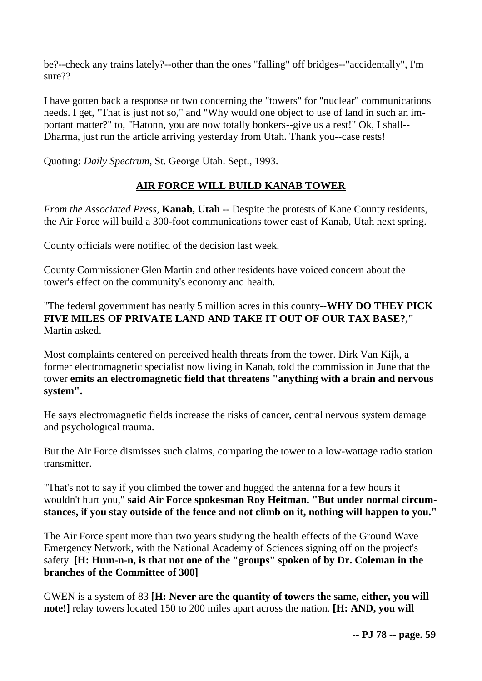be?--check any trains lately?--other than the ones "falling" off bridges--"accidentally", I'm sure??

I have gotten back a response or two concerning the "towers" for "nuclear" communications needs. I get, "That is just not so," and "Why would one object to use of land in such an important matter?" to, "Hatonn, you are now totally bonkers--give us a rest!" Ok, I shall-- Dharma, just run the article arriving yesterday from Utah. Thank you--case rests!

Quoting: *Daily Spectrum*, St. George Utah. Sept., 1993.

# **AIR FORCE WILL BUILD KANAB TOWER**

*From the Associated Press*, **Kanab, Utah** -- Despite the protests of Kane County residents, the Air Force will build a 300-foot communications tower east of Kanab, Utah next spring.

County officials were notified of the decision last week.

County Commissioner Glen Martin and other residents have voiced concern about the tower's effect on the community's economy and health.

"The federal government has nearly 5 million acres in this county--**WHY DO THEY PICK FIVE MILES OF PRIVATE LAND AND TAKE IT OUT OF OUR TAX BASE?,"** Martin asked.

Most complaints centered on perceived health threats from the tower. Dirk Van Kijk, a former electromagnetic specialist now living in Kanab, told the commission in June that the tower **emits an electromagnetic field that threatens "anything with a brain and nervous system".** 

He says electromagnetic fields increase the risks of cancer, central nervous system damage and psychological trauma.

But the Air Force dismisses such claims, comparing the tower to a low-wattage radio station transmitter.

"That's not to say if you climbed the tower and hugged the antenna for a few hours it wouldn't hurt you," **said Air Force spokesman Roy Heitman. "But under normal circumstances, if you stay outside of the fence and not climb on it, nothing will happen to you."**

The Air Force spent more than two years studying the health effects of the Ground Wave Emergency Network, with the National Academy of Sciences signing off on the project's safety. **[H: Hum-n-n, is that not one of the "groups" spoken of by Dr. Coleman in the branches of the Committee of 300]** 

GWEN is a system of 83 **[H: Never are the quantity of towers the same, either, you will note!]** relay towers located 150 to 200 miles apart across the nation. **[H: AND, you will**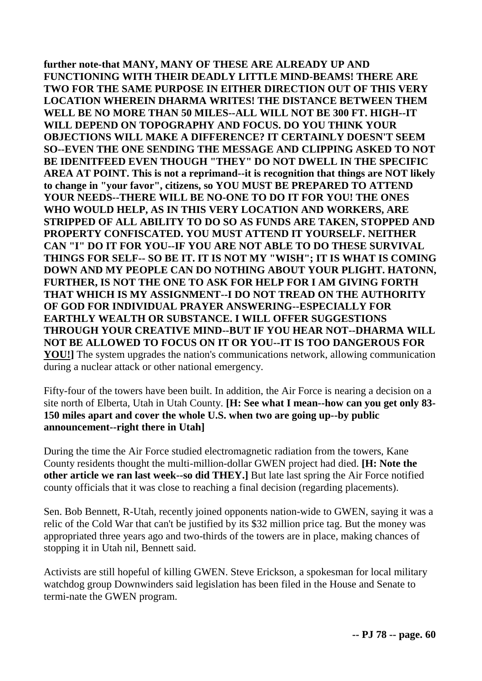**further note-that MANY, MANY OF THESE ARE ALREADY UP AND FUNCTIONING WITH THEIR DEADLY LITTLE MIND-BEAMS! THERE ARE TWO FOR THE SAME PURPOSE IN EITHER DIRECTION OUT OF THIS VERY LOCATION WHEREIN DHARMA WRITES! THE DISTANCE BETWEEN THEM WELL BE NO MORE THAN 50 MILES--ALL WILL NOT BE 300 FT. HIGH--IT WILL DEPEND ON TOPOGRAPHY AND FOCUS. DO YOU THINK YOUR OBJECTIONS WILL MAKE A DIFFERENCE? IT CERTAINLY DOESN'T SEEM SO--EVEN THE ONE SENDING THE MESSAGE AND CLIPPING ASKED TO NOT BE IDENITFEED EVEN THOUGH "THEY" DO NOT DWELL IN THE SPECIFIC AREA AT POINT. This is not a reprimand--it is recognition that things are NOT likely to change in "your favor", citizens, so YOU MUST BE PREPARED TO ATTEND YOUR NEEDS--THERE WILL BE NO-ONE TO DO IT FOR YOU! THE ONES WHO WOULD HELP, AS IN THIS VERY LOCATION AND WORKERS, ARE STRIPPED OF ALL ABILITY TO DO SO AS FUNDS ARE TAKEN, STOPPED AND PROPERTY CONFISCATED. YOU MUST ATTEND IT YOURSELF. NEITHER CAN "I" DO IT FOR YOU--IF YOU ARE NOT ABLE TO DO THESE SURVIVAL THINGS FOR SELF-- SO BE IT. IT IS NOT MY "WISH"; IT IS WHAT IS COMING DOWN AND MY PEOPLE CAN DO NOTHING ABOUT YOUR PLIGHT. HATONN, FURTHER, IS NOT THE ONE TO ASK FOR HELP FOR I AM GIVING FORTH THAT WHICH IS MY ASSIGNMENT--I DO NOT TREAD ON THE AUTHORITY OF GOD FOR INDIVIDUAL PRAYER ANSWERING--ESPECIALLY FOR EARTHLY WEALTH OR SUBSTANCE. I WILL OFFER SUGGESTIONS THROUGH YOUR CREATIVE MIND--BUT IF YOU HEAR NOT--DHARMA WILL NOT BE ALLOWED TO FOCUS ON IT OR YOU--IT IS TOO DANGEROUS FOR YOU!** The system upgrades the nation's communications network, allowing communication during a nuclear attack or other national emergency.

Fifty-four of the towers have been built. In addition, the Air Force is nearing a decision on a site north of Elberta, Utah in Utah County. **[H: See what I mean--how can you get only 83- 150 miles apart and cover the whole U.S. when two are going up--by public announcement--right there in Utah]** 

During the time the Air Force studied electromagnetic radiation from the towers, Kane County residents thought the multi-million-dollar GWEN project had died. **[H: Note the other article we ran last week--so did THEY.]** But late last spring the Air Force notified county officials that it was close to reaching a final decision (regarding placements).

Sen. Bob Bennett, R-Utah, recently joined opponents nation-wide to GWEN, saying it was a relic of the Cold War that can't be justified by its \$32 million price tag. But the money was appropriated three years ago and two-thirds of the towers are in place, making chances of stopping it in Utah nil, Bennett said.

Activists are still hopeful of killing GWEN. Steve Erickson, a spokesman for local military watchdog group Downwinders said legislation has been filed in the House and Senate to termi-nate the GWEN program.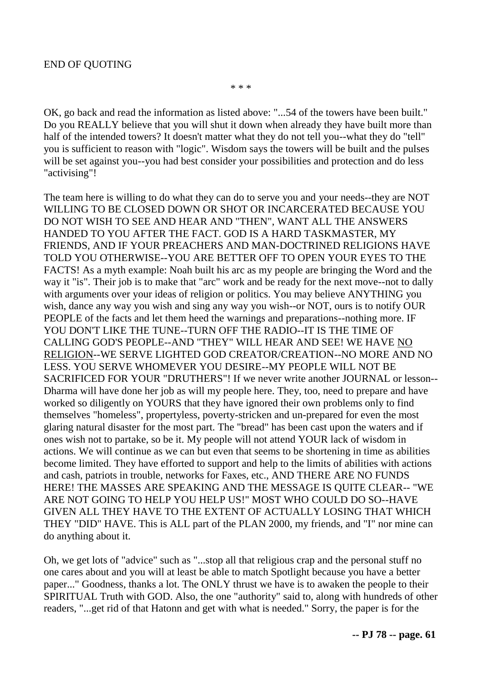\* \* \*

OK, go back and read the information as listed above: "...54 of the towers have been built." Do you REALLY believe that you will shut it down when already they have built more than half of the intended towers? It doesn't matter what they do not tell you--what they do "tell" you is sufficient to reason with "logic". Wisdom says the towers will be built and the pulses will be set against you--you had best consider your possibilities and protection and do less "activising"!

The team here is willing to do what they can do to serve you and your needs--they are NOT WILLING TO BE CLOSED DOWN OR SHOT OR INCARCERATED BECAUSE YOU DO NOT WISH TO SEE AND HEAR AND "THEN", WANT ALL THE ANSWERS HANDED TO YOU AFTER THE FACT. GOD IS A HARD TASKMASTER, MY FRIENDS, AND IF YOUR PREACHERS AND MAN-DOCTRINED RELIGIONS HAVE TOLD YOU OTHERWISE--YOU ARE BETTER OFF TO OPEN YOUR EYES TO THE FACTS! As a myth example: Noah built his arc as my people are bringing the Word and the way it "is". Their job is to make that "arc" work and be ready for the next move--not to dally with arguments over your ideas of religion or politics. You may believe ANYTHING you wish, dance any way you wish and sing any way you wish--or NOT, ours is to notify OUR PEOPLE of the facts and let them heed the warnings and preparations--nothing more. IF YOU DON'T LIKE THE TUNE--TURN OFF THE RADIO--IT IS THE TIME OF CALLING GOD'S PEOPLE--AND "THEY" WILL HEAR AND SEE! WE HAVE NO RELIGION--WE SERVE LIGHTED GOD CREATOR/CREATION--NO MORE AND NO LESS. YOU SERVE WHOMEVER YOU DESIRE--MY PEOPLE WILL NOT BE SACRIFICED FOR YOUR "DRUTHERS"! If we never write another JOURNAL or lesson-- Dharma will have done her job as will my people here. They, too, need to prepare and have worked so diligently on YOURS that they have ignored their own problems only to find themselves "homeless", propertyless, poverty-stricken and un-prepared for even the most glaring natural disaster for the most part. The "bread" has been cast upon the waters and if ones wish not to partake, so be it. My people will not attend YOUR lack of wisdom in actions. We will continue as we can but even that seems to be shortening in time as abilities become limited. They have efforted to support and help to the limits of abilities with actions and cash, patriots in trouble, networks for Faxes, etc., AND THERE ARE NO FUNDS HERE! THE MASSES ARE SPEAKING AND THE MESSAGE IS QUITE CLEAR-- "WE ARE NOT GOING TO HELP YOU HELP US!" MOST WHO COULD DO SO--HAVE GIVEN ALL THEY HAVE TO THE EXTENT OF ACTUALLY LOSING THAT WHICH THEY "DID" HAVE. This is ALL part of the PLAN 2000, my friends, and "I" nor mine can do anything about it.

Oh, we get lots of "advice" such as "...stop all that religious crap and the personal stuff no one cares about and you will at least be able to match Spotlight because you have a better paper..." Goodness, thanks a lot. The ONLY thrust we have is to awaken the people to their SPIRITUAL Truth with GOD. Also, the one "authority" said to, along with hundreds of other readers, "...get rid of that Hatonn and get with what is needed." Sorry, the paper is for the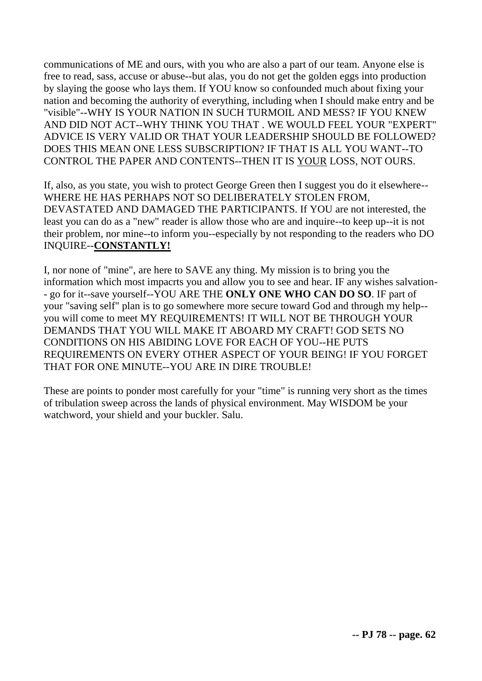communications of ME and ours, with you who are also a part of our team. Anyone else is free to read, sass, accuse or abuse--but alas, you do not get the golden eggs into production by slaying the goose who lays them. If YOU know so confounded much about fixing your nation and becoming the authority of everything, including when I should make entry and be "visible"--WHY IS YOUR NATION IN SUCH TURMOIL AND MESS? IF YOU KNEW AND DID NOT ACT--WHY THINK YOU THAT . WE WOULD FEEL YOUR "EXPERT" ADVICE IS VERY VALID OR THAT YOUR LEADERSHIP SHOULD BE FOLLOWED? DOES THIS MEAN ONE LESS SUBSCRIPTION? IF THAT IS ALL YOU WANT--TO CONTROL THE PAPER AND CONTENTS--THEN IT IS YOUR LOSS, NOT OURS.

If, also, as you state, you wish to protect George Green then I suggest you do it elsewhere-- WHERE HE HAS PERHAPS NOT SO DELIBERATELY STOLEN FROM, DEVASTATED AND DAMAGED THE PARTICIPANTS. If YOU are not interested, the least you can do as a "new" reader is allow those who are and inquire--to keep up--it is not their problem, nor mine--to inform you--especially by not responding to the readers who DO INQUIRE--**CONSTANTLY!**

I, nor none of "mine", are here to SAVE any thing. My mission is to bring you the information which most impacrts you and allow you to see and hear. IF any wishes salvation- - go for it--save yourself--YOU ARE THE **ONLY ONE WHO CAN DO SO**. IF part of your "saving self" plan is to go somewhere more secure toward God and through my help- you will come to meet MY REQUIREMENTS! IT WILL NOT BE THROUGH YOUR DEMANDS THAT YOU WILL MAKE IT ABOARD MY CRAFT! GOD SETS NO CONDITIONS ON HIS ABIDING LOVE FOR EACH OF YOU--HE PUTS REQUIREMENTS ON EVERY OTHER ASPECT OF YOUR BEING! IF YOU FORGET THAT FOR ONE MINUTE--YOU ARE IN DIRE TROUBLE!

These are points to ponder most carefully for your "time" is running very short as the times of tribulation sweep across the lands of physical environment. May WISDOM be your watchword, your shield and your buckler. Salu.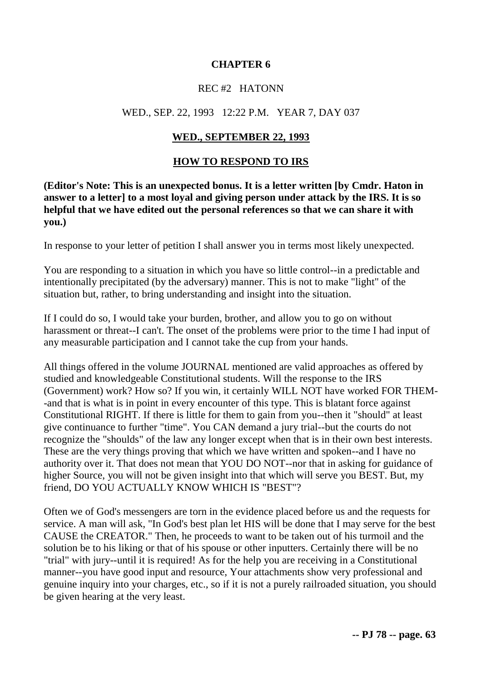## **CHAPTER 6**

#### REC #2 HATONN

## WED., SEP. 22, 1993 12:22 P.M. YEAR 7, DAY 037

#### **WED., SEPTEMBER 22, 1993**

#### **HOW TO RESPOND TO IRS**

**(Editor's Note: This is an unexpected bonus. It is a letter written [by Cmdr. Haton in answer to a letter] to a most loyal and giving person under attack by the IRS. It is so helpful that we have edited out the personal references so that we can share it with you.)** 

In response to your letter of petition I shall answer you in terms most likely unexpected.

You are responding to a situation in which you have so little control--in a predictable and intentionally precipitated (by the adversary) manner. This is not to make "light" of the situation but, rather, to bring understanding and insight into the situation.

If I could do so, I would take your burden, brother, and allow you to go on without harassment or threat--I can't. The onset of the problems were prior to the time I had input of any measurable participation and I cannot take the cup from your hands.

All things offered in the volume JOURNAL mentioned are valid approaches as offered by studied and knowledgeable Constitutional students. Will the response to the IRS (Government) work? How so? If you win, it certainly WILL NOT have worked FOR THEM- -and that is what is in point in every encounter of this type. This is blatant force against Constitutional RIGHT. If there is little for them to gain from you--then it "should" at least give continuance to further "time". You CAN demand a jury trial--but the courts do not recognize the "shoulds" of the law any longer except when that is in their own best interests. These are the very things proving that which we have written and spoken--and I have no authority over it. That does not mean that YOU DO NOT--nor that in asking for guidance of higher Source, you will not be given insight into that which will serve you BEST. But, my friend, DO YOU ACTUALLY KNOW WHICH IS "BEST"?

Often we of God's messengers are torn in the evidence placed before us and the requests for service. A man will ask, "In God's best plan let HIS will be done that I may serve for the best CAUSE the CREATOR." Then, he proceeds to want to be taken out of his turmoil and the solution be to his liking or that of his spouse or other inputters. Certainly there will be no "trial" with jury--until it is required! As for the help you are receiving in a Constitutional manner--you have good input and resource, Your attachments show very professional and genuine inquiry into your charges, etc., so if it is not a purely railroaded situation, you should be given hearing at the very least.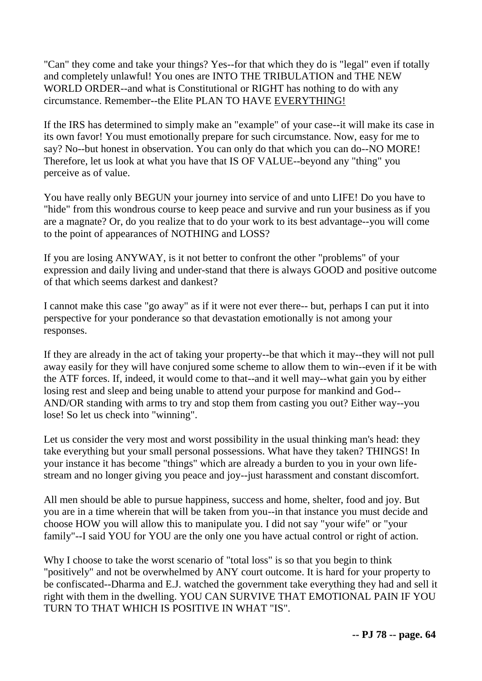"Can" they come and take your things? Yes--for that which they do is "legal" even if totally and completely unlawful! You ones are INTO THE TRIBULATION and THE NEW WORLD ORDER--and what is Constitutional or RIGHT has nothing to do with any circumstance. Remember--the Elite PLAN TO HAVE EVERYTHING!

If the IRS has determined to simply make an "example" of your case--it will make its case in its own favor! You must emotionally prepare for such circumstance. Now, easy for me to say? No--but honest in observation. You can only do that which you can do--NO MORE! Therefore, let us look at what you have that IS OF VALUE--beyond any "thing" you perceive as of value.

You have really only BEGUN your journey into service of and unto LIFE! Do you have to "hide" from this wondrous course to keep peace and survive and run your business as if you are a magnate? Or, do you realize that to do your work to its best advantage--you will come to the point of appearances of NOTHING and LOSS?

If you are losing ANYWAY, is it not better to confront the other "problems" of your expression and daily living and under-stand that there is always GOOD and positive outcome of that which seems darkest and dankest?

I cannot make this case "go away" as if it were not ever there-- but, perhaps I can put it into perspective for your ponderance so that devastation emotionally is not among your responses.

If they are already in the act of taking your property--be that which it may--they will not pull away easily for they will have conjured some scheme to allow them to win--even if it be with the ATF forces. If, indeed, it would come to that--and it well may--what gain you by either losing rest and sleep and being unable to attend your purpose for mankind and God-- AND/OR standing with arms to try and stop them from casting you out? Either way--you lose! So let us check into "winning".

Let us consider the very most and worst possibility in the usual thinking man's head: they take everything but your small personal possessions. What have they taken? THINGS! In your instance it has become "things" which are already a burden to you in your own lifestream and no longer giving you peace and joy--just harassment and constant discomfort.

All men should be able to pursue happiness, success and home, shelter, food and joy. But you are in a time wherein that will be taken from you--in that instance you must decide and choose HOW you will allow this to manipulate you. I did not say "your wife" or "your family"--I said YOU for YOU are the only one you have actual control or right of action.

Why I choose to take the worst scenario of "total loss" is so that you begin to think "positively" and not be overwhelmed by ANY court outcome. It is hard for your property to be confiscated--Dharma and E.J. watched the government take everything they had and sell it right with them in the dwelling. YOU CAN SURVIVE THAT EMOTIONAL PAIN IF YOU TURN TO THAT WHICH IS POSITIVE IN WHAT "IS".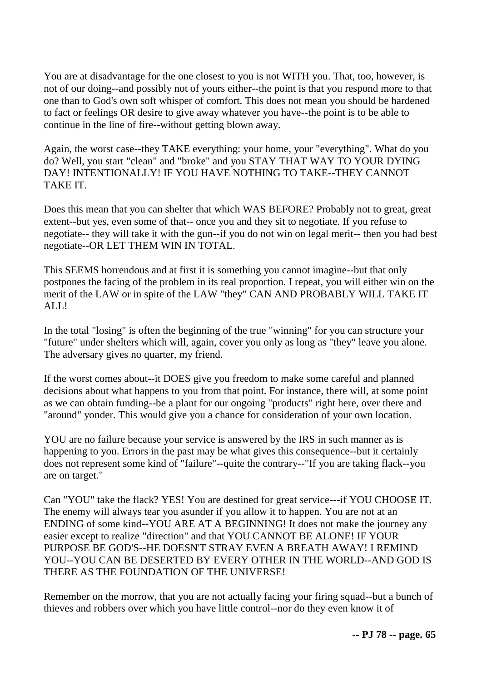You are at disadvantage for the one closest to you is not WITH you. That, too, however, is not of our doing--and possibly not of yours either--the point is that you respond more to that one than to God's own soft whisper of comfort. This does not mean you should be hardened to fact or feelings OR desire to give away whatever you have--the point is to be able to continue in the line of fire--without getting blown away.

Again, the worst case--they TAKE everything: your home, your "everything". What do you do? Well, you start "clean" and "broke" and you STAY THAT WAY TO YOUR DYING DAY! INTENTIONALLY! IF YOU HAVE NOTHING TO TAKE--THEY CANNOT TAKE IT.

Does this mean that you can shelter that which WAS BEFORE? Probably not to great, great extent--but yes, even some of that-- once you and they sit to negotiate. If you refuse to negotiate-- they will take it with the gun--if you do not win on legal merit-- then you had best negotiate--OR LET THEM WIN IN TOTAL.

This SEEMS horrendous and at first it is something you cannot imagine--but that only postpones the facing of the problem in its real proportion. I repeat, you will either win on the merit of the LAW or in spite of the LAW "they" CAN AND PROBABLY WILL TAKE IT ALL!

In the total "losing" is often the beginning of the true "winning" for you can structure your "future" under shelters which will, again, cover you only as long as "they" leave you alone. The adversary gives no quarter, my friend.

If the worst comes about--it DOES give you freedom to make some careful and planned decisions about what happens to you from that point. For instance, there will, at some point as we can obtain funding--be a plant for our ongoing "products" right here, over there and "around" yonder. This would give you a chance for consideration of your own location.

YOU are no failure because your service is answered by the IRS in such manner as is happening to you. Errors in the past may be what gives this consequence--but it certainly does not represent some kind of "failure"--quite the contrary--"If you are taking flack--you are on target."

Can "YOU" take the flack? YES! You are destined for great service---if YOU CHOOSE IT. The enemy will always tear you asunder if you allow it to happen. You are not at an ENDING of some kind--YOU ARE AT A BEGINNING! It does not make the journey any easier except to realize "direction" and that YOU CANNOT BE ALONE! IF YOUR PURPOSE BE GOD'S--HE DOESN'T STRAY EVEN A BREATH AWAY! I REMIND YOU--YOU CAN BE DESERTED BY EVERY OTHER IN THE WORLD--AND GOD IS THERE AS THE FOUNDATION OF THE UNIVERSE!

Remember on the morrow, that you are not actually facing your firing squad--but a bunch of thieves and robbers over which you have little control--nor do they even know it of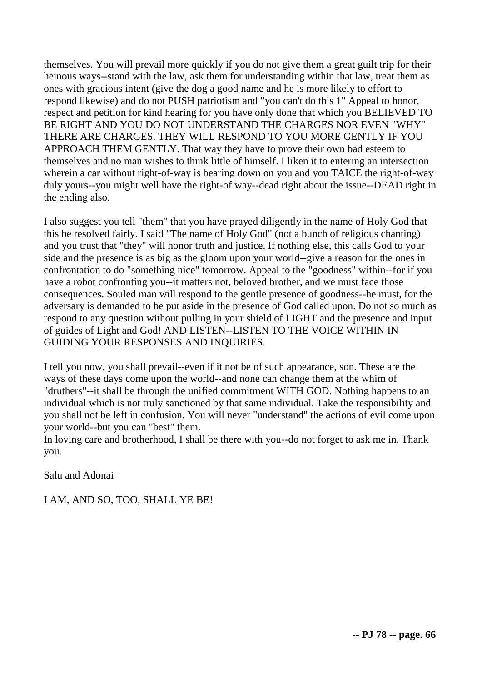themselves. You will prevail more quickly if you do not give them a great guilt trip for their heinous ways--stand with the law, ask them for understanding within that law, treat them as ones with gracious intent (give the dog a good name and he is more likely to effort to respond likewise) and do not PUSH patriotism and "you can't do this 1" Appeal to honor, respect and petition for kind hearing for you have only done that which you BELIEVED TO BE RIGHT AND YOU DO NOT UNDERSTAND THE CHARGES NOR EVEN "WHY" THERE ARE CHARGES. THEY WILL RESPOND TO YOU MORE GENTLY IF YOU APPROACH THEM GENTLY. That way they have to prove their own bad esteem to themselves and no man wishes to think little of himself. I liken it to entering an intersection wherein a car without right-of-way is bearing down on you and you TAICE the right-of-way duly yours--you might well have the right-of way--dead right about the issue--DEAD right in the ending also.

I also suggest you tell "them" that you have prayed diligently in the name of Holy God that this be resolved fairly. I said "The name of Holy God" (not a bunch of religious chanting) and you trust that "they" will honor truth and justice. If nothing else, this calls God to your side and the presence is as big as the gloom upon your world--give a reason for the ones in confrontation to do "something nice" tomorrow. Appeal to the "goodness" within--for if you have a robot confronting you--it matters not, beloved brother, and we must face those consequences. Souled man will respond to the gentle presence of goodness--he must, for the adversary is demanded to be put aside in the presence of God called upon. Do not so much as respond to any question without pulling in your shield of LIGHT and the presence and input of guides of Light and God! AND LISTEN--LISTEN TO THE VOICE WITHIN IN GUIDING YOUR RESPONSES AND INQUIRIES.

I tell you now, you shall prevail--even if it not be of such appearance, son. These are the ways of these days come upon the world--and none can change them at the whim of "druthers"--it shall be through the unified commitment WITH GOD. Nothing happens to an individual which is not truly sanctioned by that same individual. Take the responsibility and you shall not be left in confusion. You will never "understand" the actions of evil come upon your world--but you can "best" them.

In loving care and brotherhood, I shall be there with you--do not forget to ask me in. Thank you.

Salu and Adonai

I AM, AND SO, TOO, SHALL YE BE!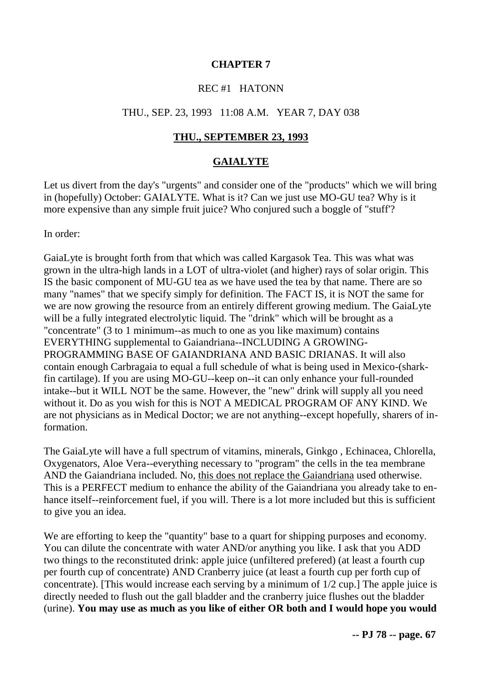## **CHAPTER 7**

### REC #1 HATONN

## THU., SEP. 23, 1993 11:08 A.M. YEAR 7, DAY 038

#### **THU., SEPTEMBER 23, 1993**

### **GAIALYTE**

Let us divert from the day's "urgents" and consider one of the "products" which we will bring in (hopefully) October: GAIALYTE. What is it? Can we just use MO-GU tea? Why is it more expensive than any simple fruit juice? Who conjured such a boggle of "stuff'?

In order:

GaiaLyte is brought forth from that which was called Kargasok Tea. This was what was grown in the ultra-high lands in a LOT of ultra-violet (and higher) rays of solar origin. This IS the basic component of MU-GU tea as we have used the tea by that name. There are so many "names" that we specify simply for definition. The FACT IS, it is NOT the same for we are now growing the resource from an entirely different growing medium. The GaiaLyte will be a fully integrated electrolytic liquid. The "drink" which will be brought as a "concentrate" (3 to 1 minimum--as much to one as you like maximum) contains EVERYTHING supplemental to Gaiandriana--INCLUDING A GROWING-PROGRAMMING BASE OF GAIANDRIANA AND BASIC DRIANAS. It will also contain enough Carbragaia to equal a full schedule of what is being used in Mexico-(sharkfin cartilage). If you are using MO-GU--keep on--it can only enhance your full-rounded intake--but it WILL NOT be the same. However, the "new" drink will supply all you need without it. Do as you wish for this is NOT A MEDICAL PROGRAM OF ANY KIND. We are not physicians as in Medical Doctor; we are not anything--except hopefully, sharers of information.

The GaiaLyte will have a full spectrum of vitamins, minerals, Ginkgo , Echinacea, Chlorella, Oxygenators, Aloe Vera--everything necessary to "program" the cells in the tea membrane AND the Gaiandriana included. No, this does not replace the Gaiandriana used otherwise. This is a PERFECT medium to enhance the ability of the Gaiandriana you already take to enhance itself--reinforcement fuel, if you will. There is a lot more included but this is sufficient to give you an idea.

We are efforting to keep the "quantity" base to a quart for shipping purposes and economy. You can dilute the concentrate with water AND/or anything you like. I ask that you ADD two things to the reconstituted drink: apple juice (unfiltered prefered) (at least a fourth cup per fourth cup of concentrate) AND Cranberry juice (at least a fourth cup per forth cup of concentrate). [This would increase each serving by a minimum of 1/2 cup.] The apple juice is directly needed to flush out the gall bladder and the cranberry juice flushes out the bladder (urine). **You may use as much as you like of either OR both and I would hope you would**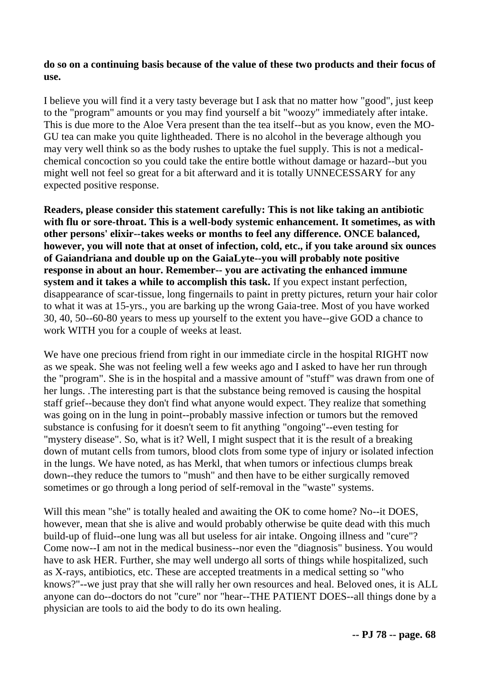## **do so on a continuing basis because of the value of these two products and their focus of use.**

I believe you will find it a very tasty beverage but I ask that no matter how "good", just keep to the "program" amounts or you may find yourself a bit "woozy" immediately after intake. This is due more to the Aloe Vera present than the tea itself--but as you know, even the MO-GU tea can make you quite lightheaded. There is no alcohol in the beverage although you may very well think so as the body rushes to uptake the fuel supply. This is not a medicalchemical concoction so you could take the entire bottle without damage or hazard--but you might well not feel so great for a bit afterward and it is totally UNNECESSARY for any expected positive response.

**Readers, please consider this statement carefully: This is not like taking an antibiotic with flu or sore-throat. This is a well-body systemic enhancement. It sometimes, as with other persons' elixir--takes weeks or months to feel any difference. ONCE balanced, however, you will note that at onset of infection, cold, etc., if you take around six ounces of Gaiandriana and double up on the GaiaLyte--you will probably note positive response in about an hour. Remember-- you are activating the enhanced immune system and it takes a while to accomplish this task.** If you expect instant perfection, disappearance of scar-tissue, long fingernails to paint in pretty pictures, return your hair color to what it was at 15-yrs., you are barking up the wrong Gaia-tree. Most of you have worked 30, 40, 50--60-80 years to mess up yourself to the extent you have--give GOD a chance to work WITH you for a couple of weeks at least.

We have one precious friend from right in our immediate circle in the hospital RIGHT now as we speak. She was not feeling well a few weeks ago and I asked to have her run through the "program". She is in the hospital and a massive amount of "stuff" was drawn from one of her lungs. .The interesting part is that the substance being removed is causing the hospital staff grief--because they don't find what anyone would expect. They realize that something was going on in the lung in point--probably massive infection or tumors but the removed substance is confusing for it doesn't seem to fit anything "ongoing"--even testing for "mystery disease". So, what is it? Well, I might suspect that it is the result of a breaking down of mutant cells from tumors, blood clots from some type of injury or isolated infection in the lungs. We have noted, as has Merkl, that when tumors or infectious clumps break down--they reduce the tumors to "mush" and then have to be either surgically removed sometimes or go through a long period of self-removal in the "waste" systems.

Will this mean "she" is totally healed and awaiting the OK to come home? No--it DOES, however, mean that she is alive and would probably otherwise be quite dead with this much build-up of fluid--one lung was all but useless for air intake. Ongoing illness and "cure"? Come now--I am not in the medical business--nor even the "diagnosis" business. You would have to ask HER. Further, she may well undergo all sorts of things while hospitalized, such as X-rays, antibiotics, etc. These are accepted treatments in a medical setting so "who knows?"--we just pray that she will rally her own resources and heal. Beloved ones, it is ALL anyone can do--doctors do not "cure" nor "hear--THE PATIENT DOES--all things done by a physician are tools to aid the body to do its own healing.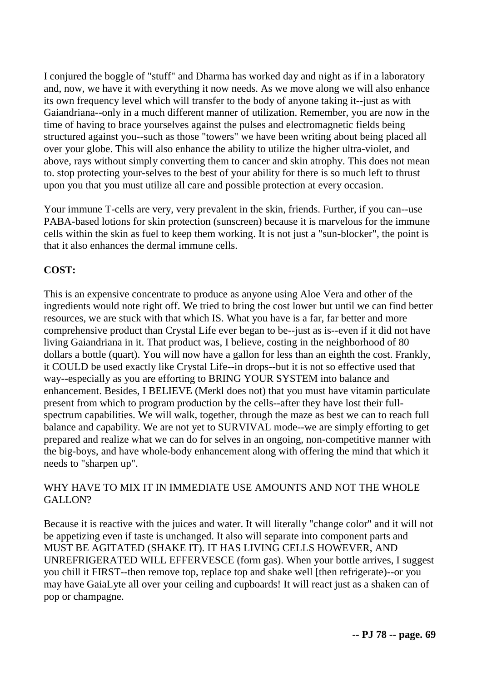I conjured the boggle of "stuff" and Dharma has worked day and night as if in a laboratory and, now, we have it with everything it now needs. As we move along we will also enhance its own frequency level which will transfer to the body of anyone taking it--just as with Gaiandriana--only in a much different manner of utilization. Remember, you are now in the time of having to brace yourselves against the pulses and electromagnetic fields being structured against you--such as those "towers" we have been writing about being placed all over your globe. This will also enhance the ability to utilize the higher ultra-violet, and above, rays without simply converting them to cancer and skin atrophy. This does not mean to. stop protecting your-selves to the best of your ability for there is so much left to thrust upon you that you must utilize all care and possible protection at every occasion.

Your immune T-cells are very, very prevalent in the skin, friends. Further, if you can--use PABA-based lotions for skin protection (sunscreen) because it is marvelous for the immune cells within the skin as fuel to keep them working. It is not just a "sun-blocker", the point is that it also enhances the dermal immune cells.

# **COST:**

This is an expensive concentrate to produce as anyone using Aloe Vera and other of the ingredients would note right off. We tried to bring the cost lower but until we can find better resources, we are stuck with that which IS. What you have is a far, far better and more comprehensive product than Crystal Life ever began to be--just as is--even if it did not have living Gaiandriana in it. That product was, I believe, costing in the neighborhood of 80 dollars a bottle (quart). You will now have a gallon for less than an eighth the cost. Frankly, it COULD be used exactly like Crystal Life--in drops--but it is not so effective used that way--especially as you are efforting to BRING YOUR SYSTEM into balance and enhancement. Besides, I BELIEVE (Merkl does not) that you must have vitamin particulate present from which to program production by the cells--after they have lost their fullspectrum capabilities. We will walk, together, through the maze as best we can to reach full balance and capability. We are not yet to SURVIVAL mode--we are simply efforting to get prepared and realize what we can do for selves in an ongoing, non-competitive manner with the big-boys, and have whole-body enhancement along with offering the mind that which it needs to "sharpen up".

## WHY HAVE TO MIX IT IN IMMEDIATE USE AMOUNTS AND NOT THE WHOLE GALLON?

Because it is reactive with the juices and water. It will literally "change color" and it will not be appetizing even if taste is unchanged. It also will separate into component parts and MUST BE AGITATED (SHAKE IT). IT HAS LIVING CELLS HOWEVER, AND UNREFRIGERATED WILL EFFERVESCE (form gas). When your bottle arrives, I suggest you chill it FIRST--then remove top, replace top and shake well [then refrigerate)--or you may have GaiaLyte all over your ceiling and cupboards! It will react just as a shaken can of pop or champagne.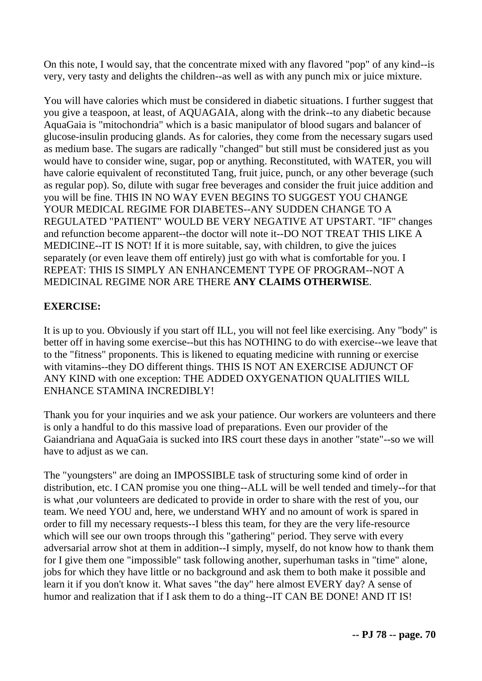On this note, I would say, that the concentrate mixed with any flavored "pop" of any kind--is very, very tasty and delights the children--as well as with any punch mix or juice mixture.

You will have calories which must be considered in diabetic situations. I further suggest that you give a teaspoon, at least, of AQUAGAIA, along with the drink--to any diabetic because AquaGaia is "mitochondria" which is a basic manipulator of blood sugars and balancer of glucose-insulin producing glands. As for calories, they come from the necessary sugars used as medium base. The sugars are radically "changed" but still must be considered just as you would have to consider wine, sugar, pop or anything. Reconstituted, with WATER, you will have calorie equivalent of reconstituted Tang, fruit juice, punch, or any other beverage (such as regular pop). So, dilute with sugar free beverages and consider the fruit juice addition and you will be fine. THIS IN NO WAY EVEN BEGINS TO SUGGEST YOU CHANGE YOUR MEDICAL REGIME FOR DIABETES--ANY SUDDEN CHANGE TO A REGULATED "PATIENT" WOULD BE VERY NEGATIVE AT UPSTART. "IF" changes and refunction become apparent--the doctor will note it--DO NOT TREAT THIS LIKE A MEDICINE--IT IS NOT! If it is more suitable, say, with children, to give the juices separately (or even leave them off entirely) just go with what is comfortable for you. I REPEAT: THIS IS SIMPLY AN ENHANCEMENT TYPE OF PROGRAM--NOT A MEDICINAL REGIME NOR ARE THERE **ANY CLAIMS OTHERWISE**.

# **EXERCISE:**

It is up to you. Obviously if you start off ILL, you will not feel like exercising. Any "body" is better off in having some exercise--but this has NOTHING to do with exercise--we leave that to the "fitness" proponents. This is likened to equating medicine with running or exercise with vitamins--they DO different things. THIS IS NOT AN EXERCISE ADJUNCT OF ANY KIND with one exception: THE ADDED OXYGENATION QUALITIES WILL ENHANCE STAMINA INCREDIBLY!

Thank you for your inquiries and we ask your patience. Our workers are volunteers and there is only a handful to do this massive load of preparations. Even our provider of the Gaiandriana and AquaGaia is sucked into IRS court these days in another "state"--so we will have to adjust as we can.

The "youngsters" are doing an IMPOSSIBLE task of structuring some kind of order in distribution, etc. I CAN promise you one thing--ALL will be well tended and timely--for that is what ,our volunteers are dedicated to provide in order to share with the rest of you, our team. We need YOU and, here, we understand WHY and no amount of work is spared in order to fill my necessary requests--I bless this team, for they are the very life-resource which will see our own troops through this "gathering" period. They serve with every adversarial arrow shot at them in addition--I simply, myself, do not know how to thank them for I give them one "impossible" task following another, superhuman tasks in "time" alone, jobs for which they have little or no background and ask them to both make it possible and learn it if you don't know it. What saves "the day" here almost EVERY day? A sense of humor and realization that if I ask them to do a thing--IT CAN BE DONE! AND IT IS!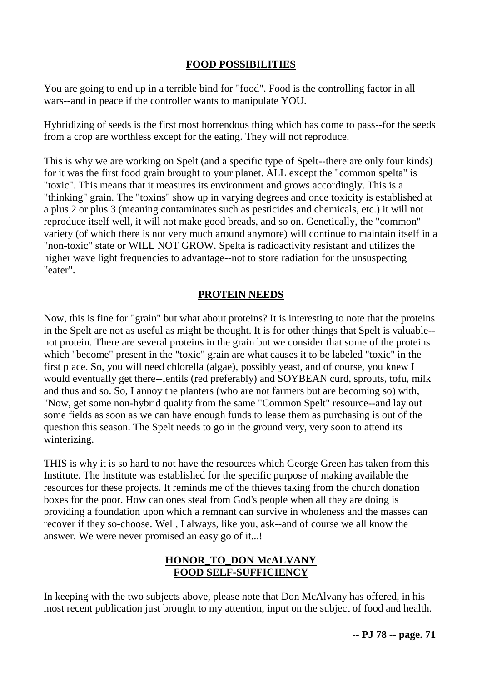## **FOOD POSSIBILITIES**

You are going to end up in a terrible bind for "food". Food is the controlling factor in all wars--and in peace if the controller wants to manipulate YOU.

Hybridizing of seeds is the first most horrendous thing which has come to pass--for the seeds from a crop are worthless except for the eating. They will not reproduce.

This is why we are working on Spelt (and a specific type of Spelt--there are only four kinds) for it was the first food grain brought to your planet. ALL except the "common spelta" is "toxic". This means that it measures its environment and grows accordingly. This is a "thinking" grain. The "toxins" show up in varying degrees and once toxicity is established at a plus 2 or plus 3 (meaning contaminates such as pesticides and chemicals, etc.) it will not reproduce itself well, it will not make good breads, and so on. Genetically, the "common" variety (of which there is not very much around anymore) will continue to maintain itself in a "non-toxic" state or WILL NOT GROW. Spelta is radioactivity resistant and utilizes the higher wave light frequencies to advantage--not to store radiation for the unsuspecting "eater".

# **PROTEIN NEEDS**

Now, this is fine for "grain" but what about proteins? It is interesting to note that the proteins in the Spelt are not as useful as might be thought. It is for other things that Spelt is valuable- not protein. There are several proteins in the grain but we consider that some of the proteins which "become" present in the "toxic" grain are what causes it to be labeled "toxic" in the first place. So, you will need chlorella (algae), possibly yeast, and of course, you knew I would eventually get there--lentils (red preferably) and SOYBEAN curd, sprouts, tofu, milk and thus and so. So, I annoy the planters (who are not farmers but are becoming so) with, "Now, get some non-hybrid quality from the same "Common Spelt" resource--and lay out some fields as soon as we can have enough funds to lease them as purchasing is out of the question this season. The Spelt needs to go in the ground very, very soon to attend its winterizing.

THIS is why it is so hard to not have the resources which George Green has taken from this Institute. The Institute was established for the specific purpose of making available the resources for these projects. It reminds me of the thieves taking from the church donation boxes for the poor. How can ones steal from God's people when all they are doing is providing a foundation upon which a remnant can survive in wholeness and the masses can recover if they so-choose. Well, I always, like you, ask--and of course we all know the answer. We were never promised an easy go of it...!

# **HONOR\_TO\_DON McALVANY FOOD SELF-SUFFICIENCY**

In keeping with the two subjects above, please note that Don McAlvany has offered, in his most recent publication just brought to my attention, input on the subject of food and health.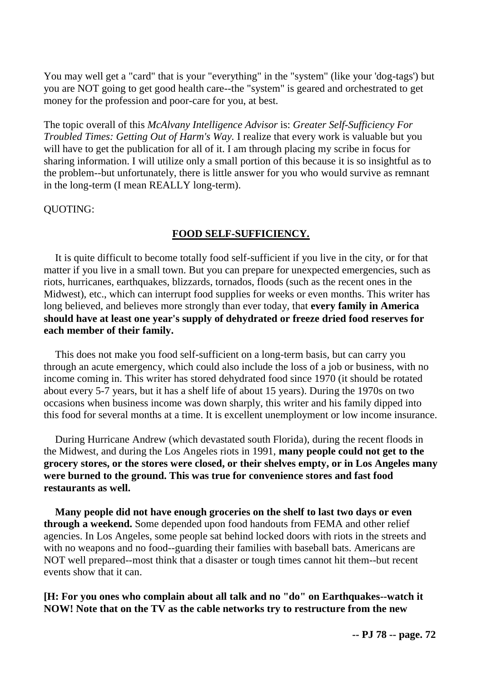You may well get a "card" that is your "everything" in the "system" (like your 'dog-tags') but you are NOT going to get good health care--the "system" is geared and orchestrated to get money for the profession and poor-care for you, at best.

The topic overall of this *McAlvany Intelligence Advisor* is: *Greater Self-Sufficiency For Troubled Times: Getting Out of Harm's Way.* I realize that every work is valuable but you will have to get the publication for all of it. I am through placing my scribe in focus for sharing information. I will utilize only a small portion of this because it is so insightful as to the problem--but unfortunately, there is little answer for you who would survive as remnant in the long-term (I mean REALLY long-term).

QUOTING:

# **FOOD SELF-SUFFICIENCY.**

It is quite difficult to become totally food self-sufficient if you live in the city, or for that matter if you live in a small town. But you can prepare for unexpected emergencies, such as riots, hurricanes, earthquakes, blizzards, tornados, floods (such as the recent ones in the Midwest), etc., which can interrupt food supplies for weeks or even months. This writer has long believed, and believes more strongly than ever today, that **every family in America should have at least one year's supply of dehydrated or freeze dried food reserves for each member of their family.**

This does not make you food self-sufficient on a long-term basis, but can carry you through an acute emergency, which could also include the loss of a job or business, with no income coming in. This writer has stored dehydrated food since 1970 (it should be rotated about every 5-7 years, but it has a shelf life of about 15 years). During the 1970s on two occasions when business income was down sharply, this writer and his family dipped into this food for several months at a time. It is excellent unemployment or low income insurance.

During Hurricane Andrew (which devastated south Florida), during the recent floods in the Midwest, and during the Los Angeles riots in 1991, **many people could not get to the grocery stores, or the stores were closed, or their shelves empty, or in Los Angeles many were burned to the ground. This was true for convenience stores and fast food restaurants as well.** 

**Many people did not have enough groceries on the shelf to last two days or even through a weekend.** Some depended upon food handouts from FEMA and other relief agencies. In Los Angeles, some people sat behind locked doors with riots in the streets and with no weapons and no food--guarding their families with baseball bats. Americans are NOT well prepared--most think that a disaster or tough times cannot hit them--but recent events show that it can.

**[H: For you ones who complain about all talk and no "do" on Earthquakes--watch it NOW! Note that on the TV as the cable networks try to restructure from the new**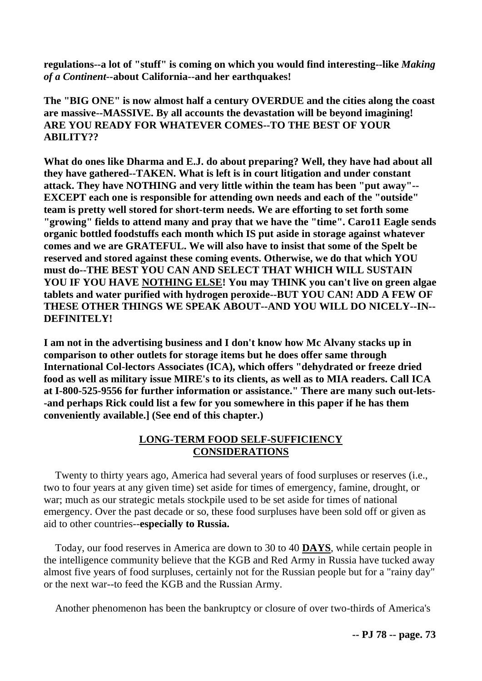**regulations--a lot of "stuff" is coming on which you would find interesting--like** *Making of a Continent***--about California--and her earthquakes!** 

**The "BIG ONE" is now almost half a century OVERDUE and the cities along the coast are massive--MASSIVE. By all accounts the devastation will be beyond imagining! ARE YOU READY FOR WHATEVER COMES--TO THE BEST OF YOUR ABILITY??** 

**What do ones like Dharma and E.J. do about preparing? Well, they have had about all they have gathered--TAKEN. What is left is in court litigation and under constant attack. They have NOTHING and very little within the team has been "put away"-- EXCEPT each one is responsible for attending own needs and each of the "outside" team is pretty well stored for short-term needs. We are efforting to set forth some "growing" fields to attend many and pray that we have the "time". Caro11 Eagle sends organic bottled foodstuffs each month which IS put aside in storage against whatever comes and we are GRATEFUL. We will also have to insist that some of the Spelt be reserved and stored against these coming events. Otherwise, we do that which YOU must do--THE BEST YOU CAN AND SELECT THAT WHICH WILL SUSTAIN YOU IF YOU HAVE NOTHING ELSE! You may THINK you can't live on green algae tablets and water purified with hydrogen peroxide--BUT YOU CAN! ADD A FEW OF THESE OTHER THINGS WE SPEAK ABOUT--AND YOU WILL DO NICELY--IN-- DEFINITELY!** 

**I am not in the advertising business and I don't know how Mc Alvany stacks up in comparison to other outlets for storage items but he does offer same through International Col-lectors Associates (ICA), which offers "dehydrated or freeze dried food as well as military issue MIRE's to its clients, as well as to MIA readers. Call ICA at I-800-525-9556 for further information or assistance." There are many such out-lets- -and perhaps Rick could list a few for you somewhere in this paper if he has them conveniently available.] (See end of this chapter.)** 

# **LONG-TERM FOOD SELF-SUFFICIENCY CONSIDERATIONS**

Twenty to thirty years ago, America had several years of food surpluses or reserves (i.e., two to four years at any given time) set aside for times of emergency, famine, drought, or war; much as our strategic metals stockpile used to be set aside for times of national emergency. Over the past decade or so, these food surpluses have been sold off or given as aid to other countries--**especially to Russia.** 

Today, our food reserves in America are down to 30 to 40 **DAYS**, while certain people in the intelligence community believe that the KGB and Red Army in Russia have tucked away almost five years of food surpluses, certainly not for the Russian people but for a "rainy day" or the next war--to feed the KGB and the Russian Army.

Another phenomenon has been the bankruptcy or closure of over two-thirds of America's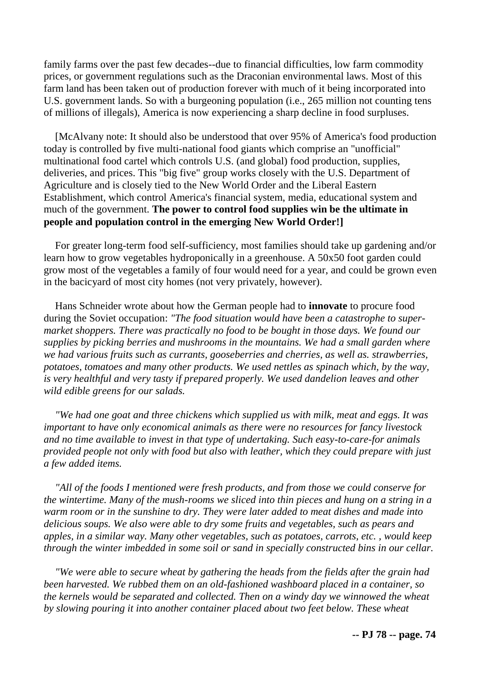family farms over the past few decades--due to financial difficulties, low farm commodity prices, or government regulations such as the Draconian environmental laws. Most of this farm land has been taken out of production forever with much of it being incorporated into U.S. government lands. So with a burgeoning population (i.e., 265 million not counting tens of millions of illegals), America is now experiencing a sharp decline in food surpluses.

[McAlvany note: It should also be understood that over 95% of America's food production today is controlled by five multi-national food giants which comprise an "unofficial" multinational food cartel which controls U.S. (and global) food production, supplies, deliveries, and prices. This "big five" group works closely with the U.S. Department of Agriculture and is closely tied to the New World Order and the Liberal Eastern Establishment, which control America's financial system, media, educational system and much of the government. **The power to control food supplies win be the ultimate in people and population control in the emerging New World Order!]** 

For greater long-term food self-sufficiency, most families should take up gardening and/or learn how to grow vegetables hydroponically in a greenhouse. A 50x50 foot garden could grow most of the vegetables a family of four would need for a year, and could be grown even in the bacicyard of most city homes (not very privately, however).

Hans Schneider wrote about how the German people had to **innovate** to procure food during the Soviet occupation: *"The food situation would have been a catastrophe to supermarket shoppers. There was practically no food to be bought in those days. We found our supplies by picking berries and mushrooms in the mountains. We had a small garden where we had various fruits such as currants, gooseberries and cherries, as well as. strawberries, potatoes, tomatoes and many other products. We used nettles as spinach which, by the way, is very healthful and very tasty if prepared properly. We used dandelion leaves and other wild edible greens for our salads.* 

*"We had one goat and three chickens which supplied us with milk, meat and eggs. It was important to have only economical animals as there were no resources for fancy livestock and no time available to invest in that type of undertaking. Such easy-to-care-for animals provided people not only with food but also with leather, which they could prepare with just a few added items.* 

*"All of the foods I mentioned were fresh products, and from those we could conserve for the wintertime. Many of the mush-rooms we sliced into thin pieces and hung on a string in a warm room or in the sunshine to dry. They were later added to meat dishes and made into delicious soups. We also were able to dry some fruits and vegetables, such as pears and apples, in a similar way. Many other vegetables, such as potatoes, carrots, etc. , would keep through the winter imbedded in some soil or sand in specially constructed bins in our cellar.*

*"We were able to secure wheat by gathering the heads from the fields after the grain had been harvested. We rubbed them on an old-fashioned washboard placed in a container, so the kernels would be separated and collected. Then on a windy day we winnowed the wheat by slowing pouring it into another container placed about two feet below. These wheat*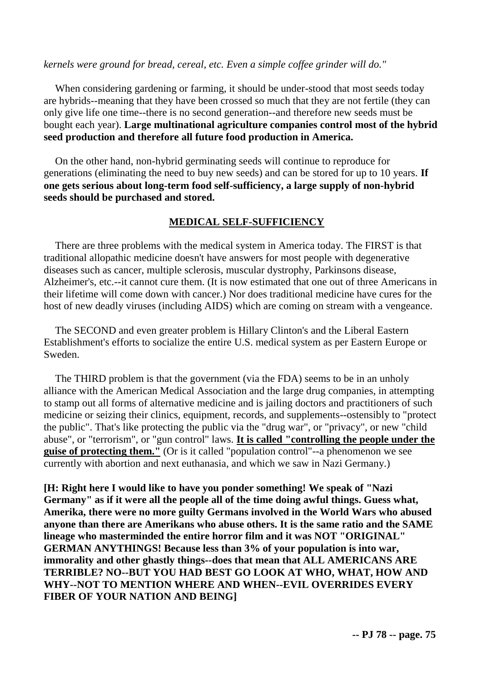#### *kernels were ground for bread, cereal, etc. Even a simple coffee grinder will do."*

When considering gardening or farming, it should be under-stood that most seeds today are hybrids--meaning that they have been crossed so much that they are not fertile (they can only give life one time--there is no second generation--and therefore new seeds must be bought each year). **Large multinational agriculture companies control most of the hybrid seed production and therefore all future food production in America.**

On the other hand, non-hybrid germinating seeds will continue to reproduce for generations (eliminating the need to buy new seeds) and can be stored for up to 10 years. **If one gets serious about long-term food self-sufficiency, a large supply of non-hybrid seeds should be purchased and stored.**

## **MEDICAL SELF-SUFFICIENCY**

There are three problems with the medical system in America today. The FIRST is that traditional allopathic medicine doesn't have answers for most people with degenerative diseases such as cancer, multiple sclerosis, muscular dystrophy, Parkinsons disease, Alzheimer's, etc.--it cannot cure them. (It is now estimated that one out of three Americans in their lifetime will come down with cancer.) Nor does traditional medicine have cures for the host of new deadly viruses (including AIDS) which are coming on stream with a vengeance.

The SECOND and even greater problem is Hillary Clinton's and the Liberal Eastern Establishment's efforts to socialize the entire U.S. medical system as per Eastern Europe or Sweden.

The THIRD problem is that the government (via the FDA) seems to be in an unholy alliance with the American Medical Association and the large drug companies, in attempting to stamp out all forms of alternative medicine and is jailing doctors and practitioners of such medicine or seizing their clinics, equipment, records, and supplements--ostensibly to "protect the public". That's like protecting the public via the "drug war", or "privacy", or new "child abuse", or "terrorism", or "gun control" laws. **It is called "controlling the people under the guise of protecting them."** (Or is it called "population control"--a phenomenon we see currently with abortion and next euthanasia, and which we saw in Nazi Germany.)

**[H: Right here I would like to have you ponder something! We speak of "Nazi Germany" as if it were all the people all of the time doing awful things. Guess what, Amerika, there were no more guilty Germans involved in the World Wars who abused anyone than there are Amerikans who abuse others. It is the same ratio and the SAME lineage who masterminded the entire horror film and it was NOT "ORIGINAL" GERMAN ANYTHINGS! Because less than 3% of your population is into war, immorality and other ghastly things--does that mean that ALL AMERICANS ARE TERRIBLE? NO--BUT YOU HAD BEST GO LOOK AT WHO, WHAT, HOW AND WHY--NOT TO MENTION WHERE AND WHEN--EVIL OVERRIDES EVERY FIBER OF YOUR NATION AND BEING]**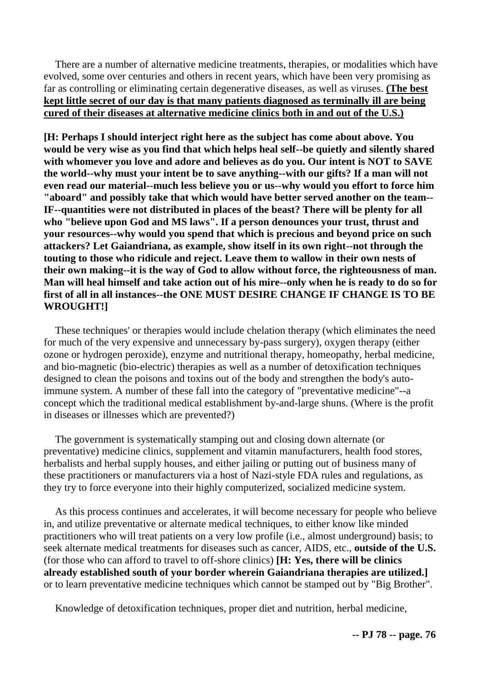There are a number of alternative medicine treatments, therapies, or modalities which have evolved, some over centuries and others in recent years, which have been very promising as far as controlling or eliminating certain degenerative diseases, as well as viruses. **(The best kept little secret of our day is that many patients diagnosed as terminally ill are being cured of their diseases at alternative medicine clinics both in and out of the U.S.)**

**[H: Perhaps I should interject right here as the subject has come about above. You would be very wise as you find that which helps heal self--be quietly and silently shared with whomever you love and adore and believes as do you. Our intent is NOT to SAVE the world--why must your intent be to save anything--with our gifts? If a man will not even read our material--much less believe you or us--why would you effort to force him "aboard" and possibly take that which would have better served another on the team-- IF--quantities were not distributed in places of the beast? There will be plenty for all who "believe upon God and MS laws". If a person denounces your trust, thrust and your resources--why would you spend that which is precious and beyond price on such attackers? Let Gaiandriana, as example, show itself in its own right--not through the touting to those who ridicule and reject. Leave them to wallow in their own nests of their own making--it is the way of God to allow without force, the righteousness of man. Man will heal himself and take action out of his mire--only when he is ready to do so for first of all in all instances--the ONE MUST DESIRE CHANGE IF CHANGE IS TO BE WROUGHT!]** 

These techniques' or therapies would include chelation therapy (which eliminates the need for much of the very expensive and unnecessary by-pass surgery), oxygen therapy (either ozone or hydrogen peroxide), enzyme and nutritional therapy, homeopathy, herbal medicine, and bio-magnetic (bio-electric) therapies as well as a number of detoxification techniques designed to clean the poisons and toxins out of the body and strengthen the body's autoimmune system. A number of these fall into the category of "preventative medicine"--a concept which the traditional medical establishment by-and-large shuns. (Where is the profit in diseases or illnesses which are prevented?)

The government is systematically stamping out and closing down alternate (or preventative) medicine clinics, supplement and vitamin manufacturers, health food stores, herbalists and herbal supply houses, and either jailing or putting out of business many of these practitioners or manufacturers via a host of Nazi-style FDA rules and regulations, as they try to force everyone into their highly computerized, socialized medicine system.

As this process continues and accelerates, it will become necessary for people who believe in, and utilize preventative or alternate medical techniques, to either know like minded practitioners who will treat patients on a very low profile (i.e., almost underground) basis; to seek alternate medical treatments for diseases such as cancer, AIDS, etc., **outside of the U.S.** (for those who can afford to travel to off-shore clinics) **[H: Yes, there will be clinics already established south of your border wherein Gaiandriana therapies are utilized.]** or to learn preventative medicine techniques which cannot be stamped out by "Big Brother".

Knowledge of detoxification techniques, proper diet and nutrition, herbal medicine,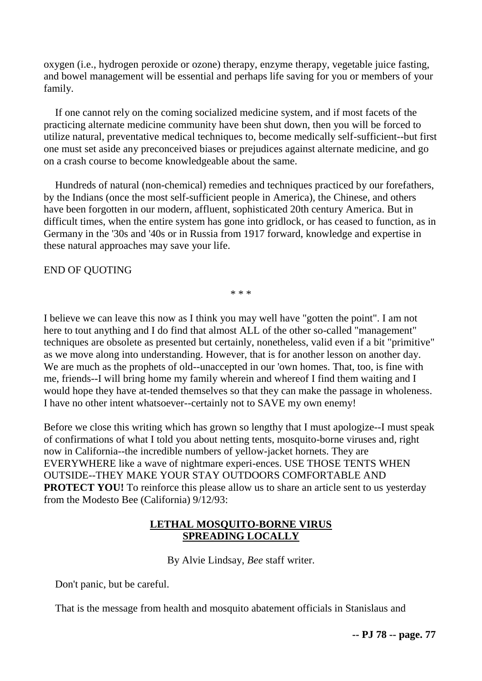oxygen (i.e., hydrogen peroxide or ozone) therapy, enzyme therapy, vegetable juice fasting, and bowel management will be essential and perhaps life saving for you or members of your family.

If one cannot rely on the coming socialized medicine system, and if most facets of the practicing alternate medicine community have been shut down, then you will be forced to utilize natural, preventative medical techniques to, become medically self-sufficient--but first one must set aside any preconceived biases or prejudices against alternate medicine, and go on a crash course to become knowledgeable about the same.

Hundreds of natural (non-chemical) remedies and techniques practiced by our forefathers, by the Indians (once the most self-sufficient people in America), the Chinese, and others have been forgotten in our modern, affluent, sophisticated 20th century America. But in difficult times, when the entire system has gone into gridlock, or has ceased to function, as in Germany in the '30s and '40s or in Russia from 1917 forward, knowledge and expertise in these natural approaches may save your life.

#### END OF QUOTING

\* \* \*

I believe we can leave this now as I think you may well have "gotten the point". I am not here to tout anything and I do find that almost ALL of the other so-called "management" techniques are obsolete as presented but certainly, nonetheless, valid even if a bit "primitive" as we move along into understanding. However, that is for another lesson on another day. We are much as the prophets of old--unaccepted in our 'own homes. That, too, is fine with me, friends--I will bring home my family wherein and whereof I find them waiting and I would hope they have at-tended themselves so that they can make the passage in wholeness. I have no other intent whatsoever--certainly not to SAVE my own enemy!

Before we close this writing which has grown so lengthy that I must apologize--I must speak of confirmations of what I told you about netting tents, mosquito-borne viruses and, right now in California--the incredible numbers of yellow-jacket hornets. They are EVERYWHERE like a wave of nightmare experi-ences. USE THOSE TENTS WHEN OUTSIDE--THEY MAKE YOUR STAY OUTDOORS COMFORTABLE AND **PROTECT YOU!** To reinforce this please allow us to share an article sent to us yesterday from the Modesto Bee (California) 9/12/93:

## **LETHAL MOSQUITO-BORNE VIRUS SPREADING LOCALLY**

By Alvie Lindsay, *Bee* staff writer.

Don't panic, but be careful.

That is the message from health and mosquito abatement officials in Stanislaus and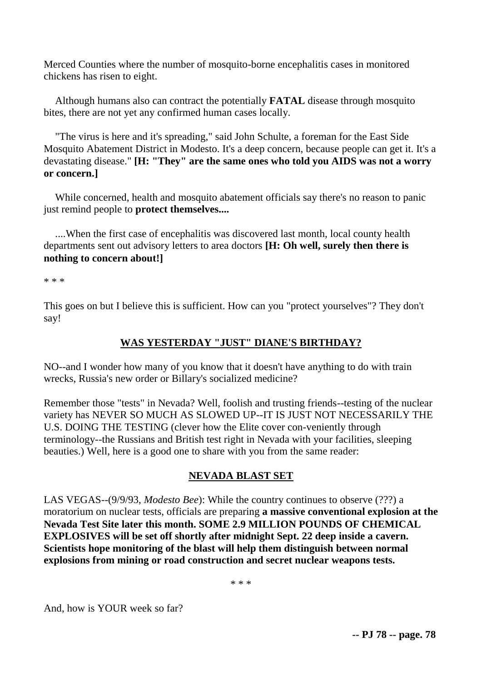Merced Counties where the number of mosquito-borne encephalitis cases in monitored chickens has risen to eight.

Although humans also can contract the potentially **FATAL** disease through mosquito bites, there are not yet any confirmed human cases locally.

"The virus is here and it's spreading," said John Schulte, a foreman for the East Side Mosquito Abatement District in Modesto. It's a deep concern, because people can get it. It's a devastating disease." **[H: "They" are the same ones who told you AIDS was not a worry or concern.]** 

While concerned, health and mosquito abatement officials say there's no reason to panic just remind people to **protect themselves....** 

....When the first case of encephalitis was discovered last month, local county health departments sent out advisory letters to area doctors **[H: Oh well, surely then there is nothing to concern about!]** 

\* \* \*

This goes on but I believe this is sufficient. How can you "protect yourselves"? They don't say!

# **WAS YESTERDAY "JUST" DIANE'S BIRTHDAY?**

NO--and I wonder how many of you know that it doesn't have anything to do with train wrecks, Russia's new order or Billary's socialized medicine?

Remember those "tests" in Nevada? Well, foolish and trusting friends--testing of the nuclear variety has NEVER SO MUCH AS SLOWED UP--IT IS JUST NOT NECESSARILY THE U.S. DOING THE TESTING (clever how the Elite cover con-veniently through terminology--the Russians and British test right in Nevada with your facilities, sleeping beauties.) Well, here is a good one to share with you from the same reader:

# **NEVADA BLAST SET**

LAS VEGAS--(9/9/93, *Modesto Bee*): While the country continues to observe (???) a moratorium on nuclear tests, officials are preparing **a massive conventional explosion at the Nevada Test Site later this month. SOME 2.9 MILLION POUNDS OF CHEMICAL EXPLOSIVES will be set off shortly after midnight Sept. 22 deep inside a cavern. Scientists hope monitoring of the blast will help them distinguish between normal explosions from mining or road construction and secret nuclear weapons tests.** 

\* \* \*

And, how is YOUR week so far?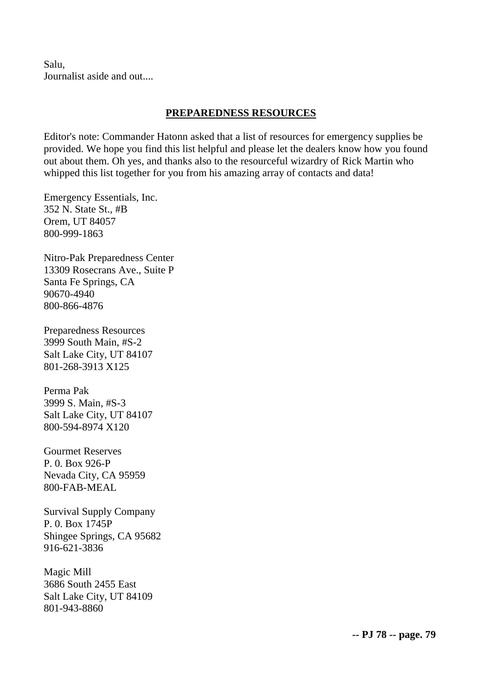Salu, Journalist aside and out....

## **PREPAREDNESS RESOURCES**

Editor's note: Commander Hatonn asked that a list of resources for emergency supplies be provided. We hope you find this list helpful and please let the dealers know how you found out about them. Oh yes, and thanks also to the resourceful wizardry of Rick Martin who whipped this list together for you from his amazing array of contacts and data!

Emergency Essentials, Inc. 352 N. State St., #B Orem, UT 84057 800-999-1863

Nitro-Pak Preparedness Center 13309 Rosecrans Ave., Suite P Santa Fe Springs, CA 90670-4940 800-866-4876

Preparedness Resources 3999 South Main, #S-2 Salt Lake City, UT 84107 801-268-3913 X125

Perma Pak 3999 S. Main, #S-3 Salt Lake City, UT 84107 800-594-8974 X120

Gourmet Reserves P. 0. Box 926-P Nevada City, CA 95959 800-FAB-MEAL

Survival Supply Company P. 0. Box 1745P Shingee Springs, CA 95682 916-621-3836

Magic Mill 3686 South 2455 East Salt Lake City, UT 84109 801-943-8860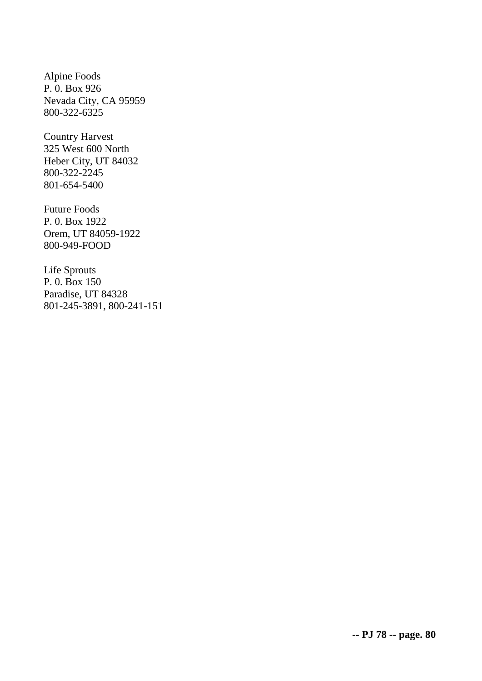Alpine Foods P. 0. Box 926 Nevada City, CA 95959 800-322-6325

Country Harvest 325 West 600 North Heber City, UT 84032 800-322-2245 801-654-5400

Future Foods P. 0. Box 1922 Orem, UT 84059-1922 800-949-FOOD

Life Sprouts P. 0. Box 150 Paradise, UT 84328 801-245-3891, 800-241-151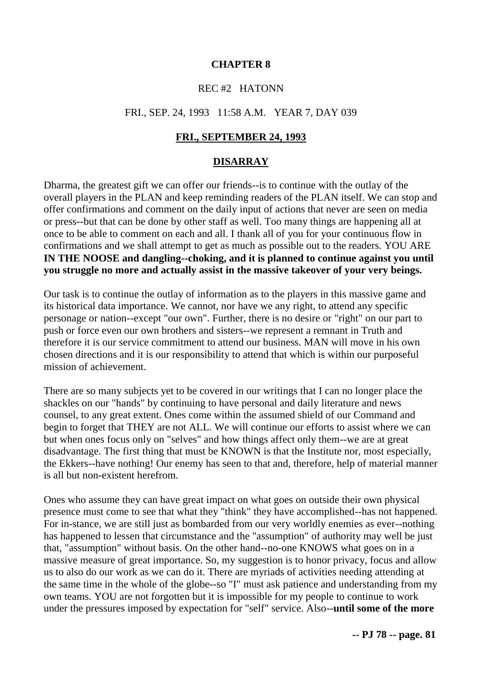## **CHAPTER 8**

#### REC #2 HATONN

## FRI., SEP. 24, 1993 11:58 A.M. YEAR 7, DAY 039

#### **FRI., SEPTEMBER 24, 1993**

#### **DISARRAY**

Dharma, the greatest gift we can offer our friends--is to continue with the outlay of the overall players in the PLAN and keep reminding readers of the PLAN itself. We can stop and offer confirmations and comment on the daily input of actions that never are seen on media or press--but that can be done by other staff as well. Too many things are happening all at once to be able to comment on each and all. I thank all of you for your continuous flow in confirmations and we shall attempt to get as much as possible out to the readers. YOU ARE **IN THE NOOSE and dangling--choking, and it is planned to continue against you until you struggle no more and actually assist in the massive takeover of your very beings.** 

Our task is to continue the outlay of information as to the players in this massive game and its historical data importance. We cannot, nor have we any right, to attend any specific personage or nation--except "our own". Further, there is no desire or "right" on our part to push or force even our own brothers and sisters--we represent a remnant in Truth and therefore it is our service commitment to attend our business. MAN will move in his own chosen directions and it is our responsibility to attend that which is within our purposeful mission of achievement.

There are so many subjects yet to be covered in our writings that I can no longer place the shackles on our "hands" by continuing to have personal and daily literature and news counsel, to any great extent. Ones come within the assumed shield of our Command and begin to forget that THEY are not ALL. We will continue our efforts to assist where we can but when ones focus only on "selves" and how things affect only them--we are at great disadvantage. The first thing that must be KNOWN is that the Institute nor, most especially, the Ekkers--have nothing! Our enemy has seen to that and, therefore, help of material manner is all but non-existent herefrom.

Ones who assume they can have great impact on what goes on outside their own physical presence must come to see that what they "think" they have accomplished--has not happened. For in-stance, we are still just as bombarded from our very worldly enemies as ever--nothing has happened to lessen that circumstance and the "assumption" of authority may well be just that, "assumption" without basis. On the other hand--no-one KNOWS what goes on in a massive measure of great importance. So, my suggestion is to honor privacy, focus and allow us to also do our work as we can do it. There are myriads of activities needing attending at the same time in the whole of the globe--so "I" must ask patience and understanding from my own teams. YOU are not forgotten but it is impossible for my people to continue to work under the pressures imposed by expectation for "self" service. Also--**until some of the more**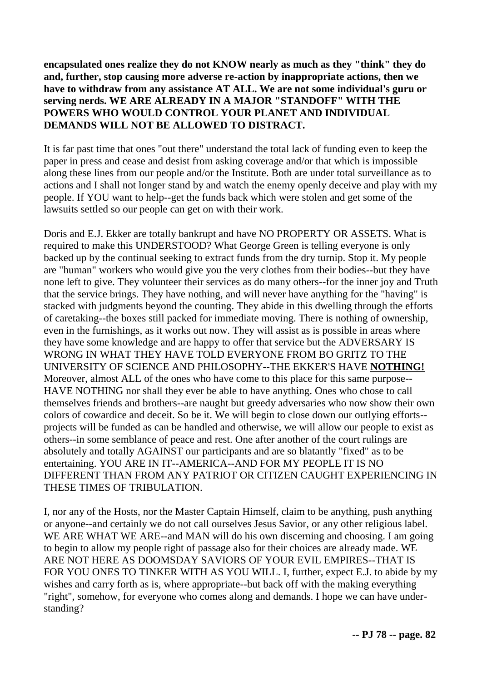**encapsulated ones realize they do not KNOW nearly as much as they "think" they do and, further, stop causing more adverse re-action by inappropriate actions, then we have to withdraw from any assistance AT ALL. We are not some individual's guru or serving nerds. WE ARE ALREADY IN A MAJOR "STANDOFF" WITH THE POWERS WHO WOULD CONTROL YOUR PLANET AND INDIVIDUAL DEMANDS WILL NOT BE ALLOWED TO DISTRACT.** 

It is far past time that ones "out there" understand the total lack of funding even to keep the paper in press and cease and desist from asking coverage and/or that which is impossible along these lines from our people and/or the Institute. Both are under total surveillance as to actions and I shall not longer stand by and watch the enemy openly deceive and play with my people. If YOU want to help--get the funds back which were stolen and get some of the lawsuits settled so our people can get on with their work.

Doris and E.J. Ekker are totally bankrupt and have NO PROPERTY OR ASSETS. What is required to make this UNDERSTOOD? What George Green is telling everyone is only backed up by the continual seeking to extract funds from the dry turnip. Stop it. My people are "human" workers who would give you the very clothes from their bodies--but they have none left to give. They volunteer their services as do many others--for the inner joy and Truth that the service brings. They have nothing, and will never have anything for the "having" is stacked with judgments beyond the counting. They abide in this dwelling through the efforts of caretaking--the boxes still packed for immediate moving. There is nothing of ownership, even in the furnishings, as it works out now. They will assist as is possible in areas where they have some knowledge and are happy to offer that service but the ADVERSARY IS WRONG IN WHAT THEY HAVE TOLD EVERYONE FROM BO GRITZ TO THE UNIVERSITY OF SCIENCE AND PHILOSOPHY--THE EKKER'S HAVE **NOTHING!** Moreover, almost ALL of the ones who have come to this place for this same purpose--HAVE NOTHING nor shall they ever be able to have anything. Ones who chose to call themselves friends and brothers--are naught but greedy adversaries who now show their own colors of cowardice and deceit. So be it. We will begin to close down our outlying efforts- projects will be funded as can be handled and otherwise, we will allow our people to exist as others--in some semblance of peace and rest. One after another of the court rulings are absolutely and totally AGAINST our participants and are so blatantly "fixed" as to be entertaining. YOU ARE IN IT--AMERICA--AND FOR MY PEOPLE IT IS NO DIFFERENT THAN FROM ANY PATRIOT OR CITIZEN CAUGHT EXPERIENCING IN THESE TIMES OF TRIBULATION.

I, nor any of the Hosts, nor the Master Captain Himself, claim to be anything, push anything or anyone--and certainly we do not call ourselves Jesus Savior, or any other religious label. WE ARE WHAT WE ARE--and MAN will do his own discerning and choosing. I am going to begin to allow my people right of passage also for their choices are already made. WE ARE NOT HERE AS DOOMSDAY SAVIORS OF YOUR EVIL EMPIRES--THAT IS FOR YOU ONES TO TINKER WITH AS YOU WILL. I, further, expect E.J. to abide by my wishes and carry forth as is, where appropriate--but back off with the making everything "right", somehow, for everyone who comes along and demands. I hope we can have understanding?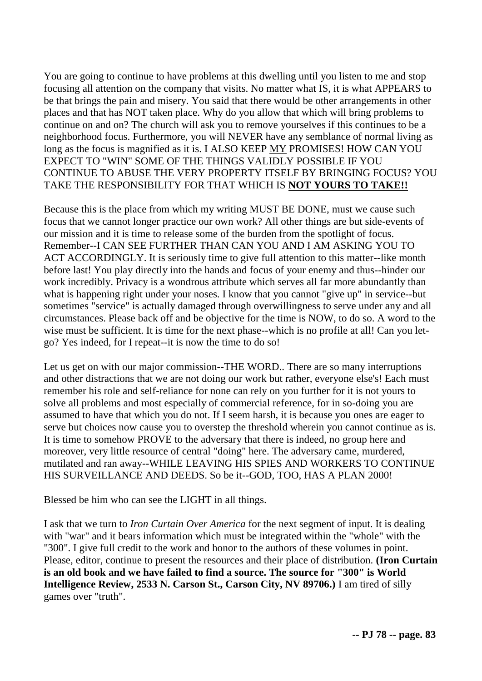You are going to continue to have problems at this dwelling until you listen to me and stop focusing all attention on the company that visits. No matter what IS, it is what APPEARS to be that brings the pain and misery. You said that there would be other arrangements in other places and that has NOT taken place. Why do you allow that which will bring problems to continue on and on? The church will ask you to remove yourselves if this continues to be a neighborhood focus. Furthermore, you will NEVER have any semblance of normal living as long as the focus is magnified as it is. I ALSO KEEP MY PROMISES! HOW CAN YOU EXPECT TO "WIN" SOME OF THE THINGS VALIDLY POSSIBLE IF YOU CONTINUE TO ABUSE THE VERY PROPERTY ITSELF BY BRINGING FOCUS? YOU TAKE THE RESPONSIBILITY FOR THAT WHICH IS **NOT YOURS TO TAKE!!** 

Because this is the place from which my writing MUST BE DONE, must we cause such focus that we cannot longer practice our own work? All other things are but side-events of our mission and it is time to release some of the burden from the spotlight of focus. Remember--I CAN SEE FURTHER THAN CAN YOU AND I AM ASKING YOU TO ACT ACCORDINGLY. It is seriously time to give full attention to this matter--like month before last! You play directly into the hands and focus of your enemy and thus--hinder our work incredibly. Privacy is a wondrous attribute which serves all far more abundantly than what is happening right under your noses. I know that you cannot "give up" in service--but sometimes "service" is actually damaged through overwillingness to serve under any and all circumstances. Please back off and be objective for the time is NOW, to do so. A word to the wise must be sufficient. It is time for the next phase--which is no profile at all! Can you letgo? Yes indeed, for I repeat--it is now the time to do so!

Let us get on with our major commission--THE WORD.. There are so many interruptions and other distractions that we are not doing our work but rather, everyone else's! Each must remember his role and self-reliance for none can rely on you further for it is not yours to solve all problems and most especially of commercial reference, for in so-doing you are assumed to have that which you do not. If I seem harsh, it is because you ones are eager to serve but choices now cause you to overstep the threshold wherein you cannot continue as is. It is time to somehow PROVE to the adversary that there is indeed, no group here and moreover, very little resource of central "doing" here. The adversary came, murdered, mutilated and ran away--WHILE LEAVING HIS SPIES AND WORKERS TO CONTINUE HIS SURVEILLANCE AND DEEDS. So be it--GOD, TOO, HAS A PLAN 2000!

Blessed be him who can see the LIGHT in all things.

I ask that we turn to *Iron Curtain Over America* for the next segment of input. It is dealing with "war" and it bears information which must be integrated within the "whole" with the "300". I give full credit to the work and honor to the authors of these volumes in point. Please, editor, continue to present the resources and their place of distribution. **(Iron Curtain is an old book and we have failed to find a source. The source for "300" is World Intelligence Review, 2533 N. Carson St., Carson City, NV 89706.)** I am tired of silly games over "truth".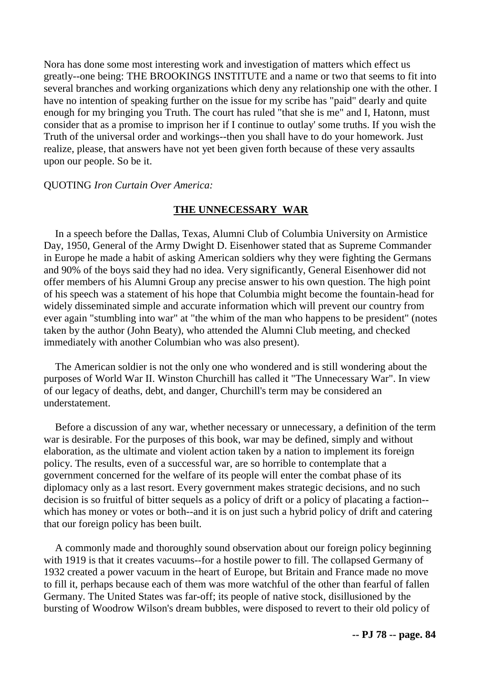Nora has done some most interesting work and investigation of matters which effect us greatly--one being: THE BROOKINGS INSTITUTE and a name or two that seems to fit into several branches and working organizations which deny any relationship one with the other. I have no intention of speaking further on the issue for my scribe has "paid" dearly and quite enough for my bringing you Truth. The court has ruled "that she is me" and I, Hatonn, must consider that as a promise to imprison her if I continue to outlay' some truths. If you wish the Truth of the universal order and workings--then you shall have to do your homework. Just realize, please, that answers have not yet been given forth because of these very assaults upon our people. So be it.

QUOTING *Iron Curtain Over America:*

#### **THE UNNECESSARY WAR**

In a speech before the Dallas, Texas, Alumni Club of Columbia University on Armistice Day, 1950, General of the Army Dwight D. Eisenhower stated that as Supreme Commander in Europe he made a habit of asking American soldiers why they were fighting the Germans and 90% of the boys said they had no idea. Very significantly, General Eisenhower did not offer members of his Alumni Group any precise answer to his own question. The high point of his speech was a statement of his hope that Columbia might become the fountain-head for widely disseminated simple and accurate information which will prevent our country from ever again "stumbling into war" at "the whim of the man who happens to be president" (notes taken by the author (John Beaty), who attended the Alumni Club meeting, and checked immediately with another Columbian who was also present).

The American soldier is not the only one who wondered and is still wondering about the purposes of World War II. Winston Churchill has called it "The Unnecessary War". In view of our legacy of deaths, debt, and danger, Churchill's term may be considered an understatement.

Before a discussion of any war, whether necessary or unnecessary, a definition of the term war is desirable. For the purposes of this book, war may be defined, simply and without elaboration, as the ultimate and violent action taken by a nation to implement its foreign policy. The results, even of a successful war, are so horrible to contemplate that a government concerned for the welfare of its people will enter the combat phase of its diplomacy only as a last resort. Every government makes strategic decisions, and no such decision is so fruitful of bitter sequels as a policy of drift or a policy of placating a faction- which has money or votes or both--and it is on just such a hybrid policy of drift and catering that our foreign policy has been built.

A commonly made and thoroughly sound observation about our foreign policy beginning with 1919 is that it creates vacuums--for a hostile power to fill. The collapsed Germany of 1932 created a power vacuum in the heart of Europe, but Britain and France made no move to fill it, perhaps because each of them was more watchful of the other than fearful of fallen Germany. The United States was far-off; its people of native stock, disillusioned by the bursting of Woodrow Wilson's dream bubbles, were disposed to revert to their old policy of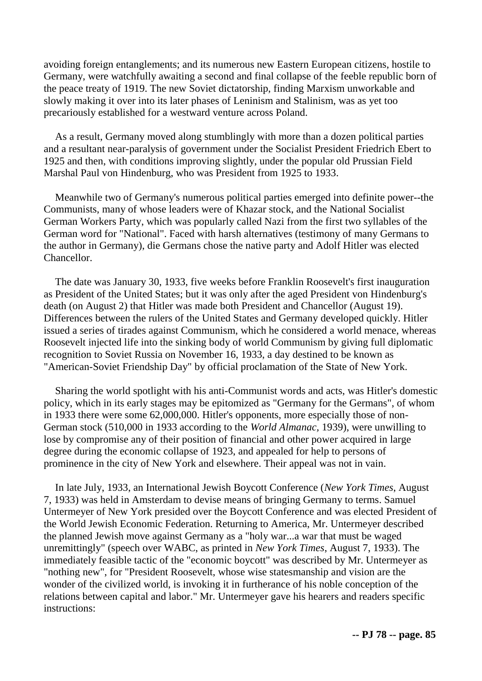avoiding foreign entanglements; and its numerous new Eastern European citizens, hostile to Germany, were watchfully awaiting a second and final collapse of the feeble republic born of the peace treaty of 1919. The new Soviet dictatorship, finding Marxism unworkable and slowly making it over into its later phases of Leninism and Stalinism, was as yet too precariously established for a westward venture across Poland.

As a result, Germany moved along stumblingly with more than a dozen political parties and a resultant near-paralysis of government under the Socialist President Friedrich Ebert to 1925 and then, with conditions improving slightly, under the popular old Prussian Field Marshal Paul von Hindenburg, who was President from 1925 to 1933.

Meanwhile two of Germany's numerous political parties emerged into definite power--the Communists, many of whose leaders were of Khazar stock, and the National Socialist German Workers Party, which was popularly called Nazi from the first two syllables of the German word for "National". Faced with harsh alternatives (testimony of many Germans to the author in Germany), die Germans chose the native party and Adolf Hitler was elected Chancellor.

The date was January 30, 1933, five weeks before Franklin Roosevelt's first inauguration as President of the United States; but it was only after the aged President von Hindenburg's death (on August 2) that Hitler was made both President and Chancellor (August 19). Differences between the rulers of the United States and Germany developed quickly. Hitler issued a series of tirades against Communism, which he considered a world menace, whereas Roosevelt injected life into the sinking body of world Communism by giving full diplomatic recognition to Soviet Russia on November 16, 1933, a day destined to be known as "American-Soviet Friendship Day" by official proclamation of the State of New York.

Sharing the world spotlight with his anti-Communist words and acts, was Hitler's domestic policy, which in its early stages may be epitomized as "Germany for the Germans", of whom in 1933 there were some 62,000,000. Hitler's opponents, more especially those of non-German stock (510,000 in 1933 according to the *World Almanac,* 1939), were unwilling to lose by compromise any of their position of financial and other power acquired in large degree during the economic collapse of 1923, and appealed for help to persons of prominence in the city of New York and elsewhere. Their appeal was not in vain.

In late July, 1933, an International Jewish Boycott Conference (*New York Times*, August 7, 1933) was held in Amsterdam to devise means of bringing Germany to terms. Samuel Untermeyer of New York presided over the Boycott Conference and was elected President of the World Jewish Economic Federation. Returning to America, Mr. Untermeyer described the planned Jewish move against Germany as a "holy war...a war that must be waged unremittingly" (speech over WABC, as printed in *New York Times*, August 7, 1933). The immediately feasible tactic of the "economic boycott" was described by Mr. Untermeyer as "nothing new", for "President Roosevelt, whose wise statesmanship and vision are the wonder of the civilized world, is invoking it in furtherance of his noble conception of the relations between capital and labor." Mr. Untermeyer gave his hearers and readers specific instructions: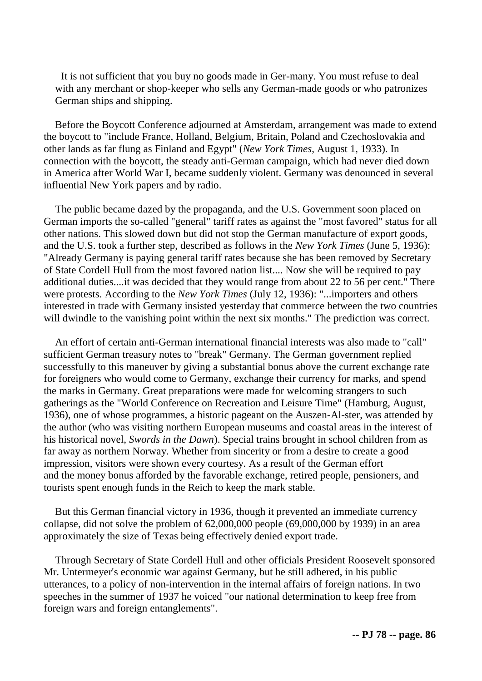It is not sufficient that you buy no goods made in Ger-many. You must refuse to deal with any merchant or shop-keeper who sells any German-made goods or who patronizes German ships and shipping.

Before the Boycott Conference adjourned at Amsterdam, arrangement was made to extend the boycott to "include France, Holland, Belgium, Britain, Poland and Czechoslovakia and other lands as far flung as Finland and Egypt" (*New York Times*, August 1, 1933). In connection with the boycott, the steady anti-German campaign, which had never died down in America after World War I, became suddenly violent. Germany was denounced in several influential New York papers and by radio.

The public became dazed by the propaganda, and the U.S. Government soon placed on German imports the so-called "general" tariff rates as against the "most favored" status for all other nations. This slowed down but did not stop the German manufacture of export goods, and the U.S. took a further step, described as follows in the *New York Times* (June 5, 1936): "Already Germany is paying general tariff rates because she has been removed by Secretary of State Cordell Hull from the most favored nation list.... Now she will be required to pay additional duties....it was decided that they would range from about 22 to 56 per cent." There were protests. According to the *New York Times* (July 12, 1936): "...importers and others interested in trade with Germany insisted yesterday that commerce between the two countries will dwindle to the vanishing point within the next six months." The prediction was correct.

An effort of certain anti-German international financial interests was also made to "call" sufficient German treasury notes to "break" Germany. The German government replied successfully to this maneuver by giving a substantial bonus above the current exchange rate for foreigners who would come to Germany, exchange their currency for marks, and spend the marks in Germany. Great preparations were made for welcoming strangers to such gatherings as the "World Conference on Recreation and Leisure Time" (Hamburg, August, 1936), one of whose programmes, a historic pageant on the Auszen-Al-ster, was attended by the author (who was visiting northern European museums and coastal areas in the interest of his historical novel, *Swords in the Dawn*). Special trains brought in school children from as far away as northern Norway. Whether from sincerity or from a desire to create a good impression, visitors were shown every courtesy. As a result of the German effort and the money bonus afforded by the favorable exchange, retired people, pensioners, and tourists spent enough funds in the Reich to keep the mark stable.

But this German financial victory in 1936, though it prevented an immediate currency collapse, did not solve the problem of 62,000,000 people (69,000,000 by 1939) in an area approximately the size of Texas being effectively denied export trade.

Through Secretary of State Cordell Hull and other officials President Roosevelt sponsored Mr. Untermeyer's economic war against Germany, but he still adhered, in his public utterances, to a policy of non-intervention in the internal affairs of foreign nations. In two speeches in the summer of 1937 he voiced "our national determination to keep free from foreign wars and foreign entanglements".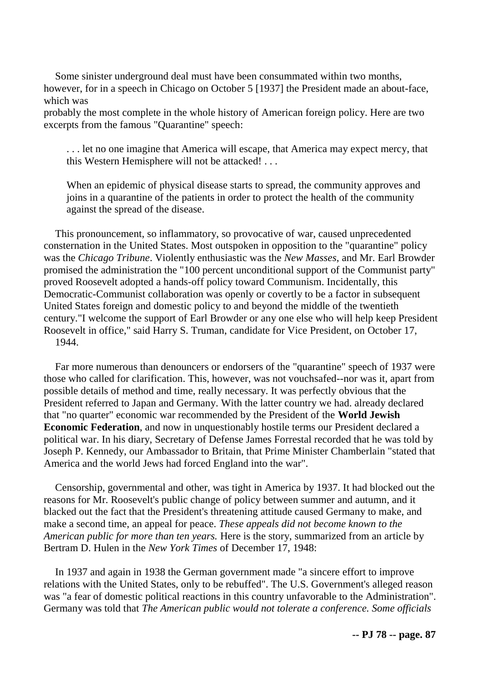Some sinister underground deal must have been consummated within two months, however, for in a speech in Chicago on October 5 [1937] the President made an about-face, which was

probably the most complete in the whole history of American foreign policy. Here are two excerpts from the famous "Quarantine" speech:

. . . let no one imagine that America will escape, that America may expect mercy, that this Western Hemisphere will not be attacked! . . .

When an epidemic of physical disease starts to spread, the community approves and joins in a quarantine of the patients in order to protect the health of the community against the spread of the disease.

This pronouncement, so inflammatory, so provocative of war, caused unprecedented consternation in the United States. Most outspoken in opposition to the "quarantine" policy was the *Chicago Tribune*. Violently enthusiastic was the *New Masses*, and Mr. Earl Browder promised the administration the "100 percent unconditional support of the Communist party" proved Roosevelt adopted a hands-off policy toward Communism. Incidentally, this Democratic-Communist collaboration was openly or covertly to be a factor in subsequent United States foreign and domestic policy to and beyond the middle of the twentieth century."I welcome the support of Earl Browder or any one else who will help keep President Roosevelt in office," said Harry S. Truman, candidate for Vice President, on October 17, 1944.

Far more numerous than denouncers or endorsers of the "quarantine" speech of 1937 were those who called for clarification. This, however, was not vouchsafed--nor was it, apart from possible details of method and time, really necessary. It was perfectly obvious that the President referred to Japan and Germany. With the latter country we had. already declared that "no quarter" economic war recommended by the President of the **World Jewish Economic Federation**, and now in unquestionably hostile terms our President declared a political war. In his diary, Secretary of Defense James Forrestal recorded that he was told by Joseph P. Kennedy, our Ambassador to Britain, that Prime Minister Chamberlain "stated that America and the world Jews had forced England into the war".

Censorship, governmental and other, was tight in America by 1937. It had blocked out the reasons for Mr. Roosevelt's public change of policy between summer and autumn, and it blacked out the fact that the President's threatening attitude caused Germany to make, and make a second time, an appeal for peace. *These appeals did not become known to the American public for more than ten years.* Here is the story, summarized from an article by Bertram D. Hulen in the *New York Times* of December 17, 1948:

In 1937 and again in 1938 the German government made "a sincere effort to improve relations with the United States, only to be rebuffed". The U.S. Government's alleged reason was "a fear of domestic political reactions in this country unfavorable to the Administration". Germany was told that *The American public would not tolerate a conference. Some officials*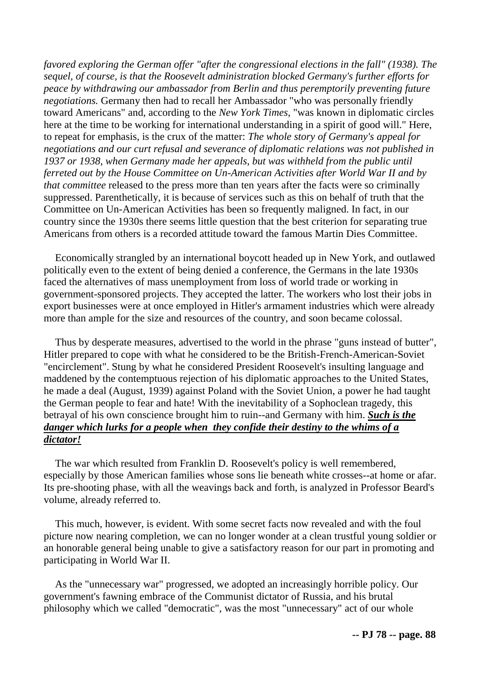*favored exploring the German offer "after the congressional elections in the fall" (1938). The sequel, of course, is that the Roosevelt administration blocked Germany's further efforts for peace by withdrawing our ambassador from Berlin and thus peremptorily preventing future negotiations.* Germany then had to recall her Ambassador "who was personally friendly toward Americans" and, according to the *New York Times*, "was known in diplomatic circles here at the time to be working for international understanding in a spirit of good will." Here, to repeat for emphasis, is the crux of the matter: *The whole story of Germany's appeal for negotiations and our curt refusal and severance of diplomatic relations was not published in 1937 or 1938, when Germany made her appeals, but was withheld from the public until ferreted out by the House Committee on Un-American Activities after World War II and by that committee* released to the press more than ten years after the facts were so criminally suppressed. Parenthetically, it is because of services such as this on behalf of truth that the Committee on Un-American Activities has been so frequently maligned. In fact, in our country since the 1930s there seems little question that the best criterion for separating true Americans from others is a recorded attitude toward the famous Martin Dies Committee.

Economically strangled by an international boycott headed up in New York, and outlawed politically even to the extent of being denied a conference, the Germans in the late 1930s faced the alternatives of mass unemployment from loss of world trade or working in government-sponsored projects. They accepted the latter. The workers who lost their jobs in export businesses were at once employed in Hitler's armament industries which were already more than ample for the size and resources of the country, and soon became colossal.

Thus by desperate measures, advertised to the world in the phrase "guns instead of butter", Hitler prepared to cope with what he considered to be the British-French-American-Soviet "encirclement". Stung by what he considered President Roosevelt's insulting language and maddened by the contemptuous rejection of his diplomatic approaches to the United States, he made a deal (August, 1939) against Poland with the Soviet Union, a power he had taught the German people to fear and hate! With the inevitability of a Sophoclean tragedy, this betrayal of his own conscience brought him to ruin--and Germany with him. *Such is the danger which lurks for a people when they confide their destiny to the whims of a dictator!*

The war which resulted from Franklin D. Roosevelt's policy is well remembered, especially by those American families whose sons lie beneath white crosses--at home or afar. Its pre-shooting phase, with all the weavings back and forth, is analyzed in Professor Beard's volume, already referred to.

This much, however, is evident. With some secret facts now revealed and with the foul picture now nearing completion, we can no longer wonder at a clean trustful young soldier or an honorable general being unable to give a satisfactory reason for our part in promoting and participating in World War II.

As the "unnecessary war" progressed, we adopted an increasingly horrible policy. Our government's fawning embrace of the Communist dictator of Russia, and his brutal philosophy which we called "democratic", was the most "unnecessary" act of our whole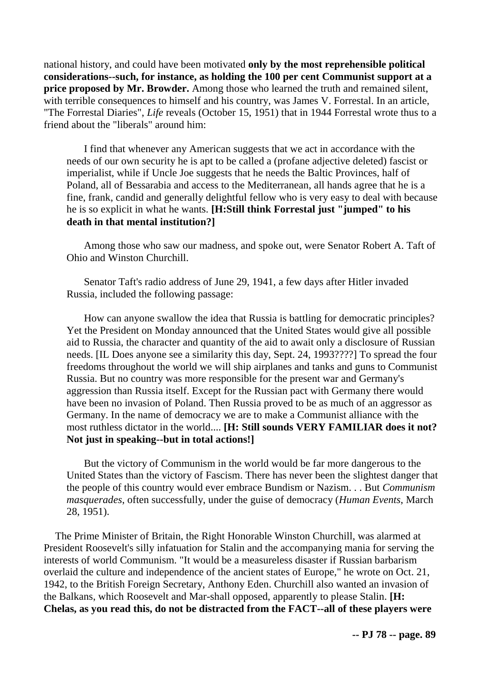national history, and could have been motivated **only by the most reprehensible political considerations--such, for instance, as holding the 100 per cent Communist support at a price proposed by Mr. Browder.** Among those who learned the truth and remained silent, with terrible consequences to himself and his country, was James V. Forrestal. In an article, "The Forrestal Diaries", *Life* reveals (October 15, 1951) that in 1944 Forrestal wrote thus to a friend about the "liberals" around him:

I find that whenever any American suggests that we act in accordance with the needs of our own security he is apt to be called a (profane adjective deleted) fascist or imperialist, while if Uncle Joe suggests that he needs the Baltic Provinces, half of Poland, all of Bessarabia and access to the Mediterranean, all hands agree that he is a fine, frank, candid and generally delightful fellow who is very easy to deal with because he is so explicit in what he wants. **[H:Still think Forrestal just "jumped" to his death in that mental institution?]** 

Among those who saw our madness, and spoke out, were Senator Robert A. Taft of Ohio and Winston Churchill.

Senator Taft's radio address of June 29, 1941, a few days after Hitler invaded Russia, included the following passage:

How can anyone swallow the idea that Russia is battling for democratic principles? Yet the President on Monday announced that the United States would give all possible aid to Russia, the character and quantity of the aid to await only a disclosure of Russian needs. [IL Does anyone see a similarity this day, Sept. 24, 1993????] To spread the four freedoms throughout the world we will ship airplanes and tanks and guns to Communist Russia. But no country was more responsible for the present war and Germany's aggression than Russia itself. Except for the Russian pact with Germany there would have been no invasion of Poland. Then Russia proved to be as much of an aggressor as Germany. In the name of democracy we are to make a Communist alliance with the most ruthless dictator in the world.... **[H: Still sounds VERY FAMILIAR does it not? Not just in speaking--but in total actions!]** 

But the victory of Communism in the world would be far more dangerous to the United States than the victory of Fascism. There has never been the slightest danger that the people of this country would ever embrace Bundism or Nazism. . . But *Communism masquerades*, often successfully, under the guise of democracy (*Human Events*, March 28, 1951).

The Prime Minister of Britain, the Right Honorable Winston Churchill, was alarmed at President Roosevelt's silly infatuation for Stalin and the accompanying mania for serving the interests of world Communism. "It would be a measureless disaster if Russian barbarism overlaid the culture and independence of the ancient states of Europe," he wrote on Oct. 21, 1942, to the British Foreign Secretary, Anthony Eden. Churchill also wanted an invasion of the Balkans, which Roosevelt and Mar-shall opposed, apparently to please Stalin. **[H: Chelas, as you read this, do not be distracted from the FACT--all of these players were**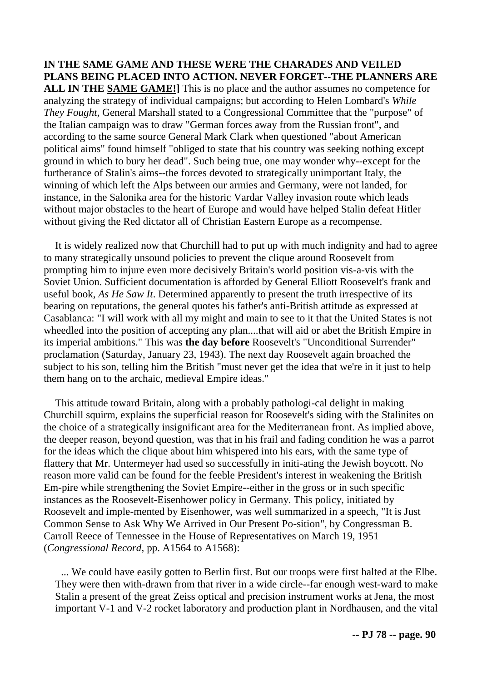**IN THE SAME GAME AND THESE WERE THE CHARADES AND VEILED PLANS BEING PLACED INTO ACTION. NEVER FORGET--THE PLANNERS ARE ALL IN THE SAME GAME!]** This is no place and the author assumes no competence for analyzing the strategy of individual campaigns; but according to Helen Lombard's *While They Fought*, General Marshall stated to a Congressional Committee that the "purpose" of the Italian campaign was to draw "German forces away from the Russian front", and according to the same source General Mark Clark when questioned "about American political aims" found himself "obliged to state that his country was seeking nothing except ground in which to bury her dead". Such being true, one may wonder why--except for the furtherance of Stalin's aims--the forces devoted to strategically unimportant Italy, the winning of which left the Alps between our armies and Germany, were not landed, for instance, in the Salonika area for the historic Vardar Valley invasion route which leads without major obstacles to the heart of Europe and would have helped Stalin defeat Hitler without giving the Red dictator all of Christian Eastern Europe as a recompense.

It is widely realized now that Churchill had to put up with much indignity and had to agree to many strategically unsound policies to prevent the clique around Roosevelt from prompting him to injure even more decisively Britain's world position vis-a-vis with the Soviet Union. Sufficient documentation is afforded by General Elliott Roosevelt's frank and useful book, *As He Saw It*. Determined apparently to present the truth irrespective of its bearing on reputations, the general quotes his father's anti-British attitude as expressed at Casablanca: "I will work with all my might and main to see to it that the United States is not wheedled into the position of accepting any plan....that will aid or abet the British Empire in its imperial ambitions." This was **the day before** Roosevelt's "Unconditional Surrender" proclamation (Saturday, January 23, 1943). The next day Roosevelt again broached the subject to his son, telling him the British "must never get the idea that we're in it just to help them hang on to the archaic, medieval Empire ideas."

This attitude toward Britain, along with a probably pathologi-cal delight in making Churchill squirm, explains the superficial reason for Roosevelt's siding with the Stalinites on the choice of a strategically insignificant area for the Mediterranean front. As implied above, the deeper reason, beyond question, was that in his frail and fading condition he was a parrot for the ideas which the clique about him whispered into his ears, with the same type of flattery that Mr. Untermeyer had used so successfully in initi-ating the Jewish boycott. No reason more valid can be found for the feeble President's interest in weakening the British Em-pire while strengthening the Soviet Empire--either in the gross or in such specific instances as the Roosevelt-Eisenhower policy in Germany. This policy, initiated by Roosevelt and imple-mented by Eisenhower, was well summarized in a speech, "It is Just Common Sense to Ask Why We Arrived in Our Present Po-sition", by Congressman B. Carroll Reece of Tennessee in the House of Representatives on March 19, 1951 (*Congressional Record,* pp. A1564 to A1568):

... We could have easily gotten to Berlin first. But our troops were first halted at the Elbe. They were then with-drawn from that river in a wide circle--far enough west-ward to make Stalin a present of the great Zeiss optical and precision instrument works at Jena, the most important V-1 and V-2 rocket laboratory and production plant in Nordhausen, and the vital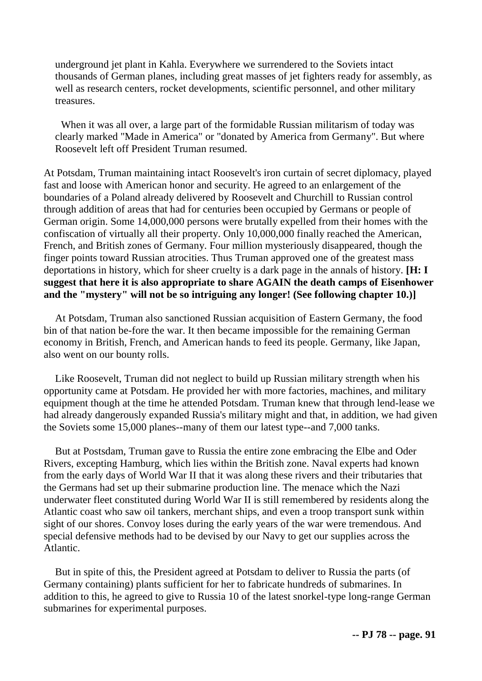underground jet plant in Kahla. Everywhere we surrendered to the Soviets intact thousands of German planes, including great masses of jet fighters ready for assembly, as well as research centers, rocket developments, scientific personnel, and other military treasures.

When it was all over, a large part of the formidable Russian militarism of today was clearly marked "Made in America" or "donated by America from Germany". But where Roosevelt left off President Truman resumed.

At Potsdam, Truman maintaining intact Roosevelt's iron curtain of secret diplomacy, played fast and loose with American honor and security. He agreed to an enlargement of the boundaries of a Poland already delivered by Roosevelt and Churchill to Russian control through addition of areas that had for centuries been occupied by Germans or people of German origin. Some 14,000,000 persons were brutally expelled from their homes with the confiscation of virtually all their property. Only 10,000,000 finally reached the American, French, and British zones of Germany. Four million mysteriously disappeared, though the finger points toward Russian atrocities. Thus Truman approved one of the greatest mass deportations in history, which for sheer cruelty is a dark page in the annals of history. **[H: I suggest that here it is also appropriate to share AGAIN the death camps of Eisenhower and the "mystery" will not be so intriguing any longer! (See following chapter 10.)]** 

At Potsdam, Truman also sanctioned Russian acquisition of Eastern Germany, the food bin of that nation be-fore the war. It then became impossible for the remaining German economy in British, French, and American hands to feed its people. Germany, like Japan, also went on our bounty rolls.

Like Roosevelt, Truman did not neglect to build up Russian military strength when his opportunity came at Potsdam. He provided her with more factories, machines, and military equipment though at the time he attended Potsdam. Truman knew that through lend-lease we had already dangerously expanded Russia's military might and that, in addition, we had given the Soviets some 15,000 planes--many of them our latest type--and 7,000 tanks.

But at Postsdam, Truman gave to Russia the entire zone embracing the Elbe and Oder Rivers, excepting Hamburg, which lies within the British zone. Naval experts had known from the early days of World War II that it was along these rivers and their tributaries that the Germans had set up their submarine production line. The menace which the Nazi underwater fleet constituted during World War II is still remembered by residents along the Atlantic coast who saw oil tankers, merchant ships, and even a troop transport sunk within sight of our shores. Convoy loses during the early years of the war were tremendous. And special defensive methods had to be devised by our Navy to get our supplies across the Atlantic.

But in spite of this, the President agreed at Potsdam to deliver to Russia the parts (of Germany containing) plants sufficient for her to fabricate hundreds of submarines. In addition to this, he agreed to give to Russia 10 of the latest snorkel-type long-range German submarines for experimental purposes.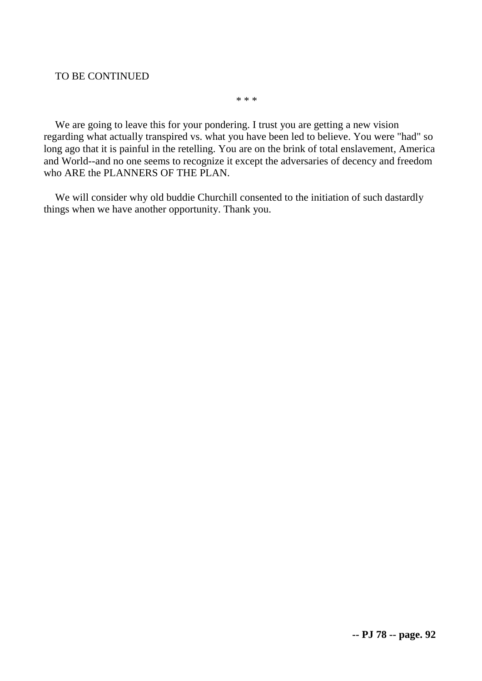## TO BE CONTINUED

\* \* \*

We are going to leave this for your pondering. I trust you are getting a new vision regarding what actually transpired vs. what you have been led to believe. You were "had" so long ago that it is painful in the retelling. You are on the brink of total enslavement, America and World--and no one seems to recognize it except the adversaries of decency and freedom who ARE the PLANNERS OF THE PLAN.

We will consider why old buddie Churchill consented to the initiation of such dastardly things when we have another opportunity. Thank you.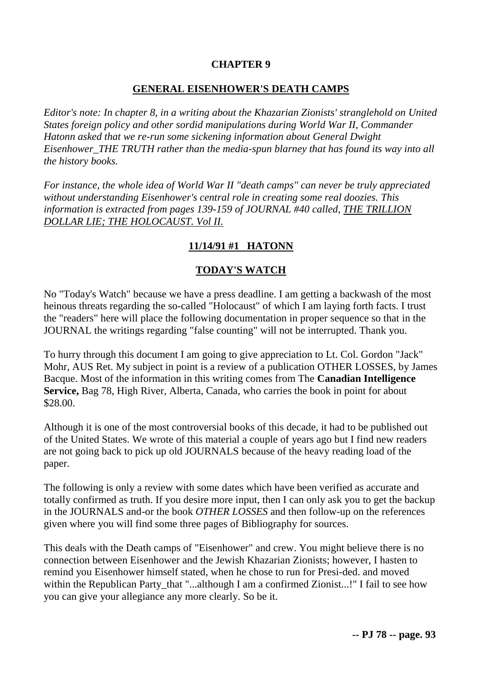# **CHAPTER 9**

## **GENERAL EISENHOWER'S DEATH CAMPS**

*Editor's note: In chapter 8, in a writing about the Khazarian Zionists' stranglehold on United States foreign policy and other sordid manipulations during World War II, Commander Hatonn asked that we re-run some sickening information about General Dwight Eisenhower\_THE TRUTH rather than the media-spun blarney that has found its way into all the history books.*

*For instance, the whole idea of World War II "death camps" can never be truly appreciated without understanding Eisenhower's central role in creating some real doozies. This information is extracted from pages 139-159 of JOURNAL #40 called, THE TRILLION DOLLAR LIE; THE HOLOCAUST. Vol II.*

# **11/14/91 #1 HATONN**

# **TODAY'S WATCH**

No "Today's Watch" because we have a press deadline. I am getting a backwash of the most heinous threats regarding the so-called "Holocaust" of which I am laying forth facts. I trust the "readers" here will place the following documentation in proper sequence so that in the JOURNAL the writings regarding "false counting" will not be interrupted. Thank you.

To hurry through this document I am going to give appreciation to Lt. Col. Gordon "Jack" Mohr, AUS Ret. My subject in point is a review of a publication OTHER LOSSES, by James Bacque. Most of the information in this writing comes from The **Canadian Intelligence Service,** Bag 78, High River, Alberta, Canada, who carries the book in point for about \$28.00.

Although it is one of the most controversial books of this decade, it had to be published out of the United States. We wrote of this material a couple of years ago but I find new readers are not going back to pick up old JOURNALS because of the heavy reading load of the paper.

The following is only a review with some dates which have been verified as accurate and totally confirmed as truth. If you desire more input, then I can only ask you to get the backup in the JOURNALS and-or the book *OTHER LOSSES* and then follow-up on the references given where you will find some three pages of Bibliography for sources.

This deals with the Death camps of "Eisenhower" and crew. You might believe there is no connection between Eisenhower and the Jewish Khazarian Zionists; however, I hasten to remind you Eisenhower himself stated, when he chose to run for Presi-ded. and moved within the Republican Party that "...although I am a confirmed Zionist...!" I fail to see how you can give your allegiance any more clearly. So be it.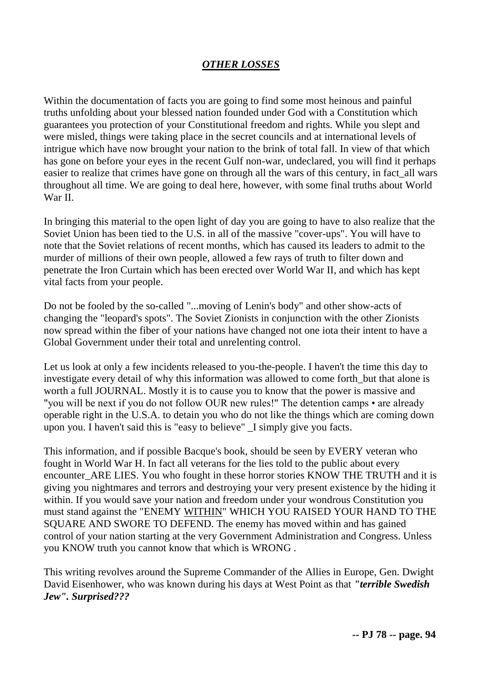# *OTHER LOSSES*

Within the documentation of facts you are going to find some most heinous and painful truths unfolding about your blessed nation founded under God with a Constitution which guarantees you protection of your Constitutional freedom and rights. While you slept and were misled, things were taking place in the secret councils and at international levels of intrigue which have now brought your nation to the brink of total fall. In view of that which has gone on before your eyes in the recent Gulf non-war, undeclared, you will find it perhaps easier to realize that crimes have gone on through all the wars of this century, in fact\_all wars throughout all time. We are going to deal here, however, with some final truths about World War II.

In bringing this material to the open light of day you are going to have to also realize that the Soviet Union has been tied to the U.S. in all of the massive "cover-ups". You will have to note that the Soviet relations of recent months, which has caused its leaders to admit to the murder of millions of their own people, allowed a few rays of truth to filter down and penetrate the Iron Curtain which has been erected over World War II, and which has kept vital facts from your people.

Do not be fooled by the so-called "...moving of Lenin's body" and other show-acts of changing the "leopard's spots". The Soviet Zionists in conjunction with the other Zionists now spread within the fiber of your nations have changed not one iota their intent to have a Global Government under their total and unrelenting control.

Let us look at only a few incidents released to you-the-people. I haven't the time this day to investigate every detail of why this information was allowed to come forth but that alone is worth a full JOURNAL. Mostly it is to cause you to know that the power is massive and "you will be next if you do not follow OUR new rules!" The detention camps • are already operable right in the U.S.A. to detain you who do not like the things which are coming down upon you. I haven't said this is "easy to believe" \_I simply give you facts.

This information, and if possible Bacque's book, should be seen by EVERY veteran who fought in World War H. In fact all veterans for the lies told to the public about every encounter ARE LIES. You who fought in these horror stories KNOW THE TRUTH and it is giving you nightmares and terrors and destroying your very present existence by the hiding it within. If you would save your nation and freedom under your wondrous Constitution you must stand against the "ENEMY WITHIN" WHICH YOU RAISED YOUR HAND TO THE SQUARE AND SWORE TO DEFEND. The enemy has moved within and has gained control of your nation starting at the very Government Administration and Congress. Unless you KNOW truth you cannot know that which is WRONG .

This writing revolves around the Supreme Commander of the Allies in Europe, Gen. Dwight David Eisenhower, who was known during his days at West Point as that *"terrible Swedish Jew". Surprised???*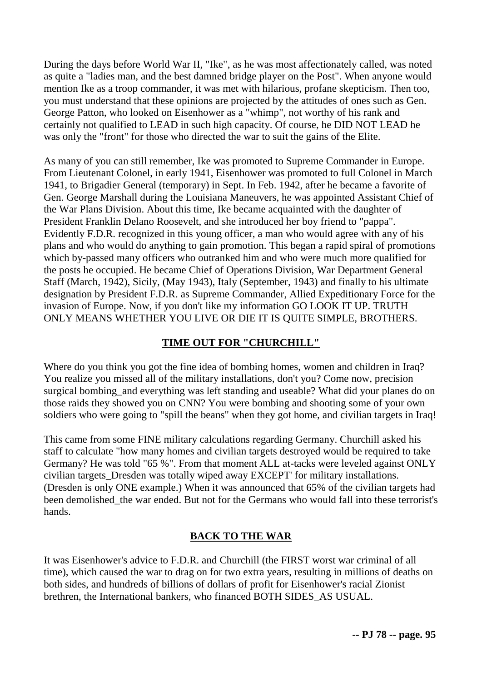During the days before World War II, "Ike", as he was most affectionately called, was noted as quite a "ladies man, and the best damned bridge player on the Post". When anyone would mention Ike as a troop commander, it was met with hilarious, profane skepticism. Then too, you must understand that these opinions are projected by the attitudes of ones such as Gen. George Patton, who looked on Eisenhower as a "whimp", not worthy of his rank and certainly not qualified to LEAD in such high capacity. Of course, he DID NOT LEAD he was only the "front" for those who directed the war to suit the gains of the Elite.

As many of you can still remember, Ike was promoted to Supreme Commander in Europe. From Lieutenant Colonel, in early 1941, Eisenhower was promoted to full Colonel in March 1941, to Brigadier General (temporary) in Sept. In Feb. 1942, after he became a favorite of Gen. George Marshall during the Louisiana Maneuvers, he was appointed Assistant Chief of the War Plans Division. About this time, Ike became acquainted with the daughter of President Franklin Delano Roosevelt, and she introduced her boy friend to "pappa". Evidently F.D.R. recognized in this young officer, a man who would agree with any of his plans and who would do anything to gain promotion. This began a rapid spiral of promotions which by-passed many officers who outranked him and who were much more qualified for the posts he occupied. He became Chief of Operations Division, War Department General Staff (March, 1942), Sicily, (May 1943), Italy (September, 1943) and finally to his ultimate designation by President F.D.R. as Supreme Commander, Allied Expeditionary Force for the invasion of Europe. Now, if you don't like my information GO LOOK IT UP. TRUTH ONLY MEANS WHETHER YOU LIVE OR DIE IT IS QUITE SIMPLE, BROTHERS.

# **TIME OUT FOR "CHURCHILL"**

Where do you think you got the fine idea of bombing homes, women and children in Iraq? You realize you missed all of the military installations, don't you? Come now, precision surgical bombing\_and everything was left standing and useable? What did your planes do on those raids they showed you on CNN? You were bombing and shooting some of your own soldiers who were going to "spill the beans" when they got home, and civilian targets in Iraq!

This came from some FINE military calculations regarding Germany. Churchill asked his staff to calculate "how many homes and civilian targets destroyed would be required to take Germany? He was told "65 %". From that moment ALL at-tacks were leveled against ONLY civilian targets\_Dresden was totally wiped away EXCEPT' for military installations. (Dresden is only ONE example.) When it was announced that 65% of the civilian targets had been demolished the war ended. But not for the Germans who would fall into these terrorist's hands.

# **BACK TO THE WAR**

It was Eisenhower's advice to F.D.R. and Churchill (the FIRST worst war criminal of all time), which caused the war to drag on for two extra years, resulting in millions of deaths on both sides, and hundreds of billions of dollars of profit for Eisenhower's racial Zionist brethren, the International bankers, who financed BOTH SIDES\_AS USUAL.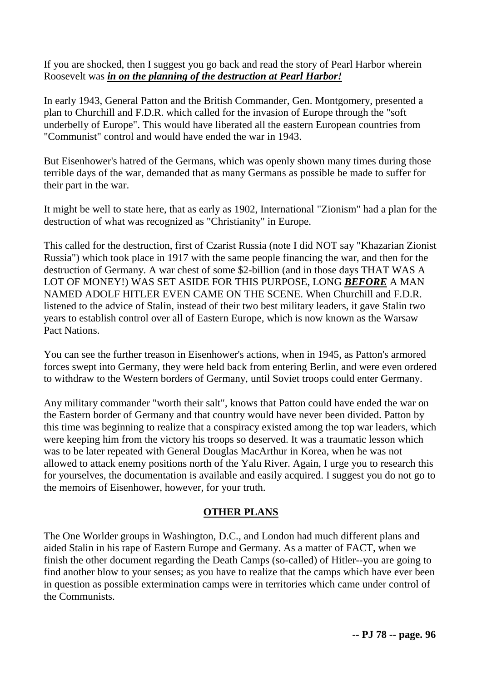If you are shocked, then I suggest you go back and read the story of Pearl Harbor wherein Roosevelt was *in on the planning of the destruction at Pearl Harbor!*

In early 1943, General Patton and the British Commander, Gen. Montgomery, presented a plan to Churchill and F.D.R. which called for the invasion of Europe through the "soft underbelly of Europe". This would have liberated all the eastern European countries from "Communist" control and would have ended the war in 1943.

But Eisenhower's hatred of the Germans, which was openly shown many times during those terrible days of the war, demanded that as many Germans as possible be made to suffer for their part in the war.

It might be well to state here, that as early as 1902, International "Zionism" had a plan for the destruction of what was recognized as "Christianity" in Europe.

This called for the destruction, first of Czarist Russia (note I did NOT say "Khazarian Zionist Russia") which took place in 1917 with the same people financing the war, and then for the destruction of Germany. A war chest of some \$2-billion (and in those days THAT WAS A LOT OF MONEY!) WAS SET ASIDE FOR THIS PURPOSE, LONG *BEFORE* A MAN NAMED ADOLF HITLER EVEN CAME ON THE SCENE. When Churchill and F.D.R. listened to the advice of Stalin, instead of their two best military leaders, it gave Stalin two years to establish control over all of Eastern Europe, which is now known as the Warsaw Pact Nations.

You can see the further treason in Eisenhower's actions, when in 1945, as Patton's armored forces swept into Germany, they were held back from entering Berlin, and were even ordered to withdraw to the Western borders of Germany, until Soviet troops could enter Germany.

Any military commander "worth their salt", knows that Patton could have ended the war on the Eastern border of Germany and that country would have never been divided. Patton by this time was beginning to realize that a conspiracy existed among the top war leaders, which were keeping him from the victory his troops so deserved. It was a traumatic lesson which was to be later repeated with General Douglas MacArthur in Korea, when he was not allowed to attack enemy positions north of the Yalu River. Again, I urge you to research this for yourselves, the documentation is available and easily acquired. I suggest you do not go to the memoirs of Eisenhower, however, for your truth.

# **OTHER PLANS**

The One Worlder groups in Washington, D.C., and London had much different plans and aided Stalin in his rape of Eastern Europe and Germany. As a matter of FACT, when we finish the other document regarding the Death Camps (so-called) of Hitler--you are going to find another blow to your senses; as you have to realize that the camps which have ever been in question as possible extermination camps were in territories which came under control of the Communists.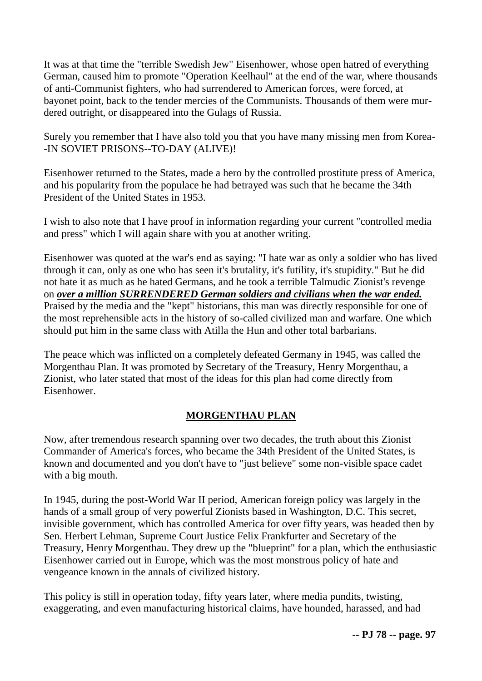It was at that time the "terrible Swedish Jew" Eisenhower, whose open hatred of everything German, caused him to promote "Operation Keelhaul" at the end of the war, where thousands of anti-Communist fighters, who had surrendered to American forces, were forced, at bayonet point, back to the tender mercies of the Communists. Thousands of them were murdered outright, or disappeared into the Gulags of Russia.

Surely you remember that I have also told you that you have many missing men from Korea- -IN SOVIET PRISONS--TO-DAY (ALIVE)!

Eisenhower returned to the States, made a hero by the controlled prostitute press of America, and his popularity from the populace he had betrayed was such that he became the 34th President of the United States in 1953.

I wish to also note that I have proof in information regarding your current "controlled media and press" which I will again share with you at another writing.

Eisenhower was quoted at the war's end as saying: "I hate war as only a soldier who has lived through it can, only as one who has seen it's brutality, it's futility, it's stupidity." But he did not hate it as much as he hated Germans, and he took a terrible Talmudic Zionist's revenge on *over a million SURRENDERED German soldiers and civilians when the war ended.* Praised by the media and the "kept" historians, this man was directly responsible for one of the most reprehensible acts in the history of so-called civilized man and warfare. One which should put him in the same class with Atilla the Hun and other total barbarians.

The peace which was inflicted on a completely defeated Germany in 1945, was called the Morgenthau Plan. It was promoted by Secretary of the Treasury, Henry Morgenthau, a Zionist, who later stated that most of the ideas for this plan had come directly from Eisenhower.

# **MORGENTHAU PLAN**

Now, after tremendous research spanning over two decades, the truth about this Zionist Commander of America's forces, who became the 34th President of the United States, is known and documented and you don't have to "just believe" some non-visible space cadet with a big mouth.

In 1945, during the post-World War II period, American foreign policy was largely in the hands of a small group of very powerful Zionists based in Washington, D.C. This secret, invisible government, which has controlled America for over fifty years, was headed then by Sen. Herbert Lehman, Supreme Court Justice Felix Frankfurter and Secretary of the Treasury, Henry Morgenthau. They drew up the "blueprint" for a plan, which the enthusiastic Eisenhower carried out in Europe, which was the most monstrous policy of hate and vengeance known in the annals of civilized history.

This policy is still in operation today, fifty years later, where media pundits, twisting, exaggerating, and even manufacturing historical claims, have hounded, harassed, and had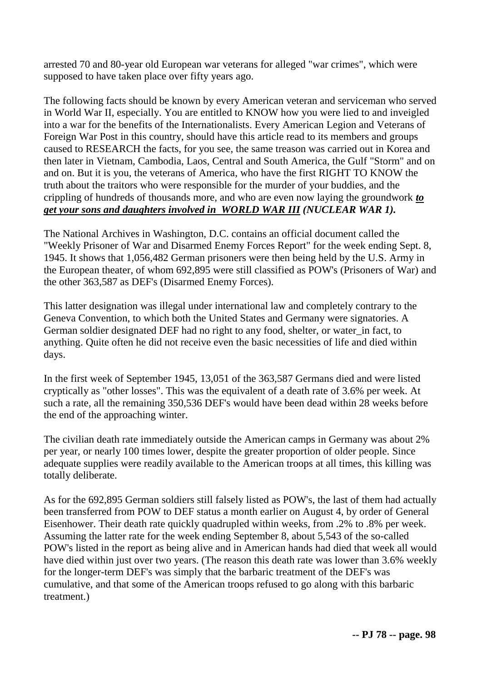arrested 70 and 80-year old European war veterans for alleged "war crimes", which were supposed to have taken place over fifty years ago.

The following facts should be known by every American veteran and serviceman who served in World War II, especially. You are entitled to KNOW how you were lied to and inveigled into a war for the benefits of the Internationalists. Every American Legion and Veterans of Foreign War Post in this country, should have this article read to its members and groups caused to RESEARCH the facts, for you see, the same treason was carried out in Korea and then later in Vietnam, Cambodia, Laos, Central and South America, the Gulf "Storm" and on and on. But it is you, the veterans of America, who have the first RIGHT TO KNOW the truth about the traitors who were responsible for the murder of your buddies, and the crippling of hundreds of thousands more, and who are even now laying the groundwork *to get your sons and daughters involved in WORLD WAR III (NUCLEAR WAR 1).* 

The National Archives in Washington, D.C. contains an official document called the "Weekly Prisoner of War and Disarmed Enemy Forces Report" for the week ending Sept. 8, 1945. It shows that 1,056,482 German prisoners were then being held by the U.S. Army in the European theater, of whom 692,895 were still classified as POW's (Prisoners of War) and the other 363,587 as DEF's (Disarmed Enemy Forces).

This latter designation was illegal under international law and completely contrary to the Geneva Convention, to which both the United States and Germany were signatories. A German soldier designated DEF had no right to any food, shelter, or water\_in fact, to anything. Quite often he did not receive even the basic necessities of life and died within days.

In the first week of September 1945, 13,051 of the 363,587 Germans died and were listed cryptically as "other losses". This was the equivalent of a death rate of 3.6% per week. At such a rate, all the remaining 350,536 DEF's would have been dead within 28 weeks before the end of the approaching winter.

The civilian death rate immediately outside the American camps in Germany was about 2% per year, or nearly 100 times lower, despite the greater proportion of older people. Since adequate supplies were readily available to the American troops at all times, this killing was totally deliberate.

As for the 692,895 German soldiers still falsely listed as POW's, the last of them had actually been transferred from POW to DEF status a month earlier on August 4, by order of General Eisenhower. Their death rate quickly quadrupled within weeks, from .2% to .8% per week. Assuming the latter rate for the week ending September 8, about 5,543 of the so-called POW's listed in the report as being alive and in American hands had died that week all would have died within just over two years. (The reason this death rate was lower than 3.6% weekly for the longer-term DEF's was simply that the barbaric treatment of the DEF's was cumulative, and that some of the American troops refused to go along with this barbaric treatment.)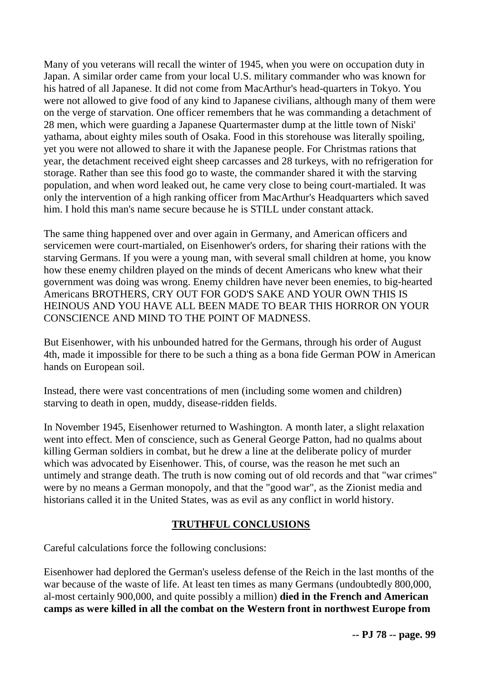Many of you veterans will recall the winter of 1945, when you were on occupation duty in Japan. A similar order came from your local U.S. military commander who was known for his hatred of all Japanese. It did not come from MacArthur's head-quarters in Tokyo. You were not allowed to give food of any kind to Japanese civilians, although many of them were on the verge of starvation. One officer remembers that he was commanding a detachment of 28 men, which were guarding a Japanese Quartermaster dump at the little town of Niski' yathama, about eighty miles south of Osaka. Food in this storehouse was literally spoiling, yet you were not allowed to share it with the Japanese people. For Christmas rations that year, the detachment received eight sheep carcasses and 28 turkeys, with no refrigeration for storage. Rather than see this food go to waste, the commander shared it with the starving population, and when word leaked out, he came very close to being court-martialed. It was only the intervention of a high ranking officer from MacArthur's Headquarters which saved him. I hold this man's name secure because he is STILL under constant attack.

The same thing happened over and over again in Germany, and American officers and servicemen were court-martialed, on Eisenhower's orders, for sharing their rations with the starving Germans. If you were a young man, with several small children at home, you know how these enemy children played on the minds of decent Americans who knew what their government was doing was wrong. Enemy children have never been enemies, to big-hearted Americans BROTHERS, CRY OUT FOR GOD'S SAKE AND YOUR OWN THIS IS HEINOUS AND YOU HAVE ALL BEEN MADE TO BEAR THIS HORROR ON YOUR CONSCIENCE AND MIND TO THE POINT OF MADNESS.

But Eisenhower, with his unbounded hatred for the Germans, through his order of August 4th, made it impossible for there to be such a thing as a bona fide German POW in American hands on European soil.

Instead, there were vast concentrations of men (including some women and children) starving to death in open, muddy, disease-ridden fields.

In November 1945, Eisenhower returned to Washington. A month later, a slight relaxation went into effect. Men of conscience, such as General George Patton, had no qualms about killing German soldiers in combat, but he drew a line at the deliberate policy of murder which was advocated by Eisenhower. This, of course, was the reason he met such an untimely and strange death. The truth is now coming out of old records and that "war crimes" were by no means a German monopoly, and that the "good war", as the Zionist media and historians called it in the United States, was as evil as any conflict in world history.

# **TRUTHFUL CONCLUSIONS**

Careful calculations force the following conclusions:

Eisenhower had deplored the German's useless defense of the Reich in the last months of the war because of the waste of life. At least ten times as many Germans (undoubtedly 800,000, al-most certainly 900,000, and quite possibly a million) **died in the French and American camps as were killed in all the combat on the Western front in northwest Europe from**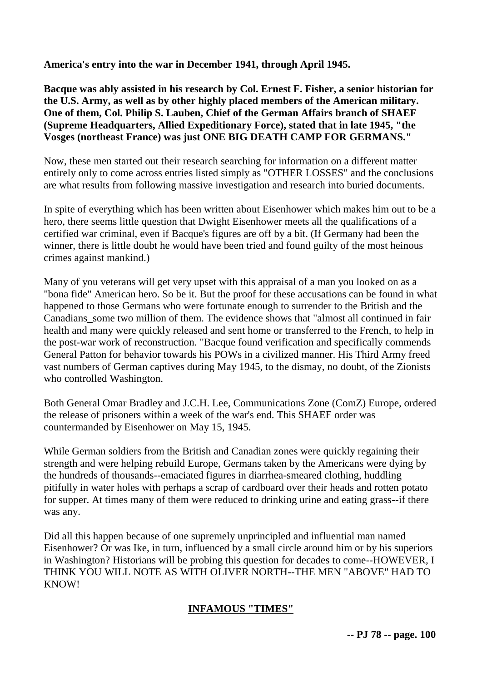**America's entry into the war in December 1941, through April 1945.**

**Bacque was ably assisted in his research by Col. Ernest F. Fisher, a senior historian for the U.S. Army, as well as by other highly placed members of the American military. One of them, Col. Philip S. Lauben, Chief of the German Affairs branch of SHAEF (Supreme Headquarters, Allied Expeditionary Force), stated that in late 1945, "the Vosges (northeast France) was just ONE BIG DEATH CAMP FOR GERMANS."**

Now, these men started out their research searching for information on a different matter entirely only to come across entries listed simply as "OTHER LOSSES" and the conclusions are what results from following massive investigation and research into buried documents.

In spite of everything which has been written about Eisenhower which makes him out to be a hero, there seems little question that Dwight Eisenhower meets all the qualifications of a certified war criminal, even if Bacque's figures are off by a bit. (If Germany had been the winner, there is little doubt he would have been tried and found guilty of the most heinous crimes against mankind.)

Many of you veterans will get very upset with this appraisal of a man you looked on as a "bona fide" American hero. So be it. But the proof for these accusations can be found in what happened to those Germans who were fortunate enough to surrender to the British and the Canadians\_some two million of them. The evidence shows that "almost all continued in fair health and many were quickly released and sent home or transferred to the French, to help in the post-war work of reconstruction. "Bacque found verification and specifically commends General Patton for behavior towards his POWs in a civilized manner. His Third Army freed vast numbers of German captives during May 1945, to the dismay, no doubt, of the Zionists who controlled Washington.

Both General Omar Bradley and J.C.H. Lee, Communications Zone (ComZ) Europe, ordered the release of prisoners within a week of the war's end. This SHAEF order was countermanded by Eisenhower on May 15, 1945.

While German soldiers from the British and Canadian zones were quickly regaining their strength and were helping rebuild Europe, Germans taken by the Americans were dying by the hundreds of thousands--emaciated figures in diarrhea-smeared clothing, huddling pitifully in water holes with perhaps a scrap of cardboard over their heads and rotten potato for supper. At times many of them were reduced to drinking urine and eating grass--if there was any.

Did all this happen because of one supremely unprincipled and influential man named Eisenhower? Or was Ike, in turn, influenced by a small circle around him or by his superiors in Washington? Historians will be probing this question for decades to come--HOWEVER, I THINK YOU WILL NOTE AS WITH OLIVER NORTH--THE MEN "ABOVE" HAD TO KNOW!

# **INFAMOUS "TIMES"**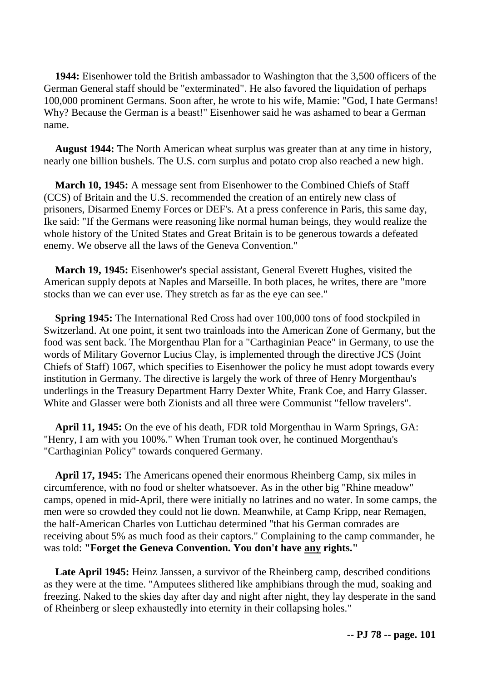**1944:** Eisenhower told the British ambassador to Washington that the 3,500 officers of the German General staff should be "exterminated". He also favored the liquidation of perhaps 100,000 prominent Germans. Soon after, he wrote to his wife, Mamie: "God, I hate Germans! Why? Because the German is a beast!" Eisenhower said he was ashamed to bear a German name.

**August 1944:** The North American wheat surplus was greater than at any time in history, nearly one billion bushels. The U.S. corn surplus and potato crop also reached a new high.

**March 10, 1945:** A message sent from Eisenhower to the Combined Chiefs of Staff (CCS) of Britain and the U.S. recommended the creation of an entirely new class of prisoners, Disarmed Enemy Forces or DEF's. At a press conference in Paris, this same day, Ike said: "If the Germans were reasoning like normal human beings, they would realize the whole history of the United States and Great Britain is to be generous towards a defeated enemy. We observe all the laws of the Geneva Convention."

**March 19, 1945:** Eisenhower's special assistant, General Everett Hughes, visited the American supply depots at Naples and Marseille. In both places, he writes, there are "more stocks than we can ever use. They stretch as far as the eye can see."

**Spring 1945:** The International Red Cross had over 100,000 tons of food stockpiled in Switzerland. At one point, it sent two trainloads into the American Zone of Germany, but the food was sent back. The Morgenthau Plan for a "Carthaginian Peace" in Germany, to use the words of Military Governor Lucius Clay, is implemented through the directive JCS (Joint Chiefs of Staff) 1067, which specifies to Eisenhower the policy he must adopt towards every institution in Germany. The directive is largely the work of three of Henry Morgenthau's underlings in the Treasury Department Harry Dexter White, Frank Coe, and Harry Glasser. White and Glasser were both Zionists and all three were Communist "fellow travelers".

**April 11, 1945:** On the eve of his death, FDR told Morgenthau in Warm Springs, GA: "Henry, I am with you 100%." When Truman took over, he continued Morgenthau's "Carthaginian Policy" towards conquered Germany.

**April 17, 1945:** The Americans opened their enormous Rheinberg Camp, six miles in circumference, with no food or shelter whatsoever. As in the other big "Rhine meadow" camps, opened in mid-April, there were initially no latrines and no water. In some camps, the men were so crowded they could not lie down. Meanwhile, at Camp Kripp, near Remagen, the half-American Charles von Luttichau determined "that his German comrades are receiving about 5% as much food as their captors." Complaining to the camp commander, he was told: **"Forget the Geneva Convention. You don't have any rights."**

**Late April 1945:** Heinz Janssen, a survivor of the Rheinberg camp, described conditions as they were at the time. "Amputees slithered like amphibians through the mud, soaking and freezing. Naked to the skies day after day and night after night, they lay desperate in the sand of Rheinberg or sleep exhaustedly into eternity in their collapsing holes."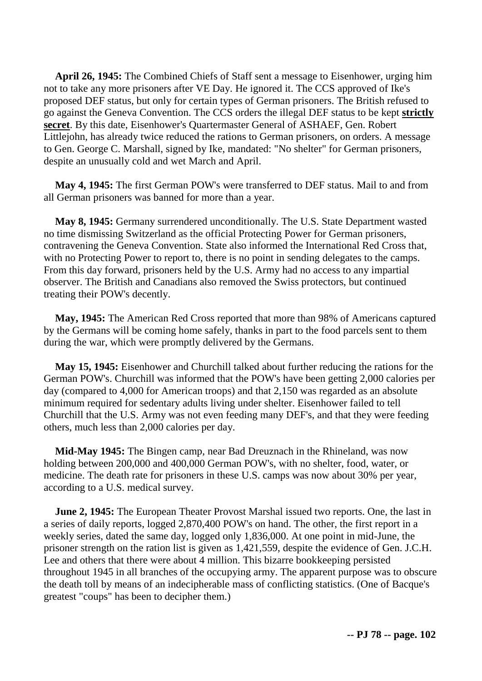**April 26, 1945:** The Combined Chiefs of Staff sent a message to Eisenhower, urging him not to take any more prisoners after VE Day. He ignored it. The CCS approved of Ike's proposed DEF status, but only for certain types of German prisoners. The British refused to go against the Geneva Convention. The CCS orders the illegal DEF status to be kept **strictly secret**. By this date, Eisenhower's Quartermaster General of ASHAEF, Gen. Robert Littlejohn, has already twice reduced the rations to German prisoners, on orders. A message to Gen. George C. Marshall, signed by Ike, mandated: "No shelter" for German prisoners, despite an unusually cold and wet March and April.

**May 4, 1945:** The first German POW's were transferred to DEF status. Mail to and from all German prisoners was banned for more than a year.

**May 8, 1945:** Germany surrendered unconditionally. The U.S. State Department wasted no time dismissing Switzerland as the official Protecting Power for German prisoners, contravening the Geneva Convention. State also informed the International Red Cross that, with no Protecting Power to report to, there is no point in sending delegates to the camps. From this day forward, prisoners held by the U.S. Army had no access to any impartial observer. The British and Canadians also removed the Swiss protectors, but continued treating their POW's decently.

**May, 1945:** The American Red Cross reported that more than 98% of Americans captured by the Germans will be coming home safely, thanks in part to the food parcels sent to them during the war, which were promptly delivered by the Germans.

**May 15, 1945:** Eisenhower and Churchill talked about further reducing the rations for the German POW's. Churchill was informed that the POW's have been getting 2,000 calories per day (compared to 4,000 for American troops) and that 2,150 was regarded as an absolute minimum required for sedentary adults living under shelter. Eisenhower failed to tell Churchill that the U.S. Army was not even feeding many DEF's, and that they were feeding others, much less than 2,000 calories per day.

**Mid-May 1945:** The Bingen camp, near Bad Dreuznach in the Rhineland, was now holding between 200,000 and 400,000 German POW's, with no shelter, food, water, or medicine. The death rate for prisoners in these U.S. camps was now about 30% per year, according to a U.S. medical survey.

**June 2, 1945:** The European Theater Provost Marshal issued two reports. One, the last in a series of daily reports, logged 2,870,400 POW's on hand. The other, the first report in a weekly series, dated the same day, logged only 1,836,000. At one point in mid-June, the prisoner strength on the ration list is given as 1,421,559, despite the evidence of Gen. J.C.H. Lee and others that there were about 4 million. This bizarre bookkeeping persisted throughout 1945 in all branches of the occupying army. The apparent purpose was to obscure the death toll by means of an indecipherable mass of conflicting statistics. (One of Bacque's greatest "coups" has been to decipher them.)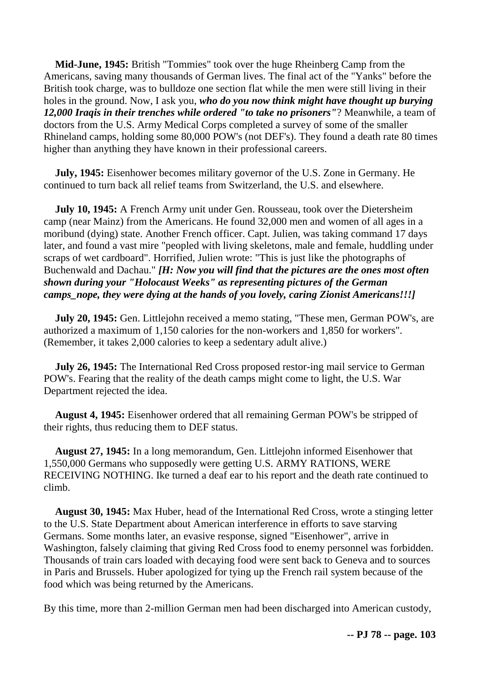**Mid-June, 1945:** British "Tommies" took over the huge Rheinberg Camp from the Americans, saving many thousands of German lives. The final act of the "Yanks" before the British took charge, was to bulldoze one section flat while the men were still living in their holes in the ground. Now, I ask you, *who do you now think might have thought up burying 12,000 Iraqis in their trenches while ordered "to take no prisoners"*? Meanwhile, a team of doctors from the U.S. Army Medical Corps completed a survey of some of the smaller Rhineland camps, holding some 80,000 POW's (not DEF's). They found a death rate 80 times higher than anything they have known in their professional careers.

**July, 1945:** Eisenhower becomes military governor of the U.S. Zone in Germany. He continued to turn back all relief teams from Switzerland, the U.S. and elsewhere.

**July 10, 1945:** A French Army unit under Gen. Rousseau, took over the Dietersheim camp (near Mainz) from the Americans. He found 32,000 men and women of all ages in a moribund (dying) state. Another French officer. Capt. Julien, was taking command 17 days later, and found a vast mire "peopled with living skeletons, male and female, huddling under scraps of wet cardboard". Horrified, Julien wrote: "This is just like the photographs of Buchenwald and Dachau." *[H: Now you will find that the pictures are the ones most often shown during your "Holocaust Weeks" as representing pictures of the German camps\_nope, they were dying at the hands of you lovely, caring Zionist Americans!!!]* 

**July 20, 1945:** Gen. Littlejohn received a memo stating, "These men, German POW's, are authorized a maximum of 1,150 calories for the non-workers and 1,850 for workers". (Remember, it takes 2,000 calories to keep a sedentary adult alive.)

**July 26, 1945:** The International Red Cross proposed restor-ing mail service to German POW's. Fearing that the reality of the death camps might come to light, the U.S. War Department rejected the idea.

**August 4, 1945:** Eisenhower ordered that all remaining German POW's be stripped of their rights, thus reducing them to DEF status.

**August 27, 1945:** In a long memorandum, Gen. Littlejohn informed Eisenhower that 1,550,000 Germans who supposedly were getting U.S. ARMY RATIONS, WERE RECEIVING NOTHING. Ike turned a deaf ear to his report and the death rate continued to climb.

**August 30, 1945:** Max Huber, head of the International Red Cross, wrote a stinging letter to the U.S. State Department about American interference in efforts to save starving Germans. Some months later, an evasive response, signed "Eisenhower", arrive in Washington, falsely claiming that giving Red Cross food to enemy personnel was forbidden. Thousands of train cars loaded with decaying food were sent back to Geneva and to sources in Paris and Brussels. Huber apologized for tying up the French rail system because of the food which was being returned by the Americans.

By this time, more than 2-million German men had been discharged into American custody,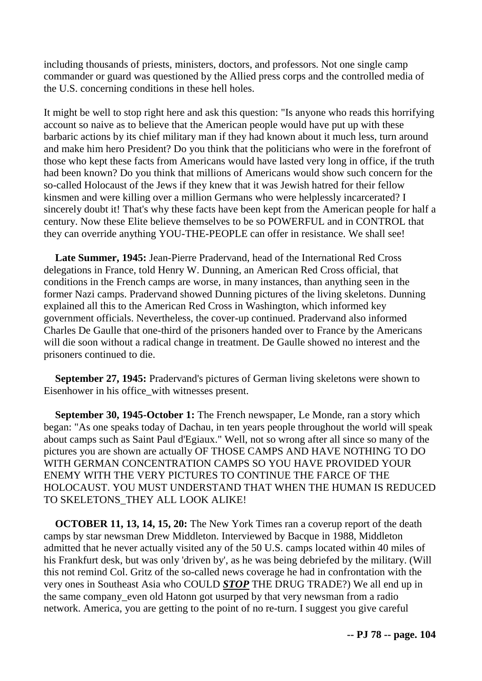including thousands of priests, ministers, doctors, and professors. Not one single camp commander or guard was questioned by the Allied press corps and the controlled media of the U.S. concerning conditions in these hell holes.

It might be well to stop right here and ask this question: "Is anyone who reads this horrifying account so naive as to believe that the American people would have put up with these barbaric actions by its chief military man if they had known about it much less, turn around and make him hero President? Do you think that the politicians who were in the forefront of those who kept these facts from Americans would have lasted very long in office, if the truth had been known? Do you think that millions of Americans would show such concern for the so-called Holocaust of the Jews if they knew that it was Jewish hatred for their fellow kinsmen and were killing over a million Germans who were helplessly incarcerated? I sincerely doubt it! That's why these facts have been kept from the American people for half a century. Now these Elite believe themselves to be so POWERFUL and in CONTROL that they can override anything YOU-THE-PEOPLE can offer in resistance. We shall see!

**Late Summer, 1945:** Jean-Pierre Pradervand, head of the International Red Cross delegations in France, told Henry W. Dunning, an American Red Cross official, that conditions in the French camps are worse, in many instances, than anything seen in the former Nazi camps. Pradervand showed Dunning pictures of the living skeletons. Dunning explained all this to the American Red Cross in Washington, which informed key government officials. Nevertheless, the cover-up continued. Pradervand also informed Charles De Gaulle that one-third of the prisoners handed over to France by the Americans will die soon without a radical change in treatment. De Gaulle showed no interest and the prisoners continued to die.

**September 27, 1945:** Pradervand's pictures of German living skeletons were shown to Eisenhower in his office\_with witnesses present.

**September 30, 1945-October 1:** The French newspaper, Le Monde, ran a story which began: "As one speaks today of Dachau, in ten years people throughout the world will speak about camps such as Saint Paul d'Egiaux." Well, not so wrong after all since so many of the pictures you are shown are actually OF THOSE CAMPS AND HAVE NOTHING TO DO WITH GERMAN CONCENTRATION CAMPS SO YOU HAVE PROVIDED YOUR ENEMY WITH THE VERY PICTURES TO CONTINUE THE FARCE OF THE HOLOCAUST. YOU MUST UNDERSTAND THAT WHEN THE HUMAN IS REDUCED TO SKELETONS\_THEY ALL LOOK ALIKE!

**OCTOBER 11, 13, 14, 15, 20:** The New York Times ran a coverup report of the death camps by star newsman Drew Middleton. Interviewed by Bacque in 1988, Middleton admitted that he never actually visited any of the 50 U.S. camps located within 40 miles of his Frankfurt desk, but was only 'driven by', as he was being debriefed by the military. (Will this not remind Col. Gritz of the so-called news coverage he had in confrontation with the very ones in Southeast Asia who COULD *STOP* THE DRUG TRADE?) We all end up in the same company\_even old Hatonn got usurped by that very newsman from a radio network. America, you are getting to the point of no re-turn. I suggest you give careful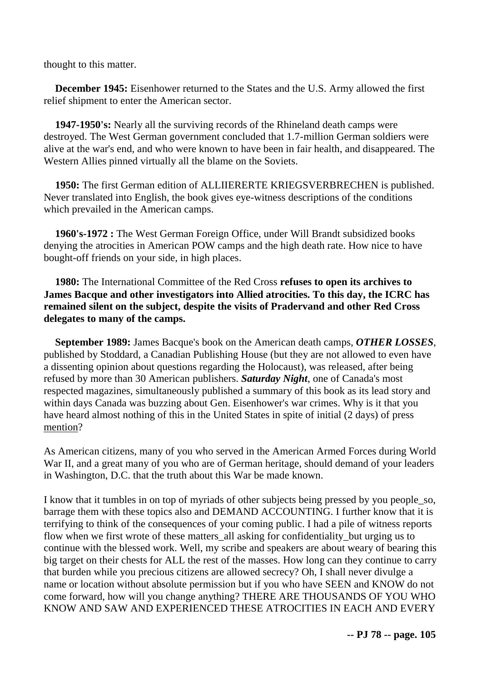thought to this matter.

**December 1945:** Eisenhower returned to the States and the U.S. Army allowed the first relief shipment to enter the American sector.

**1947-1950's:** Nearly all the surviving records of the Rhineland death camps were destroyed. The West German government concluded that 1.7-million German soldiers were alive at the war's end, and who were known to have been in fair health, and disappeared. The Western Allies pinned virtually all the blame on the Soviets.

**1950:** The first German edition of ALLIIERERTE KRIEGSVERBRECHEN is published. Never translated into English, the book gives eye-witness descriptions of the conditions which prevailed in the American camps.

**1960's-1972 :** The West German Foreign Office, under Will Brandt subsidized books denying the atrocities in American POW camps and the high death rate. How nice to have bought-off friends on your side, in high places.

**1980:** The International Committee of the Red Cross **refuses to open its archives to James Bacque and other investigators into Allied atrocities. To this day, the ICRC has remained silent on the subject, despite the visits of Pradervand and other Red Cross delegates to many of the camps.** 

**September 1989:** James Bacque's book on the American death camps, *OTHER LOSSES*, published by Stoddard, a Canadian Publishing House (but they are not allowed to even have a dissenting opinion about questions regarding the Holocaust), was released, after being refused by more than 30 American publishers. *Saturday Night*, one of Canada's most respected magazines, simultaneously published a summary of this book as its lead story and within days Canada was buzzing about Gen. Eisenhower's war crimes. Why is it that you have heard almost nothing of this in the United States in spite of initial (2 days) of press mention?

As American citizens, many of you who served in the American Armed Forces during World War II, and a great many of you who are of German heritage, should demand of your leaders in Washington, D.C. that the truth about this War be made known.

I know that it tumbles in on top of myriads of other subjects being pressed by you people\_so, barrage them with these topics also and DEMAND ACCOUNTING. I further know that it is terrifying to think of the consequences of your coming public. I had a pile of witness reports flow when we first wrote of these matters\_all asking for confidentiality\_but urging us to continue with the blessed work. Well, my scribe and speakers are about weary of bearing this big target on their chests for ALL the rest of the masses. How long can they continue to carry that burden while you precious citizens are allowed secrecy? Oh, I shall never divulge a name or location without absolute permission but if you who have SEEN and KNOW do not come forward, how will you change anything? THERE ARE THOUSANDS OF YOU WHO KNOW AND SAW AND EXPERIENCED THESE ATROCITIES IN EACH AND EVERY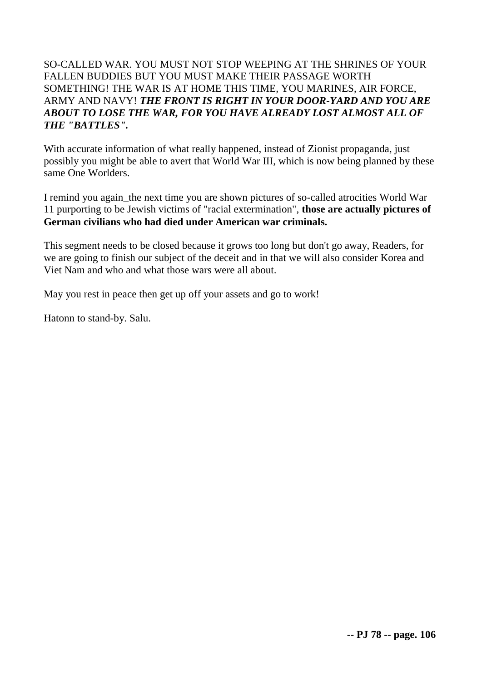# SO-CALLED WAR. YOU MUST NOT STOP WEEPING AT THE SHRINES OF YOUR FALLEN BUDDIES BUT YOU MUST MAKE THEIR PASSAGE WORTH SOMETHING! THE WAR IS AT HOME THIS TIME, YOU MARINES, AIR FORCE, ARMY AND NAVY! *THE FRONT IS RIGHT IN YOUR DOOR-YARD AND YOU ARE ABOUT TO LOSE THE WAR, FOR YOU HAVE ALREADY LOST ALMOST ALL OF THE "BATTLES".*

With accurate information of what really happened, instead of Zionist propaganda, just possibly you might be able to avert that World War III, which is now being planned by these same One Worlders.

I remind you again\_the next time you are shown pictures of so-called atrocities World War 11 purporting to be Jewish victims of "racial extermination", **those are actually pictures of German civilians who had died under American war criminals.** 

This segment needs to be closed because it grows too long but don't go away, Readers, for we are going to finish our subject of the deceit and in that we will also consider Korea and Viet Nam and who and what those wars were all about.

May you rest in peace then get up off your assets and go to work!

Hatonn to stand-by. Salu.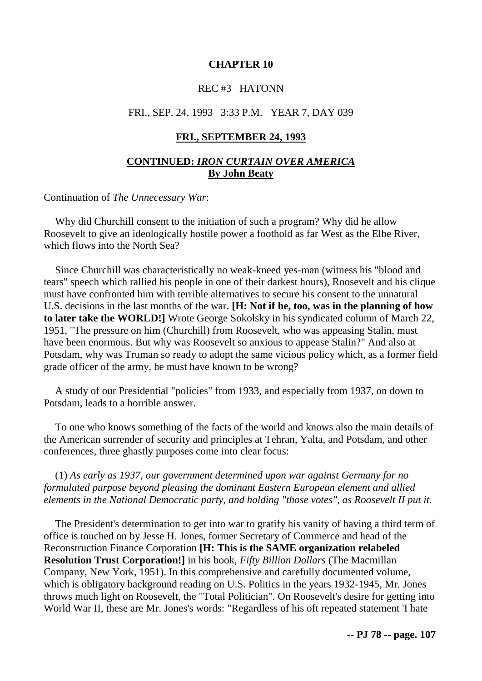#### **CHAPTER 10**

#### REC #3 HATONN

## FRI., SEP. 24, 1993 3:33 P.M. YEAR 7, DAY 039

#### **FRI., SEPTEMBER 24, 1993**

#### **CONTINUED:** *IRON CURTAIN OVER AMERICA* **By John Beaty**

Continuation of *The Unnecessary War*:

Why did Churchill consent to the initiation of such a program? Why did he allow Roosevelt to give an ideologically hostile power a foothold as far West as the Elbe River, which flows into the North Sea?

Since Churchill was characteristically no weak-kneed yes-man (witness his "blood and tears" speech which rallied his people in one of their darkest hours), Roosevelt and his clique must have confronted him with terrible alternatives to secure his consent to the unnatural U.S. decisions in the last months of the war. **[H: Not if he, too, was in the planning of how to later take the WORLD!]** Wrote George Sokolsky in his syndicated column of March 22, 1951, "The pressure on him (Churchill) from Roosevelt, who was appeasing Stalin, must have been enormous. But why was Roosevelt so anxious to appease Stalin?" And also at Potsdam, why was Truman so ready to adopt the same vicious policy which, as a former field grade officer of the army, he must have known to be wrong?

A study of our Presidential "policies" from 1933, and especially from 1937, on down to Potsdam, leads to a horrible answer.

To one who knows something of the facts of the world and knows also the main details of the American surrender of security and principles at Tehran, Yalta, and Potsdam, and other conferences, three ghastly purposes come into clear focus:

(1) *As early as 1937, our government determined upon war against Germany for no formulated purpose beyond pleasing the dominant Eastern European element and allied elements in the National Democratic party, and holding "those votes", as Roosevelt II put it.*

The President's determination to get into war to gratify his vanity of having a third term of office is touched on by Jesse H. Jones, former Secretary of Commerce and head of the Reconstruction Finance Corporation **[H: This is the SAME organization relabeled Resolution Trust Corporation!]** in his book, *Fifty Billion Dollars* (The Macmillan Company, New York, 1951). In this comprehensive and carefully documented volume, which is obligatory background reading on U.S. Politics in the years 1932-1945, Mr. Jones throws much light on Roosevelt, the "Total Politician". On Roosevelt's desire for getting into World War II, these are Mr. Jones's words: "Regardless of his oft repeated statement 'I hate

**-- PJ 78 -- page. 107**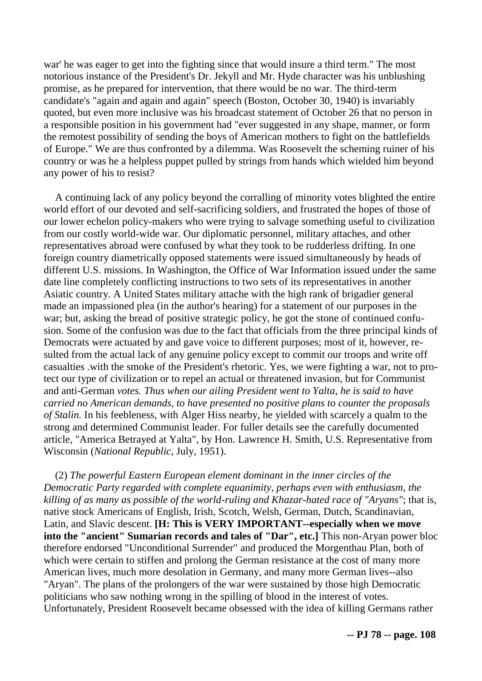war' he was eager to get into the fighting since that would insure a third term." The most notorious instance of the President's Dr. Jekyll and Mr. Hyde character was his unblushing promise, as he prepared for intervention, that there would be no war. The third-term candidate's "again and again and again" speech (Boston, October 30, 1940) is invariably quoted, but even more inclusive was his broadcast statement of October 26 that no person in a responsible position in his government had "ever suggested in any shape, manner, or form the remotest possibility of sending the boys of American mothers to fight on the battlefields of Europe." We are thus confronted by a dilemma. Was Roosevelt the scheming ruiner of his country or was he a helpless puppet pulled by strings from hands which wielded him beyond any power of his to resist?

A continuing lack of any policy beyond the corralling of minority votes blighted the entire world effort of our devoted and self-sacrificing soldiers, and frustrated the hopes of those of our lower echelon policy-makers who were trying to salvage something useful to civilization from our costly world-wide war. Our diplomatic personnel, military attaches, and other representatives abroad were confused by what they took to be rudderless drifting. In one foreign country diametrically opposed statements were issued simultaneously by heads of different U.S. missions. In Washington, the Office of War Information issued under the same date line completely conflicting instructions to two sets of its representatives in another Asiatic country. A United States military attache with the high rank of brigadier general made an impassioned plea (in the author's hearing) for a statement of our purposes in the war; but, asking the bread of positive strategic policy, he got the stone of continued confusion. Some of the confusion was due to the fact that officials from the three principal kinds of Democrats were actuated by and gave voice to different purposes; most of it, however, resulted from the actual lack of any genuine policy except to commit our troops and write off casualties .with the smoke of the President's rhetoric. Yes, we were fighting a war, not to protect our type of civilization or to repel an actual or threatened invasion, but for Communist and anti-German *votes. Thus when our ailing President went to Yalta, he is said to have carried no American demands, to have presented no positive plans to counter the proposals of Stalin.* In his feebleness, with Alger Hiss nearby, he yielded with scarcely a qualm to the strong and determined Communist leader. For fuller details see the carefully documented article, "America Betrayed at Yalta", by Hon. Lawrence H. Smith, U.S. Representative from Wisconsin (*National Republic*, July, 1951).

(2) *The powerful Eastern European element dominant in the inner circles of the Democratic Party regarded with complete equanimity, perhaps even with enthusiasm, the killing of as many as possible of the world-ruling and Khazar-hated race of "Aryans"*; that is, native stock Americans of English, Irish, Scotch, Welsh, German, Dutch, Scandinavian, Latin, and Slavic descent. **[H: This is VERY IMPORTANT--especially when we move into the "ancient" Sumarian records and tales of "Dar", etc.]** This non-Aryan power bloc therefore endorsed "Unconditional Surrender" and produced the Morgenthau Plan, both of which were certain to stiffen and prolong the German resistance at the cost of many more American lives, much more desolation in Germany, and many more German lives--also "Aryan". The plans of the prolongers of the war were sustained by those high Democratic politicians who saw nothing wrong in the spilling of blood in the interest of votes. Unfortunately, President Roosevelt became obsessed with the idea of killing Germans rather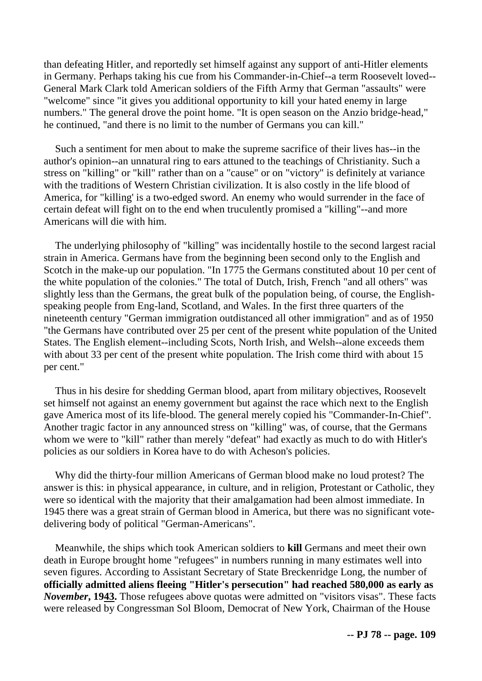than defeating Hitler, and reportedly set himself against any support of anti-Hitler elements in Germany. Perhaps taking his cue from his Commander-in-Chief--a term Roosevelt loved-- General Mark Clark told American soldiers of the Fifth Army that German "assaults" were "welcome" since "it gives you additional opportunity to kill your hated enemy in large numbers." The general drove the point home. "It is open season on the Anzio bridge-head," he continued, "and there is no limit to the number of Germans you can kill."

Such a sentiment for men about to make the supreme sacrifice of their lives has--in the author's opinion--an unnatural ring to ears attuned to the teachings of Christianity. Such a stress on "killing" or "kill" rather than on a "cause" or on "victory" is definitely at variance with the traditions of Western Christian civilization. It is also costly in the life blood of America, for "killing' is a two-edged sword. An enemy who would surrender in the face of certain defeat will fight on to the end when truculently promised a "killing"--and more Americans will die with him.

The underlying philosophy of "killing" was incidentally hostile to the second largest racial strain in America. Germans have from the beginning been second only to the English and Scotch in the make-up our population. "In 1775 the Germans constituted about 10 per cent of the white population of the colonies." The total of Dutch, Irish, French "and all others" was slightly less than the Germans, the great bulk of the population being, of course, the Englishspeaking people from Eng-land, Scotland, and Wales. In the first three quarters of the nineteenth century "German immigration outdistanced all other immigration" and as of 1950 "the Germans have contributed over 25 per cent of the present white population of the United States. The English element--including Scots, North Irish, and Welsh--alone exceeds them with about 33 per cent of the present white population. The Irish come third with about 15 per cent."

Thus in his desire for shedding German blood, apart from military objectives, Roosevelt set himself not against an enemy government but against the race which next to the English gave America most of its life-blood. The general merely copied his "Commander-In-Chief". Another tragic factor in any announced stress on "killing" was, of course, that the Germans whom we were to "kill" rather than merely "defeat" had exactly as much to do with Hitler's policies as our soldiers in Korea have to do with Acheson's policies.

Why did the thirty-four million Americans of German blood make no loud protest? The answer is this: in physical appearance, in culture, and in religion, Protestant or Catholic, they were so identical with the majority that their amalgamation had been almost immediate. In 1945 there was a great strain of German blood in America, but there was no significant votedelivering body of political "German-Americans".

Meanwhile, the ships which took American soldiers to **kill** Germans and meet their own death in Europe brought home "refugees" in numbers running in many estimates well into seven figures. According to Assistant Secretary of State Breckenridge Long, the number of **officially admitted aliens fleeing "Hitler's persecution" had reached 580,000 as early as**  *November***, 1943.** Those refugees above quotas were admitted on "visitors visas". These facts were released by Congressman Sol Bloom, Democrat of New York, Chairman of the House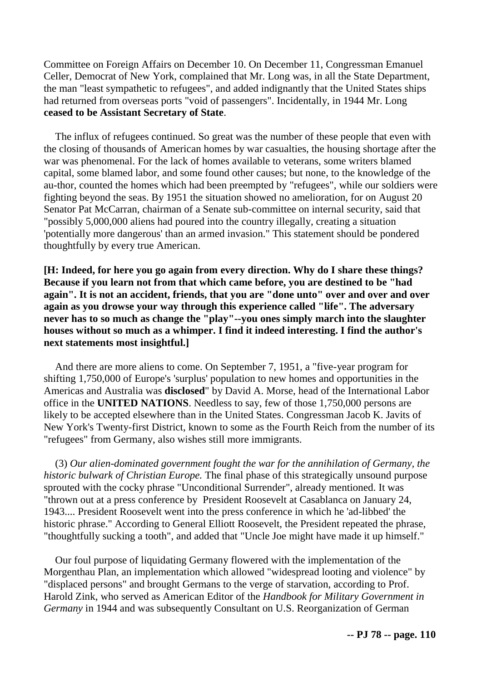Committee on Foreign Affairs on December 10. On December 11, Congressman Emanuel Celler, Democrat of New York, complained that Mr. Long was, in all the State Department, the man "least sympathetic to refugees", and added indignantly that the United States ships had returned from overseas ports "void of passengers". Incidentally, in 1944 Mr. Long **ceased to be Assistant Secretary of State**.

The influx of refugees continued. So great was the number of these people that even with the closing of thousands of American homes by war casualties, the housing shortage after the war was phenomenal. For the lack of homes available to veterans, some writers blamed capital, some blamed labor, and some found other causes; but none, to the knowledge of the au-thor, counted the homes which had been preempted by "refugees", while our soldiers were fighting beyond the seas. By 1951 the situation showed no amelioration, for on August 20 Senator Pat McCarran, chairman of a Senate sub-committee on internal security, said that "possibly 5,000,000 aliens had poured into the country illegally, creating a situation 'potentially more dangerous' than an armed invasion." This statement should be pondered thoughtfully by every true American.

**[H: Indeed, for here you go again from every direction. Why do I share these things? Because if you learn not from that which came before, you are destined to be "had again". It is not an accident, friends, that you are "done unto" over and over and over again as you drowse your way through this experience called "life". The adversary never has to so much as change the "play"--you ones simply march into the slaughter houses without so much as a whimper. I find it indeed interesting. I find the author's next statements most insightful.]** 

And there are more aliens to come. On September 7, 1951, a "five-year program for shifting 1,750,000 of Europe's 'surplus' population to new homes and opportunities in the Americas and Australia was **disclosed**" by David A. Morse, head of the International Labor office in the **UNITED NATIONS**. Needless to say, few of those 1,750,000 persons are likely to be accepted elsewhere than in the United States. Congressman Jacob K. Javits of New York's Twenty-first District, known to some as the Fourth Reich from the number of its "refugees" from Germany, also wishes still more immigrants.

(3) *Our alien-dominated government fought the war for the annihilation of Germany, the historic bulwark of Christian Europe.* The final phase of this strategically unsound purpose sprouted with the cocky phrase "Unconditional Surrender", already mentioned. It was "thrown out at a press conference by President Roosevelt at Casablanca on January 24, 1943.... President Roosevelt went into the press conference in which he 'ad-libbed' the historic phrase." According to General Elliott Roosevelt, the President repeated the phrase, "thoughtfully sucking a tooth", and added that "Uncle Joe might have made it up himself."

Our foul purpose of liquidating Germany flowered with the implementation of the Morgenthau Plan, an implementation which allowed "widespread looting and violence" by "displaced persons" and brought Germans to the verge of starvation, according to Prof. Harold Zink, who served as American Editor of the *Handbook for Military Government in Germany* in 1944 and was subsequently Consultant on U.S. Reorganization of German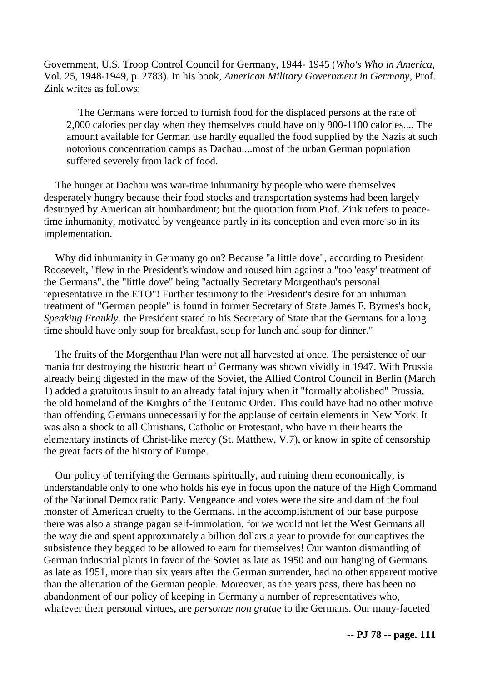Government, U.S. Troop Control Council for Germany, 1944- 1945 (*Who's Who in America*, Vol. 25, 1948-1949, p. 2783). In his book, *American Military Government in Germany*, Prof. Zink writes as follows:

The Germans were forced to furnish food for the displaced persons at the rate of 2,000 calories per day when they themselves could have only 900-1100 calories.... The amount available for German use hardly equalled the food supplied by the Nazis at such notorious concentration camps as Dachau....most of the urban German population suffered severely from lack of food.

The hunger at Dachau was war-time inhumanity by people who were themselves desperately hungry because their food stocks and transportation systems had been largely destroyed by American air bombardment; but the quotation from Prof. Zink refers to peacetime inhumanity, motivated by vengeance partly in its conception and even more so in its implementation.

Why did inhumanity in Germany go on? Because "a little dove", according to President Roosevelt, "flew in the President's window and roused him against a "too 'easy' treatment of the Germans", the "little dove" being "actually Secretary Morgenthau's personal representative in the ETO"! Further testimony to the President's desire for an inhuman treatment of "German people" is found in former Secretary of State James F. Byrnes's book, *Speaking Frankly*. the President stated to his Secretary of State that the Germans for a long time should have only soup for breakfast, soup for lunch and soup for dinner."

The fruits of the Morgenthau Plan were not all harvested at once. The persistence of our mania for destroying the historic heart of Germany was shown vividly in 1947. With Prussia already being digested in the maw of the Soviet, the Allied Control Council in Berlin (March 1) added a gratuitous insult to an already fatal injury when it "formally abolished" Prussia, the old homeland of the Knights of the Teutonic Order. This could have had no other motive than offending Germans unnecessarily for the applause of certain elements in New York. It was also a shock to all Christians, Catholic or Protestant, who have in their hearts the elementary instincts of Christ-like mercy (St. Matthew, V.7), or know in spite of censorship the great facts of the history of Europe.

Our policy of terrifying the Germans spiritually, and ruining them economically, is understandable only to one who holds his eye in focus upon the nature of the High Command of the National Democratic Party. Vengeance and votes were the sire and dam of the foul monster of American cruelty to the Germans. In the accomplishment of our base purpose there was also a strange pagan self-immolation, for we would not let the West Germans all the way die and spent approximately a billion dollars a year to provide for our captives the subsistence they begged to be allowed to earn for themselves! Our wanton dismantling of German industrial plants in favor of the Soviet as late as 1950 and our hanging of Germans as late as 1951, more than six years after the German surrender, had no other apparent motive than the alienation of the German people. Moreover, as the years pass, there has been no abandonment of our policy of keeping in Germany a number of representatives who, whatever their personal virtues, are *personae non gratae* to the Germans. Our many-faceted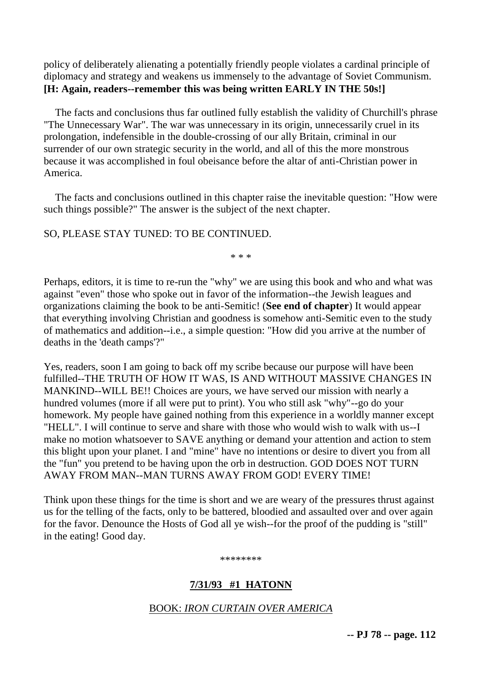policy of deliberately alienating a potentially friendly people violates a cardinal principle of diplomacy and strategy and weakens us immensely to the advantage of Soviet Communism. **[H: Again, readers--remember this was being written EARLY IN THE 50s!]** 

The facts and conclusions thus far outlined fully establish the validity of Churchill's phrase "The Unnecessary War". The war was unnecessary in its origin, unnecessarily cruel in its prolongation, indefensible in the double-crossing of our ally Britain, criminal in our surrender of our own strategic security in the world, and all of this the more monstrous because it was accomplished in foul obeisance before the altar of anti-Christian power in America.

The facts and conclusions outlined in this chapter raise the inevitable question: "How were such things possible?" The answer is the subject of the next chapter.

SO, PLEASE STAY TUNED: TO BE CONTINUED.

\* \* \*

Perhaps, editors, it is time to re-run the "why" we are using this book and who and what was against "even" those who spoke out in favor of the information--the Jewish leagues and organizations claiming the book to be anti-Semitic! (**See end of chapter**) It would appear that everything involving Christian and goodness is somehow anti-Semitic even to the study of mathematics and addition--i.e., a simple question: "How did you arrive at the number of deaths in the 'death camps'?"

Yes, readers, soon I am going to back off my scribe because our purpose will have been fulfilled--THE TRUTH OF HOW IT WAS, IS AND WITHOUT MASSIVE CHANGES IN MANKIND--WILL BE!! Choices are yours, we have served our mission with nearly a hundred volumes (more if all were put to print). You who still ask "why"--go do your homework. My people have gained nothing from this experience in a worldly manner except "HELL". I will continue to serve and share with those who would wish to walk with us--I make no motion whatsoever to SAVE anything or demand your attention and action to stem this blight upon your planet. I and "mine" have no intentions or desire to divert you from all the "fun" you pretend to be having upon the orb in destruction. GOD DOES NOT TURN AWAY FROM MAN--MAN TURNS AWAY FROM GOD! EVERY TIME!

Think upon these things for the time is short and we are weary of the pressures thrust against us for the telling of the facts, only to be battered, bloodied and assaulted over and over again for the favor. Denounce the Hosts of God all ye wish--for the proof of the pudding is "still" in the eating! Good day.

\*\*\*\*\*\*\*\*

## **7/31/93 #1 HATONN**

### BOOK: *IRON CURTAIN OVER AMERICA*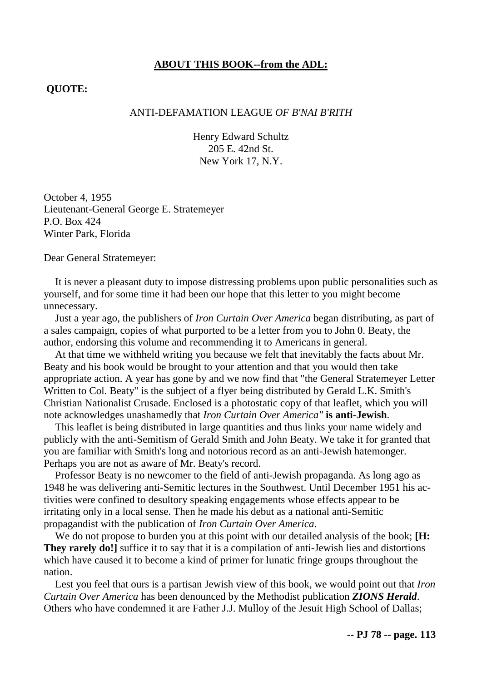### **ABOUT THIS BOOK--from the ADL:**

#### **QUOTE:**

# ANTI-DEFAMATION LEAGUE *OF B'NAI B'RITH*

Henry Edward Schultz 205 E. 42nd St. New York 17, N.Y.

October 4, 1955 Lieutenant-General George E. Stratemeyer P.O. Box 424 Winter Park, Florida

Dear General Stratemeyer:

It is never a pleasant duty to impose distressing problems upon public personalities such as yourself, and for some time it had been our hope that this letter to you might become unnecessary.

Just a year ago, the publishers of *Iron Curtain Over America* began distributing, as part of a sales campaign, copies of what purported to be a letter from you to John 0. Beaty, the author, endorsing this volume and recommending it to Americans in general.

At that time we withheld writing you because we felt that inevitably the facts about Mr. Beaty and his book would be brought to your attention and that you would then take appropriate action. A year has gone by and we now find that "the General Stratemeyer Letter Written to Col. Beaty" is the subject of a flyer being distributed by Gerald L.K. Smith's Christian Nationalist Crusade. Enclosed is a photostatic copy of that leaflet, which you will note acknowledges unashamedly that *Iron Curtain Over America"* **is anti-Jewish**.

This leaflet is being distributed in large quantities and thus links your name widely and publicly with the anti-Semitism of Gerald Smith and John Beaty. We take it for granted that you are familiar with Smith's long and notorious record as an anti-Jewish hatemonger. Perhaps you are not as aware of Mr. Beaty's record.

Professor Beaty is no newcomer to the field of anti-Jewish propaganda. As long ago as 1948 he was delivering anti-Semitic lectures in the Southwest. Until December 1951 his activities were confined to desultory speaking engagements whose effects appear to be irritating only in a local sense. Then he made his debut as a national anti-Semitic propagandist with the publication of *Iron Curtain Over America*.

We do not propose to burden you at this point with our detailed analysis of the book; **[H: They rarely do!**] suffice it to say that it is a compilation of anti-Jewish lies and distortions which have caused it to become a kind of primer for lunatic fringe groups throughout the nation.

Lest you feel that ours is a partisan Jewish view of this book, we would point out that *Iron Curtain Over America* has been denounced by the Methodist publication *ZIONS Herald*. Others who have condemned it are Father J.J. Mulloy of the Jesuit High School of Dallas;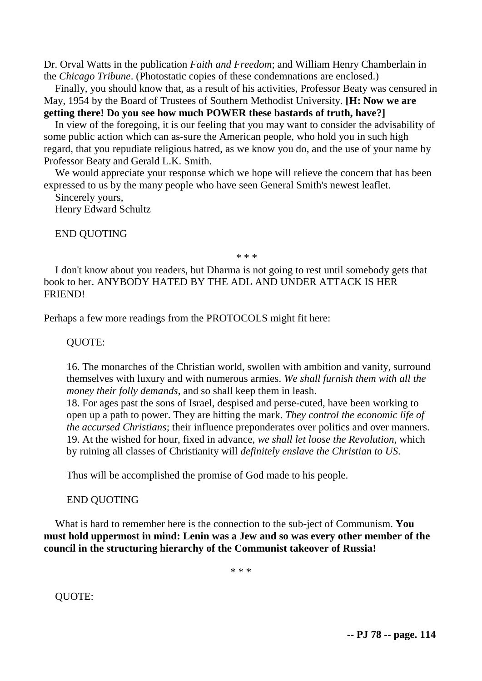Dr. Orval Watts in the publication *Faith and Freedom*; and William Henry Chamberlain in the *Chicago Tribune*. (Photostatic copies of these condemnations are enclosed.)

Finally, you should know that, as a result of his activities, Professor Beaty was censured in May, 1954 by the Board of Trustees of Southern Methodist University. **[H: Now we are getting there! Do you see how much POWER these bastards of truth, have?]**

In view of the foregoing, it is our feeling that you may want to consider the advisability of some public action which can as-sure the American people, who hold you in such high regard, that you repudiate religious hatred, as we know you do, and the use of your name by Professor Beaty and Gerald L.K. Smith.

We would appreciate your response which we hope will relieve the concern that has been expressed to us by the many people who have seen General Smith's newest leaflet.

Sincerely yours, Henry Edward Schultz

END QUOTING

\* \* \*

I don't know about you readers, but Dharma is not going to rest until somebody gets that book to her. ANYBODY HATED BY THE ADL AND UNDER ATTACK IS HER FRIEND!

Perhaps a few more readings from the PROTOCOLS might fit here:

QUOTE:

16. The monarches of the Christian world, swollen with ambition and vanity, surround themselves with luxury and with numerous armies. *We shall furnish them with all the money their folly demands*, and so shall keep them in leash.

18. For ages past the sons of Israel, despised and perse-cuted, have been working to open up a path to power. They are hitting the mark. *They control the economic life of the accursed Christians*; their influence preponderates over politics and over manners. 19. At the wished for hour, fixed in advance, *we shall let loose the Revolution*, which by ruining all classes of Christianity will *definitely enslave the Christian to US*.

Thus will be accomplished the promise of God made to his people.

END QUOTING

What is hard to remember here is the connection to the sub-ject of Communism. **You must hold uppermost in mind: Lenin was a Jew and so was every other member of the council in the structuring hierarchy of the Communist takeover of Russia!** 

\* \* \*

QUOTE: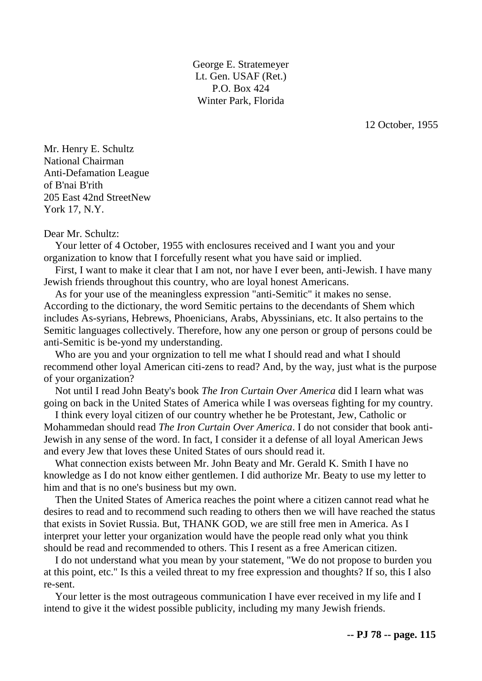George E. Stratemeyer Lt. Gen. USAF (Ret.) P.O. Box 424 Winter Park, Florida

12 October, 1955

Mr. Henry E. Schultz National Chairman Anti-Defamation League of B'nai B'rith 205 East 42nd StreetNew York 17, N.Y.

#### Dear Mr. Schultz:

Your letter of 4 October, 1955 with enclosures received and I want you and your organization to know that I forcefully resent what you have said or implied.

First, I want to make it clear that I am not, nor have I ever been, anti-Jewish. I have many Jewish friends throughout this country, who are loyal honest Americans.

As for your use of the meaningless expression "anti-Semitic" it makes no sense. According to the dictionary, the word Semitic pertains to the decendants of Shem which includes As-syrians, Hebrews, Phoenicians, Arabs, Abyssinians, etc. It also pertains to the Semitic languages collectively. Therefore, how any one person or group of persons could be anti-Semitic is be-yond my understanding.

Who are you and your orgnization to tell me what I should read and what I should recommend other loyal American citi-zens to read? And, by the way, just what is the purpose of your organization?

Not until I read John Beaty's book *The Iron Curtain Over America* did I learn what was going on back in the United States of America while I was overseas fighting for my country.

I think every loyal citizen of our country whether he be Protestant, Jew, Catholic or Mohammedan should read *The Iron Curtain Over America*. I do not consider that book anti-Jewish in any sense of the word. In fact, I consider it a defense of all loyal American Jews and every Jew that loves these United States of ours should read it.

What connection exists between Mr. John Beaty and Mr. Gerald K. Smith I have no knowledge as I do not know either gentlemen. I did authorize Mr. Beaty to use my letter to him and that is no one's business but my own.

Then the United States of America reaches the point where a citizen cannot read what he desires to read and to recommend such reading to others then we will have reached the status that exists in Soviet Russia. But, THANK GOD, we are still free men in America. As I interpret your letter your organization would have the people read only what you think should be read and recommended to others. This I resent as a free American citizen.

I do not understand what you mean by your statement, "We do not propose to burden you at this point, etc." Is this a veiled threat to my free expression and thoughts? If so, this I also re-sent.

Your letter is the most outrageous communication I have ever received in my life and I intend to give it the widest possible publicity, including my many Jewish friends.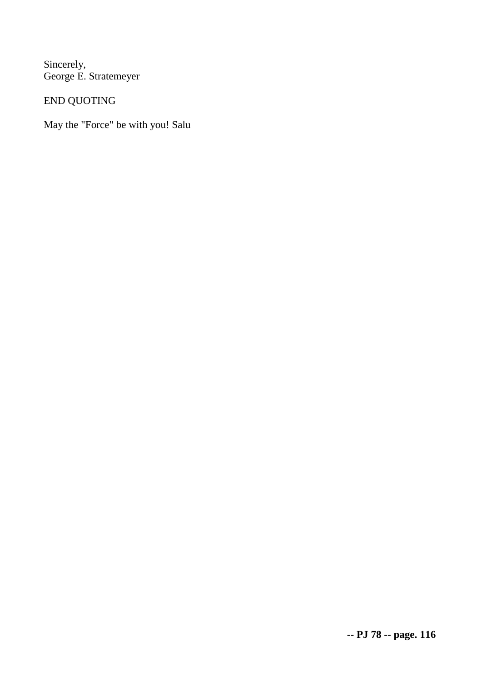Sincerely, George E. Stratemeyer

END QUOTING

May the "Force" be with you! Salu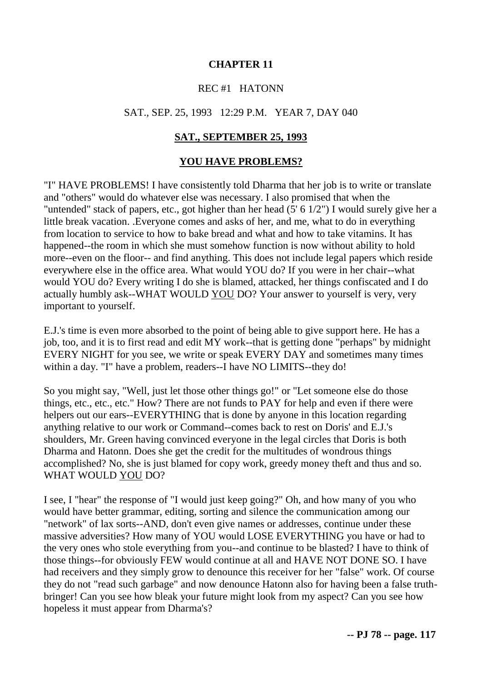## **CHAPTER 11**

### REC #1 HATONN

### SAT., SEP. 25, 1993 12:29 P.M. YEAR 7, DAY 040

### **SAT., SEPTEMBER 25, 1993**

#### **YOU HAVE PROBLEMS?**

"I" HAVE PROBLEMS! I have consistently told Dharma that her job is to write or translate and "others" would do whatever else was necessary. I also promised that when the "untended" stack of papers, etc., got higher than her head (5' 6 1/2") I would surely give her a little break vacation. .Everyone comes and asks of her, and me, what to do in everything from location to service to how to bake bread and what and how to take vitamins. It has happened--the room in which she must somehow function is now without ability to hold more--even on the floor-- and find anything. This does not include legal papers which reside everywhere else in the office area. What would YOU do? If you were in her chair--what would YOU do? Every writing I do she is blamed, attacked, her things confiscated and I do actually humbly ask--WHAT WOULD YOU DO? Your answer to yourself is very, very important to yourself.

E.J.'s time is even more absorbed to the point of being able to give support here. He has a job, too, and it is to first read and edit MY work--that is getting done "perhaps" by midnight EVERY NIGHT for you see, we write or speak EVERY DAY and sometimes many times within a day. "I" have a problem, readers--I have NO LIMITS--they do!

So you might say, "Well, just let those other things go!" or "Let someone else do those things, etc., etc., etc." How? There are not funds to PAY for help and even if there were helpers out our ears--EVERYTHING that is done by anyone in this location regarding anything relative to our work or Command--comes back to rest on Doris' and E.J.'s shoulders, Mr. Green having convinced everyone in the legal circles that Doris is both Dharma and Hatonn. Does she get the credit for the multitudes of wondrous things accomplished? No, she is just blamed for copy work, greedy money theft and thus and so. WHAT WOULD YOU DO?

I see, I "hear" the response of "I would just keep going?" Oh, and how many of you who would have better grammar, editing, sorting and silence the communication among our "network" of lax sorts--AND, don't even give names or addresses, continue under these massive adversities? How many of YOU would LOSE EVERYTHING you have or had to the very ones who stole everything from you--and continue to be blasted? I have to think of those things--for obviously FEW would continue at all and HAVE NOT DONE SO. I have had receivers and they simply grow to denounce this receiver for her "false" work. Of course they do not "read such garbage" and now denounce Hatonn also for having been a false truthbringer! Can you see how bleak your future might look from my aspect? Can you see how hopeless it must appear from Dharma's?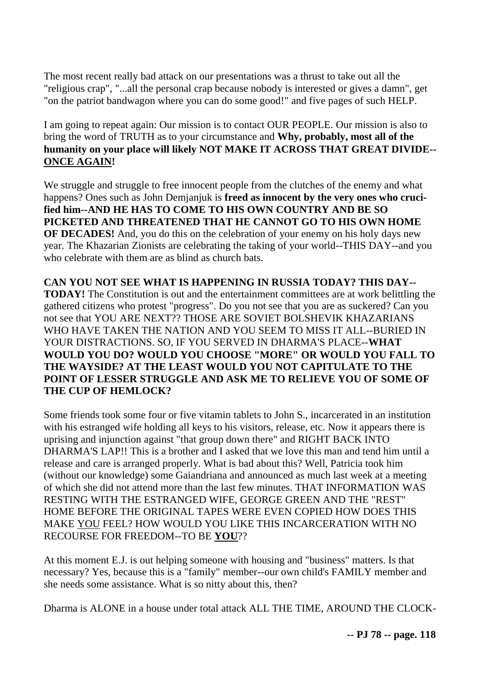The most recent really bad attack on our presentations was a thrust to take out all the "religious crap", "...all the personal crap because nobody is interested or gives a damn", get "on the patriot bandwagon where you can do some good!" and five pages of such HELP.

I am going to repeat again: Our mission is to contact OUR PEOPLE. Our mission is also to bring the word of TRUTH as to your circumstance and **Why, probably, most all of the humanity on your place will likely NOT MAKE IT ACROSS THAT GREAT DIVIDE-- ONCE AGAIN!** 

We struggle and struggle to free innocent people from the clutches of the enemy and what happens? Ones such as John Demjanjuk is **freed as innocent by the very ones who crucified him--AND HE HAS TO COME TO HIS OWN COUNTRY AND BE SO PICKETED AND THREATENED THAT HE CANNOT GO TO HIS OWN HOME OF DECADES!** And, you do this on the celebration of your enemy on his holy days new year. The Khazarian Zionists are celebrating the taking of your world--THIS DAY--and you who celebrate with them are as blind as church bats.

**CAN YOU NOT SEE WHAT IS HAPPENING IN RUSSIA TODAY? THIS DAY-- TODAY!** The Constitution is out and the entertainment committees are at work belittling the gathered citizens who protest "progress". Do you not see that you are as suckered? Can you not see that YOU ARE NEXT?? THOSE ARE SOVIET BOLSHEVIK KHAZARIANS WHO HAVE TAKEN THE NATION AND YOU SEEM TO MISS IT ALL--BURIED IN YOUR DISTRACTIONS. SO, IF YOU SERVED IN DHARMA'S PLACE--**WHAT WOULD YOU DO? WOULD YOU CHOOSE "MORE" OR WOULD YOU FALL TO THE WAYSIDE? AT THE LEAST WOULD YOU NOT CAPITULATE TO THE POINT OF LESSER STRUGGLE AND ASK ME TO RELIEVE YOU OF SOME OF THE CUP OF HEMLOCK?** 

Some friends took some four or five vitamin tablets to John S., incarcerated in an institution with his estranged wife holding all keys to his visitors, release, etc. Now it appears there is uprising and injunction against "that group down there" and RIGHT BACK INTO DHARMA'S LAP!! This is a brother and I asked that we love this man and tend him until a release and care is arranged properly. What is bad about this? Well, Patricia took him (without our knowledge) some Gaiandriana and announced as much last week at a meeting of which she did not attend more than the last few minutes. THAT INFORMATION WAS RESTING WITH THE ESTRANGED WIFE, GEORGE GREEN AND THE "REST" HOME BEFORE THE ORIGINAL TAPES WERE EVEN COPIED HOW DOES THIS MAKE YOU FEEL? HOW WOULD YOU LIKE THIS INCARCERATION WITH NO RECOURSE FOR FREEDOM--TO BE **YOU**??

At this moment E.J. is out helping someone with housing and "business" matters. Is that necessary? Yes, because this is a "family" member--our own child's FAMILY member and she needs some assistance. What is so nitty about this, then?

Dharma is ALONE in a house under total attack ALL THE TIME, AROUND THE CLOCK-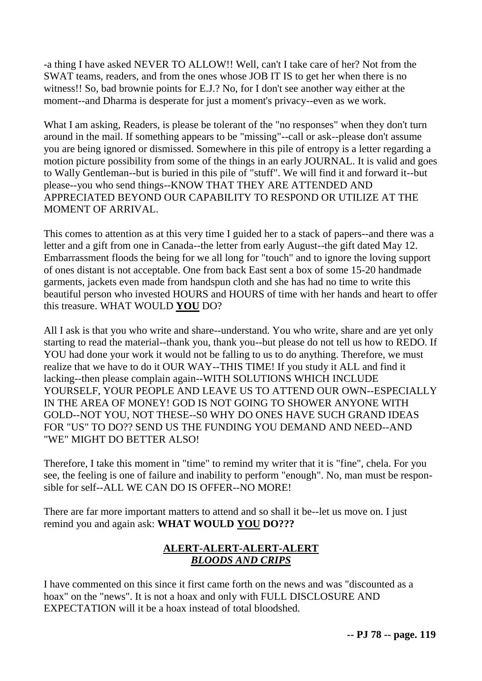-a thing I have asked NEVER TO ALLOW!! Well, can't I take care of her? Not from the SWAT teams, readers, and from the ones whose JOB IT IS to get her when there is no witness!! So, bad brownie points for E.J.? No, for I don't see another way either at the moment--and Dharma is desperate for just a moment's privacy--even as we work.

What I am asking, Readers, is please be tolerant of the "no responses" when they don't turn around in the mail. If something appears to be "missing"--call or ask--please don't assume you are being ignored or dismissed. Somewhere in this pile of entropy is a letter regarding a motion picture possibility from some of the things in an early JOURNAL. It is valid and goes to Wally Gentleman--but is buried in this pile of "stuff". We will find it and forward it--but please--you who send things--KNOW THAT THEY ARE ATTENDED AND APPRECIATED BEYOND OUR CAPABILITY TO RESPOND OR UTILIZE AT THE MOMENT OF ARRIVAL.

This comes to attention as at this very time I guided her to a stack of papers--and there was a letter and a gift from one in Canada--the letter from early August--the gift dated May 12. Embarrassment floods the being for we all long for "touch" and to ignore the loving support of ones distant is not acceptable. One from back East sent a box of some 15-20 handmade garments, jackets even made from handspun cloth and she has had no time to write this beautiful person who invested HOURS and HOURS of time with her hands and heart to offer this treasure. WHAT WOULD **YOU** DO?

All I ask is that you who write and share--understand. You who write, share and are yet only starting to read the material--thank you, thank you--but please do not tell us how to REDO. If YOU had done your work it would not be falling to us to do anything. Therefore, we must realize that we have to do it OUR WAY--THIS TIME! If you study it ALL and find it lacking--then please complain again--WITH SOLUTIONS WHICH INCLUDE YOURSELF, YOUR PEOPLE AND LEAVE US TO ATTEND OUR OWN--ESPECIALLY IN THE AREA OF MONEY! GOD IS NOT GOING TO SHOWER ANYONE WITH GOLD--NOT YOU, NOT THESE--S0 WHY DO ONES HAVE SUCH GRAND IDEAS FOR "US" TO DO?? SEND US THE FUNDING YOU DEMAND AND NEED--AND "WE" MIGHT DO BETTER ALSO!

Therefore, I take this moment in "time" to remind my writer that it is "fine", chela. For you see, the feeling is one of failure and inability to perform "enough". No, man must be responsible for self--ALL WE CAN DO IS OFFER--NO MORE!

There are far more important matters to attend and so shall it be--let us move on. I just remind you and again ask: **WHAT WOULD YOU DO???** 

# **ALERT-ALERT-ALERT-ALERT** *BLOODS AND CRIPS*

I have commented on this since it first came forth on the news and was "discounted as a hoax" on the "news". It is not a hoax and only with FULL DISCLOSURE AND EXPECTATION will it be a hoax instead of total bloodshed.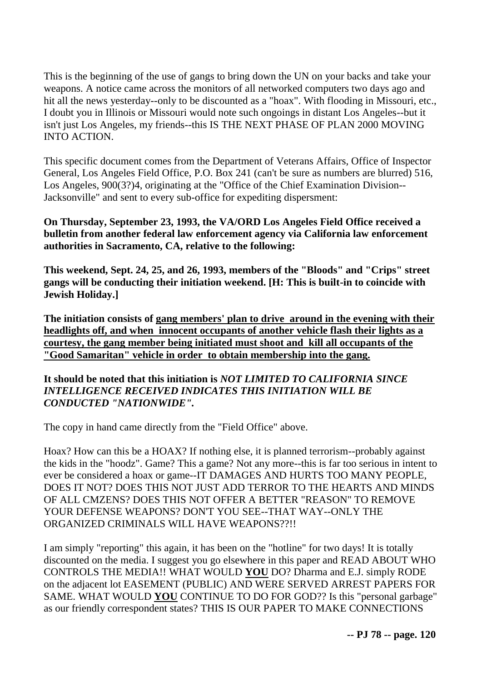This is the beginning of the use of gangs to bring down the UN on your backs and take your weapons. A notice came across the monitors of all networked computers two days ago and hit all the news yesterday--only to be discounted as a "hoax". With flooding in Missouri, etc., I doubt you in Illinois or Missouri would note such ongoings in distant Los Angeles--but it isn't just Los Angeles, my friends--this IS THE NEXT PHASE OF PLAN 2000 MOVING INTO ACTION.

This specific document comes from the Department of Veterans Affairs, Office of Inspector General, Los Angeles Field Office, P.O. Box 241 (can't be sure as numbers are blurred) 516, Los Angeles, 900(3?)4, originating at the "Office of the Chief Examination Division-- Jacksonville" and sent to every sub-office for expediting dispersment:

**On Thursday, September 23, 1993, the VA/ORD Los Angeles Field Office received a bulletin from another federal law enforcement agency via California law enforcement authorities in Sacramento, CA, relative to the following:** 

**This weekend, Sept. 24, 25, and 26, 1993, members of the "Bloods" and "Crips" street gangs will be conducting their initiation weekend. [H: This is built-in to coincide with Jewish Holiday.]** 

**The initiation consists of gang members' plan to drive around in the evening with their headlights off, and when innocent occupants of another vehicle flash their lights as a courtesy, the gang member being initiated must shoot and kill all occupants of the "Good Samaritan" vehicle in order to obtain membership into the gang.** 

# **It should be noted that this initiation is** *NOT LIMITED TO CALIFORNIA SINCE INTELLIGENCE RECEIVED INDICATES THIS INITIATION WILL BE CONDUCTED "NATIONWIDE".*

The copy in hand came directly from the "Field Office" above.

Hoax? How can this be a HOAX? If nothing else, it is planned terrorism--probably against the kids in the "hoodz". Game? This a game? Not any more--this is far too serious in intent to ever be considered a hoax or game--IT DAMAGES AND HURTS TOO MANY PEOPLE, DOES IT NOT? DOES THIS NOT JUST ADD TERROR TO THE HEARTS AND MINDS OF ALL CMZENS? DOES THIS NOT OFFER A BETTER "REASON" TO REMOVE YOUR DEFENSE WEAPONS? DON'T YOU SEE--THAT WAY--ONLY THE ORGANIZED CRIMINALS WILL HAVE WEAPONS??!!

I am simply "reporting" this again, it has been on the "hotline" for two days! It is totally discounted on the media. I suggest you go elsewhere in this paper and READ ABOUT WHO CONTROLS THE MEDIA!! WHAT WOULD **YOU** DO? Dharma and E.J. simply RODE on the adjacent lot EASEMENT (PUBLIC) AND WERE SERVED ARREST PAPERS FOR SAME. WHAT WOULD **YOU** CONTINUE TO DO FOR GOD?? Is this "personal garbage" as our friendly correspondent states? THIS IS OUR PAPER TO MAKE CONNECTIONS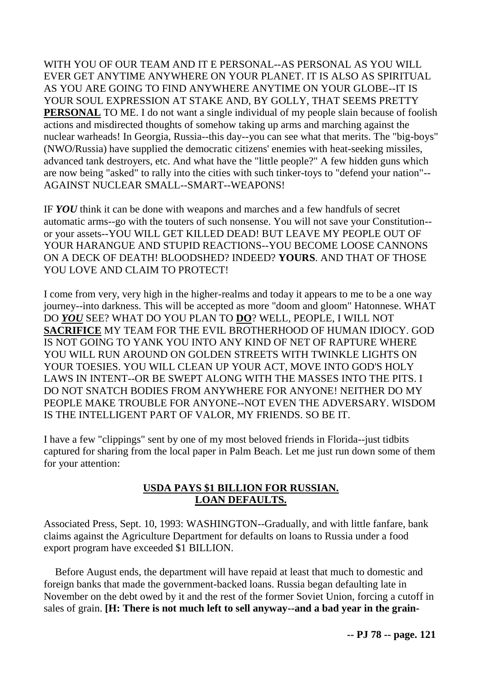WITH YOU OF OUR TEAM AND IT E PERSONAL--AS PERSONAL AS YOU WILL EVER GET ANYTIME ANYWHERE ON YOUR PLANET. IT IS ALSO AS SPIRITUAL AS YOU ARE GOING TO FIND ANYWHERE ANYTIME ON YOUR GLOBE--IT IS YOUR SOUL EXPRESSION AT STAKE AND, BY GOLLY, THAT SEEMS PRETTY **PERSONAL** TO ME. I do not want a single individual of my people slain because of foolish actions and misdirected thoughts of somehow taking up arms and marching against the nuclear warheads! In Georgia, Russia--this day--you can see what that merits. The "big-boys" (NWO/Russia) have supplied the democratic citizens' enemies with heat-seeking missiles, advanced tank destroyers, etc. And what have the "little people?" A few hidden guns which are now being "asked" to rally into the cities with such tinker-toys to "defend your nation"-- AGAINST NUCLEAR SMALL--SMART--WEAPONS!

IF *YOU* think it can be done with weapons and marches and a few handfuls of secret automatic arms--go with the touters of such nonsense. You will not save your Constitution- or your assets--YOU WILL GET KILLED DEAD! BUT LEAVE MY PEOPLE OUT OF YOUR HARANGUE AND STUPID REACTIONS--YOU BECOME LOOSE CANNONS ON A DECK OF DEATH! BLOODSHED? INDEED? **YOURS**. AND THAT OF THOSE YOU LOVE AND CLAIM TO PROTECT!

I come from very, very high in the higher-realms and today it appears to me to be a one way journey--into darkness. This will be accepted as more "doom and gloom" Hatonnese. WHAT DO *YOU* SEE? WHAT DO YOU PLAN TO **DO**? WELL, PEOPLE, I WILL NOT **SACRIFICE** MY TEAM FOR THE EVIL BROTHERHOOD OF HUMAN IDIOCY. GOD IS NOT GOING TO YANK YOU INTO ANY KIND OF NET OF RAPTURE WHERE YOU WILL RUN AROUND ON GOLDEN STREETS WITH TWINKLE LIGHTS ON YOUR TOESIES. YOU WILL CLEAN UP YOUR ACT, MOVE INTO GOD'S HOLY LAWS IN INTENT--OR BE SWEPT ALONG WITH THE MASSES INTO THE PITS. I DO NOT SNATCH BODIES FROM ANYWHERE FOR ANYONE! NEITHER DO MY PEOPLE MAKE TROUBLE FOR ANYONE--NOT EVEN THE ADVERSARY. WISDOM IS THE INTELLIGENT PART OF VALOR, MY FRIENDS. SO BE IT.

I have a few "clippings" sent by one of my most beloved friends in Florida--just tidbits captured for sharing from the local paper in Palm Beach. Let me just run down some of them for your attention:

## **USDA PAYS \$1 BILLION FOR RUSSIAN. LOAN DEFAULTS.**

Associated Press, Sept. 10, 1993: WASHINGTON--Gradually, and with little fanfare, bank claims against the Agriculture Department for defaults on loans to Russia under a food export program have exceeded \$1 BILLION.

Before August ends, the department will have repaid at least that much to domestic and foreign banks that made the government-backed loans. Russia began defaulting late in November on the debt owed by it and the rest of the former Soviet Union, forcing a cutoff in sales of grain. **[H: There is not much left to sell anyway--and a bad year in the grain-**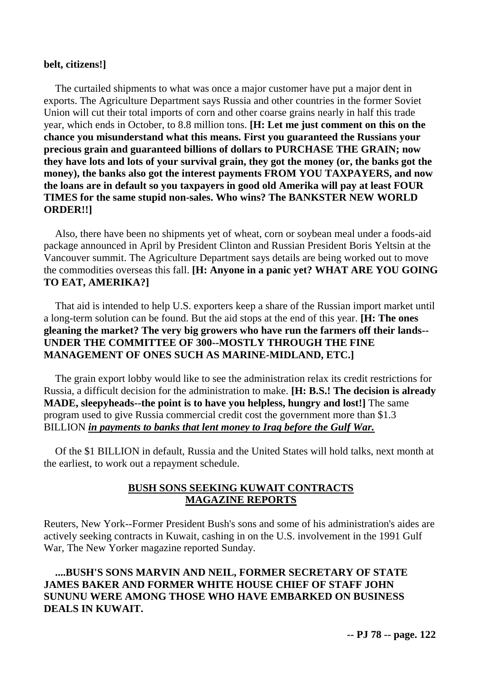#### **belt, citizens!]**

The curtailed shipments to what was once a major customer have put a major dent in exports. The Agriculture Department says Russia and other countries in the former Soviet Union will cut their total imports of corn and other coarse grains nearly in half this trade year, which ends in October, to 8.8 million tons. **[H: Let me just comment on this on the chance you misunderstand what this means. First you guaranteed the Russians your precious grain and guaranteed billions of dollars to PURCHASE THE GRAIN; now they have lots and lots of your survival grain, they got the money (or, the banks got the money), the banks also got the interest payments FROM YOU TAXPAYERS, and now the loans are in default so you taxpayers in good old Amerika will pay at least FOUR TIMES for the same stupid non-sales. Who wins? The BANKSTER NEW WORLD ORDER!!]** 

Also, there have been no shipments yet of wheat, corn or soybean meal under a foods-aid package announced in April by President Clinton and Russian President Boris Yeltsin at the Vancouver summit. The Agriculture Department says details are being worked out to move the commodities overseas this fall. **[H: Anyone in a panic yet? WHAT ARE YOU GOING TO EAT, AMERIKA?]** 

That aid is intended to help U.S. exporters keep a share of the Russian import market until a long-term solution can be found. But the aid stops at the end of this year. **[H: The ones gleaning the market? The very big growers who have run the farmers off their lands-- UNDER THE COMMITTEE OF 300--MOSTLY THROUGH THE FINE MANAGEMENT OF ONES SUCH AS MARINE-MIDLAND, ETC.]** 

The grain export lobby would like to see the administration relax its credit restrictions for Russia, a difficult decision for the administration to make. **[H: B.S.! The decision is already MADE, sleepyheads--the point is to have you helpless, hungry and lost!]** The same program used to give Russia commercial credit cost the government more than \$1.3 BILLION *in payments to banks that lent money to Iraq before the Gulf War.* 

Of the \$1 BILLION in default, Russia and the United States will hold talks, next month at the earliest, to work out a repayment schedule.

## **BUSH SONS SEEKING KUWAIT CONTRACTS MAGAZINE REPORTS**

Reuters, New York--Former President Bush's sons and some of his administration's aides are actively seeking contracts in Kuwait, cashing in on the U.S. involvement in the 1991 Gulf War, The New Yorker magazine reported Sunday.

**....BUSH'S SONS MARVIN AND NEIL, FORMER SECRETARY OF STATE JAMES BAKER AND FORMER WHITE HOUSE CHIEF OF STAFF JOHN SUNUNU WERE AMONG THOSE WHO HAVE EMBARKED ON BUSINESS DEALS IN KUWAIT.**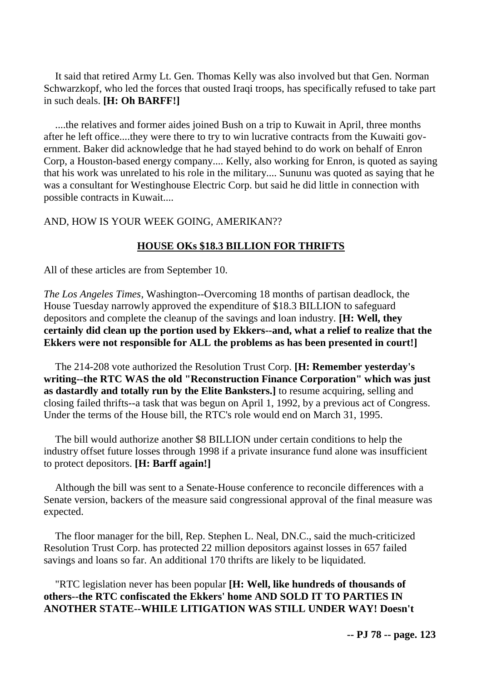It said that retired Army Lt. Gen. Thomas Kelly was also involved but that Gen. Norman Schwarzkopf, who led the forces that ousted Iraqi troops, has specifically refused to take part in such deals. **[H: Oh BARFF!]** 

....the relatives and former aides joined Bush on a trip to Kuwait in April, three months after he left office....they were there to try to win lucrative contracts from the Kuwaiti government. Baker did acknowledge that he had stayed behind to do work on behalf of Enron Corp, a Houston-based energy company.... Kelly, also working for Enron, is quoted as saying that his work was unrelated to his role in the military.... Sununu was quoted as saying that he was a consultant for Westinghouse Electric Corp. but said he did little in connection with possible contracts in Kuwait....

### AND, HOW IS YOUR WEEK GOING, AMERIKAN??

### **HOUSE OKs \$18.3 BILLION FOR THRIFTS**

All of these articles are from September 10.

*The Los Angeles Times*, Washington--Overcoming 18 months of partisan deadlock, the House Tuesday narrowly approved the expenditure of \$18.3 BILLION to safeguard depositors and complete the cleanup of the savings and loan industry. **[H: Well, they certainly did clean up the portion used by Ekkers--and, what a relief to realize that the Ekkers were not responsible for ALL the problems as has been presented in court!]** 

The 214-208 vote authorized the Resolution Trust Corp. **[H: Remember yesterday's writing--the RTC WAS the old "Reconstruction Finance Corporation" which was just as dastardly and totally run by the Elite Banksters.]** to resume acquiring, selling and closing failed thrifts--a task that was begun on April 1, 1992, by a previous act of Congress. Under the terms of the House bill, the RTC's role would end on March 31, 1995.

The bill would authorize another \$8 BILLION under certain conditions to help the industry offset future losses through 1998 if a private insurance fund alone was insufficient to protect depositors. **[H: Barff again!]**

Although the bill was sent to a Senate-House conference to reconcile differences with a Senate version, backers of the measure said congressional approval of the final measure was expected.

The floor manager for the bill, Rep. Stephen L. Neal, DN.C., said the much-criticized Resolution Trust Corp. has protected 22 million depositors against losses in 657 failed savings and loans so far. An additional 170 thrifts are likely to be liquidated.

"RTC legislation never has been popular **[H: Well, like hundreds of thousands of others--the RTC confiscated the Ekkers' home AND SOLD IT TO PARTIES IN ANOTHER STATE--WHILE LITIGATION WAS STILL UNDER WAY! Doesn't**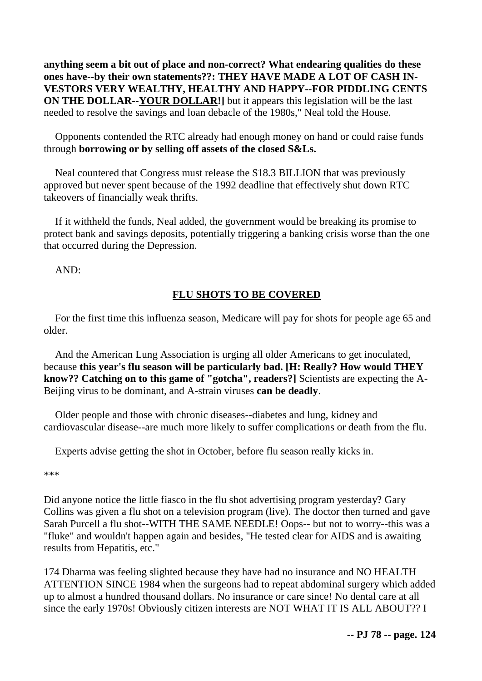**anything seem a bit out of place and non-correct? What endearing qualities do these ones have--by their own statements??: THEY HAVE MADE A LOT OF CASH IN-VESTORS VERY WEALTHY, HEALTHY AND HAPPY--FOR PIDDLING CENTS ON THE DOLLAR--YOUR DOLLAR!**] but it appears this legislation will be the last needed to resolve the savings and loan debacle of the 1980s," Neal told the House.

Opponents contended the RTC already had enough money on hand or could raise funds through **borrowing or by selling off assets of the closed S&Ls.**

Neal countered that Congress must release the \$18.3 BILLION that was previously approved but never spent because of the 1992 deadline that effectively shut down RTC takeovers of financially weak thrifts.

If it withheld the funds, Neal added, the government would be breaking its promise to protect bank and savings deposits, potentially triggering a banking crisis worse than the one that occurred during the Depression.

AND:

# **FLU SHOTS TO BE COVERED**

For the first time this influenza season, Medicare will pay for shots for people age 65 and older.

And the American Lung Association is urging all older Americans to get inoculated, because **this year's flu season will be particularly bad. [H: Really? How would THEY know?? Catching on to this game of "gotcha", readers?]** Scientists are expecting the A-Beijing virus to be dominant, and A-strain viruses **can be deadly**.

Older people and those with chronic diseases--diabetes and lung, kidney and cardiovascular disease--are much more likely to suffer complications or death from the flu.

Experts advise getting the shot in October, before flu season really kicks in.

\*\*\*

Did anyone notice the little fiasco in the flu shot advertising program yesterday? Gary Collins was given a flu shot on a television program (live). The doctor then turned and gave Sarah Purcell a flu shot--WITH THE SAME NEEDLE! Oops-- but not to worry--this was a "fluke" and wouldn't happen again and besides, "He tested clear for AIDS and is awaiting results from Hepatitis, etc."

174 Dharma was feeling slighted because they have had no insurance and NO HEALTH ATTENTION SINCE 1984 when the surgeons had to repeat abdominal surgery which added up to almost a hundred thousand dollars. No insurance or care since! No dental care at all since the early 1970s! Obviously citizen interests are NOT WHAT IT IS ALL ABOUT?? I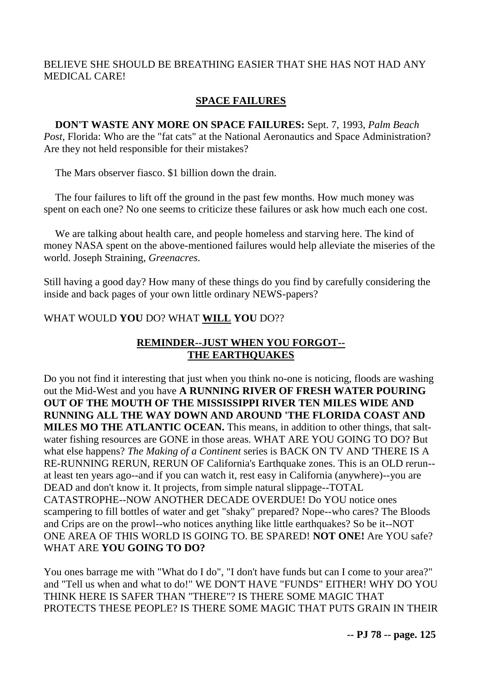## BELIEVE SHE SHOULD BE BREATHING EASIER THAT SHE HAS NOT HAD ANY MEDICAL CARE!

# **SPACE FAILURES**

**DON'T WASTE ANY MORE ON SPACE FAILURES:** Sept. 7, 1993, *Palm Beach Post*, Florida: Who are the "fat cats" at the National Aeronautics and Space Administration? Are they not held responsible for their mistakes?

The Mars observer fiasco. \$1 billion down the drain.

The four failures to lift off the ground in the past few months. How much money was spent on each one? No one seems to criticize these failures or ask how much each one cost.

We are talking about health care, and people homeless and starving here. The kind of money NASA spent on the above-mentioned failures would help alleviate the miseries of the world. Joseph Straining, *Greenacres*.

Still having a good day? How many of these things do you find by carefully considering the inside and back pages of your own little ordinary NEWS-papers?

# WHAT WOULD **YOU** DO? WHAT **WILL YOU** DO??

# **REMINDER--JUST WHEN YOU FORGOT-- THE EARTHQUAKES**

Do you not find it interesting that just when you think no-one is noticing, floods are washing out the Mid-West and you have **A RUNNING RIVER OF FRESH WATER POURING OUT OF THE MOUTH OF THE MISSISSIPPI RIVER TEN MILES WIDE AND RUNNING ALL THE WAY DOWN AND AROUND 'THE FLORIDA COAST AND MILES MO THE ATLANTIC OCEAN.** This means, in addition to other things, that saltwater fishing resources are GONE in those areas. WHAT ARE YOU GOING TO DO? But what else happens? *The Making of a Continent* series is BACK ON TV AND 'THERE IS A RE-RUNNING RERUN, RERUN OF California's Earthquake zones. This is an OLD rerun- at least ten years ago--and if you can watch it, rest easy in California (anywhere)--you are DEAD and don't know it. It projects, from simple natural slippage--TOTAL CATASTROPHE--NOW ANOTHER DECADE OVERDUE! Do YOU notice ones scampering to fill bottles of water and get "shaky" prepared? Nope--who cares? The Bloods and Crips are on the prowl--who notices anything like little earthquakes? So be it--NOT ONE AREA OF THIS WORLD IS GOING TO. BE SPARED! **NOT ONE!** Are YOU safe? WHAT ARE **YOU GOING TO DO?** 

You ones barrage me with "What do I do", "I don't have funds but can I come to your area?" and "Tell us when and what to do!" WE DON'T HAVE "FUNDS" EITHER! WHY DO YOU THINK HERE IS SAFER THAN "THERE"? IS THERE SOME MAGIC THAT PROTECTS THESE PEOPLE? IS THERE SOME MAGIC THAT PUTS GRAIN IN THEIR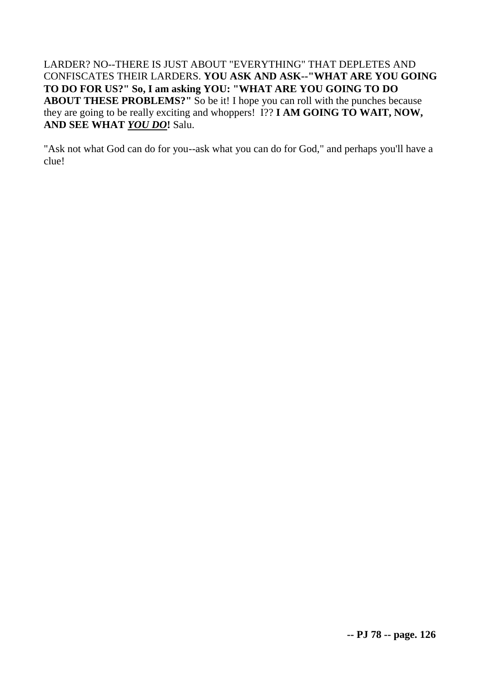LARDER? NO--THERE IS JUST ABOUT "EVERYTHING" THAT DEPLETES AND CONFISCATES THEIR LARDERS. **YOU ASK AND ASK--"WHAT ARE YOU GOING TO DO FOR US?" So, I am asking YOU: "WHAT ARE YOU GOING TO DO ABOUT THESE PROBLEMS?"** So be it! I hope you can roll with the punches because they are going to be really exciting and whoppers! I?? **I AM GOING TO WAIT, NOW, AND SEE WHAT** *YOU DO***!** Salu.

"Ask not what God can do for you--ask what you can do for God," and perhaps you'll have a clue!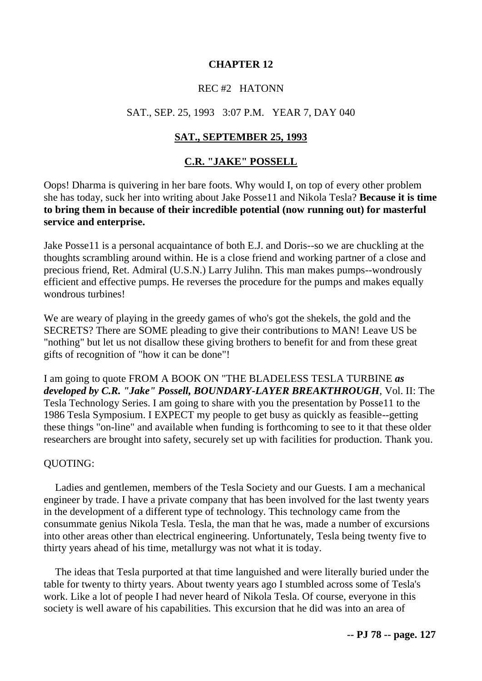## **CHAPTER 12**

### REC #2 HATONN

### SAT., SEP. 25, 1993 3:07 P.M. YEAR 7, DAY 040

#### **SAT., SEPTEMBER 25, 1993**

#### **C.R. "JAKE" POSSELL**

Oops! Dharma is quivering in her bare foots. Why would I, on top of every other problem she has today, suck her into writing about Jake Posse11 and Nikola Tesla? **Because it is time to bring them in because of their incredible potential (now running out) for masterful service and enterprise.**

Jake Posse11 is a personal acquaintance of both E.J. and Doris--so we are chuckling at the thoughts scrambling around within. He is a close friend and working partner of a close and precious friend, Ret. Admiral (U.S.N.) Larry Julihn. This man makes pumps--wondrously efficient and effective pumps. He reverses the procedure for the pumps and makes equally wondrous turbines!

We are weary of playing in the greedy games of who's got the shekels, the gold and the SECRETS? There are SOME pleading to give their contributions to MAN! Leave US be "nothing" but let us not disallow these giving brothers to benefit for and from these great gifts of recognition of "how it can be done"!

I am going to quote FROM A BOOK ON "THE BLADELESS TESLA TURBINE *as developed by C.R. "Jake" Possell, BOUNDARY-LAYER BREAKTHROUGH*, Vol. II: The Tesla Technology Series. I am going to share with you the presentation by Posse11 to the 1986 Tesla Symposium. I EXPECT my people to get busy as quickly as feasible--getting these things "on-line" and available when funding is forthcoming to see to it that these older researchers are brought into safety, securely set up with facilities for production. Thank you.

#### QUOTING:

Ladies and gentlemen, members of the Tesla Society and our Guests. I am a mechanical engineer by trade. I have a private company that has been involved for the last twenty years in the development of a different type of technology. This technology came from the consummate genius Nikola Tesla. Tesla, the man that he was, made a number of excursions into other areas other than electrical engineering. Unfortunately, Tesla being twenty five to thirty years ahead of his time, metallurgy was not what it is today.

The ideas that Tesla purported at that time languished and were literally buried under the table for twenty to thirty years. About twenty years ago I stumbled across some of Tesla's work. Like a lot of people I had never heard of Nikola Tesla. Of course, everyone in this society is well aware of his capabilities. This excursion that he did was into an area of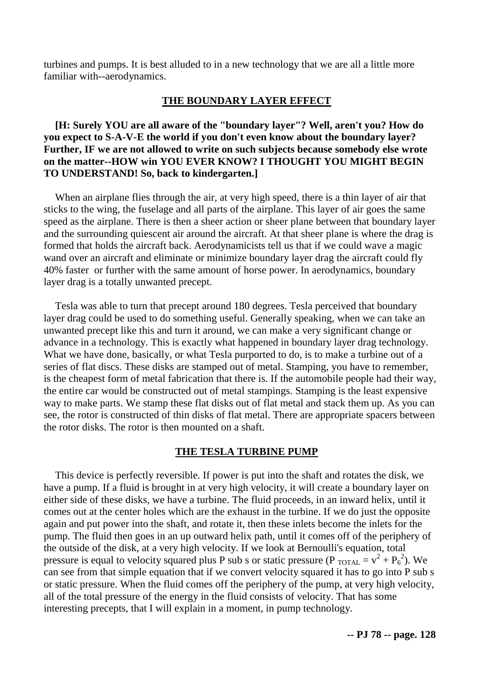turbines and pumps. It is best alluded to in a new technology that we are all a little more familiar with--aerodynamics.

#### **THE BOUNDARY LAYER EFFECT**

## **[H: Surely YOU are all aware of the "boundary layer"? Well, aren't you? How do you expect to S-A-V-E the world if you don't even know about the boundary layer? Further, IF we are not allowed to write on such subjects because somebody else wrote on the matter--HOW win YOU EVER KNOW? I THOUGHT YOU MIGHT BEGIN TO UNDERSTAND! So, back to kindergarten.]**

When an airplane flies through the air, at very high speed, there is a thin layer of air that sticks to the wing, the fuselage and all parts of the airplane. This layer of air goes the same speed as the airplane. There is then a sheer action or sheer plane between that boundary layer and the surrounding quiescent air around the aircraft. At that sheer plane is where the drag is formed that holds the aircraft back. Aerodynamicists tell us that if we could wave a magic wand over an aircraft and eliminate or minimize boundary layer drag the aircraft could fly 40% faster or further with the same amount of horse power. In aerodynamics, boundary layer drag is a totally unwanted precept.

Tesla was able to turn that precept around 180 degrees. Tesla perceived that boundary layer drag could be used to do something useful. Generally speaking, when we can take an unwanted precept like this and turn it around, we can make a very significant change or advance in a technology. This is exactly what happened in boundary layer drag technology. What we have done, basically, or what Tesla purported to do, is to make a turbine out of a series of flat discs. These disks are stamped out of metal. Stamping, you have to remember, is the cheapest form of metal fabrication that there is. If the automobile people had their way, the entire car would be constructed out of metal stampings. Stamping is the least expensive way to make parts. We stamp these flat disks out of flat metal and stack them up. As you can see, the rotor is constructed of thin disks of flat metal. There are appropriate spacers between the rotor disks. The rotor is then mounted on a shaft.

### **THE TESLA TURBINE PUMP**

This device is perfectly reversible. If power is put into the shaft and rotates the disk, we have a pump. If a fluid is brought in at very high velocity, it will create a boundary layer on either side of these disks, we have a turbine. The fluid proceeds, in an inward helix, until it comes out at the center holes which are the exhaust in the turbine. If we do just the opposite again and put power into the shaft, and rotate it, then these inlets become the inlets for the pump. The fluid then goes in an up outward helix path, until it comes off of the periphery of the outside of the disk, at a very high velocity. If we look at Bernoulli's equation, total pressure is equal to velocity squared plus P sub s or static pressure (P  $_{\text{TOTAL}} = v^2 + P_6^2$ ). We can see from that simple equation that if we convert velocity squared it has to go into P sub s or static pressure. When the fluid comes off the periphery of the pump, at very high velocity, all of the total pressure of the energy in the fluid consists of velocity. That has some interesting precepts, that I will explain in a moment, in pump technology.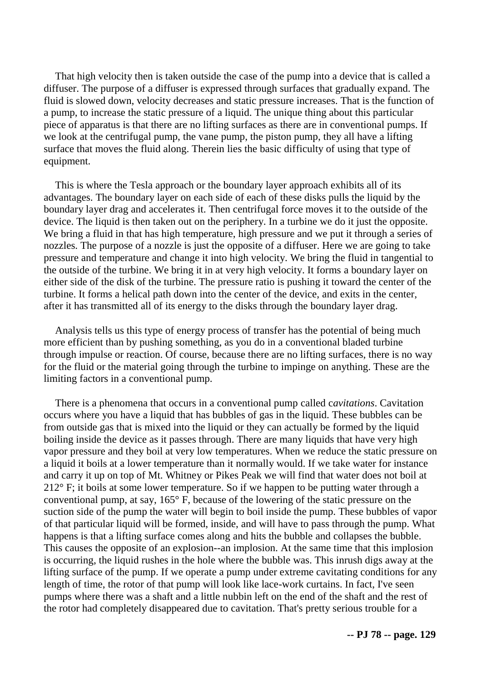That high velocity then is taken outside the case of the pump into a device that is called a diffuser. The purpose of a diffuser is expressed through surfaces that gradually expand. The fluid is slowed down, velocity decreases and static pressure increases. That is the function of a pump, to increase the static pressure of a liquid. The unique thing about this particular piece of apparatus is that there are no lifting surfaces as there are in conventional pumps. If we look at the centrifugal pump, the vane pump, the piston pump, they all have a lifting surface that moves the fluid along. Therein lies the basic difficulty of using that type of equipment.

This is where the Tesla approach or the boundary layer approach exhibits all of its advantages. The boundary layer on each side of each of these disks pulls the liquid by the boundary layer drag and accelerates it. Then centrifugal force moves it to the outside of the device. The liquid is then taken out on the periphery. In a turbine we do it just the opposite. We bring a fluid in that has high temperature, high pressure and we put it through a series of nozzles. The purpose of a nozzle is just the opposite of a diffuser. Here we are going to take pressure and temperature and change it into high velocity. We bring the fluid in tangential to the outside of the turbine. We bring it in at very high velocity. It forms a boundary layer on either side of the disk of the turbine. The pressure ratio is pushing it toward the center of the turbine. It forms a helical path down into the center of the device, and exits in the center, after it has transmitted all of its energy to the disks through the boundary layer drag.

Analysis tells us this type of energy process of transfer has the potential of being much more efficient than by pushing something, as you do in a conventional bladed turbine through impulse or reaction. Of course, because there are no lifting surfaces, there is no way for the fluid or the material going through the turbine to impinge on anything. These are the limiting factors in a conventional pump.

There is a phenomena that occurs in a conventional pump called c*avitations*. Cavitation occurs where you have a liquid that has bubbles of gas in the liquid. These bubbles can be from outside gas that is mixed into the liquid or they can actually be formed by the liquid boiling inside the device as it passes through. There are many liquids that have very high vapor pressure and they boil at very low temperatures. When we reduce the static pressure on a liquid it boils at a lower temperature than it normally would. If we take water for instance and carry it up on top of Mt. Whitney or Pikes Peak we will find that water does not boil at 212° F; it boils at some lower temperature. So if we happen to be putting water through a conventional pump, at say, 165° F, because of the lowering of the static pressure on the suction side of the pump the water will begin to boil inside the pump. These bubbles of vapor of that particular liquid will be formed, inside, and will have to pass through the pump. What happens is that a lifting surface comes along and hits the bubble and collapses the bubble. This causes the opposite of an explosion--an implosion. At the same time that this implosion is occurring, the liquid rushes in the hole where the bubble was. This inrush digs away at the lifting surface of the pump. If we operate a pump under extreme cavitating conditions for any length of time, the rotor of that pump will look like lace-work curtains. In fact, I've seen pumps where there was a shaft and a little nubbin left on the end of the shaft and the rest of the rotor had completely disappeared due to cavitation. That's pretty serious trouble for a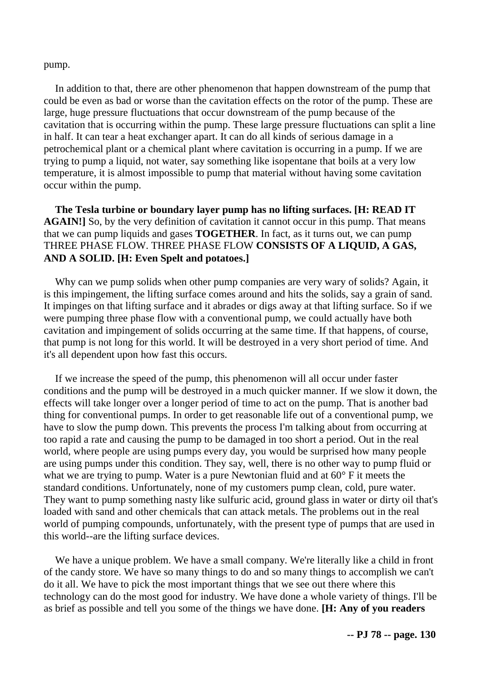pump.

In addition to that, there are other phenomenon that happen downstream of the pump that could be even as bad or worse than the cavitation effects on the rotor of the pump. These are large, huge pressure fluctuations that occur downstream of the pump because of the cavitation that is occurring within the pump. These large pressure fluctuations can split a line in half. It can tear a heat exchanger apart. It can do all kinds of serious damage in a petrochemical plant or a chemical plant where cavitation is occurring in a pump. If we are trying to pump a liquid, not water, say something like isopentane that boils at a very low temperature, it is almost impossible to pump that material without having some cavitation occur within the pump.

**The Tesla turbine or boundary layer pump has no lifting surfaces. [H: READ IT AGAIN!]** So, by the very definition of cavitation it cannot occur in this pump. That means that we can pump liquids and gases **TOGETHER**. In fact, as it turns out, we can pump THREE PHASE FLOW. THREE PHASE FLOW **CONSISTS OF A LIQUID, A GAS, AND A SOLID. [H: Even Spelt and potatoes.]** 

Why can we pump solids when other pump companies are very wary of solids? Again, it is this impingement, the lifting surface comes around and hits the solids, say a grain of sand. It impinges on that lifting surface and it abrades or digs away at that lifting surface. So if we were pumping three phase flow with a conventional pump, we could actually have both cavitation and impingement of solids occurring at the same time. If that happens, of course, that pump is not long for this world. It will be destroyed in a very short period of time. And it's all dependent upon how fast this occurs.

If we increase the speed of the pump, this phenomenon will all occur under faster conditions and the pump will be destroyed in a much quicker manner. If we slow it down, the effects will take longer over a longer period of time to act on the pump. That is another bad thing for conventional pumps. In order to get reasonable life out of a conventional pump, we have to slow the pump down. This prevents the process I'm talking about from occurring at too rapid a rate and causing the pump to be damaged in too short a period. Out in the real world, where people are using pumps every day, you would be surprised how many people are using pumps under this condition. They say, well, there is no other way to pump fluid or what we are trying to pump. Water is a pure Newtonian fluid and at 60° F it meets the standard conditions. Unfortunately, none of my customers pump clean, cold, pure water. They want to pump something nasty like sulfuric acid, ground glass in water or dirty oil that's loaded with sand and other chemicals that can attack metals. The problems out in the real world of pumping compounds, unfortunately, with the present type of pumps that are used in this world--are the lifting surface devices.

We have a unique problem. We have a small company. We're literally like a child in front of the candy store. We have so many things to do and so many things to accomplish we can't do it all. We have to pick the most important things that we see out there where this technology can do the most good for industry. We have done a whole variety of things. I'll be as brief as possible and tell you some of the things we have done. **[H: Any of you readers**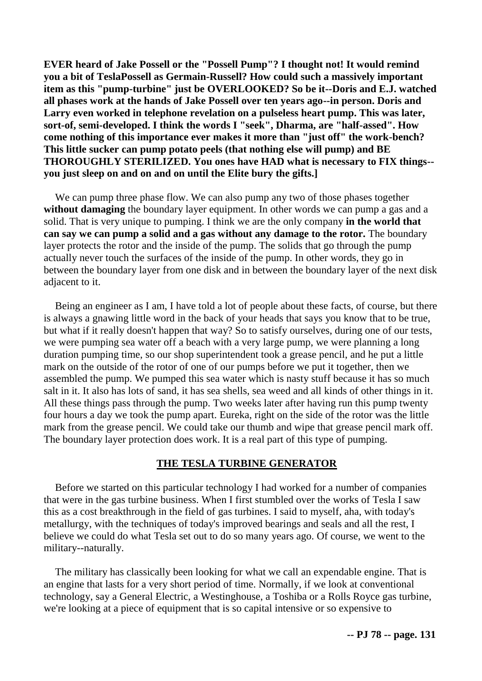**EVER heard of Jake Possell or the "Possell Pump"? I thought not! It would remind you a bit of TeslaPossell as Germain-Russell? How could such a massively important item as this "pump-turbine" just be OVERLOOKED? So be it--Doris and E.J. watched all phases work at the hands of Jake Possell over ten years ago--in person. Doris and Larry even worked in telephone revelation on a pulseless heart pump. This was later, sort-of, semi-developed. I think the words I "seek", Dharma, are "half-assed". How come nothing of this importance ever makes it more than "just off" the work-bench? This little sucker can pump potato peels (that nothing else will pump) and BE THOROUGHLY STERILIZED. You ones have HAD what is necessary to FIX things- you just sleep on and on and on until the Elite bury the gifts.]** 

We can pump three phase flow. We can also pump any two of those phases together **without damaging** the boundary layer equipment. In other words we can pump a gas and a solid. That is very unique to pumping. I think we are the only company **in the world that can say we can pump a solid and a gas without any damage to the rotor.** The boundary layer protects the rotor and the inside of the pump. The solids that go through the pump actually never touch the surfaces of the inside of the pump. In other words, they go in between the boundary layer from one disk and in between the boundary layer of the next disk adjacent to it.

Being an engineer as I am, I have told a lot of people about these facts, of course, but there is always a gnawing little word in the back of your heads that says you know that to be true, but what if it really doesn't happen that way? So to satisfy ourselves, during one of our tests, we were pumping sea water off a beach with a very large pump, we were planning a long duration pumping time, so our shop superintendent took a grease pencil, and he put a little mark on the outside of the rotor of one of our pumps before we put it together, then we assembled the pump. We pumped this sea water which is nasty stuff because it has so much salt in it. It also has lots of sand, it has sea shells, sea weed and all kinds of other things in it. All these things pass through the pump. Two weeks later after having run this pump twenty four hours a day we took the pump apart. Eureka, right on the side of the rotor was the little mark from the grease pencil. We could take our thumb and wipe that grease pencil mark off. The boundary layer protection does work. It is a real part of this type of pumping.

#### **THE TESLA TURBINE GENERATOR**

Before we started on this particular technology I had worked for a number of companies that were in the gas turbine business. When I first stumbled over the works of Tesla I saw this as a cost breakthrough in the field of gas turbines. I said to myself, aha, with today's metallurgy, with the techniques of today's improved bearings and seals and all the rest, I believe we could do what Tesla set out to do so many years ago. Of course, we went to the military--naturally.

The military has classically been looking for what we call an expendable engine. That is an engine that lasts for a very short period of time. Normally, if we look at conventional technology, say a General Electric, a Westinghouse, a Toshiba or a Rolls Royce gas turbine, we're looking at a piece of equipment that is so capital intensive or so expensive to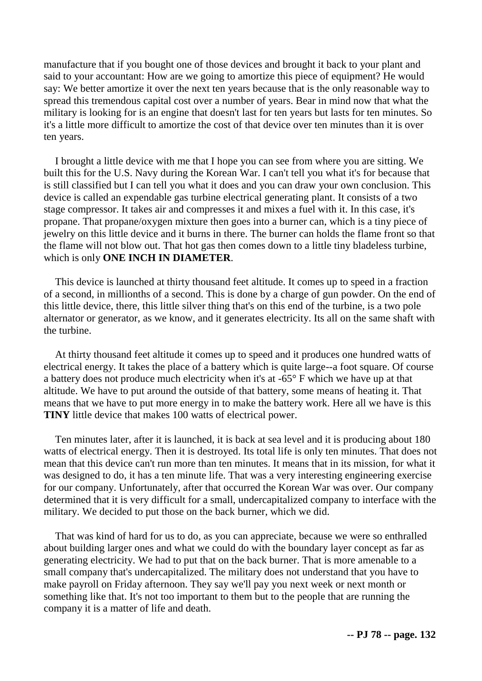manufacture that if you bought one of those devices and brought it back to your plant and said to your accountant: How are we going to amortize this piece of equipment? He would say: We better amortize it over the next ten years because that is the only reasonable way to spread this tremendous capital cost over a number of years. Bear in mind now that what the military is looking for is an engine that doesn't last for ten years but lasts for ten minutes. So it's a little more difficult to amortize the cost of that device over ten minutes than it is over ten years.

I brought a little device with me that I hope you can see from where you are sitting. We built this for the U.S. Navy during the Korean War. I can't tell you what it's for because that is still classified but I can tell you what it does and you can draw your own conclusion. This device is called an expendable gas turbine electrical generating plant. It consists of a two stage compressor. It takes air and compresses it and mixes a fuel with it. In this case, it's propane. That propane/oxygen mixture then goes into a burner can, which is a tiny piece of jewelry on this little device and it burns in there. The burner can holds the flame front so that the flame will not blow out. That hot gas then comes down to a little tiny bladeless turbine, which is only **ONE INCH IN DIAMETER**.

This device is launched at thirty thousand feet altitude. It comes up to speed in a fraction of a second, in millionths of a second. This is done by a charge of gun powder. On the end of this little device, there, this little silver thing that's on this end of the turbine, is a two pole alternator or generator, as we know, and it generates electricity. Its all on the same shaft with the turbine.

At thirty thousand feet altitude it comes up to speed and it produces one hundred watts of electrical energy. It takes the place of a battery which is quite large--a foot square. Of course a battery does not produce much electricity when it's at  $-65^\circ$  F which we have up at that altitude. We have to put around the outside of that battery, some means of heating it. That means that we have to put more energy in to make the battery work. Here all we have is this **TINY** little device that makes 100 watts of electrical power.

Ten minutes later, after it is launched, it is back at sea level and it is producing about 180 watts of electrical energy. Then it is destroyed. Its total life is only ten minutes. That does not mean that this device can't run more than ten minutes. It means that in its mission, for what it was designed to do, it has a ten minute life. That was a very interesting engineering exercise for our company. Unfortunately, after that occurred the Korean War was over. Our company determined that it is very difficult for a small, undercapitalized company to interface with the military. We decided to put those on the back burner, which we did.

That was kind of hard for us to do, as you can appreciate, because we were so enthralled about building larger ones and what we could do with the boundary layer concept as far as generating electricity. We had to put that on the back burner. That is more amenable to a small company that's undercapitalized. The military does not understand that you have to make payroll on Friday afternoon. They say we'll pay you next week or next month or something like that. It's not too important to them but to the people that are running the company it is a matter of life and death.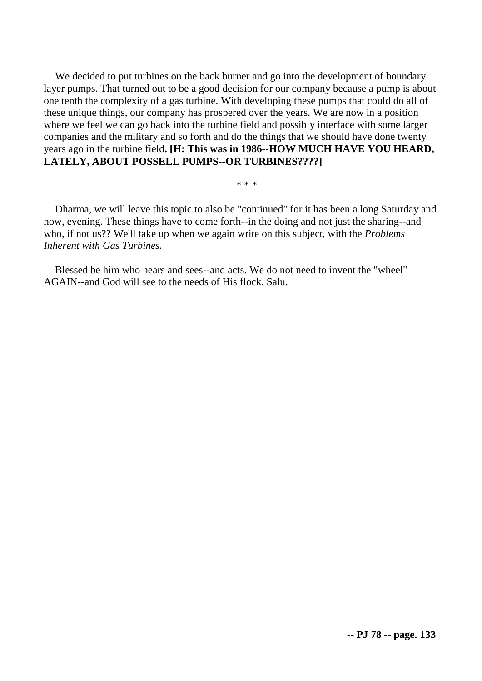We decided to put turbines on the back burner and go into the development of boundary layer pumps. That turned out to be a good decision for our company because a pump is about one tenth the complexity of a gas turbine. With developing these pumps that could do all of these unique things, our company has prospered over the years. We are now in a position where we feel we can go back into the turbine field and possibly interface with some larger companies and the military and so forth and do the things that we should have done twenty years ago in the turbine field**. [H: This was in 1986--HOW MUCH HAVE YOU HEARD, LATELY, ABOUT POSSELL PUMPS--OR TURBINES????]** 

\* \* \*

Dharma, we will leave this topic to also be "continued" for it has been a long Saturday and now, evening. These things have to come forth--in the doing and not just the sharing--and who, if not us?? We'll take up when we again write on this subject, with the *Problems Inherent with Gas Turbines.*

Blessed be him who hears and sees--and acts. We do not need to invent the "wheel" AGAIN--and God will see to the needs of His flock. Salu.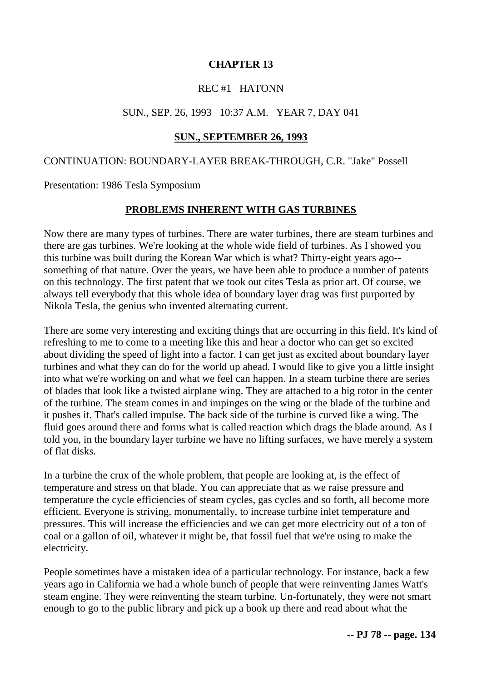## **CHAPTER 13**

### REC #1 HATONN

### SUN., SEP. 26, 1993 10:37 A.M. YEAR 7, DAY 041

### **SUN., SEPTEMBER 26, 1993**

### CONTINUATION: BOUNDARY-LAYER BREAK-THROUGH, C.R. "Jake" Possell

Presentation: 1986 Tesla Symposium

### **PROBLEMS INHERENT WITH GAS TURBINES**

Now there are many types of turbines. There are water turbines, there are steam turbines and there are gas turbines. We're looking at the whole wide field of turbines. As I showed you this turbine was built during the Korean War which is what? Thirty-eight years ago- something of that nature. Over the years, we have been able to produce a number of patents on this technology. The first patent that we took out cites Tesla as prior art. Of course, we always tell everybody that this whole idea of boundary layer drag was first purported by Nikola Tesla, the genius who invented alternating current.

There are some very interesting and exciting things that are occurring in this field. It's kind of refreshing to me to come to a meeting like this and hear a doctor who can get so excited about dividing the speed of light into a factor. I can get just as excited about boundary layer turbines and what they can do for the world up ahead. I would like to give you a little insight into what we're working on and what we feel can happen. In a steam turbine there are series of blades that look like a twisted airplane wing. They are attached to a big rotor in the center of the turbine. The steam comes in and impinges on the wing or the blade of the turbine and it pushes it. That's called impulse. The back side of the turbine is curved like a wing. The fluid goes around there and forms what is called reaction which drags the blade around. As I told you, in the boundary layer turbine we have no lifting surfaces, we have merely a system of flat disks.

In a turbine the crux of the whole problem, that people are looking at, is the effect of temperature and stress on that blade. You can appreciate that as we raise pressure and temperature the cycle efficiencies of steam cycles, gas cycles and so forth, all become more efficient. Everyone is striving, monumentally, to increase turbine inlet temperature and pressures. This will increase the efficiencies and we can get more electricity out of a ton of coal or a gallon of oil, whatever it might be, that fossil fuel that we're using to make the electricity.

People sometimes have a mistaken idea of a particular technology. For instance, back a few years ago in California we had a whole bunch of people that were reinventing James Watt's steam engine. They were reinventing the steam turbine. Un-fortunately, they were not smart enough to go to the public library and pick up a book up there and read about what the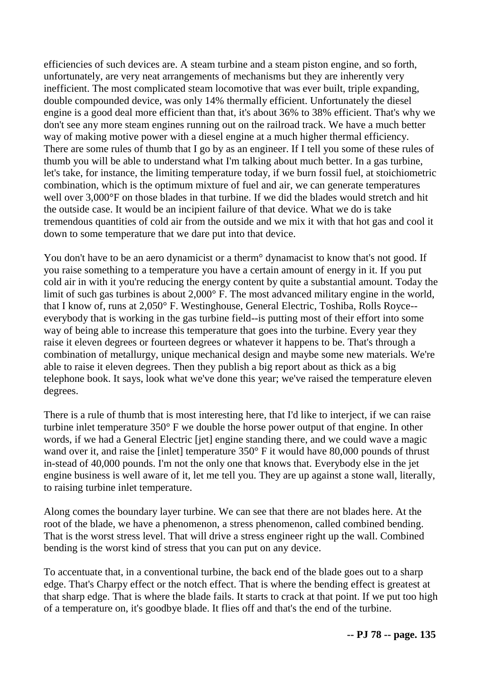efficiencies of such devices are. A steam turbine and a steam piston engine, and so forth, unfortunately, are very neat arrangements of mechanisms but they are inherently very inefficient. The most complicated steam locomotive that was ever built, triple expanding, double compounded device, was only 14% thermally efficient. Unfortunately the diesel engine is a good deal more efficient than that, it's about 36% to 38% efficient. That's why we don't see any more steam engines running out on the railroad track. We have a much better way of making motive power with a diesel engine at a much higher thermal efficiency. There are some rules of thumb that I go by as an engineer. If I tell you some of these rules of thumb you will be able to understand what I'm talking about much better. In a gas turbine, let's take, for instance, the limiting temperature today, if we burn fossil fuel, at stoichiometric combination, which is the optimum mixture of fuel and air, we can generate temperatures well over 3,000°F on those blades in that turbine. If we did the blades would stretch and hit the outside case. It would be an incipient failure of that device. What we do is take tremendous quantities of cold air from the outside and we mix it with that hot gas and cool it down to some temperature that we dare put into that device.

You don't have to be an aero dynamicist or a therm<sup>o</sup> dynamacist to know that's not good. If you raise something to a temperature you have a certain amount of energy in it. If you put cold air in with it you're reducing the energy content by quite a substantial amount. Today the limit of such gas turbines is about 2,000° F. The most advanced military engine in the world, that I know of, runs at 2,050° F. Westinghouse, General Electric, Toshiba, Rolls Royce- everybody that is working in the gas turbine field--is putting most of their effort into some way of being able to increase this temperature that goes into the turbine. Every year they raise it eleven degrees or fourteen degrees or whatever it happens to be. That's through a combination of metallurgy, unique mechanical design and maybe some new materials. We're able to raise it eleven degrees. Then they publish a big report about as thick as a big telephone book. It says, look what we've done this year; we've raised the temperature eleven degrees.

There is a rule of thumb that is most interesting here, that I'd like to interject, if we can raise turbine inlet temperature 350° F we double the horse power output of that engine. In other words, if we had a General Electric *[jet]* engine standing there, and we could wave a magic wand over it, and raise the [inlet] temperature 350° F it would have 80,000 pounds of thrust in-stead of 40,000 pounds. I'm not the only one that knows that. Everybody else in the jet engine business is well aware of it, let me tell you. They are up against a stone wall, literally, to raising turbine inlet temperature.

Along comes the boundary layer turbine. We can see that there are not blades here. At the root of the blade, we have a phenomenon, a stress phenomenon, called combined bending. That is the worst stress level. That will drive a stress engineer right up the wall. Combined bending is the worst kind of stress that you can put on any device.

To accentuate that, in a conventional turbine, the back end of the blade goes out to a sharp edge. That's Charpy effect or the notch effect. That is where the bending effect is greatest at that sharp edge. That is where the blade fails. It starts to crack at that point. If we put too high of a temperature on, it's goodbye blade. It flies off and that's the end of the turbine.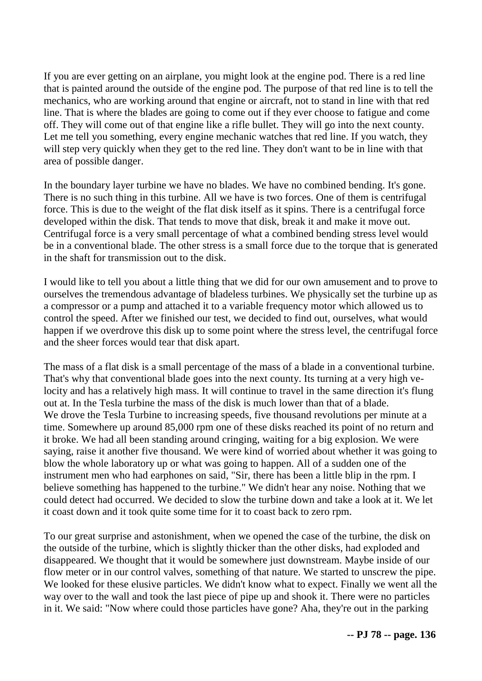If you are ever getting on an airplane, you might look at the engine pod. There is a red line that is painted around the outside of the engine pod. The purpose of that red line is to tell the mechanics, who are working around that engine or aircraft, not to stand in line with that red line. That is where the blades are going to come out if they ever choose to fatigue and come off. They will come out of that engine like a rifle bullet. They will go into the next county. Let me tell you something, every engine mechanic watches that red line. If you watch, they will step very quickly when they get to the red line. They don't want to be in line with that area of possible danger.

In the boundary layer turbine we have no blades. We have no combined bending. It's gone. There is no such thing in this turbine. All we have is two forces. One of them is centrifugal force. This is due to the weight of the flat disk itself as it spins. There is a centrifugal force developed within the disk. That tends to move that disk, break it and make it move out. Centrifugal force is a very small percentage of what a combined bending stress level would be in a conventional blade. The other stress is a small force due to the torque that is generated in the shaft for transmission out to the disk.

I would like to tell you about a little thing that we did for our own amusement and to prove to ourselves the tremendous advantage of bladeless turbines. We physically set the turbine up as a compressor or a pump and attached it to a variable frequency motor which allowed us to control the speed. After we finished our test, we decided to find out, ourselves, what would happen if we overdrove this disk up to some point where the stress level, the centrifugal force and the sheer forces would tear that disk apart.

The mass of a flat disk is a small percentage of the mass of a blade in a conventional turbine. That's why that conventional blade goes into the next county. Its turning at a very high velocity and has a relatively high mass. It will continue to travel in the same direction it's flung out at. In the Tesla turbine the mass of the disk is much lower than that of a blade. We drove the Tesla Turbine to increasing speeds, five thousand revolutions per minute at a time. Somewhere up around 85,000 rpm one of these disks reached its point of no return and it broke. We had all been standing around cringing, waiting for a big explosion. We were saying, raise it another five thousand. We were kind of worried about whether it was going to blow the whole laboratory up or what was going to happen. All of a sudden one of the instrument men who had earphones on said, "Sir, there has been a little blip in the rpm. I believe something has happened to the turbine." We didn't hear any noise. Nothing that we could detect had occurred. We decided to slow the turbine down and take a look at it. We let it coast down and it took quite some time for it to coast back to zero rpm.

To our great surprise and astonishment, when we opened the case of the turbine, the disk on the outside of the turbine, which is slightly thicker than the other disks, had exploded and disappeared. We thought that it would be somewhere just downstream. Maybe inside of our flow meter or in our control valves, something of that nature. We started to unscrew the pipe. We looked for these elusive particles. We didn't know what to expect. Finally we went all the way over to the wall and took the last piece of pipe up and shook it. There were no particles in it. We said: "Now where could those particles have gone? Aha, they're out in the parking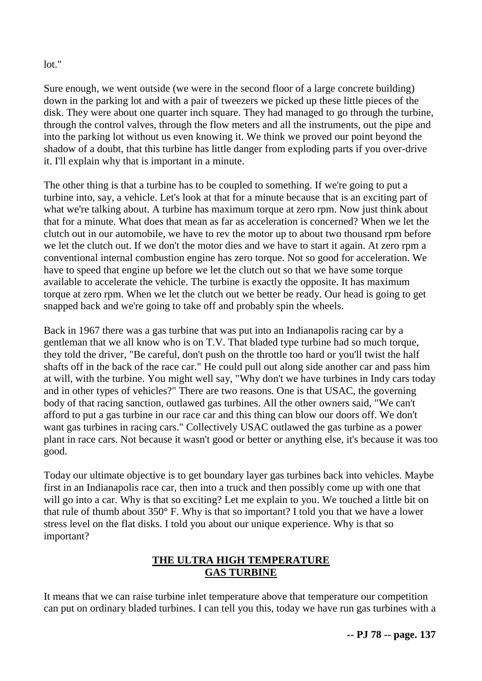lot."

Sure enough, we went outside (we were in the second floor of a large concrete building) down in the parking lot and with a pair of tweezers we picked up these little pieces of the disk. They were about one quarter inch square. They had managed to go through the turbine, through the control valves, through the flow meters and all the instruments, out the pipe and into the parking lot without us even knowing it. We think we proved our point beyond the shadow of a doubt, that this turbine has little danger from exploding parts if you over-drive it. I'll explain why that is important in a minute.

The other thing is that a turbine has to be coupled to something. If we're going to put a turbine into, say, a vehicle. Let's look at that for a minute because that is an exciting part of what we're talking about. A turbine has maximum torque at zero rpm. Now just think about that for a minute. What does that mean as far as acceleration is concerned? When we let the clutch out in our automobile, we have to rev the motor up to about two thousand rpm before we let the clutch out. If we don't the motor dies and we have to start it again. At zero rpm a conventional internal combustion engine has zero torque. Not so good for acceleration. We have to speed that engine up before we let the clutch out so that we have some torque available to accelerate the vehicle. The turbine is exactly the opposite. It has maximum torque at zero rpm. When we let the clutch out we better be ready. Our head is going to get snapped back and we're going to take off and probably spin the wheels.

Back in 1967 there was a gas turbine that was put into an Indianapolis racing car by a gentleman that we all know who is on T.V. That bladed type turbine had so much torque, they told the driver, "Be careful, don't push on the throttle too hard or you'll twist the half shafts off in the back of the race car." He could pull out along side another car and pass him at will, with the turbine. You might well say, "Why don't we have turbines in Indy cars today and in other types of vehicles?" There are two reasons. One is that USAC, the governing body of that racing sanction, outlawed gas turbines. All the other owners said, "We can't afford to put a gas turbine in our race car and this thing can blow our doors off. We don't want gas turbines in racing cars." Collectively USAC outlawed the gas turbine as a power plant in race cars. Not because it wasn't good or better or anything else, it's because it was too good.

Today our ultimate objective is to get boundary layer gas turbines back into vehicles. Maybe first in an Indianapolis race car, then into a truck and then possibly come up with one that will go into a car. Why is that so exciting? Let me explain to you. We touched a little bit on that rule of thumb about 350° F. Why is that so important? I told you that we have a lower stress level on the flat disks. I told you about our unique experience. Why is that so important?

# **THE ULTRA HIGH TEMPERATURE GAS TURBINE**

It means that we can raise turbine inlet temperature above that temperature our competition can put on ordinary bladed turbines. I can tell you this, today we have run gas turbines with a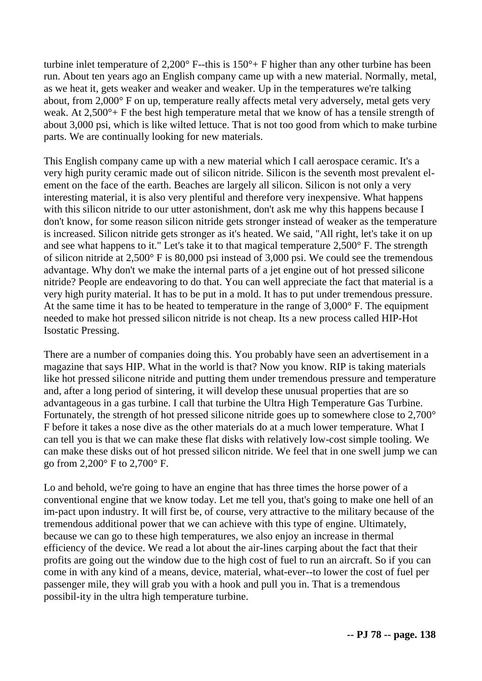turbine inlet temperature of 2,200° F--this is 150°+ F higher than any other turbine has been run. About ten years ago an English company came up with a new material. Normally, metal, as we heat it, gets weaker and weaker and weaker. Up in the temperatures we're talking about, from 2,000° F on up, temperature really affects metal very adversely, metal gets very weak. At 2,500°+ F the best high temperature metal that we know of has a tensile strength of about 3,000 psi, which is like wilted lettuce. That is not too good from which to make turbine parts. We are continually looking for new materials.

This English company came up with a new material which I call aerospace ceramic. It's a very high purity ceramic made out of silicon nitride. Silicon is the seventh most prevalent element on the face of the earth. Beaches are largely all silicon. Silicon is not only a very interesting material, it is also very plentiful and therefore very inexpensive. What happens with this silicon nitride to our utter astonishment, don't ask me why this happens because I don't know, for some reason silicon nitride gets stronger instead of weaker as the temperature is increased. Silicon nitride gets stronger as it's heated. We said, "All right, let's take it on up and see what happens to it." Let's take it to that magical temperature 2,500° F. The strength of silicon nitride at 2,500° F is 80,000 psi instead of 3,000 psi. We could see the tremendous advantage. Why don't we make the internal parts of a jet engine out of hot pressed silicone nitride? People are endeavoring to do that. You can well appreciate the fact that material is a very high purity material. It has to be put in a mold. It has to put under tremendous pressure. At the same time it has to be heated to temperature in the range of 3,000° F. The equipment needed to make hot pressed silicon nitride is not cheap. Its a new process called HIP-Hot Isostatic Pressing.

There are a number of companies doing this. You probably have seen an advertisement in a magazine that says HIP. What in the world is that? Now you know. RIP is taking materials like hot pressed silicone nitride and putting them under tremendous pressure and temperature and, after a long period of sintering, it will develop these unusual properties that are so advantageous in a gas turbine. I call that turbine the Ultra High Temperature Gas Turbine. Fortunately, the strength of hot pressed silicone nitride goes up to somewhere close to 2,700° F before it takes a nose dive as the other materials do at a much lower temperature. What I can tell you is that we can make these flat disks with relatively low-cost simple tooling. We can make these disks out of hot pressed silicon nitride. We feel that in one swell jump we can go from 2,200° F to 2,700° F.

Lo and behold, we're going to have an engine that has three times the horse power of a conventional engine that we know today. Let me tell you, that's going to make one hell of an im-pact upon industry. It will first be, of course, very attractive to the military because of the tremendous additional power that we can achieve with this type of engine. Ultimately, because we can go to these high temperatures, we also enjoy an increase in thermal efficiency of the device. We read a lot about the air-lines carping about the fact that their profits are going out the window due to the high cost of fuel to run an aircraft. So if you can come in with any kind of a means, device, material, what-ever--to lower the cost of fuel per passenger mile, they will grab you with a hook and pull you in. That is a tremendous possibil-ity in the ultra high temperature turbine.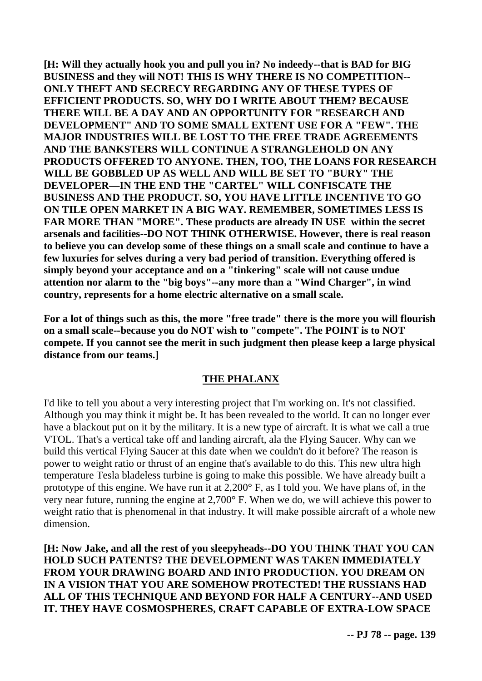**[H: Will they actually hook you and pull you in? No indeedy--that is BAD for BIG BUSINESS and they will NOT! THIS IS WHY THERE IS NO COMPETITION-- ONLY THEFT AND SECRECY REGARDING ANY OF THESE TYPES OF EFFICIENT PRODUCTS. SO, WHY DO I WRITE ABOUT THEM? BECAUSE THERE WILL BE A DAY AND AN OPPORTUNITY FOR "RESEARCH AND DEVELOPMENT" AND TO SOME SMALL EXTENT USE FOR A "FEW". THE MAJOR INDUSTRIES WILL BE LOST TO THE FREE TRADE AGREEMENTS AND THE BANKSTERS WILL CONTINUE A STRANGLEHOLD ON ANY PRODUCTS OFFERED TO ANYONE. THEN, TOO, THE LOANS FOR RESEARCH WILL BE GOBBLED UP AS WELL AND WILL BE SET TO "BURY" THE DEVELOPER—IN THE END THE "CARTEL" WILL CONFISCATE THE BUSINESS AND THE PRODUCT. SO, YOU HAVE LITTLE INCENTIVE TO GO ON TILE OPEN MARKET IN A BIG WAY. REMEMBER, SOMETIMES LESS IS FAR MORE THAN "MORE". These products are already IN USE within the secret arsenals and facilities--DO NOT THINK OTHERWISE. However, there is real reason to believe you can develop some of these things on a small scale and continue to have a few luxuries for selves during a very bad period of transition. Everything offered is simply beyond your acceptance and on a "tinkering" scale will not cause undue attention nor alarm to the "big boys"--any more than a "Wind Charger", in wind country, represents for a home electric alternative on a small scale.** 

**For a lot of things such as this, the more "free trade" there is the more you will flourish on a small scale--because you do NOT wish to "compete". The POINT is to NOT compete. If you cannot see the merit in such judgment then please keep a large physical distance from our teams.]** 

### **THE PHALANX**

I'd like to tell you about a very interesting project that I'm working on. It's not classified. Although you may think it might be. It has been revealed to the world. It can no longer ever have a blackout put on it by the military. It is a new type of aircraft. It is what we call a true VTOL. That's a vertical take off and landing aircraft, ala the Flying Saucer. Why can we build this vertical Flying Saucer at this date when we couldn't do it before? The reason is power to weight ratio or thrust of an engine that's available to do this. This new ultra high temperature Tesla bladeless turbine is going to make this possible. We have already built a prototype of this engine. We have run it at 2,200° F, as I told you. We have plans of, in the very near future, running the engine at 2,700° F. When we do, we will achieve this power to weight ratio that is phenomenal in that industry. It will make possible aircraft of a whole new dimension.

**[H: Now Jake, and all the rest of you sleepyheads--DO YOU THINK THAT YOU CAN HOLD SUCH PATENTS? THE DEVELOPMENT WAS TAKEN IMMEDIATELY FROM YOUR DRAWING BOARD AND INTO PRODUCTION. YOU DREAM ON IN A VISION THAT YOU ARE SOMEHOW PROTECTED! THE RUSSIANS HAD ALL OF THIS TECHNIQUE AND BEYOND FOR HALF A CENTURY--AND USED IT. THEY HAVE COSMOSPHERES, CRAFT CAPABLE OF EXTRA-LOW SPACE**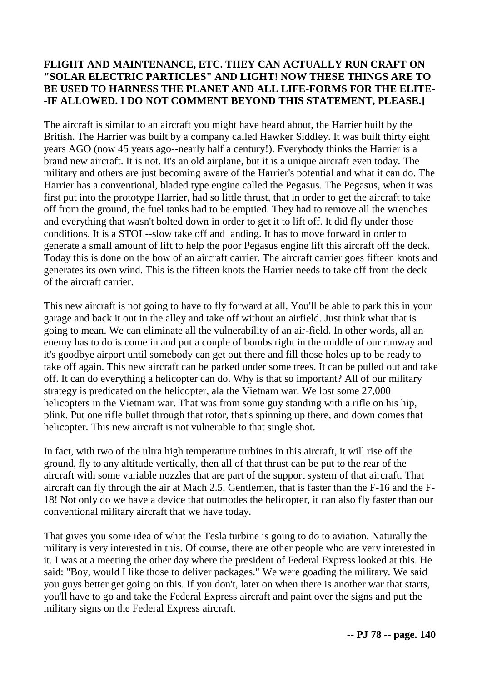# **FLIGHT AND MAINTENANCE, ETC. THEY CAN ACTUALLY RUN CRAFT ON "SOLAR ELECTRIC PARTICLES" AND LIGHT! NOW THESE THINGS ARE TO BE USED TO HARNESS THE PLANET AND ALL LIFE-FORMS FOR THE ELITE- -IF ALLOWED. I DO NOT COMMENT BEYOND THIS STATEMENT, PLEASE.]**

The aircraft is similar to an aircraft you might have heard about, the Harrier built by the British. The Harrier was built by a company called Hawker Siddley. It was built thirty eight years AGO (now 45 years ago--nearly half a century!). Everybody thinks the Harrier is a brand new aircraft. It is not. It's an old airplane, but it is a unique aircraft even today. The military and others are just becoming aware of the Harrier's potential and what it can do. The Harrier has a conventional, bladed type engine called the Pegasus. The Pegasus, when it was first put into the prototype Harrier, had so little thrust, that in order to get the aircraft to take off from the ground, the fuel tanks had to be emptied. They had to remove all the wrenches and everything that wasn't bolted down in order to get it to lift off. It did fly under those conditions. It is a STOL--slow take off and landing. It has to move forward in order to generate a small amount of lift to help the poor Pegasus engine lift this aircraft off the deck. Today this is done on the bow of an aircraft carrier. The aircraft carrier goes fifteen knots and generates its own wind. This is the fifteen knots the Harrier needs to take off from the deck of the aircraft carrier.

This new aircraft is not going to have to fly forward at all. You'll be able to park this in your garage and back it out in the alley and take off without an airfield. Just think what that is going to mean. We can eliminate all the vulnerability of an air-field. In other words, all an enemy has to do is come in and put a couple of bombs right in the middle of our runway and it's goodbye airport until somebody can get out there and fill those holes up to be ready to take off again. This new aircraft can be parked under some trees. It can be pulled out and take off. It can do everything a helicopter can do. Why is that so important? All of our military strategy is predicated on the helicopter, ala the Vietnam war. We lost some 27,000 helicopters in the Vietnam war. That was from some guy standing with a rifle on his hip, plink. Put one rifle bullet through that rotor, that's spinning up there, and down comes that helicopter. This new aircraft is not vulnerable to that single shot.

In fact, with two of the ultra high temperature turbines in this aircraft, it will rise off the ground, fly to any altitude vertically, then all of that thrust can be put to the rear of the aircraft with some variable nozzles that are part of the support system of that aircraft. That aircraft can fly through the air at Mach 2.5. Gentlemen, that is faster than the F-16 and the F-18! Not only do we have a device that outmodes the helicopter, it can also fly faster than our conventional military aircraft that we have today.

That gives you some idea of what the Tesla turbine is going to do to aviation. Naturally the military is very interested in this. Of course, there are other people who are very interested in it. I was at a meeting the other day where the president of Federal Express looked at this. He said: "Boy, would I like those to deliver packages." We were goading the military. We said you guys better get going on this. If you don't, later on when there is another war that starts, you'll have to go and take the Federal Express aircraft and paint over the signs and put the military signs on the Federal Express aircraft.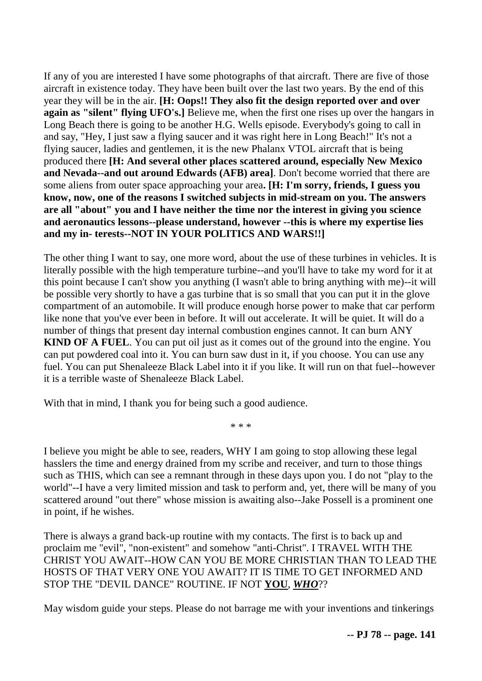If any of you are interested I have some photographs of that aircraft. There are five of those aircraft in existence today. They have been built over the last two years. By the end of this year they will be in the air. **[H: Oops!! They also fit the design reported over and over again as "silent" flying UFO's.]** Believe me, when the first one rises up over the hangars in Long Beach there is going to be another H.G. Wells episode. Everybody's going to call in and say, "Hey, I just saw a flying saucer and it was right here in Long Beach!" It's not a flying saucer, ladies and gentlemen, it is the new Phalanx VTOL aircraft that is being produced there **[H: And several other places scattered around, especially New Mexico and Nevada--and out around Edwards (AFB) area]**. Don't become worried that there are some aliens from outer space approaching your area**. [H: I'm sorry, friends, I guess you know, now, one of the reasons I switched subjects in mid-stream on you. The answers are all "about" you and I have neither the time nor the interest in giving you science and aeronautics lessons--please understand, however --this is where my expertise lies and my in- terests--NOT IN YOUR POLITICS AND WARS!!]** 

The other thing I want to say, one more word, about the use of these turbines in vehicles. It is literally possible with the high temperature turbine--and you'll have to take my word for it at this point because I can't show you anything (I wasn't able to bring anything with me)--it will be possible very shortly to have a gas turbine that is so small that you can put it in the glove compartment of an automobile. It will produce enough horse power to make that car perform like none that you've ever been in before. It will out accelerate. It will be quiet. It will do a number of things that present day internal combustion engines cannot. It can burn ANY **KIND OF A FUEL**. You can put oil just as it comes out of the ground into the engine. You can put powdered coal into it. You can burn saw dust in it, if you choose. You can use any fuel. You can put Shenaleeze Black Label into it if you like. It will run on that fuel--however it is a terrible waste of Shenaleeze Black Label.

With that in mind, I thank you for being such a good audience.

\* \* \*

I believe you might be able to see, readers, WHY I am going to stop allowing these legal hasslers the time and energy drained from my scribe and receiver, and turn to those things such as THIS, which can see a remnant through in these days upon you. I do not "play to the world"--I have a very limited mission and task to perform and, yet, there will be many of you scattered around "out there" whose mission is awaiting also--Jake Possell is a prominent one in point, if he wishes.

There is always a grand back-up routine with my contacts. The first is to back up and proclaim me "evil", "non-existent" and somehow "anti-Christ". I TRAVEL WITH THE CHRIST YOU AWAIT--HOW CAN YOU BE MORE CHRISTIAN THAN TO LEAD THE HOSTS OF THAT VERY ONE YOU AWAIT? IT IS TIME TO GET INFORMED AND STOP THE "DEVIL DANCE" ROUTINE. IF NOT **YOU**, *WHO*??

May wisdom guide your steps. Please do not barrage me with your inventions and tinkerings